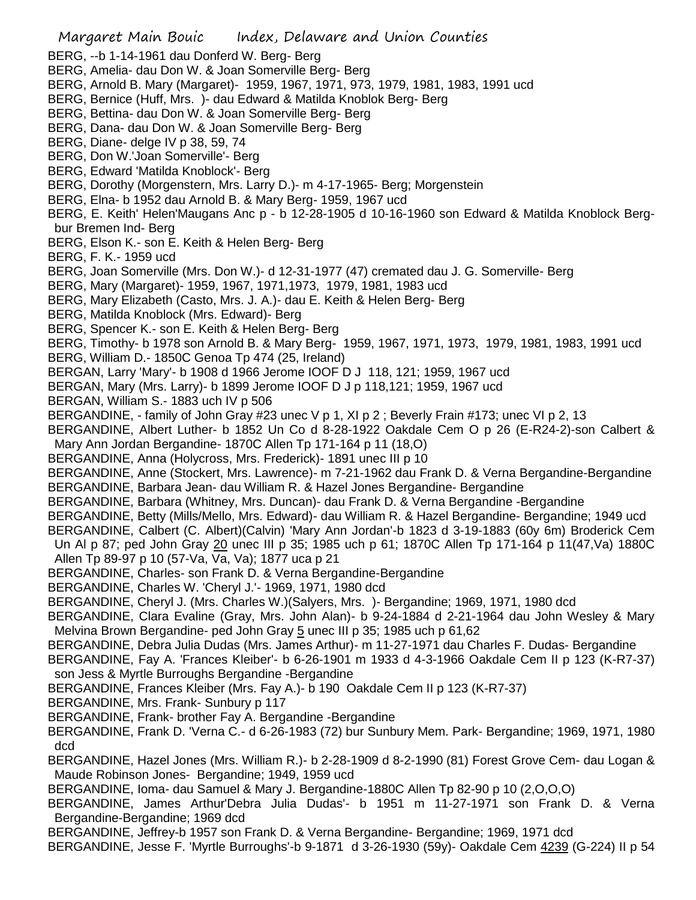Margaret Main Bouic Index, Delaware and Union Counties BERG, --b 1-14-1961 dau Donferd W. Berg- Berg BERG, Amelia- dau Don W. & Joan Somerville Berg- Berg BERG, Arnold B. Mary (Margaret)- 1959, 1967, 1971, 973, 1979, 1981, 1983, 1991 ucd BERG, Bernice (Huff, Mrs. )- dau Edward & Matilda Knoblok Berg- Berg BERG, Bettina- dau Don W. & Joan Somerville Berg- Berg BERG, Dana- dau Don W. & Joan Somerville Berg- Berg BERG, Diane- delge IV p 38, 59, 74 BERG, Don W.'Joan Somerville'- Berg BERG, Edward 'Matilda Knoblock'- Berg BERG, Dorothy (Morgenstern, Mrs. Larry D.)- m 4-17-1965- Berg; Morgenstein BERG, Elna- b 1952 dau Arnold B. & Mary Berg- 1959, 1967 ucd BERG, E. Keith' Helen'Maugans Anc p - b 12-28-1905 d 10-16-1960 son Edward & Matilda Knoblock Bergbur Bremen Ind- Berg BERG, Elson K.- son E. Keith & Helen Berg- Berg BERG, F. K.- 1959 ucd BERG, Joan Somerville (Mrs. Don W.)- d 12-31-1977 (47) cremated dau J. G. Somerville- Berg BERG, Mary (Margaret)- 1959, 1967, 1971,1973, 1979, 1981, 1983 ucd BERG, Mary Elizabeth (Casto, Mrs. J. A.)- dau E. Keith & Helen Berg- Berg BERG, Matilda Knoblock (Mrs. Edward)- Berg BERG, Spencer K.- son E. Keith & Helen Berg- Berg BERG, Timothy- b 1978 son Arnold B. & Mary Berg- 1959, 1967, 1971, 1973, 1979, 1981, 1983, 1991 ucd BERG, William D.- 1850C Genoa Tp 474 (25, Ireland) BERGAN, Larry 'Mary'- b 1908 d 1966 Jerome IOOF D J 118, 121; 1959, 1967 ucd BERGAN, Mary (Mrs. Larry)- b 1899 Jerome IOOF D J p 118,121; 1959, 1967 ucd BERGAN, William S.- 1883 uch IV p 506 BERGANDINE, - family of John Gray #23 unec V p 1, XI p 2; Beverly Frain #173; unec VI p 2, 13 BERGANDINE, Albert Luther- b 1852 Un Co d 8-28-1922 Oakdale Cem O p 26 (E-R24-2)-son Calbert & Mary Ann Jordan Bergandine- 1870C Allen Tp 171-164 p 11 (18,O) BERGANDINE, Anna (Holycross, Mrs. Frederick)- 1891 unec III p 10 BERGANDINE, Anne (Stockert, Mrs. Lawrence)- m 7-21-1962 dau Frank D. & Verna Bergandine-Bergandine BERGANDINE, Barbara Jean- dau William R. & Hazel Jones Bergandine- Bergandine BERGANDINE, Barbara (Whitney, Mrs. Duncan)- dau Frank D. & Verna Bergandine -Bergandine BERGANDINE, Betty (Mills/Mello, Mrs. Edward)- dau William R. & Hazel Bergandine- Bergandine; 1949 ucd BERGANDINE, Calbert (C. Albert)(Calvin) 'Mary Ann Jordan'-b 1823 d 3-19-1883 (60y 6m) Broderick Cem Un Al p 87; ped John Gray 20 unec III p 35; 1985 uch p 61; 1870C Allen Tp 171-164 p 11(47,Va) 1880C Allen Tp 89-97 p 10 (57-Va, Va, Va); 1877 uca p 21 BERGANDINE, Charles- son Frank D. & Verna Bergandine-Bergandine BERGANDINE, Charles W. 'Cheryl J.'- 1969, 1971, 1980 dcd BERGANDINE, Cheryl J. (Mrs. Charles W.)(Salyers, Mrs. )- Bergandine; 1969, 1971, 1980 dcd BERGANDINE, Clara Evaline (Gray, Mrs. John Alan)- b 9-24-1884 d 2-21-1964 dau John Wesley & Mary Melvina Brown Bergandine- ped John Gray 5 unec III p 35; 1985 uch p 61,62 BERGANDINE, Debra Julia Dudas (Mrs. James Arthur)- m 11-27-1971 dau Charles F. Dudas- Bergandine BERGANDINE, Fay A. 'Frances Kleiber'- b 6-26-1901 m 1933 d 4-3-1966 Oakdale Cem II p 123 (K-R7-37) son Jess & Myrtle Burroughs Bergandine -Bergandine BERGANDINE, Frances Kleiber (Mrs. Fay A.)- b 190 Oakdale Cem II p 123 (K-R7-37) BERGANDINE, Mrs. Frank- Sunbury p 117 BERGANDINE, Frank- brother Fay A. Bergandine -Bergandine BERGANDINE, Frank D. 'Verna C.- d 6-26-1983 (72) bur Sunbury Mem. Park- Bergandine; 1969, 1971, 1980 dcd BERGANDINE, Hazel Jones (Mrs. William R.)- b 2-28-1909 d 8-2-1990 (81) Forest Grove Cem- dau Logan & Maude Robinson Jones- Bergandine; 1949, 1959 ucd BERGANDINE, Ioma- dau Samuel & Mary J. Bergandine-1880C Allen Tp 82-90 p 10 (2,O,O,O) BERGANDINE, James Arthur'Debra Julia Dudas'- b 1951 m 11-27-1971 son Frank D. & Verna Bergandine-Bergandine; 1969 dcd BERGANDINE, Jeffrey-b 1957 son Frank D. & Verna Bergandine- Bergandine; 1969, 1971 dcd BERGANDINE, Jesse F. 'Myrtle Burroughs'-b 9-1871 d 3-26-1930 (59y)- Oakdale Cem 4239 (G-224) II p 54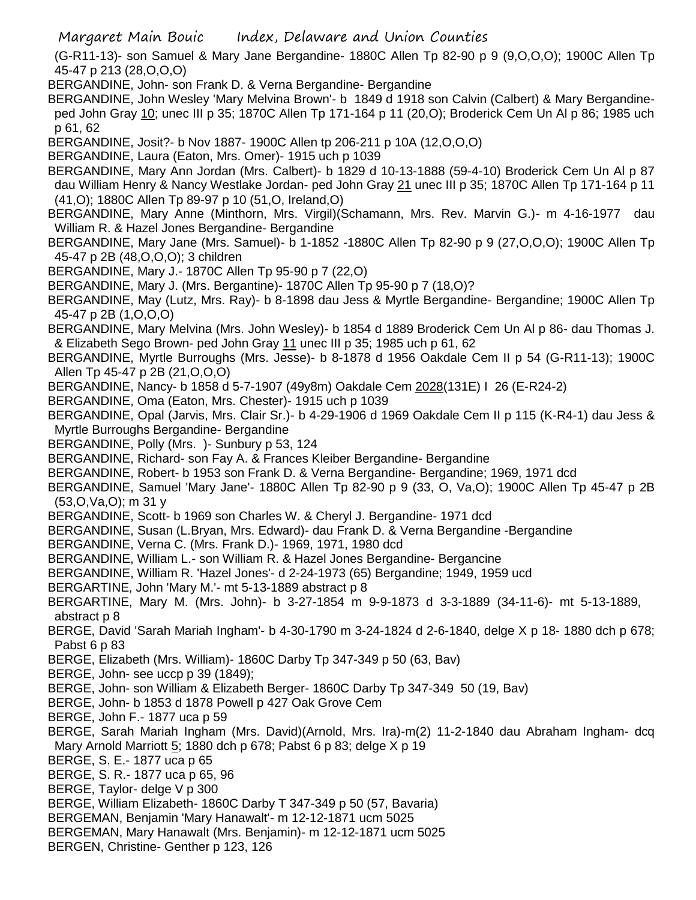(G-R11-13)- son Samuel & Mary Jane Bergandine- 1880C Allen Tp 82-90 p 9 (9,O,O,O); 1900C Allen Tp 45-47 p 213 (28,O,O,O)

BERGANDINE, John- son Frank D. & Verna Bergandine- Bergandine

BERGANDINE, John Wesley 'Mary Melvina Brown'- b 1849 d 1918 son Calvin (Calbert) & Mary Bergandineped John Gray 10; unec III p 35; 1870C Allen Tp 171-164 p 11 (20,O); Broderick Cem Un Al p 86; 1985 uch p 61, 62

BERGANDINE, Josit?- b Nov 1887- 1900C Allen tp 206-211 p 10A (12,O,O,O)

BERGANDINE, Laura (Eaton, Mrs. Omer)- 1915 uch p 1039

BERGANDINE, Mary Ann Jordan (Mrs. Calbert)- b 1829 d 10-13-1888 (59-4-10) Broderick Cem Un Al p 87 dau William Henry & Nancy Westlake Jordan- ped John Gray 21 unec III p 35; 1870C Allen Tp 171-164 p 11 (41,O); 1880C Allen Tp 89-97 p 10 (51,O, Ireland,O)

BERGANDINE, Mary Anne (Minthorn, Mrs. Virgil)(Schamann, Mrs. Rev. Marvin G.)- m 4-16-1977 dau William R. & Hazel Jones Bergandine- Bergandine

BERGANDINE, Mary Jane (Mrs. Samuel)- b 1-1852 -1880C Allen Tp 82-90 p 9 (27,O,O,O); 1900C Allen Tp 45-47 p 2B (48,O,O,O); 3 children

BERGANDINE, Mary J.- 1870C Allen Tp 95-90 p 7 (22,O)

BERGANDINE, Mary J. (Mrs. Bergantine)- 1870C Allen Tp 95-90 p 7 (18,O)?

BERGANDINE, May (Lutz, Mrs. Ray)- b 8-1898 dau Jess & Myrtle Bergandine- Bergandine; 1900C Allen Tp 45-47 p 2B (1,O,O,O)

BERGANDINE, Mary Melvina (Mrs. John Wesley)- b 1854 d 1889 Broderick Cem Un Al p 86- dau Thomas J. & Elizabeth Sego Brown- ped John Gray 11 unec III p 35; 1985 uch p 61, 62

BERGANDINE, Myrtle Burroughs (Mrs. Jesse)- b 8-1878 d 1956 Oakdale Cem II p 54 (G-R11-13); 1900C Allen Tp 45-47 p 2B (21,O,O,O)

BERGANDINE, Nancy- b 1858 d 5-7-1907 (49y8m) Oakdale Cem 2028(131E) I 26 (E-R24-2)

BERGANDINE, Oma (Eaton, Mrs. Chester)- 1915 uch p 1039

BERGANDINE, Opal (Jarvis, Mrs. Clair Sr.)- b 4-29-1906 d 1969 Oakdale Cem II p 115 (K-R4-1) dau Jess & Myrtle Burroughs Bergandine- Bergandine

BERGANDINE, Polly (Mrs. )- Sunbury p 53, 124

BERGANDINE, Richard- son Fay A. & Frances Kleiber Bergandine- Bergandine

BERGANDINE, Robert- b 1953 son Frank D. & Verna Bergandine- Bergandine; 1969, 1971 dcd

BERGANDINE, Samuel 'Mary Jane'- 1880C Allen Tp 82-90 p 9 (33, O, Va,O); 1900C Allen Tp 45-47 p 2B (53,O,Va,O); m 31 y

BERGANDINE, Scott- b 1969 son Charles W. & Cheryl J. Bergandine- 1971 dcd

BERGANDINE, Susan (L.Bryan, Mrs. Edward)- dau Frank D. & Verna Bergandine -Bergandine

BERGANDINE, Verna C. (Mrs. Frank D.)- 1969, 1971, 1980 dcd

BERGANDINE, William L.- son William R. & Hazel Jones Bergandine- Bergancine

BERGANDINE, William R. 'Hazel Jones'- d 2-24-1973 (65) Bergandine; 1949, 1959 ucd

BERGARTINE, John 'Mary M.'- mt 5-13-1889 abstract p 8

BERGARTINE, Mary M. (Mrs. John)- b 3-27-1854 m 9-9-1873 d 3-3-1889 (34-11-6)- mt 5-13-1889, abstract p 8

BERGE, David 'Sarah Mariah Ingham'- b 4-30-1790 m 3-24-1824 d 2-6-1840, delge X p 18- 1880 dch p 678; Pabst 6 p 83

BERGE, Elizabeth (Mrs. William)- 1860C Darby Tp 347-349 p 50 (63, Bav)

BERGE, John- see uccp p 39 (1849);

BERGE, John- son William & Elizabeth Berger- 1860C Darby Tp 347-349 50 (19, Bav)

BERGE, John- b 1853 d 1878 Powell p 427 Oak Grove Cem

BERGE, John F.- 1877 uca p 59

BERGE, Sarah Mariah Ingham (Mrs. David)(Arnold, Mrs. Ira)-m(2) 11-2-1840 dau Abraham Ingham- dcq Mary Arnold Marriott 5; 1880 dch p 678; Pabst 6 p 83; delge X p 19

BERGE, S. E.- 1877 uca p 65

BERGE, S. R.- 1877 uca p 65, 96

BERGE, Taylor- delge V p 300

BERGE, William Elizabeth- 1860C Darby T 347-349 p 50 (57, Bavaria)

BERGEMAN, Benjamin 'Mary Hanawalt'- m 12-12-1871 ucm 5025

BERGEMAN, Mary Hanawalt (Mrs. Benjamin)- m 12-12-1871 ucm 5025

BERGEN, Christine- Genther p 123, 126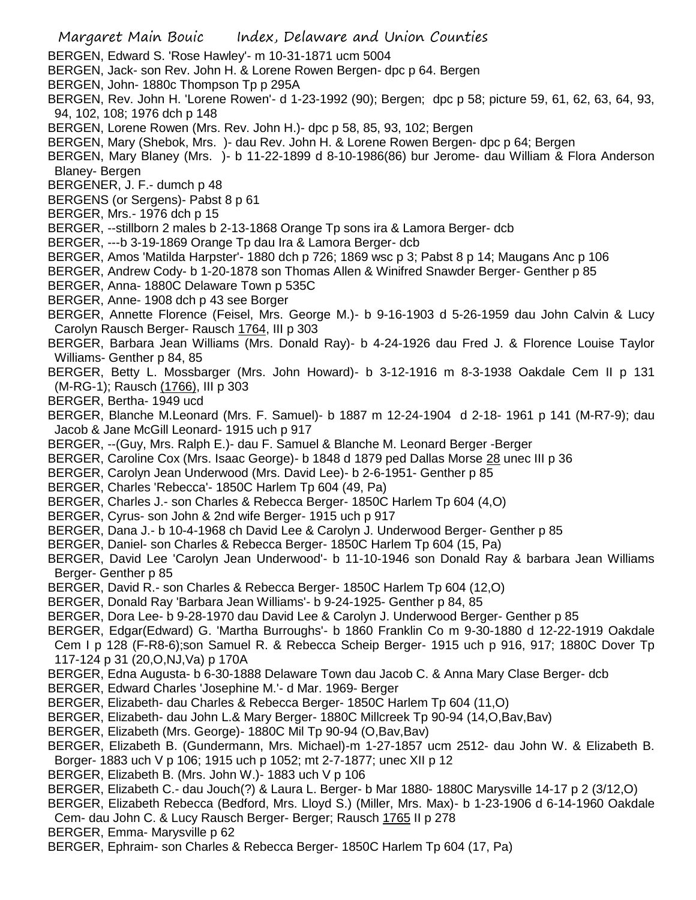- Margaret Main Bouic Index, Delaware and Union Counties
- BERGEN, Edward S. 'Rose Hawley'- m 10-31-1871 ucm 5004
- BERGEN, Jack- son Rev. John H. & Lorene Rowen Bergen- dpc p 64. Bergen
- BERGEN, John- 1880c Thompson Tp p 295A
- BERGEN, Rev. John H. 'Lorene Rowen'- d 1-23-1992 (90); Bergen; dpc p 58; picture 59, 61, 62, 63, 64, 93, 94, 102, 108; 1976 dch p 148
- BERGEN, Lorene Rowen (Mrs. Rev. John H.)- dpc p 58, 85, 93, 102; Bergen
- BERGEN, Mary (Shebok, Mrs. )- dau Rev. John H. & Lorene Rowen Bergen- dpc p 64; Bergen
- BERGEN, Mary Blaney (Mrs. )- b 11-22-1899 d 8-10-1986(86) bur Jerome- dau William & Flora Anderson Blaney- Bergen
- BERGENER, J. F.- dumch p 48
- BERGENS (or Sergens)- Pabst 8 p 61
- BERGER, Mrs.- 1976 dch p 15
- BERGER, --stillborn 2 males b 2-13-1868 Orange Tp sons ira & Lamora Berger- dcb
- BERGER, ---b 3-19-1869 Orange Tp dau Ira & Lamora Berger- dcb
- BERGER, Amos 'Matilda Harpster'- 1880 dch p 726; 1869 wsc p 3; Pabst 8 p 14; Maugans Anc p 106
- BERGER, Andrew Cody- b 1-20-1878 son Thomas Allen & Winifred Snawder Berger- Genther p 85
- BERGER, Anna- 1880C Delaware Town p 535C
- BERGER, Anne- 1908 dch p 43 see Borger
- BERGER, Annette Florence (Feisel, Mrs. George M.)- b 9-16-1903 d 5-26-1959 dau John Calvin & Lucy Carolyn Rausch Berger- Rausch 1764, III p 303
- BERGER, Barbara Jean Williams (Mrs. Donald Ray)- b 4-24-1926 dau Fred J. & Florence Louise Taylor Williams- Genther p 84, 85
- BERGER, Betty L. Mossbarger (Mrs. John Howard)- b 3-12-1916 m 8-3-1938 Oakdale Cem II p 131 (M-RG-1); Rausch (1766), III p 303
- BERGER, Bertha- 1949 ucd
- BERGER, Blanche M.Leonard (Mrs. F. Samuel)- b 1887 m 12-24-1904 d 2-18- 1961 p 141 (M-R7-9); dau Jacob & Jane McGill Leonard- 1915 uch p 917
- BERGER, --(Guy, Mrs. Ralph E.)- dau F. Samuel & Blanche M. Leonard Berger -Berger
- BERGER, Caroline Cox (Mrs. Isaac George)- b 1848 d 1879 ped Dallas Morse 28 unec III p 36
- BERGER, Carolyn Jean Underwood (Mrs. David Lee)- b 2-6-1951- Genther p 85
- BERGER, Charles 'Rebecca'- 1850C Harlem Tp 604 (49, Pa)
- BERGER, Charles J.- son Charles & Rebecca Berger- 1850C Harlem Tp 604 (4,O)
- BERGER, Cyrus- son John & 2nd wife Berger- 1915 uch p 917
- BERGER, Dana J.- b 10-4-1968 ch David Lee & Carolyn J. Underwood Berger- Genther p 85
- BERGER, Daniel- son Charles & Rebecca Berger- 1850C Harlem Tp 604 (15, Pa)
- BERGER, David Lee 'Carolyn Jean Underwood'- b 11-10-1946 son Donald Ray & barbara Jean Williams Berger- Genther p 85
- BERGER, David R.- son Charles & Rebecca Berger- 1850C Harlem Tp 604 (12,O)
- BERGER, Donald Ray 'Barbara Jean Williams'- b 9-24-1925- Genther p 84, 85
- BERGER, Dora Lee- b 9-28-1970 dau David Lee & Carolyn J. Underwood Berger- Genther p 85
- BERGER, Edgar(Edward) G. 'Martha Burroughs'- b 1860 Franklin Co m 9-30-1880 d 12-22-1919 Oakdale
- Cem I p 128 (F-R8-6);son Samuel R. & Rebecca Scheip Berger- 1915 uch p 916, 917; 1880C Dover Tp 117-124 p 31 (20,O,NJ,Va) p 170A
- BERGER, Edna Augusta- b 6-30-1888 Delaware Town dau Jacob C. & Anna Mary Clase Berger- dcb
- BERGER, Edward Charles 'Josephine M.'- d Mar. 1969- Berger
- BERGER, Elizabeth- dau Charles & Rebecca Berger- 1850C Harlem Tp 604 (11,O)
- BERGER, Elizabeth- dau John L.& Mary Berger- 1880C Millcreek Tp 90-94 (14,O,Bav,Bav)
- BERGER, Elizabeth (Mrs. George)- 1880C Mil Tp 90-94 (O,Bav,Bav)
- BERGER, Elizabeth B. (Gundermann, Mrs. Michael)-m 1-27-1857 ucm 2512- dau John W. & Elizabeth B.
- Borger- 1883 uch V p 106; 1915 uch p 1052; mt 2-7-1877; unec XII p 12
- BERGER, Elizabeth B. (Mrs. John W.)- 1883 uch V p 106
- BERGER, Elizabeth C.- dau Jouch(?) & Laura L. Berger- b Mar 1880- 1880C Marysville 14-17 p 2 (3/12,O)
- BERGER, Elizabeth Rebecca (Bedford, Mrs. Lloyd S.) (Miller, Mrs. Max)- b 1-23-1906 d 6-14-1960 Oakdale
- Cem- dau John C. & Lucy Rausch Berger- Berger; Rausch 1765 II p 278
- BERGER, Emma- Marysville p 62
- BERGER, Ephraim- son Charles & Rebecca Berger- 1850C Harlem Tp 604 (17, Pa)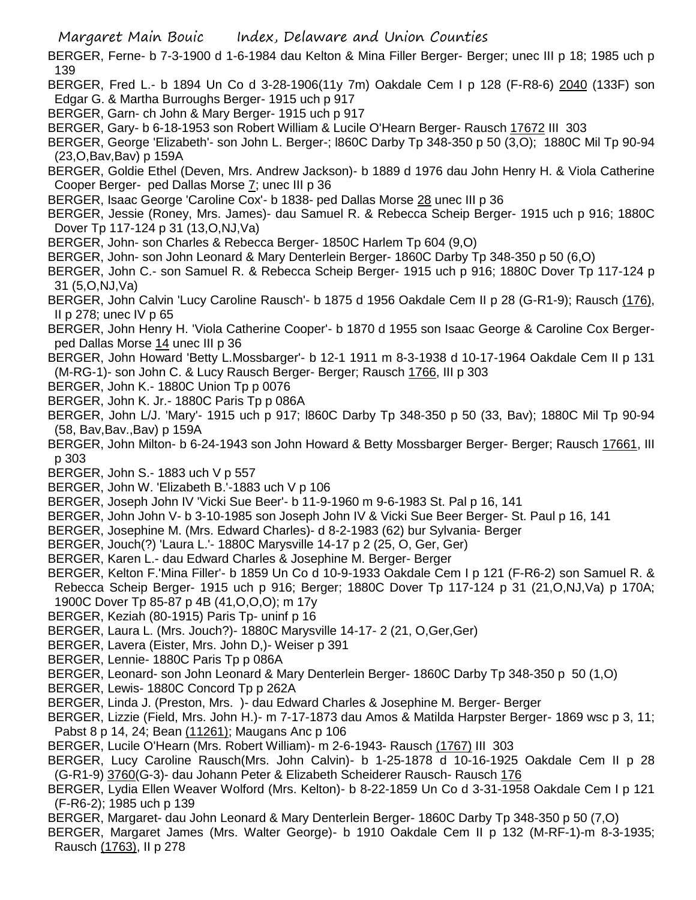BERGER, Ferne- b 7-3-1900 d 1-6-1984 dau Kelton & Mina Filler Berger- Berger; unec III p 18; 1985 uch p 139

- BERGER, Fred L.- b 1894 Un Co d 3-28-1906(11y 7m) Oakdale Cem I p 128 (F-R8-6) 2040 (133F) son Edgar G. & Martha Burroughs Berger- 1915 uch p 917
- BERGER, Garn- ch John & Mary Berger- 1915 uch p 917
- BERGER, Gary- b 6-18-1953 son Robert William & Lucile O'Hearn Berger- Rausch 17672 III 303
- BERGER, George 'Elizabeth'- son John L. Berger-; l860C Darby Tp 348-350 p 50 (3,O); 1880C Mil Tp 90-94 (23,O,Bav,Bav) p 159A
- BERGER, Goldie Ethel (Deven, Mrs. Andrew Jackson)- b 1889 d 1976 dau John Henry H. & Viola Catherine Cooper Berger- ped Dallas Morse 7; unec III p 36
- BERGER, Isaac George 'Caroline Cox'- b 1838- ped Dallas Morse 28 unec III p 36
- BERGER, Jessie (Roney, Mrs. James)- dau Samuel R. & Rebecca Scheip Berger- 1915 uch p 916; 1880C Dover Tp 117-124 p 31 (13,O,NJ,Va)
- BERGER, John- son Charles & Rebecca Berger- 1850C Harlem Tp 604 (9,O)
- BERGER, John- son John Leonard & Mary Denterlein Berger- 1860C Darby Tp 348-350 p 50 (6,O)
- BERGER, John C.- son Samuel R. & Rebecca Scheip Berger- 1915 uch p 916; 1880C Dover Tp 117-124 p 31 (5,O,NJ,Va)
- BERGER, John Calvin 'Lucy Caroline Rausch'- b 1875 d 1956 Oakdale Cem II p 28 (G-R1-9); Rausch (176), II p 278; unec IV p 65
- BERGER, John Henry H. 'Viola Catherine Cooper'- b 1870 d 1955 son Isaac George & Caroline Cox Bergerped Dallas Morse 14 unec III p 36
- BERGER, John Howard 'Betty L.Mossbarger'- b 12-1 1911 m 8-3-1938 d 10-17-1964 Oakdale Cem II p 131 (M-RG-1)- son John C. & Lucy Rausch Berger- Berger; Rausch 1766, III p 303
- BERGER, John K.- 1880C Union Tp p 0076
- BERGER, John K. Jr.- 1880C Paris Tp p 086A
- BERGER, John L/J. 'Mary'- 1915 uch p 917; l860C Darby Tp 348-350 p 50 (33, Bav); 1880C Mil Tp 90-94 (58, Bav,Bav.,Bav) p 159A
- BERGER, John Milton- b 6-24-1943 son John Howard & Betty Mossbarger Berger- Berger; Rausch 17661, III p 303
- BERGER, John S.- 1883 uch V p 557
- BERGER, John W. 'Elizabeth B.'-1883 uch V p 106
- BERGER, Joseph John IV 'Vicki Sue Beer'- b 11-9-1960 m 9-6-1983 St. Pal p 16, 141
- BERGER, John John V- b 3-10-1985 son Joseph John IV & Vicki Sue Beer Berger- St. Paul p 16, 141
- BERGER, Josephine M. (Mrs. Edward Charles)- d 8-2-1983 (62) bur Sylvania- Berger
- BERGER, Jouch(?) 'Laura L.'- 1880C Marysville 14-17 p 2 (25, O, Ger, Ger)
- BERGER, Karen L.- dau Edward Charles & Josephine M. Berger- Berger
- BERGER, Kelton F.'Mina Filler'- b 1859 Un Co d 10-9-1933 Oakdale Cem I p 121 (F-R6-2) son Samuel R. & Rebecca Scheip Berger- 1915 uch p 916; Berger; 1880C Dover Tp 117-124 p 31 (21,O,NJ,Va) p 170A; 1900C Dover Tp 85-87 p 4B (41,O,O,O); m 17y
- BERGER, Keziah (80-1915) Paris Tp- uninf p 16
- BERGER, Laura L. (Mrs. Jouch?)- 1880C Marysville 14-17- 2 (21, O,Ger,Ger)
- BERGER, Lavera (Eister, Mrs. John D,)- Weiser p 391
- BERGER, Lennie- 1880C Paris Tp p 086A
- BERGER, Leonard- son John Leonard & Mary Denterlein Berger- 1860C Darby Tp 348-350 p 50 (1,O)
- BERGER, Lewis- 1880C Concord Tp p 262A
- BERGER, Linda J. (Preston, Mrs. )- dau Edward Charles & Josephine M. Berger- Berger
- BERGER, Lizzie (Field, Mrs. John H.)- m 7-17-1873 dau Amos & Matilda Harpster Berger- 1869 wsc p 3, 11; Pabst 8 p 14, 24; Bean (11261); Maugans Anc p 106
- BERGER, Lucile O'Hearn (Mrs. Robert William)- m 2-6-1943- Rausch (1767) III 303
- BERGER, Lucy Caroline Rausch(Mrs. John Calvin)- b 1-25-1878 d 10-16-1925 Oakdale Cem II p 28 (G-R1-9) 3760(G-3)- dau Johann Peter & Elizabeth Scheiderer Rausch- Rausch 176
- BERGER, Lydia Ellen Weaver Wolford (Mrs. Kelton)- b 8-22-1859 Un Co d 3-31-1958 Oakdale Cem I p 121 (F-R6-2); 1985 uch p 139
- BERGER, Margaret- dau John Leonard & Mary Denterlein Berger- 1860C Darby Tp 348-350 p 50 (7,O)
- BERGER, Margaret James (Mrs. Walter George)- b 1910 Oakdale Cem II p 132 (M-RF-1)-m 8-3-1935; Rausch (1763), II p 278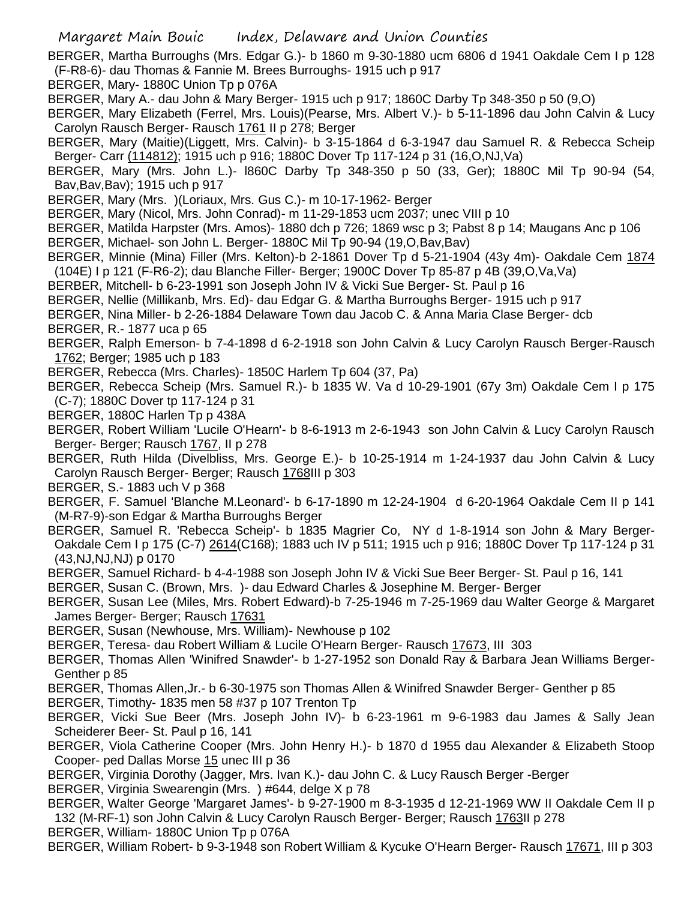BERGER, Martha Burroughs (Mrs. Edgar G.)- b 1860 m 9-30-1880 ucm 6806 d 1941 Oakdale Cem I p 128 (F-R8-6)- dau Thomas & Fannie M. Brees Burroughs- 1915 uch p 917

BERGER, Mary- 1880C Union Tp p 076A

BERGER, Mary A.- dau John & Mary Berger- 1915 uch p 917; 1860C Darby Tp 348-350 p 50 (9,O)

BERGER, Mary Elizabeth (Ferrel, Mrs. Louis)(Pearse, Mrs. Albert V.)- b 5-11-1896 dau John Calvin & Lucy Carolyn Rausch Berger- Rausch 1761 II p 278; Berger

BERGER, Mary (Maitie)(Liggett, Mrs. Calvin)- b 3-15-1864 d 6-3-1947 dau Samuel R. & Rebecca Scheip Berger- Carr (114812); 1915 uch p 916; 1880C Dover Tp 117-124 p 31 (16,O,NJ,Va)

BERGER, Mary (Mrs. John L.)- l860C Darby Tp 348-350 p 50 (33, Ger); 1880C Mil Tp 90-94 (54, Bav,Bav,Bav); 1915 uch p 917

BERGER, Mary (Mrs. )(Loriaux, Mrs. Gus C.)- m 10-17-1962- Berger

BERGER, Mary (Nicol, Mrs. John Conrad)- m 11-29-1853 ucm 2037; unec VIII p 10

BERGER, Matilda Harpster (Mrs. Amos)- 1880 dch p 726; 1869 wsc p 3; Pabst 8 p 14; Maugans Anc p 106

BERGER, Michael- son John L. Berger- 1880C Mil Tp 90-94 (19,O,Bav,Bav)

BERGER, Minnie (Mina) Filler (Mrs. Kelton)-b 2-1861 Dover Tp d 5-21-1904 (43y 4m)- Oakdale Cem 1874 (104E) I p 121 (F-R6-2); dau Blanche Filler- Berger; 1900C Dover Tp 85-87 p 4B (39,O,Va,Va)

BERBER, Mitchell- b 6-23-1991 son Joseph John IV & Vicki Sue Berger- St. Paul p 16

BERGER, Nellie (Millikanb, Mrs. Ed)- dau Edgar G. & Martha Burroughs Berger- 1915 uch p 917

BERGER, Nina Miller- b 2-26-1884 Delaware Town dau Jacob C. & Anna Maria Clase Berger- dcb

BERGER, R.- 1877 uca p 65

BERGER, Ralph Emerson- b 7-4-1898 d 6-2-1918 son John Calvin & Lucy Carolyn Rausch Berger-Rausch 1762; Berger; 1985 uch p 183

BERGER, Rebecca (Mrs. Charles)- 1850C Harlem Tp 604 (37, Pa)

BERGER, Rebecca Scheip (Mrs. Samuel R.)- b 1835 W. Va d 10-29-1901 (67y 3m) Oakdale Cem I p 175 (C-7); 1880C Dover tp 117-124 p 31

BERGER, 1880C Harlen Tp p 438A

BERGER, Robert William 'Lucile O'Hearn'- b 8-6-1913 m 2-6-1943 son John Calvin & Lucy Carolyn Rausch Berger- Berger; Rausch 1767, II p 278

BERGER, Ruth Hilda (Divelbliss, Mrs. George E.)- b 10-25-1914 m 1-24-1937 dau John Calvin & Lucy Carolyn Rausch Berger- Berger; Rausch 1768III p 303

BERGER, S.- 1883 uch V p 368

BERGER, F. Samuel 'Blanche M.Leonard'- b 6-17-1890 m 12-24-1904 d 6-20-1964 Oakdale Cem II p 141 (M-R7-9)-son Edgar & Martha Burroughs Berger

BERGER, Samuel R. 'Rebecca Scheip'- b 1835 Magrier Co, NY d 1-8-1914 son John & Mary Berger-Oakdale Cem I p 175 (C-7) 2614(C168); 1883 uch IV p 511; 1915 uch p 916; 1880C Dover Tp 117-124 p 31 (43,NJ,NJ,NJ) p 0170

BERGER, Samuel Richard- b 4-4-1988 son Joseph John IV & Vicki Sue Beer Berger- St. Paul p 16, 141

BERGER, Susan C. (Brown, Mrs. )- dau Edward Charles & Josephine M. Berger- Berger

BERGER, Susan Lee (Miles, Mrs. Robert Edward)-b 7-25-1946 m 7-25-1969 dau Walter George & Margaret James Berger- Berger; Rausch 17631

BERGER, Susan (Newhouse, Mrs. William)- Newhouse p 102

BERGER, Teresa- dau Robert William & Lucile O'Hearn Berger- Rausch 17673, III 303

BERGER, Thomas Allen 'Winifred Snawder'- b 1-27-1952 son Donald Ray & Barbara Jean Williams Berger-Genther p 85

BERGER, Thomas Allen,Jr.- b 6-30-1975 son Thomas Allen & Winifred Snawder Berger- Genther p 85

BERGER, Timothy- 1835 men 58 #37 p 107 Trenton Tp

BERGER, Vicki Sue Beer (Mrs. Joseph John IV)- b 6-23-1961 m 9-6-1983 dau James & Sally Jean Scheiderer Beer- St. Paul p 16, 141

BERGER, Viola Catherine Cooper (Mrs. John Henry H.)- b 1870 d 1955 dau Alexander & Elizabeth Stoop Cooper- ped Dallas Morse 15 unec III p 36

BERGER, Virginia Dorothy (Jagger, Mrs. Ivan K.)- dau John C. & Lucy Rausch Berger -Berger

BERGER, Virginia Swearengin (Mrs. ) #644, delge X p 78

BERGER, Walter George 'Margaret James'- b 9-27-1900 m 8-3-1935 d 12-21-1969 WW II Oakdale Cem II p 132 (M-RF-1) son John Calvin & Lucy Carolyn Rausch Berger- Berger; Rausch 1763II p 278

BERGER, William- 1880C Union Tp p 076A

BERGER, William Robert- b 9-3-1948 son Robert William & Kycuke O'Hearn Berger- Rausch 17671, III p 303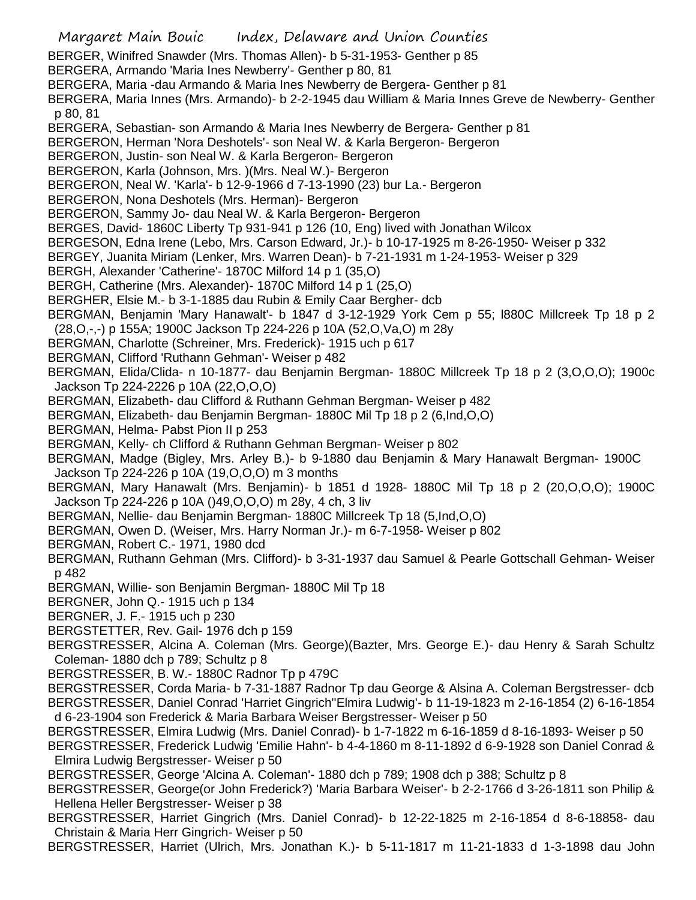Margaret Main Bouic Index, Delaware and Union Counties BERGER, Winifred Snawder (Mrs. Thomas Allen)- b 5-31-1953- Genther p 85 BERGERA, Armando 'Maria Ines Newberry'- Genther p 80, 81 BERGERA, Maria -dau Armando & Maria Ines Newberry de Bergera- Genther p 81 BERGERA, Maria Innes (Mrs. Armando)- b 2-2-1945 dau William & Maria Innes Greve de Newberry- Genther p 80, 81 BERGERA, Sebastian- son Armando & Maria Ines Newberry de Bergera- Genther p 81 BERGERON, Herman 'Nora Deshotels'- son Neal W. & Karla Bergeron- Bergeron BERGERON, Justin- son Neal W. & Karla Bergeron- Bergeron BERGERON, Karla (Johnson, Mrs. )(Mrs. Neal W.)- Bergeron BERGERON, Neal W. 'Karla'- b 12-9-1966 d 7-13-1990 (23) bur La.- Bergeron BERGERON, Nona Deshotels (Mrs. Herman)- Bergeron BERGERON, Sammy Jo- dau Neal W. & Karla Bergeron- Bergeron BERGES, David- 1860C Liberty Tp 931-941 p 126 (10, Eng) lived with Jonathan Wilcox BERGESON, Edna Irene (Lebo, Mrs. Carson Edward, Jr.)- b 10-17-1925 m 8-26-1950- Weiser p 332 BERGEY, Juanita Miriam (Lenker, Mrs. Warren Dean)- b 7-21-1931 m 1-24-1953- Weiser p 329 BERGH, Alexander 'Catherine'- 1870C Milford 14 p 1 (35,O) BERGH, Catherine (Mrs. Alexander)- 1870C Milford 14 p 1 (25,O) BERGHER, Elsie M.- b 3-1-1885 dau Rubin & Emily Caar Bergher- dcb BERGMAN, Benjamin 'Mary Hanawalt'- b 1847 d 3-12-1929 York Cem p 55; l880C Millcreek Tp 18 p 2 (28,O,-,-) p 155A; 1900C Jackson Tp 224-226 p 10A (52,O,Va,O) m 28y BERGMAN, Charlotte (Schreiner, Mrs. Frederick)- 1915 uch p 617 BERGMAN, Clifford 'Ruthann Gehman'- Weiser p 482 BERGMAN, Elida/Clida- n 10-1877- dau Benjamin Bergman- 1880C Millcreek Tp 18 p 2 (3,O,O,O); 1900c Jackson Tp 224-2226 p 10A (22,O,O,O) BERGMAN, Elizabeth- dau Clifford & Ruthann Gehman Bergman- Weiser p 482 BERGMAN, Elizabeth- dau Benjamin Bergman- 1880C Mil Tp 18 p 2 (6,Ind,O,O) BERGMAN, Helma- Pabst Pion II p 253 BERGMAN, Kelly- ch Clifford & Ruthann Gehman Bergman- Weiser p 802 BERGMAN, Madge (Bigley, Mrs. Arley B.)- b 9-1880 dau Benjamin & Mary Hanawalt Bergman- 1900C Jackson Tp 224-226 p 10A (19,O,O,O) m 3 months BERGMAN, Mary Hanawalt (Mrs. Benjamin)- b 1851 d 1928- 1880C Mil Tp 18 p 2 (20,O,O,O); 1900C Jackson Tp 224-226 p 10A ()49,O,O,O) m 28y, 4 ch, 3 liv BERGMAN, Nellie- dau Benjamin Bergman- 1880C Millcreek Tp 18 (5,Ind,O,O) BERGMAN, Owen D. (Weiser, Mrs. Harry Norman Jr.)- m 6-7-1958- Weiser p 802 BERGMAN, Robert C.- 1971, 1980 dcd BERGMAN, Ruthann Gehman (Mrs. Clifford)- b 3-31-1937 dau Samuel & Pearle Gottschall Gehman- Weiser p 482 BERGMAN, Willie- son Benjamin Bergman- 1880C Mil Tp 18 BERGNER, John Q.- 1915 uch p 134 BERGNER, J. F.- 1915 uch p 230 BERGSTETTER, Rev. Gail- 1976 dch p 159 BERGSTRESSER, Alcina A. Coleman (Mrs. George)(Bazter, Mrs. George E.)- dau Henry & Sarah Schultz Coleman- 1880 dch p 789; Schultz p 8 BERGSTRESSER, B. W.- 1880C Radnor Tp p 479C BERGSTRESSER, Corda Maria- b 7-31-1887 Radnor Tp dau George & Alsina A. Coleman Bergstresser- dcb BERGSTRESSER, Daniel Conrad 'Harriet Gingrich''Elmira Ludwig'- b 11-19-1823 m 2-16-1854 (2) 6-16-1854 d 6-23-1904 son Frederick & Maria Barbara Weiser Bergstresser- Weiser p 50 BERGSTRESSER, Elmira Ludwig (Mrs. Daniel Conrad)- b 1-7-1822 m 6-16-1859 d 8-16-1893- Weiser p 50 BERGSTRESSER, Frederick Ludwig 'Emilie Hahn'- b 4-4-1860 m 8-11-1892 d 6-9-1928 son Daniel Conrad & Elmira Ludwig Bergstresser- Weiser p 50 BERGSTRESSER, George 'Alcina A. Coleman'- 1880 dch p 789; 1908 dch p 388; Schultz p 8 BERGSTRESSER, George(or John Frederick?) 'Maria Barbara Weiser'- b 2-2-1766 d 3-26-1811 son Philip & Hellena Heller Bergstresser- Weiser p 38 BERGSTRESSER, Harriet Gingrich (Mrs. Daniel Conrad)- b 12-22-1825 m 2-16-1854 d 8-6-18858- dau Christain & Maria Herr Gingrich- Weiser p 50 BERGSTRESSER, Harriet (Ulrich, Mrs. Jonathan K.)- b 5-11-1817 m 11-21-1833 d 1-3-1898 dau John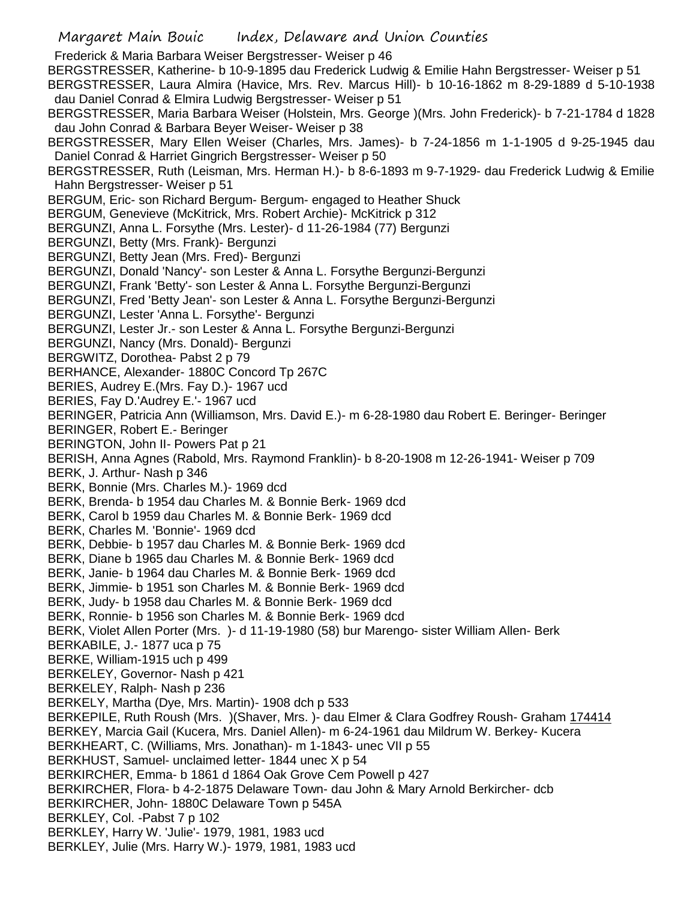Frederick & Maria Barbara Weiser Bergstresser- Weiser p 46 BERGSTRESSER, Katherine- b 10-9-1895 dau Frederick Ludwig & Emilie Hahn Bergstresser- Weiser p 51 BERGSTRESSER, Laura Almira (Havice, Mrs. Rev. Marcus Hill)- b 10-16-1862 m 8-29-1889 d 5-10-1938 dau Daniel Conrad & Elmira Ludwig Bergstresser- Weiser p 51 BERGSTRESSER, Maria Barbara Weiser (Holstein, Mrs. George )(Mrs. John Frederick)- b 7-21-1784 d 1828 dau John Conrad & Barbara Beyer Weiser- Weiser p 38

BERGSTRESSER, Mary Ellen Weiser (Charles, Mrs. James)- b 7-24-1856 m 1-1-1905 d 9-25-1945 dau Daniel Conrad & Harriet Gingrich Bergstresser- Weiser p 50

BERGSTRESSER, Ruth (Leisman, Mrs. Herman H.)- b 8-6-1893 m 9-7-1929- dau Frederick Ludwig & Emilie Hahn Bergstresser- Weiser p 51

BERGUM, Eric- son Richard Bergum- Bergum- engaged to Heather Shuck

BERGUM, Genevieve (McKitrick, Mrs. Robert Archie)- McKitrick p 312

BERGUNZI, Anna L. Forsythe (Mrs. Lester)- d 11-26-1984 (77) Bergunzi

BERGUNZI, Betty (Mrs. Frank)- Bergunzi

BERGUNZI, Betty Jean (Mrs. Fred)- Bergunzi

BERGUNZI, Donald 'Nancy'- son Lester & Anna L. Forsythe Bergunzi-Bergunzi

BERGUNZI, Frank 'Betty'- son Lester & Anna L. Forsythe Bergunzi-Bergunzi

BERGUNZI, Fred 'Betty Jean'- son Lester & Anna L. Forsythe Bergunzi-Bergunzi

BERGUNZI, Lester 'Anna L. Forsythe'- Bergunzi

BERGUNZI, Lester Jr.- son Lester & Anna L. Forsythe Bergunzi-Bergunzi

BERGUNZI, Nancy (Mrs. Donald)- Bergunzi

BERGWITZ, Dorothea- Pabst 2 p 79

BERHANCE, Alexander- 1880C Concord Tp 267C

BERIES, Audrey E.(Mrs. Fay D.)- 1967 ucd

BERIES, Fay D.'Audrey E.'- 1967 ucd

BERINGER, Patricia Ann (Williamson, Mrs. David E.)- m 6-28-1980 dau Robert E. Beringer- Beringer

BERINGER, Robert E.- Beringer

BERINGTON, John II- Powers Pat p 21

BERISH, Anna Agnes (Rabold, Mrs. Raymond Franklin)- b 8-20-1908 m 12-26-1941- Weiser p 709

BERK, J. Arthur- Nash p 346

BERK, Bonnie (Mrs. Charles M.)- 1969 dcd

BERK, Brenda- b 1954 dau Charles M. & Bonnie Berk- 1969 dcd

BERK, Carol b 1959 dau Charles M. & Bonnie Berk- 1969 dcd

BERK, Charles M. 'Bonnie'- 1969 dcd

BERK, Debbie- b 1957 dau Charles M. & Bonnie Berk- 1969 dcd

BERK, Diane b 1965 dau Charles M. & Bonnie Berk- 1969 dcd

BERK, Janie- b 1964 dau Charles M. & Bonnie Berk- 1969 dcd

BERK, Jimmie- b 1951 son Charles M. & Bonnie Berk- 1969 dcd

BERK, Judy- b 1958 dau Charles M. & Bonnie Berk- 1969 dcd

BERK, Ronnie- b 1956 son Charles M. & Bonnie Berk- 1969 dcd

BERK, Violet Allen Porter (Mrs. )- d 11-19-1980 (58) bur Marengo- sister William Allen- Berk

BERKABILE, J.- 1877 uca p 75

BERKE, William-1915 uch p 499

BERKELEY, Governor- Nash p 421

BERKELEY, Ralph- Nash p 236

BERKELY, Martha (Dye, Mrs. Martin)- 1908 dch p 533

BERKEPILE, Ruth Roush (Mrs. )(Shaver, Mrs. )- dau Elmer & Clara Godfrey Roush- Graham 174414 BERKEY, Marcia Gail (Kucera, Mrs. Daniel Allen)- m 6-24-1961 dau Mildrum W. Berkey- Kucera

BERKHEART, C. (Williams, Mrs. Jonathan)- m 1-1843- unec VII p 55

BERKHUST, Samuel- unclaimed letter- 1844 unec X p 54

BERKIRCHER, Emma- b 1861 d 1864 Oak Grove Cem Powell p 427

BERKIRCHER, Flora- b 4-2-1875 Delaware Town- dau John & Mary Arnold Berkircher- dcb

BERKIRCHER, John- 1880C Delaware Town p 545A

BERKLEY, Col. -Pabst 7 p 102

BERKLEY, Harry W. 'Julie'- 1979, 1981, 1983 ucd

BERKLEY, Julie (Mrs. Harry W.)- 1979, 1981, 1983 ucd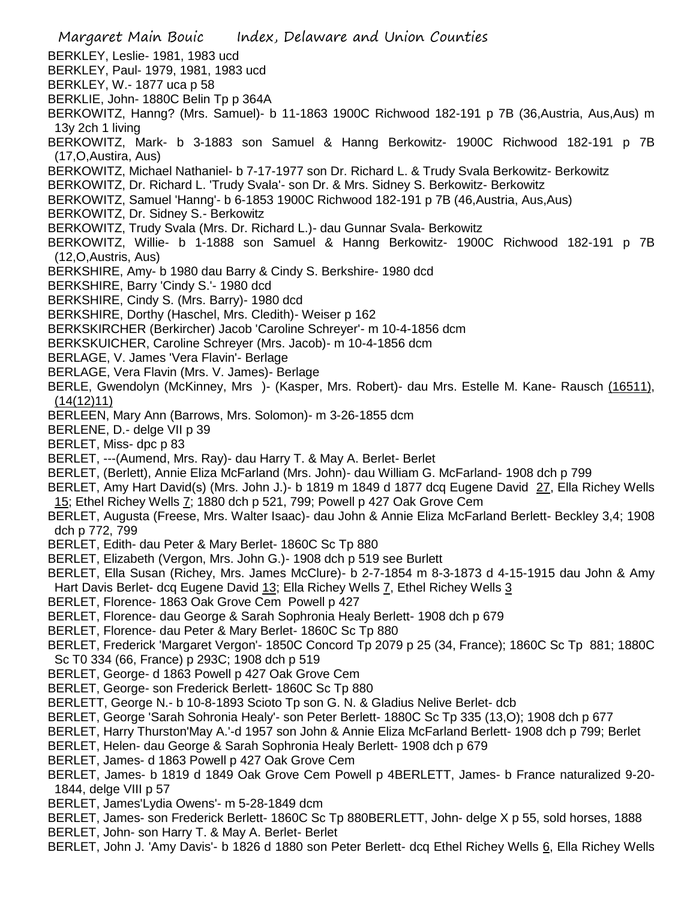- Margaret Main Bouic Index, Delaware and Union Counties BERKLEY, Leslie- 1981, 1983 ucd BERKLEY, Paul- 1979, 1981, 1983 ucd BERKLEY, W.- 1877 uca p 58 BERKLIE, John- 1880C Belin Tp p 364A BERKOWITZ, Hanng? (Mrs. Samuel)- b 11-1863 1900C Richwood 182-191 p 7B (36,Austria, Aus,Aus) m 13y 2ch 1 living BERKOWITZ, Mark- b 3-1883 son Samuel & Hanng Berkowitz- 1900C Richwood 182-191 p 7B (17,O,Austira, Aus) BERKOWITZ, Michael Nathaniel- b 7-17-1977 son Dr. Richard L. & Trudy Svala Berkowitz- Berkowitz BERKOWITZ, Dr. Richard L. 'Trudy Svala'- son Dr. & Mrs. Sidney S. Berkowitz- Berkowitz BERKOWITZ, Samuel 'Hanng'- b 6-1853 1900C Richwood 182-191 p 7B (46,Austria, Aus,Aus) BERKOWITZ, Dr. Sidney S.- Berkowitz BERKOWITZ, Trudy Svala (Mrs. Dr. Richard L.)- dau Gunnar Svala- Berkowitz BERKOWITZ, Willie- b 1-1888 son Samuel & Hanng Berkowitz- 1900C Richwood 182-191 p 7B (12,O,Austris, Aus) BERKSHIRE, Amy- b 1980 dau Barry & Cindy S. Berkshire- 1980 dcd BERKSHIRE, Barry 'Cindy S.'- 1980 dcd BERKSHIRE, Cindy S. (Mrs. Barry)- 1980 dcd BERKSHIRE, Dorthy (Haschel, Mrs. Cledith)- Weiser p 162 BERKSKIRCHER (Berkircher) Jacob 'Caroline Schreyer'- m 10-4-1856 dcm BERKSKUICHER, Caroline Schreyer (Mrs. Jacob)- m 10-4-1856 dcm BERLAGE, V. James 'Vera Flavin'- Berlage BERLAGE, Vera Flavin (Mrs. V. James)- Berlage BERLE, Gwendolyn (McKinney, Mrs )- (Kasper, Mrs. Robert)- dau Mrs. Estelle M. Kane- Rausch (16511), (14(12)11) BERLEEN, Mary Ann (Barrows, Mrs. Solomon)- m 3-26-1855 dcm BERLENE, D.- delge VII p 39 BERLET, Miss- dpc p 83 BERLET, ---(Aumend, Mrs. Ray)- dau Harry T. & May A. Berlet- Berlet BERLET, (Berlett), Annie Eliza McFarland (Mrs. John)- dau William G. McFarland- 1908 dch p 799 BERLET, Amy Hart David(s) (Mrs. John J.)- b 1819 m 1849 d 1877 dcq Eugene David 27, Ella Richey Wells 15; Ethel Richey Wells 7; 1880 dch p 521, 799; Powell p 427 Oak Grove Cem BERLET, Augusta (Freese, Mrs. Walter Isaac)- dau John & Annie Eliza McFarland Berlett- Beckley 3,4; 1908 dch p 772, 799 BERLET, Edith- dau Peter & Mary Berlet- 1860C Sc Tp 880 BERLET, Elizabeth (Vergon, Mrs. John G.)- 1908 dch p 519 see Burlett BERLET, Ella Susan (Richey, Mrs. James McClure)- b 2-7-1854 m 8-3-1873 d 4-15-1915 dau John & Amy Hart Davis Berlet- dcq Eugene David 13; Ella Richey Wells 7, Ethel Richey Wells 3 BERLET, Florence- 1863 Oak Grove Cem Powell p 427 BERLET, Florence- dau George & Sarah Sophronia Healy Berlett- 1908 dch p 679 BERLET, Florence- dau Peter & Mary Berlet- 1860C Sc Tp 880 BERLET, Frederick 'Margaret Vergon'- 1850C Concord Tp 2079 p 25 (34, France); 1860C Sc Tp 881; 1880C Sc T0 334 (66, France) p 293C; 1908 dch p 519 BERLET, George- d 1863 Powell p 427 Oak Grove Cem BERLET, George- son Frederick Berlett- 1860C Sc Tp 880 BERLETT, George N.- b 10-8-1893 Scioto Tp son G. N. & Gladius Nelive Berlet- dcb BERLET, George 'Sarah Sohronia Healy'- son Peter Berlett- 1880C Sc Tp 335 (13,O); 1908 dch p 677 BERLET, Harry Thurston'May A.'-d 1957 son John & Annie Eliza McFarland Berlett- 1908 dch p 799; Berlet BERLET, Helen- dau George & Sarah Sophronia Healy Berlett- 1908 dch p 679 BERLET, James- d 1863 Powell p 427 Oak Grove Cem BERLET, James- b 1819 d 1849 Oak Grove Cem Powell p 4BERLETT, James- b France naturalized 9-20- 1844, delge VIII p 57 BERLET, James'Lydia Owens'- m 5-28-1849 dcm BERLET, James- son Frederick Berlett- 1860C Sc Tp 880BERLETT, John- delge X p 55, sold horses, 1888 BERLET, John- son Harry T. & May A. Berlet- Berlet
- BERLET, John J. 'Amy Davis'- b 1826 d 1880 son Peter Berlett- dcq Ethel Richey Wells 6, Ella Richey Wells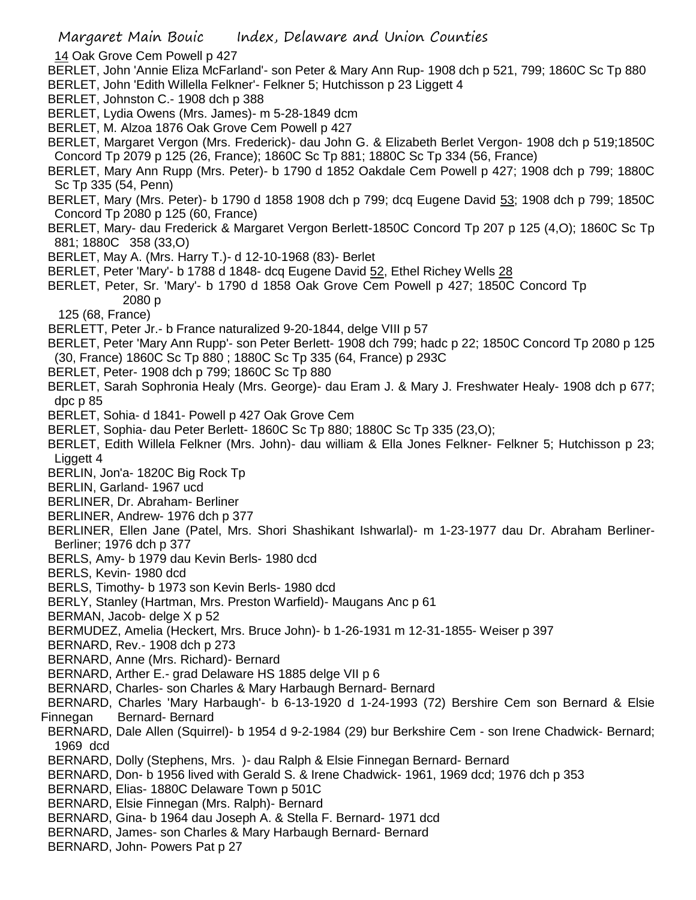- 14 Oak Grove Cem Powell p 427
- BERLET, John 'Annie Eliza McFarland'- son Peter & Mary Ann Rup- 1908 dch p 521, 799; 1860C Sc Tp 880 BERLET, John 'Edith Willella Felkner'- Felkner 5; Hutchisson p 23 Liggett 4
- BERLET, Johnston C.- 1908 dch p 388
- BERLET, Lydia Owens (Mrs. James)- m 5-28-1849 dcm
- BERLET, M. Alzoa 1876 Oak Grove Cem Powell p 427

BERLET, Margaret Vergon (Mrs. Frederick)- dau John G. & Elizabeth Berlet Vergon- 1908 dch p 519;1850C Concord Tp 2079 p 125 (26, France); 1860C Sc Tp 881; 1880C Sc Tp 334 (56, France)

BERLET, Mary Ann Rupp (Mrs. Peter)- b 1790 d 1852 Oakdale Cem Powell p 427; 1908 dch p 799; 1880C Sc Tp 335 (54, Penn)

BERLET, Mary (Mrs. Peter)- b 1790 d 1858 1908 dch p 799; dcq Eugene David 53; 1908 dch p 799; 1850C Concord Tp 2080 p 125 (60, France)

- BERLET, Mary- dau Frederick & Margaret Vergon Berlett-1850C Concord Tp 207 p 125 (4,O); 1860C Sc Tp 881; 1880C 358 (33,O)
- BERLET, May A. (Mrs. Harry T.)- d 12-10-1968 (83)- Berlet
- BERLET, Peter 'Mary'- b 1788 d 1848- dcq Eugene David 52, Ethel Richey Wells 28
- BERLET, Peter, Sr. 'Mary'- b 1790 d 1858 Oak Grove Cem Powell p 427; 1850C Concord Tp 2080 p
	- 125 (68, France)

BERLETT, Peter Jr.- b France naturalized 9-20-1844, delge VIII p 57

BERLET, Peter 'Mary Ann Rupp'- son Peter Berlett- 1908 dch 799; hadc p 22; 1850C Concord Tp 2080 p 125 (30, France) 1860C Sc Tp 880 ; 1880C Sc Tp 335 (64, France) p 293C

BERLET, Peter- 1908 dch p 799; 1860C Sc Tp 880

BERLET, Sarah Sophronia Healy (Mrs. George)- dau Eram J. & Mary J. Freshwater Healy- 1908 dch p 677; dpc p 85

- BERLET, Sohia- d 1841- Powell p 427 Oak Grove Cem
- BERLET, Sophia- dau Peter Berlett- 1860C Sc Tp 880; 1880C Sc Tp 335 (23,O);

BERLET, Edith Willela Felkner (Mrs. John)- dau william & Ella Jones Felkner- Felkner 5; Hutchisson p 23; Liggett 4

BERLIN, Jon'a- 1820C Big Rock Tp

BERLIN, Garland- 1967 ucd

BERLINER, Dr. Abraham- Berliner

BERLINER, Andrew- 1976 dch p 377

BERLINER, Ellen Jane (Patel, Mrs. Shori Shashikant Ishwarlal)- m 1-23-1977 dau Dr. Abraham Berliner-Berliner; 1976 dch p 377

BERLS, Amy- b 1979 dau Kevin Berls- 1980 dcd

BERLS, Kevin- 1980 dcd

BERLS, Timothy- b 1973 son Kevin Berls- 1980 dcd

BERLY, Stanley (Hartman, Mrs. Preston Warfield)- Maugans Anc p 61

BERMAN, Jacob- delge X p 52

BERMUDEZ, Amelia (Heckert, Mrs. Bruce John)- b 1-26-1931 m 12-31-1855- Weiser p 397

BERNARD, Rev.- 1908 dch p 273

BERNARD, Anne (Mrs. Richard)- Bernard

BERNARD, Arther E.- grad Delaware HS 1885 delge VII p 6

BERNARD, Charles- son Charles & Mary Harbaugh Bernard- Bernard

 BERNARD, Charles 'Mary Harbaugh'- b 6-13-1920 d 1-24-1993 (72) Bershire Cem son Bernard & Elsie Finnegan Bernard- Bernard

BERNARD, Dale Allen (Squirrel)- b 1954 d 9-2-1984 (29) bur Berkshire Cem - son Irene Chadwick- Bernard; 1969 dcd

BERNARD, Dolly (Stephens, Mrs. )- dau Ralph & Elsie Finnegan Bernard- Bernard

- BERNARD, Don- b 1956 lived with Gerald S. & Irene Chadwick- 1961, 1969 dcd; 1976 dch p 353
- BERNARD, Elias- 1880C Delaware Town p 501C
- BERNARD, Elsie Finnegan (Mrs. Ralph)- Bernard
- BERNARD, Gina- b 1964 dau Joseph A. & Stella F. Bernard- 1971 dcd
- BERNARD, James- son Charles & Mary Harbaugh Bernard- Bernard

BERNARD, John- Powers Pat p 27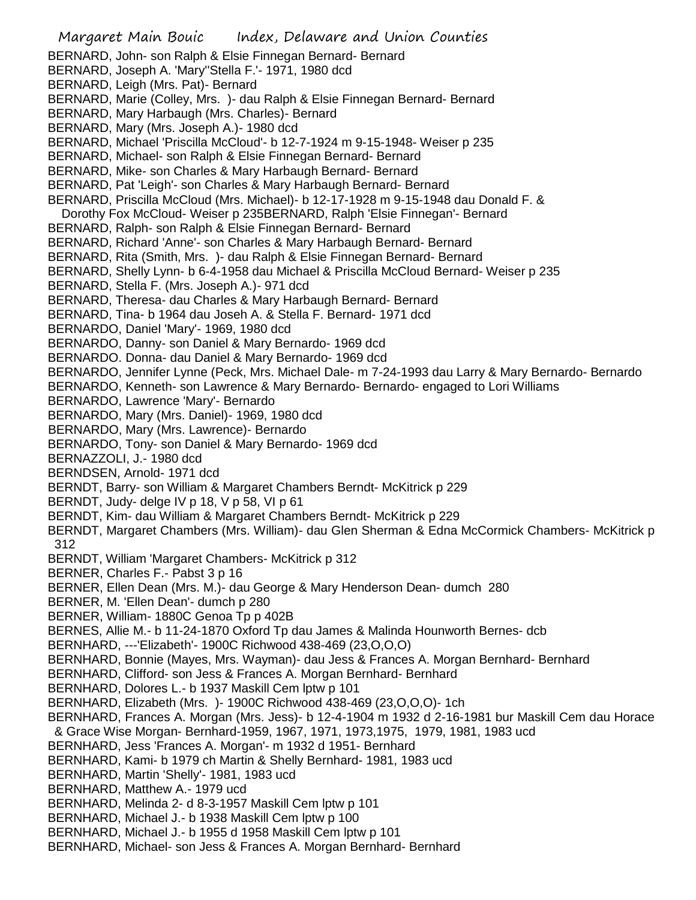Margaret Main Bouic Index, Delaware and Union Counties BERNARD, John- son Ralph & Elsie Finnegan Bernard- Bernard BERNARD, Joseph A. 'Mary''Stella F.'- 1971, 1980 dcd BERNARD, Leigh (Mrs. Pat)- Bernard BERNARD, Marie (Colley, Mrs. )- dau Ralph & Elsie Finnegan Bernard- Bernard BERNARD, Mary Harbaugh (Mrs. Charles)- Bernard BERNARD, Mary (Mrs. Joseph A.)- 1980 dcd BERNARD, Michael 'Priscilla McCloud'- b 12-7-1924 m 9-15-1948- Weiser p 235 BERNARD, Michael- son Ralph & Elsie Finnegan Bernard- Bernard BERNARD, Mike- son Charles & Mary Harbaugh Bernard- Bernard BERNARD, Pat 'Leigh'- son Charles & Mary Harbaugh Bernard- Bernard BERNARD, Priscilla McCloud (Mrs. Michael)- b 12-17-1928 m 9-15-1948 dau Donald F. & Dorothy Fox McCloud- Weiser p 235BERNARD, Ralph 'Elsie Finnegan'- Bernard BERNARD, Ralph- son Ralph & Elsie Finnegan Bernard- Bernard BERNARD, Richard 'Anne'- son Charles & Mary Harbaugh Bernard- Bernard BERNARD, Rita (Smith, Mrs. )- dau Ralph & Elsie Finnegan Bernard- Bernard BERNARD, Shelly Lynn- b 6-4-1958 dau Michael & Priscilla McCloud Bernard- Weiser p 235 BERNARD, Stella F. (Mrs. Joseph A.)- 971 dcd BERNARD, Theresa- dau Charles & Mary Harbaugh Bernard- Bernard BERNARD, Tina- b 1964 dau Joseh A. & Stella F. Bernard- 1971 dcd BERNARDO, Daniel 'Mary'- 1969, 1980 dcd BERNARDO, Danny- son Daniel & Mary Bernardo- 1969 dcd BERNARDO. Donna- dau Daniel & Mary Bernardo- 1969 dcd BERNARDO, Jennifer Lynne (Peck, Mrs. Michael Dale- m 7-24-1993 dau Larry & Mary Bernardo- Bernardo BERNARDO, Kenneth- son Lawrence & Mary Bernardo- Bernardo- engaged to Lori Williams BERNARDO, Lawrence 'Mary'- Bernardo BERNARDO, Mary (Mrs. Daniel)- 1969, 1980 dcd BERNARDO, Mary (Mrs. Lawrence)- Bernardo BERNARDO, Tony- son Daniel & Mary Bernardo- 1969 dcd BERNAZZOLI, J.- 1980 dcd BERNDSEN, Arnold- 1971 dcd BERNDT, Barry- son William & Margaret Chambers Berndt- McKitrick p 229 BERNDT, Judy- delge IV p 18, V p 58, VI p 61 BERNDT, Kim- dau William & Margaret Chambers Berndt- McKitrick p 229 BERNDT, Margaret Chambers (Mrs. William)- dau Glen Sherman & Edna McCormick Chambers- McKitrick p 312 BERNDT, William 'Margaret Chambers- McKitrick p 312 BERNER, Charles F.- Pabst 3 p 16 BERNER, Ellen Dean (Mrs. M.)- dau George & Mary Henderson Dean- dumch 280 BERNER, M. 'Ellen Dean'- dumch p 280 BERNER, William- 1880C Genoa Tp p 402B BERNES, Allie M.- b 11-24-1870 Oxford Tp dau James & Malinda Hounworth Bernes- dcb BERNHARD, ---'Elizabeth'- 1900C Richwood 438-469 (23,O,O,O) BERNHARD, Bonnie (Mayes, Mrs. Wayman)- dau Jess & Frances A. Morgan Bernhard- Bernhard BERNHARD, Clifford- son Jess & Frances A. Morgan Bernhard- Bernhard BERNHARD, Dolores L.- b 1937 Maskill Cem lptw p 101 BERNHARD, Elizabeth (Mrs. )- 1900C Richwood 438-469 (23,O,O,O)- 1ch BERNHARD, Frances A. Morgan (Mrs. Jess)- b 12-4-1904 m 1932 d 2-16-1981 bur Maskill Cem dau Horace & Grace Wise Morgan- Bernhard-1959, 1967, 1971, 1973,1975, 1979, 1981, 1983 ucd BERNHARD, Jess 'Frances A. Morgan'- m 1932 d 1951- Bernhard BERNHARD, Kami- b 1979 ch Martin & Shelly Bernhard- 1981, 1983 ucd BERNHARD, Martin 'Shelly'- 1981, 1983 ucd BERNHARD, Matthew A.- 1979 ucd BERNHARD, Melinda 2- d 8-3-1957 Maskill Cem lptw p 101 BERNHARD, Michael J.- b 1938 Maskill Cem lptw p 100 BERNHARD, Michael J.- b 1955 d 1958 Maskill Cem lptw p 101 BERNHARD, Michael- son Jess & Frances A. Morgan Bernhard- Bernhard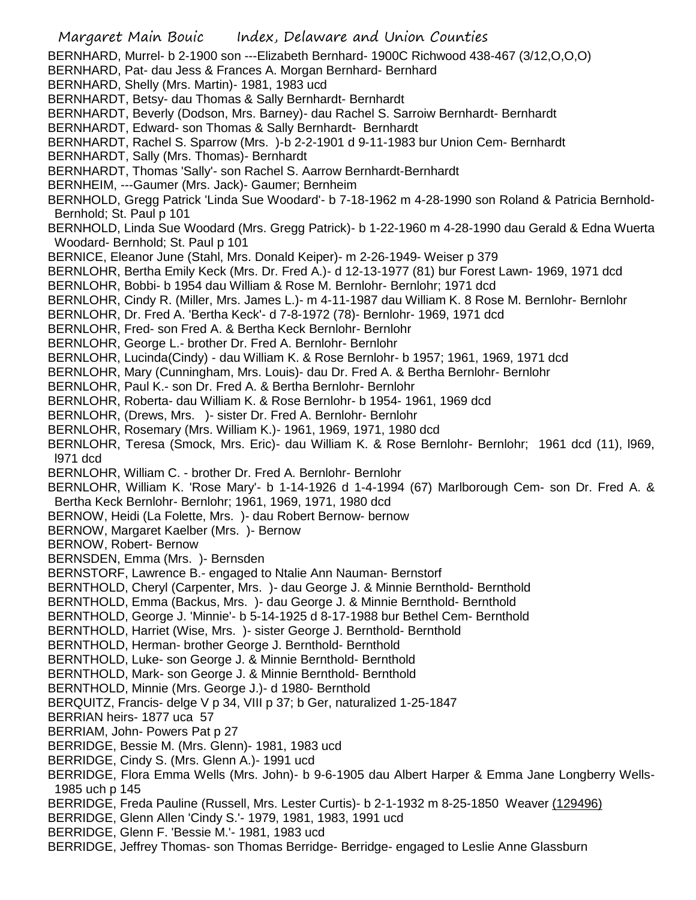Margaret Main Bouic Index, Delaware and Union Counties BERNHARD, Murrel- b 2-1900 son ---Elizabeth Bernhard- 1900C Richwood 438-467 (3/12,O,O,O) BERNHARD, Pat- dau Jess & Frances A. Morgan Bernhard- Bernhard BERNHARD, Shelly (Mrs. Martin)- 1981, 1983 ucd BERNHARDT, Betsy- dau Thomas & Sally Bernhardt- Bernhardt BERNHARDT, Beverly (Dodson, Mrs. Barney)- dau Rachel S. Sarroiw Bernhardt- Bernhardt BERNHARDT, Edward- son Thomas & Sally Bernhardt- Bernhardt BERNHARDT, Rachel S. Sparrow (Mrs. )-b 2-2-1901 d 9-11-1983 bur Union Cem- Bernhardt BERNHARDT, Sally (Mrs. Thomas)- Bernhardt BERNHARDT, Thomas 'Sally'- son Rachel S. Aarrow Bernhardt-Bernhardt BERNHEIM, ---Gaumer (Mrs. Jack)- Gaumer; Bernheim BERNHOLD, Gregg Patrick 'Linda Sue Woodard'- b 7-18-1962 m 4-28-1990 son Roland & Patricia Bernhold-Bernhold; St. Paul p 101 BERNHOLD, Linda Sue Woodard (Mrs. Gregg Patrick)- b 1-22-1960 m 4-28-1990 dau Gerald & Edna Wuerta Woodard- Bernhold; St. Paul p 101 BERNICE, Eleanor June (Stahl, Mrs. Donald Keiper)- m 2-26-1949- Weiser p 379 BERNLOHR, Bertha Emily Keck (Mrs. Dr. Fred A.)- d 12-13-1977 (81) bur Forest Lawn- 1969, 1971 dcd BERNLOHR, Bobbi- b 1954 dau William & Rose M. Bernlohr- Bernlohr; 1971 dcd BERNLOHR, Cindy R. (Miller, Mrs. James L.)- m 4-11-1987 dau William K. 8 Rose M. Bernlohr- Bernlohr BERNLOHR, Dr. Fred A. 'Bertha Keck'- d 7-8-1972 (78)- Bernlohr- 1969, 1971 dcd BERNLOHR, Fred- son Fred A. & Bertha Keck Bernlohr- Bernlohr BERNLOHR, George L.- brother Dr. Fred A. Bernlohr- Bernlohr BERNLOHR, Lucinda(Cindy) - dau William K. & Rose Bernlohr- b 1957; 1961, 1969, 1971 dcd BERNLOHR, Mary (Cunningham, Mrs. Louis)- dau Dr. Fred A. & Bertha Bernlohr- Bernlohr BERNLOHR, Paul K.- son Dr. Fred A. & Bertha Bernlohr- Bernlohr BERNLOHR, Roberta- dau William K. & Rose Bernlohr- b 1954- 1961, 1969 dcd BERNLOHR, (Drews, Mrs. )- sister Dr. Fred A. Bernlohr- Bernlohr BERNLOHR, Rosemary (Mrs. William K.)- 1961, 1969, 1971, 1980 dcd BERNLOHR, Teresa (Smock, Mrs. Eric)- dau William K. & Rose Bernlohr- Bernlohr; 1961 dcd (11), l969, l971 dcd BERNLOHR, William C. - brother Dr. Fred A. Bernlohr- Bernlohr BERNLOHR, William K. 'Rose Mary'- b 1-14-1926 d 1-4-1994 (67) Marlborough Cem- son Dr. Fred A. & Bertha Keck Bernlohr- Bernlohr; 1961, 1969, 1971, 1980 dcd BERNOW, Heidi (La Folette, Mrs. )- dau Robert Bernow- bernow BERNOW, Margaret Kaelber (Mrs. )- Bernow BERNOW, Robert- Bernow BERNSDEN, Emma (Mrs. )- Bernsden BERNSTORF, Lawrence B.- engaged to Ntalie Ann Nauman- Bernstorf BERNTHOLD, Cheryl (Carpenter, Mrs. )- dau George J. & Minnie Bernthold- Bernthold BERNTHOLD, Emma (Backus, Mrs. )- dau George J. & Minnie Bernthold- Bernthold BERNTHOLD, George J. 'Minnie'- b 5-14-1925 d 8-17-1988 bur Bethel Cem- Bernthold BERNTHOLD, Harriet (Wise, Mrs. )- sister George J. Bernthold- Bernthold BERNTHOLD, Herman- brother George J. Bernthold- Bernthold BERNTHOLD, Luke- son George J. & Minnie Bernthold- Bernthold BERNTHOLD, Mark- son George J. & Minnie Bernthold- Bernthold BERNTHOLD, Minnie (Mrs. George J.)- d 1980- Bernthold BERQUITZ, Francis- delge V p 34, VIII p 37; b Ger, naturalized 1-25-1847 BERRIAN heirs- 1877 uca 57 BERRIAM, John- Powers Pat p 27 BERRIDGE, Bessie M. (Mrs. Glenn)- 1981, 1983 ucd BERRIDGE, Cindy S. (Mrs. Glenn A.)- 1991 ucd BERRIDGE, Flora Emma Wells (Mrs. John)- b 9-6-1905 dau Albert Harper & Emma Jane Longberry Wells-1985 uch p 145 BERRIDGE, Freda Pauline (Russell, Mrs. Lester Curtis)- b 2-1-1932 m 8-25-1850 Weaver (129496) BERRIDGE, Glenn Allen 'Cindy S.'- 1979, 1981, 1983, 1991 ucd BERRIDGE, Glenn F. 'Bessie M.'- 1981, 1983 ucd BERRIDGE, Jeffrey Thomas- son Thomas Berridge- Berridge- engaged to Leslie Anne Glassburn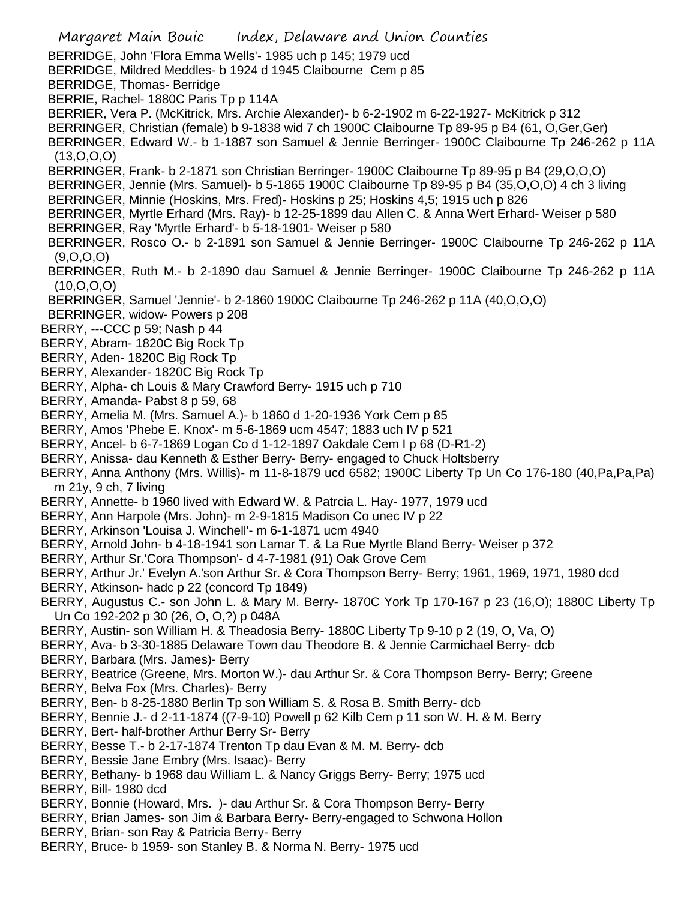- Margaret Main Bouic Index, Delaware and Union Counties BERRIDGE, John 'Flora Emma Wells'- 1985 uch p 145; 1979 ucd BERRIDGE, Mildred Meddles- b 1924 d 1945 Claibourne Cem p 85 BERRIDGE, Thomas- Berridge BERRIE, Rachel- 1880C Paris Tp p 114A BERRIER, Vera P. (McKitrick, Mrs. Archie Alexander)- b 6-2-1902 m 6-22-1927- McKitrick p 312 BERRINGER, Christian (female) b 9-1838 wid 7 ch 1900C Claibourne Tp 89-95 p B4 (61, O,Ger,Ger) BERRINGER, Edward W.- b 1-1887 son Samuel & Jennie Berringer- 1900C Claibourne Tp 246-262 p 11A  $(13, 0, 0, 0)$ BERRINGER, Frank- b 2-1871 son Christian Berringer- 1900C Claibourne Tp 89-95 p B4 (29,O,O,O) BERRINGER, Jennie (Mrs. Samuel)- b 5-1865 1900C Claibourne Tp 89-95 p B4 (35,O,O,O) 4 ch 3 living BERRINGER, Minnie (Hoskins, Mrs. Fred)- Hoskins p 25; Hoskins 4,5; 1915 uch p 826 BERRINGER, Myrtle Erhard (Mrs. Ray)- b 12-25-1899 dau Allen C. & Anna Wert Erhard- Weiser p 580 BERRINGER, Ray 'Myrtle Erhard'- b 5-18-1901- Weiser p 580 BERRINGER, Rosco O.- b 2-1891 son Samuel & Jennie Berringer- 1900C Claibourne Tp 246-262 p 11A (9,O,O,O) BERRINGER, Ruth M.- b 2-1890 dau Samuel & Jennie Berringer- 1900C Claibourne Tp 246-262 p 11A (10,O,O,O) BERRINGER, Samuel 'Jennie'- b 2-1860 1900C Claibourne Tp 246-262 p 11A (40,O,O,O) BERRINGER, widow- Powers p 208 BERRY, ---CCC p 59; Nash p 44 BERRY, Abram- 1820C Big Rock Tp BERRY, Aden- 1820C Big Rock Tp BERRY, Alexander- 1820C Big Rock Tp BERRY, Alpha- ch Louis & Mary Crawford Berry- 1915 uch p 710 BERRY, Amanda- Pabst 8 p 59, 68 BERRY, Amelia M. (Mrs. Samuel A.)- b 1860 d 1-20-1936 York Cem p 85 BERRY, Amos 'Phebe E. Knox'- m 5-6-1869 ucm 4547; 1883 uch IV p 521 BERRY, Ancel- b 6-7-1869 Logan Co d 1-12-1897 Oakdale Cem I p 68 (D-R1-2) BERRY, Anissa- dau Kenneth & Esther Berry- Berry- engaged to Chuck Holtsberry BERRY, Anna Anthony (Mrs. Willis)- m 11-8-1879 ucd 6582; 1900C Liberty Tp Un Co 176-180 (40,Pa,Pa,Pa) m 21y, 9 ch, 7 living BERRY, Annette- b 1960 lived with Edward W. & Patrcia L. Hay- 1977, 1979 ucd BERRY, Ann Harpole (Mrs. John)- m 2-9-1815 Madison Co unec IV p 22 BERRY, Arkinson 'Louisa J. Winchell'- m 6-1-1871 ucm 4940 BERRY, Arnold John- b 4-18-1941 son Lamar T. & La Rue Myrtle Bland Berry- Weiser p 372 BERRY, Arthur Sr.'Cora Thompson'- d 4-7-1981 (91) Oak Grove Cem BERRY, Arthur Jr.' Evelyn A.'son Arthur Sr. & Cora Thompson Berry- Berry; 1961, 1969, 1971, 1980 dcd BERRY, Atkinson- hadc p 22 (concord Tp 1849) BERRY, Augustus C.- son John L. & Mary M. Berry- 1870C York Tp 170-167 p 23 (16,O); 1880C Liberty Tp Un Co 192-202 p 30 (26, O, O,?) p 048A BERRY, Austin- son William H. & Theadosia Berry- 1880C Liberty Tp 9-10 p 2 (19, O, Va, O) BERRY, Ava- b 3-30-1885 Delaware Town dau Theodore B. & Jennie Carmichael Berry- dcb BERRY, Barbara (Mrs. James)- Berry BERRY, Beatrice (Greene, Mrs. Morton W.)- dau Arthur Sr. & Cora Thompson Berry- Berry; Greene BERRY, Belva Fox (Mrs. Charles)- Berry BERRY, Ben- b 8-25-1880 Berlin Tp son William S. & Rosa B. Smith Berry- dcb BERRY, Bennie J.- d 2-11-1874 ((7-9-10) Powell p 62 Kilb Cem p 11 son W. H. & M. Berry BERRY, Bert- half-brother Arthur Berry Sr- Berry BERRY, Besse T.- b 2-17-1874 Trenton Tp dau Evan & M. M. Berry- dcb BERRY, Bessie Jane Embry (Mrs. Isaac)- Berry BERRY, Bethany- b 1968 dau William L. & Nancy Griggs Berry- Berry; 1975 ucd BERRY, Bill- 1980 dcd BERRY, Bonnie (Howard, Mrs. )- dau Arthur Sr. & Cora Thompson Berry- Berry BERRY, Brian James- son Jim & Barbara Berry- Berry-engaged to Schwona Hollon BERRY, Brian- son Ray & Patricia Berry- Berry
- BERRY, Bruce- b 1959- son Stanley B. & Norma N. Berry- 1975 ucd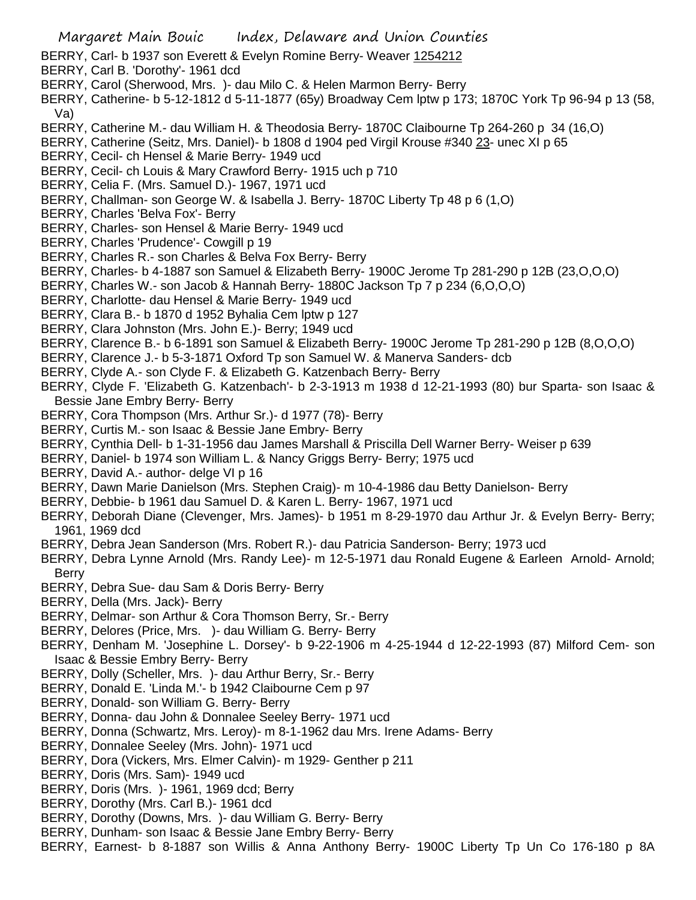- BERRY, Carl- b 1937 son Everett & Evelyn Romine Berry- Weaver 1254212
- BERRY, Carl B. 'Dorothy'- 1961 dcd
- BERRY, Carol (Sherwood, Mrs. )- dau Milo C. & Helen Marmon Berry- Berry
- BERRY, Catherine- b 5-12-1812 d 5-11-1877 (65y) Broadway Cem lptw p 173; 1870C York Tp 96-94 p 13 (58, Va)
- BERRY, Catherine M.- dau William H. & Theodosia Berry- 1870C Claibourne Tp 264-260 p 34 (16,O)
- BERRY, Catherine (Seitz, Mrs. Daniel)- b 1808 d 1904 ped Virgil Krouse #340 23- unec XI p 65
- BERRY, Cecil- ch Hensel & Marie Berry- 1949 ucd
- BERRY, Cecil- ch Louis & Mary Crawford Berry- 1915 uch p 710
- BERRY, Celia F. (Mrs. Samuel D.)- 1967, 1971 ucd
- BERRY, Challman- son George W. & Isabella J. Berry- 1870C Liberty Tp 48 p 6 (1,O)
- BERRY, Charles 'Belva Fox'- Berry
- BERRY, Charles- son Hensel & Marie Berry- 1949 ucd
- BERRY, Charles 'Prudence'- Cowgill p 19
- BERRY, Charles R.- son Charles & Belva Fox Berry- Berry
- BERRY, Charles- b 4-1887 son Samuel & Elizabeth Berry- 1900C Jerome Tp 281-290 p 12B (23,O,O,O)
- BERRY, Charles W.- son Jacob & Hannah Berry- 1880C Jackson Tp 7 p 234 (6,O,O,O)
- BERRY, Charlotte- dau Hensel & Marie Berry- 1949 ucd
- BERRY, Clara B.- b 1870 d 1952 Byhalia Cem lptw p 127
- BERRY, Clara Johnston (Mrs. John E.)- Berry; 1949 ucd
- BERRY, Clarence B.- b 6-1891 son Samuel & Elizabeth Berry- 1900C Jerome Tp 281-290 p 12B (8,O,O,O)
- BERRY, Clarence J.- b 5-3-1871 Oxford Tp son Samuel W. & Manerva Sanders- dcb
- BERRY, Clyde A.- son Clyde F. & Elizabeth G. Katzenbach Berry- Berry
- BERRY, Clyde F. 'Elizabeth G. Katzenbach'- b 2-3-1913 m 1938 d 12-21-1993 (80) bur Sparta- son Isaac & Bessie Jane Embry Berry- Berry
- BERRY, Cora Thompson (Mrs. Arthur Sr.)- d 1977 (78)- Berry
- BERRY, Curtis M.- son Isaac & Bessie Jane Embry- Berry
- BERRY, Cynthia Dell- b 1-31-1956 dau James Marshall & Priscilla Dell Warner Berry- Weiser p 639
- BERRY, Daniel- b 1974 son William L. & Nancy Griggs Berry- Berry; 1975 ucd
- BERRY, David A.- author- delge VI p 16
- BERRY, Dawn Marie Danielson (Mrs. Stephen Craig)- m 10-4-1986 dau Betty Danielson- Berry
- BERRY, Debbie- b 1961 dau Samuel D. & Karen L. Berry- 1967, 1971 ucd
- BERRY, Deborah Diane (Clevenger, Mrs. James)- b 1951 m 8-29-1970 dau Arthur Jr. & Evelyn Berry- Berry; 1961, 1969 dcd
- BERRY, Debra Jean Sanderson (Mrs. Robert R.)- dau Patricia Sanderson- Berry; 1973 ucd
- BERRY, Debra Lynne Arnold (Mrs. Randy Lee)- m 12-5-1971 dau Ronald Eugene & Earleen Arnold- Arnold; Berry
- BERRY, Debra Sue- dau Sam & Doris Berry- Berry
- BERRY, Della (Mrs. Jack)- Berry
- BERRY, Delmar- son Arthur & Cora Thomson Berry, Sr.- Berry
- BERRY, Delores (Price, Mrs. )- dau William G. Berry- Berry
- BERRY, Denham M. 'Josephine L. Dorsey'- b 9-22-1906 m 4-25-1944 d 12-22-1993 (87) Milford Cem- son Isaac & Bessie Embry Berry- Berry
- BERRY, Dolly (Scheller, Mrs. )- dau Arthur Berry, Sr.- Berry
- BERRY, Donald E. 'Linda M.'- b 1942 Claibourne Cem p 97
- BERRY, Donald- son William G. Berry- Berry
- BERRY, Donna- dau John & Donnalee Seeley Berry- 1971 ucd
- BERRY, Donna (Schwartz, Mrs. Leroy)- m 8-1-1962 dau Mrs. Irene Adams- Berry
- BERRY, Donnalee Seeley (Mrs. John)- 1971 ucd
- BERRY, Dora (Vickers, Mrs. Elmer Calvin)- m 1929- Genther p 211
- BERRY, Doris (Mrs. Sam)- 1949 ucd
- BERRY, Doris (Mrs. )- 1961, 1969 dcd; Berry
- BERRY, Dorothy (Mrs. Carl B.)- 1961 dcd
- BERRY, Dorothy (Downs, Mrs. )- dau William G. Berry- Berry
- BERRY, Dunham- son Isaac & Bessie Jane Embry Berry- Berry
- BERRY, Earnest- b 8-1887 son Willis & Anna Anthony Berry- 1900C Liberty Tp Un Co 176-180 p 8A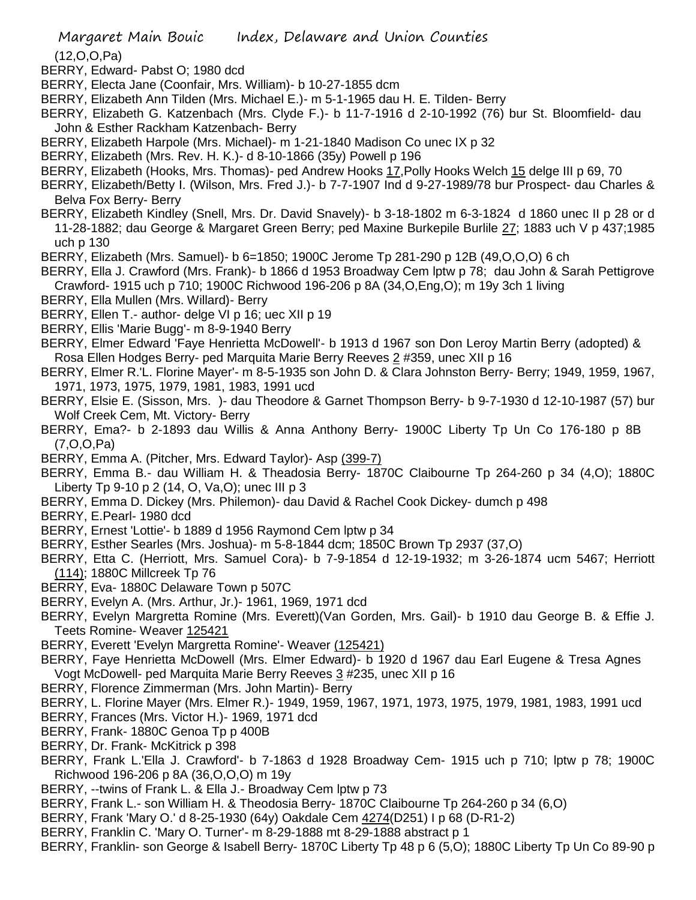(12,O,O,Pa)

- BERRY, Edward- Pabst O; 1980 dcd
- BERRY, Electa Jane (Coonfair, Mrs. William)- b 10-27-1855 dcm
- BERRY, Elizabeth Ann Tilden (Mrs. Michael E.)- m 5-1-1965 dau H. E. Tilden- Berry
- BERRY, Elizabeth G. Katzenbach (Mrs. Clyde F.)- b 11-7-1916 d 2-10-1992 (76) bur St. Bloomfield- dau John & Esther Rackham Katzenbach- Berry
- BERRY, Elizabeth Harpole (Mrs. Michael)- m 1-21-1840 Madison Co unec IX p 32
- BERRY, Elizabeth (Mrs. Rev. H. K.)- d 8-10-1866 (35y) Powell p 196
- BERRY, Elizabeth (Hooks, Mrs. Thomas)- ped Andrew Hooks 17,Polly Hooks Welch 15 delge III p 69, 70
- BERRY, Elizabeth/Betty I. (Wilson, Mrs. Fred J.)- b 7-7-1907 Ind d 9-27-1989/78 bur Prospect- dau Charles & Belva Fox Berry- Berry
- BERRY, Elizabeth Kindley (Snell, Mrs. Dr. David Snavely)- b 3-18-1802 m 6-3-1824 d 1860 unec II p 28 or d 11-28-1882; dau George & Margaret Green Berry; ped Maxine Burkepile Burlile 27; 1883 uch V p 437;1985 uch p 130
- BERRY, Elizabeth (Mrs. Samuel)- b 6=1850; 1900C Jerome Tp 281-290 p 12B (49,O,O,O) 6 ch
- BERRY, Ella J. Crawford (Mrs. Frank)- b 1866 d 1953 Broadway Cem lptw p 78; dau John & Sarah Pettigrove Crawford- 1915 uch p 710; 1900C Richwood 196-206 p 8A (34,O,Eng,O); m 19y 3ch 1 living
- BERRY, Ella Mullen (Mrs. Willard)- Berry
- BERRY, Ellen T.- author- delge VI p 16; uec XII p 19
- BERRY, Ellis 'Marie Bugg'- m 8-9-1940 Berry
- BERRY, Elmer Edward 'Faye Henrietta McDowell'- b 1913 d 1967 son Don Leroy Martin Berry (adopted) & Rosa Ellen Hodges Berry- ped Marquita Marie Berry Reeves 2 #359, unec XII p 16
- BERRY, Elmer R.'L. Florine Mayer'- m 8-5-1935 son John D. & Clara Johnston Berry- Berry; 1949, 1959, 1967, 1971, 1973, 1975, 1979, 1981, 1983, 1991 ucd
- BERRY, Elsie E. (Sisson, Mrs. )- dau Theodore & Garnet Thompson Berry- b 9-7-1930 d 12-10-1987 (57) bur Wolf Creek Cem, Mt. Victory- Berry
- BERRY, Ema?- b 2-1893 dau Willis & Anna Anthony Berry- 1900C Liberty Tp Un Co 176-180 p 8B (7,O,O,Pa)
- BERRY, Emma A. (Pitcher, Mrs. Edward Taylor)- Asp (399-7)
- BERRY, Emma B.- dau William H. & Theadosia Berry- 1870C Claibourne Tp 264-260 p 34 (4,O); 1880C Liberty Tp 9-10 p 2 (14, O, Va,O); unec III p 3
- BERRY, Emma D. Dickey (Mrs. Philemon)- dau David & Rachel Cook Dickey- dumch p 498
- BERRY, E.Pearl- 1980 dcd
- BERRY, Ernest 'Lottie'- b 1889 d 1956 Raymond Cem lptw p 34
- BERRY, Esther Searles (Mrs. Joshua)- m 5-8-1844 dcm; 1850C Brown Tp 2937 (37,O)
- BERRY, Etta C. (Herriott, Mrs. Samuel Cora)- b 7-9-1854 d 12-19-1932; m 3-26-1874 ucm 5467; Herriott (114); 1880C Millcreek Tp 76
- BERRY, Eva- 1880C Delaware Town p 507C
- BERRY, Evelyn A. (Mrs. Arthur, Jr.)- 1961, 1969, 1971 dcd
- BERRY, Evelyn Margretta Romine (Mrs. Everett)(Van Gorden, Mrs. Gail)- b 1910 dau George B. & Effie J. Teets Romine- Weaver 125421
- BERRY, Everett 'Evelyn Margretta Romine'- Weaver (125421)
- BERRY, Faye Henrietta McDowell (Mrs. Elmer Edward)- b 1920 d 1967 dau Earl Eugene & Tresa Agnes Vogt McDowell- ped Marquita Marie Berry Reeves 3 #235, unec XII p 16
- BERRY, Florence Zimmerman (Mrs. John Martin)- Berry
- BERRY, L. Florine Mayer (Mrs. Elmer R.)- 1949, 1959, 1967, 1971, 1973, 1975, 1979, 1981, 1983, 1991 ucd
- BERRY, Frances (Mrs. Victor H.)- 1969, 1971 dcd
- BERRY, Frank- 1880C Genoa Tp p 400B
- BERRY, Dr. Frank- McKitrick p 398
- BERRY, Frank L.'Ella J. Crawford'- b 7-1863 d 1928 Broadway Cem- 1915 uch p 710; lptw p 78; 1900C Richwood 196-206 p 8A (36,O,O,O) m 19y
- BERRY, --twins of Frank L. & Ella J.- Broadway Cem lptw p 73
- BERRY, Frank L.- son William H. & Theodosia Berry- 1870C Claibourne Tp 264-260 p 34 (6,O)
- BERRY, Frank 'Mary O.' d 8-25-1930 (64y) Oakdale Cem 4274(D251) I p 68 (D-R1-2)
- BERRY, Franklin C. 'Mary O. Turner'- m 8-29-1888 mt 8-29-1888 abstract p 1
- BERRY, Franklin- son George & Isabell Berry- 1870C Liberty Tp 48 p 6 (5,O); 1880C Liberty Tp Un Co 89-90 p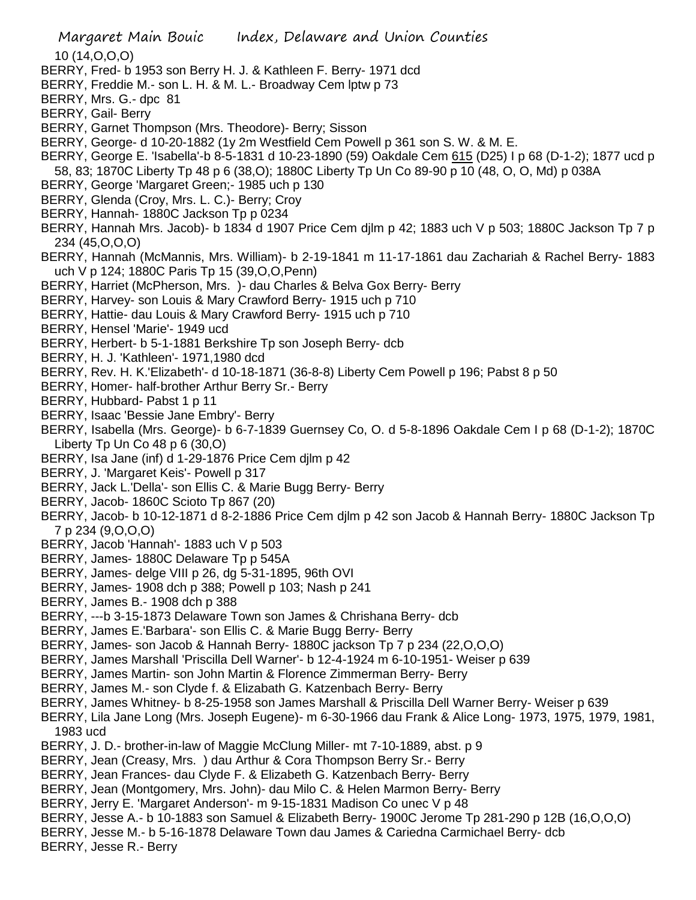Margaret Main Bouic Index, Delaware and Union Counties 10 (14,O,O,O) BERRY, Fred- b 1953 son Berry H. J. & Kathleen F. Berry- 1971 dcd BERRY, Freddie M.- son L. H. & M. L.- Broadway Cem lptw p 73 BERRY, Mrs. G.- dpc 81 BERRY, Gail- Berry BERRY, Garnet Thompson (Mrs. Theodore)- Berry; Sisson BERRY, George- d 10-20-1882 (1y 2m Westfield Cem Powell p 361 son S. W. & M. E. BERRY, George E. 'Isabella'-b 8-5-1831 d 10-23-1890 (59) Oakdale Cem 615 (D25) I p 68 (D-1-2); 1877 ucd p 58, 83; 1870C Liberty Tp 48 p 6 (38,O); 1880C Liberty Tp Un Co 89-90 p 10 (48, O, O, Md) p 038A BERRY, George 'Margaret Green;- 1985 uch p 130 BERRY, Glenda (Croy, Mrs. L. C.)- Berry; Croy BERRY, Hannah- 1880C Jackson Tp p 0234 BERRY, Hannah Mrs. Jacob)- b 1834 d 1907 Price Cem djlm p 42; 1883 uch V p 503; 1880C Jackson Tp 7 p 234 (45,O,O,O) BERRY, Hannah (McMannis, Mrs. William)- b 2-19-1841 m 11-17-1861 dau Zachariah & Rachel Berry- 1883 uch V p 124; 1880C Paris Tp 15 (39,O,O,Penn) BERRY, Harriet (McPherson, Mrs. )- dau Charles & Belva Gox Berry- Berry BERRY, Harvey- son Louis & Mary Crawford Berry- 1915 uch p 710 BERRY, Hattie- dau Louis & Mary Crawford Berry- 1915 uch p 710 BERRY, Hensel 'Marie'- 1949 ucd BERRY, Herbert- b 5-1-1881 Berkshire Tp son Joseph Berry- dcb BERRY, H. J. 'Kathleen'- 1971,1980 dcd BERRY, Rev. H. K.'Elizabeth'- d 10-18-1871 (36-8-8) Liberty Cem Powell p 196; Pabst 8 p 50 BERRY, Homer- half-brother Arthur Berry Sr.- Berry BERRY, Hubbard- Pabst 1 p 11 BERRY, Isaac 'Bessie Jane Embry'- Berry BERRY, Isabella (Mrs. George)- b 6-7-1839 Guernsey Co, O. d 5-8-1896 Oakdale Cem I p 68 (D-1-2); 1870C Liberty Tp Un Co 48 p 6 (30,O) BERRY, Isa Jane (inf) d 1-29-1876 Price Cem djlm p 42 BERRY, J. 'Margaret Keis'- Powell p 317 BERRY, Jack L.'Della'- son Ellis C. & Marie Bugg Berry- Berry BERRY, Jacob- 1860C Scioto Tp 867 (20) BERRY, Jacob- b 10-12-1871 d 8-2-1886 Price Cem djlm p 42 son Jacob & Hannah Berry- 1880C Jackson Tp 7 p 234 (9,O,O,O) BERRY, Jacob 'Hannah'- 1883 uch V p 503 BERRY, James- 1880C Delaware Tp p 545A BERRY, James- delge VIII p 26, dg 5-31-1895, 96th OVI BERRY, James- 1908 dch p 388; Powell p 103; Nash p 241 BERRY, James B.- 1908 dch p 388 BERRY, ---b 3-15-1873 Delaware Town son James & Chrishana Berry- dcb BERRY, James E.'Barbara'- son Ellis C. & Marie Bugg Berry- Berry BERRY, James- son Jacob & Hannah Berry- 1880C jackson Tp 7 p 234 (22,O,O,O) BERRY, James Marshall 'Priscilla Dell Warner'- b 12-4-1924 m 6-10-1951- Weiser p 639 BERRY, James Martin- son John Martin & Florence Zimmerman Berry- Berry BERRY, James M.- son Clyde f. & Elizabath G. Katzenbach Berry- Berry BERRY, James Whitney- b 8-25-1958 son James Marshall & Priscilla Dell Warner Berry- Weiser p 639 BERRY, Lila Jane Long (Mrs. Joseph Eugene)- m 6-30-1966 dau Frank & Alice Long- 1973, 1975, 1979, 1981, 1983 ucd BERRY, J. D.- brother-in-law of Maggie McClung Miller- mt 7-10-1889, abst. p 9 BERRY, Jean (Creasy, Mrs. ) dau Arthur & Cora Thompson Berry Sr.- Berry BERRY, Jean Frances- dau Clyde F. & Elizabeth G. Katzenbach Berry- Berry BERRY, Jean (Montgomery, Mrs. John)- dau Milo C. & Helen Marmon Berry- Berry BERRY, Jerry E. 'Margaret Anderson'- m 9-15-1831 Madison Co unec V p 48 BERRY, Jesse A.- b 10-1883 son Samuel & Elizabeth Berry- 1900C Jerome Tp 281-290 p 12B (16,O,O,O) BERRY, Jesse M.- b 5-16-1878 Delaware Town dau James & Cariedna Carmichael Berry- dcb

BERRY, Jesse R.- Berry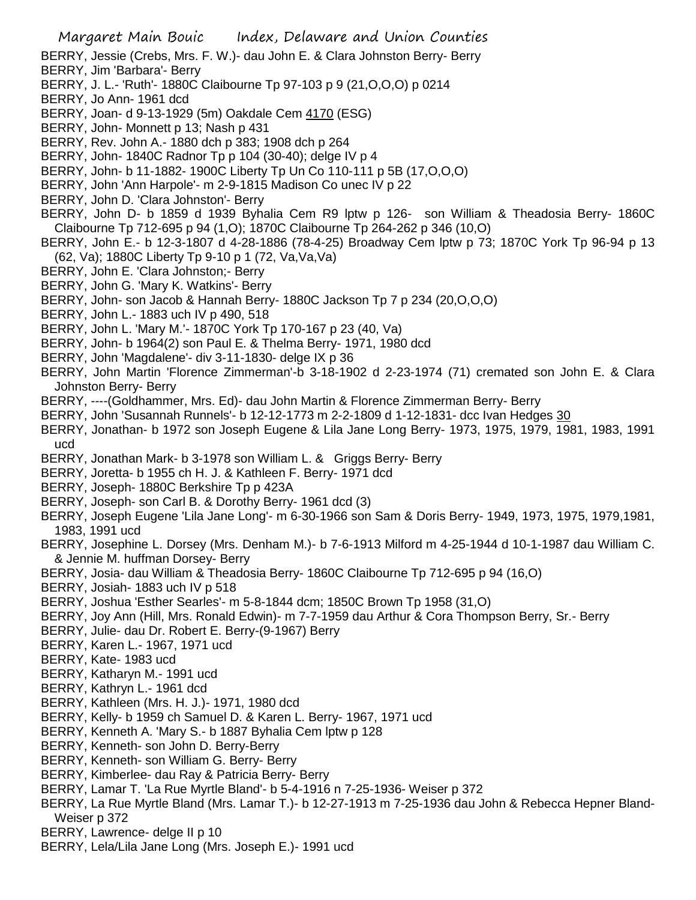BERRY, Jessie (Crebs, Mrs. F. W.)- dau John E. & Clara Johnston Berry- Berry

- BERRY, Jim 'Barbara'- Berry
- BERRY, J. L.- 'Ruth'- 1880C Claibourne Tp 97-103 p 9 (21,O,O,O) p 0214

BERRY, Jo Ann- 1961 dcd

- BERRY, Joan- d 9-13-1929 (5m) Oakdale Cem 4170 (ESG)
- BERRY, John- Monnett p 13; Nash p 431
- BERRY, Rev. John A.- 1880 dch p 383; 1908 dch p 264
- BERRY, John- 1840C Radnor Tp p 104 (30-40); delge IV p 4
- BERRY, John- b 11-1882- 1900C Liberty Tp Un Co 110-111 p 5B (17,O,O,O)
- BERRY, John 'Ann Harpole'- m 2-9-1815 Madison Co unec IV p 22
- BERRY, John D. 'Clara Johnston'- Berry
- BERRY, John D- b 1859 d 1939 Byhalia Cem R9 lptw p 126- son William & Theadosia Berry- 1860C Claibourne Tp 712-695 p 94 (1,O); 1870C Claibourne Tp 264-262 p 346 (10,O)
- BERRY, John E.- b 12-3-1807 d 4-28-1886 (78-4-25) Broadway Cem lptw p 73; 1870C York Tp 96-94 p 13 (62, Va); 1880C Liberty Tp 9-10 p 1 (72, Va,Va,Va)
- BERRY, John E. 'Clara Johnston;- Berry
- BERRY, John G. 'Mary K. Watkins'- Berry
- BERRY, John- son Jacob & Hannah Berry- 1880C Jackson Tp 7 p 234 (20,O,O,O)
- BERRY, John L.- 1883 uch IV p 490, 518
- BERRY, John L. 'Mary M.'- 1870C York Tp 170-167 p 23 (40, Va)
- BERRY, John- b 1964(2) son Paul E. & Thelma Berry- 1971, 1980 dcd
- BERRY, John 'Magdalene'- div 3-11-1830- delge IX p 36
- BERRY, John Martin 'Florence Zimmerman'-b 3-18-1902 d 2-23-1974 (71) cremated son John E. & Clara Johnston Berry- Berry
- BERRY, ----(Goldhammer, Mrs. Ed)- dau John Martin & Florence Zimmerman Berry- Berry
- BERRY, John 'Susannah Runnels'- b 12-12-1773 m 2-2-1809 d 1-12-1831- dcc Ivan Hedges 30
- BERRY, Jonathan- b 1972 son Joseph Eugene & Lila Jane Long Berry- 1973, 1975, 1979, 1981, 1983, 1991 ucd
- BERRY, Jonathan Mark- b 3-1978 son William L. & Griggs Berry- Berry
- BERRY, Joretta- b 1955 ch H. J. & Kathleen F. Berry- 1971 dcd
- BERRY, Joseph- 1880C Berkshire Tp p 423A
- BERRY, Joseph- son Carl B. & Dorothy Berry- 1961 dcd (3)
- BERRY, Joseph Eugene 'Lila Jane Long'- m 6-30-1966 son Sam & Doris Berry- 1949, 1973, 1975, 1979,1981, 1983, 1991 ucd
- BERRY, Josephine L. Dorsey (Mrs. Denham M.)- b 7-6-1913 Milford m 4-25-1944 d 10-1-1987 dau William C. & Jennie M. huffman Dorsey- Berry
- BERRY, Josia- dau William & Theadosia Berry- 1860C Claibourne Tp 712-695 p 94 (16,O)
- BERRY, Josiah- 1883 uch IV p 518
- BERRY, Joshua 'Esther Searles'- m 5-8-1844 dcm; 1850C Brown Tp 1958 (31,O)
- BERRY, Joy Ann (Hill, Mrs. Ronald Edwin)- m 7-7-1959 dau Arthur & Cora Thompson Berry, Sr.- Berry
- BERRY, Julie- dau Dr. Robert E. Berry-(9-1967) Berry
- BERRY, Karen L.- 1967, 1971 ucd
- BERRY, Kate- 1983 ucd
- BERRY, Katharyn M.- 1991 ucd
- BERRY, Kathryn L.- 1961 dcd
- BERRY, Kathleen (Mrs. H. J.)- 1971, 1980 dcd
- BERRY, Kelly- b 1959 ch Samuel D. & Karen L. Berry- 1967, 1971 ucd
- BERRY, Kenneth A. 'Mary S.- b 1887 Byhalia Cem lptw p 128
- BERRY, Kenneth- son John D. Berry-Berry
- BERRY, Kenneth- son William G. Berry- Berry
- BERRY, Kimberlee- dau Ray & Patricia Berry- Berry
- BERRY, Lamar T. 'La Rue Myrtle Bland'- b 5-4-1916 n 7-25-1936- Weiser p 372
- BERRY, La Rue Myrtle Bland (Mrs. Lamar T.)- b 12-27-1913 m 7-25-1936 dau John & Rebecca Hepner Bland-Weiser p 372
- BERRY, Lawrence- delge II p 10
- BERRY, Lela/Lila Jane Long (Mrs. Joseph E.)- 1991 ucd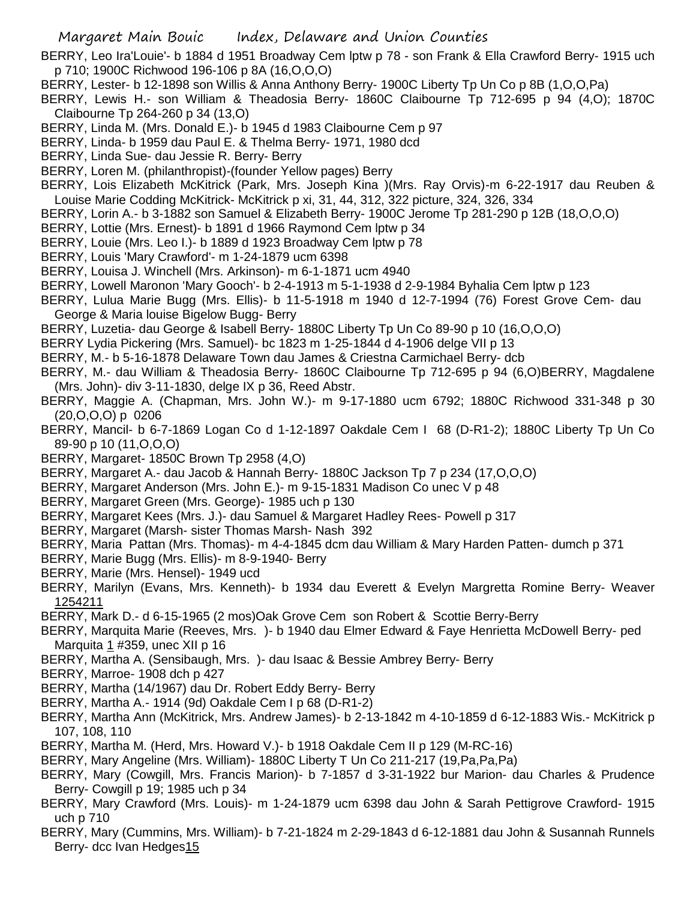- BERRY, Leo Ira'Louie'- b 1884 d 1951 Broadway Cem lptw p 78 son Frank & Ella Crawford Berry- 1915 uch p 710; 1900C Richwood 196-106 p 8A (16,O,O,O)
- BERRY, Lester- b 12-1898 son Willis & Anna Anthony Berry- 1900C Liberty Tp Un Co p 8B (1,O,O,Pa)
- BERRY, Lewis H.- son William & Theadosia Berry- 1860C Claibourne Tp 712-695 p 94 (4,O); 1870C Claibourne Tp 264-260 p 34 (13,O)
- BERRY, Linda M. (Mrs. Donald E.)- b 1945 d 1983 Claibourne Cem p 97
- BERRY, Linda- b 1959 dau Paul E. & Thelma Berry- 1971, 1980 dcd
- BERRY, Linda Sue- dau Jessie R. Berry- Berry
- BERRY, Loren M. (philanthropist)-(founder Yellow pages) Berry
- BERRY, Lois Elizabeth McKitrick (Park, Mrs. Joseph Kina )(Mrs. Ray Orvis)-m 6-22-1917 dau Reuben & Louise Marie Codding McKitrick- McKitrick p xi, 31, 44, 312, 322 picture, 324, 326, 334
- BERRY, Lorin A.- b 3-1882 son Samuel & Elizabeth Berry- 1900C Jerome Tp 281-290 p 12B (18,O,O,O)
- BERRY, Lottie (Mrs. Ernest)- b 1891 d 1966 Raymond Cem lptw p 34
- BERRY, Louie (Mrs. Leo I.)- b 1889 d 1923 Broadway Cem lptw p 78
- BERRY, Louis 'Mary Crawford'- m 1-24-1879 ucm 6398
- BERRY, Louisa J. Winchell (Mrs. Arkinson)- m 6-1-1871 ucm 4940
- BERRY, Lowell Maronon 'Mary Gooch'- b 2-4-1913 m 5-1-1938 d 2-9-1984 Byhalia Cem lptw p 123
- BERRY, Lulua Marie Bugg (Mrs. Ellis)- b 11-5-1918 m 1940 d 12-7-1994 (76) Forest Grove Cem- dau George & Maria louise Bigelow Bugg- Berry
- BERRY, Luzetia- dau George & Isabell Berry- 1880C Liberty Tp Un Co 89-90 p 10 (16,O,O,O)
- BERRY Lydia Pickering (Mrs. Samuel)- bc 1823 m 1-25-1844 d 4-1906 delge VII p 13
- BERRY, M.- b 5-16-1878 Delaware Town dau James & Criestna Carmichael Berry- dcb
- BERRY, M.- dau William & Theadosia Berry- 1860C Claibourne Tp 712-695 p 94 (6,O)BERRY, Magdalene (Mrs. John)- div 3-11-1830, delge IX p 36, Reed Abstr.
- BERRY, Maggie A. (Chapman, Mrs. John W.)- m 9-17-1880 ucm 6792; 1880C Richwood 331-348 p 30 (20,O,O,O) p 0206
- BERRY, Mancil- b 6-7-1869 Logan Co d 1-12-1897 Oakdale Cem I 68 (D-R1-2); 1880C Liberty Tp Un Co 89-90 p 10 (11,O,O,O)
- BERRY, Margaret- 1850C Brown Tp 2958 (4,O)
- BERRY, Margaret A.- dau Jacob & Hannah Berry- 1880C Jackson Tp 7 p 234 (17,O,O,O)
- BERRY, Margaret Anderson (Mrs. John E.)- m 9-15-1831 Madison Co unec V p 48
- BERRY, Margaret Green (Mrs. George)- 1985 uch p 130
- BERRY, Margaret Kees (Mrs. J.)- dau Samuel & Margaret Hadley Rees- Powell p 317
- BERRY, Margaret (Marsh- sister Thomas Marsh- Nash 392
- BERRY, Maria Pattan (Mrs. Thomas)- m 4-4-1845 dcm dau William & Mary Harden Patten- dumch p 371
- BERRY, Marie Bugg (Mrs. Ellis)- m 8-9-1940- Berry
- BERRY, Marie (Mrs. Hensel)- 1949 ucd
- BERRY, Marilyn (Evans, Mrs. Kenneth)- b 1934 dau Everett & Evelyn Margretta Romine Berry- Weaver 1254211
- BERRY, Mark D.- d 6-15-1965 (2 mos)Oak Grove Cem son Robert & Scottie Berry-Berry
- BERRY, Marquita Marie (Reeves, Mrs. )- b 1940 dau Elmer Edward & Faye Henrietta McDowell Berry- ped Marquita 1 #359, unec XII p 16
- BERRY, Martha A. (Sensibaugh, Mrs. )- dau Isaac & Bessie Ambrey Berry- Berry
- BERRY, Marroe- 1908 dch p 427
- BERRY, Martha (14/1967) dau Dr. Robert Eddy Berry- Berry
- BERRY, Martha A.- 1914 (9d) Oakdale Cem I p 68 (D-R1-2)
- BERRY, Martha Ann (McKitrick, Mrs. Andrew James)- b 2-13-1842 m 4-10-1859 d 6-12-1883 Wis.- McKitrick p 107, 108, 110
- BERRY, Martha M. (Herd, Mrs. Howard V.)- b 1918 Oakdale Cem II p 129 (M-RC-16)
- BERRY, Mary Angeline (Mrs. William)- 1880C Liberty T Un Co 211-217 (19,Pa,Pa,Pa)
- BERRY, Mary (Cowgill, Mrs. Francis Marion)- b 7-1857 d 3-31-1922 bur Marion- dau Charles & Prudence Berry- Cowgill p 19; 1985 uch p 34
- BERRY, Mary Crawford (Mrs. Louis)- m 1-24-1879 ucm 6398 dau John & Sarah Pettigrove Crawford- 1915 uch p 710
- BERRY, Mary (Cummins, Mrs. William)- b 7-21-1824 m 2-29-1843 d 6-12-1881 dau John & Susannah Runnels Berry- dcc Ivan Hedges15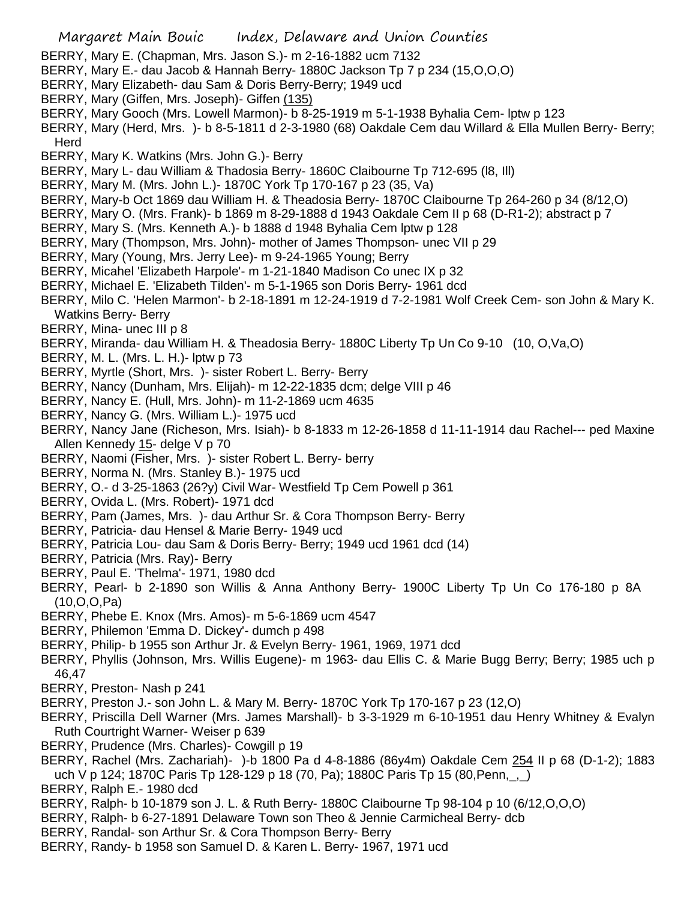- BERRY, Mary E. (Chapman, Mrs. Jason S.)- m 2-16-1882 ucm 7132
- BERRY, Mary E.- dau Jacob & Hannah Berry- 1880C Jackson Tp 7 p 234 (15,O,O,O)
- BERRY, Mary Elizabeth- dau Sam & Doris Berry-Berry; 1949 ucd
- BERRY, Mary (Giffen, Mrs. Joseph)- Giffen (135)
- BERRY, Mary Gooch (Mrs. Lowell Marmon)- b 8-25-1919 m 5-1-1938 Byhalia Cem- lptw p 123
- BERRY, Mary (Herd, Mrs. )- b 8-5-1811 d 2-3-1980 (68) Oakdale Cem dau Willard & Ella Mullen Berry- Berry; **Herd**
- BERRY, Mary K. Watkins (Mrs. John G.)- Berry
- BERRY, Mary L- dau William & Thadosia Berry- 1860C Claibourne Tp 712-695 (l8, Ill)
- BERRY, Mary M. (Mrs. John L.)- 1870C York Tp 170-167 p 23 (35, Va)
- BERRY, Mary-b Oct 1869 dau William H. & Theadosia Berry- 1870C Claibourne Tp 264-260 p 34 (8/12,O)
- BERRY, Mary O. (Mrs. Frank)- b 1869 m 8-29-1888 d 1943 Oakdale Cem II p 68 (D-R1-2); abstract p 7
- BERRY, Mary S. (Mrs. Kenneth A.)- b 1888 d 1948 Byhalia Cem lptw p 128
- BERRY, Mary (Thompson, Mrs. John)- mother of James Thompson- unec VII p 29
- BERRY, Mary (Young, Mrs. Jerry Lee)- m 9-24-1965 Young; Berry
- BERRY, Micahel 'Elizabeth Harpole'- m 1-21-1840 Madison Co unec IX p 32
- BERRY, Michael E. 'Elizabeth Tilden'- m 5-1-1965 son Doris Berry- 1961 dcd
- BERRY, Milo C. 'Helen Marmon'- b 2-18-1891 m 12-24-1919 d 7-2-1981 Wolf Creek Cem- son John & Mary K. Watkins Berry- Berry
- BERRY, Mina- unec III p 8
- BERRY, Miranda- dau William H. & Theadosia Berry- 1880C Liberty Tp Un Co 9-10 (10, O,Va,O)
- BERRY, M. L. (Mrs. L. H.)- lptw p 73
- BERRY, Myrtle (Short, Mrs. )- sister Robert L. Berry- Berry
- BERRY, Nancy (Dunham, Mrs. Elijah)- m 12-22-1835 dcm; delge VIII p 46
- BERRY, Nancy E. (Hull, Mrs. John)- m 11-2-1869 ucm 4635
- BERRY, Nancy G. (Mrs. William L.)- 1975 ucd
- BERRY, Nancy Jane (Richeson, Mrs. Isiah)- b 8-1833 m 12-26-1858 d 11-11-1914 dau Rachel--- ped Maxine Allen Kennedy 15- delge V p 70
- BERRY, Naomi (Fisher, Mrs. )- sister Robert L. Berry- berry
- BERRY, Norma N. (Mrs. Stanley B.)- 1975 ucd
- BERRY, O.- d 3-25-1863 (26?y) Civil War- Westfield Tp Cem Powell p 361
- BERRY, Ovida L. (Mrs. Robert)- 1971 dcd
- BERRY, Pam (James, Mrs. )- dau Arthur Sr. & Cora Thompson Berry- Berry
- BERRY, Patricia- dau Hensel & Marie Berry- 1949 ucd
- BERRY, Patricia Lou- dau Sam & Doris Berry- Berry; 1949 ucd 1961 dcd (14)
- BERRY, Patricia (Mrs. Ray)- Berry
- BERRY, Paul E. 'Thelma'- 1971, 1980 dcd
- BERRY, Pearl- b 2-1890 son Willis & Anna Anthony Berry- 1900C Liberty Tp Un Co 176-180 p 8A (10,O,O,Pa)
- BERRY, Phebe E. Knox (Mrs. Amos)- m 5-6-1869 ucm 4547
- BERRY, Philemon 'Emma D. Dickey'- dumch p 498
- BERRY, Philip- b 1955 son Arthur Jr. & Evelyn Berry- 1961, 1969, 1971 dcd
- BERRY, Phyllis (Johnson, Mrs. Willis Eugene)- m 1963- dau Ellis C. & Marie Bugg Berry; Berry; 1985 uch p 46,47
- BERRY, Preston- Nash p 241
- BERRY, Preston J.- son John L. & Mary M. Berry- 1870C York Tp 170-167 p 23 (12,O)
- BERRY, Priscilla Dell Warner (Mrs. James Marshall)- b 3-3-1929 m 6-10-1951 dau Henry Whitney & Evalyn Ruth Courtright Warner- Weiser p 639
- BERRY, Prudence (Mrs. Charles)- Cowgill p 19
- BERRY, Rachel (Mrs. Zachariah)- )-b 1800 Pa d 4-8-1886 (86y4m) Oakdale Cem 254 II p 68 (D-1-2); 1883 uch V p 124; 1870C Paris Tp 128-129 p 18 (70, Pa); 1880C Paris Tp 15 (80, Penn, \_, \_)
- BERRY, Ralph E.- 1980 dcd
- BERRY, Ralph- b 10-1879 son J. L. & Ruth Berry- 1880C Claibourne Tp 98-104 p 10 (6/12,O,O,O)
- BERRY, Ralph- b 6-27-1891 Delaware Town son Theo & Jennie Carmicheal Berry- dcb
- BERRY, Randal- son Arthur Sr. & Cora Thompson Berry- Berry
- BERRY, Randy- b 1958 son Samuel D. & Karen L. Berry- 1967, 1971 ucd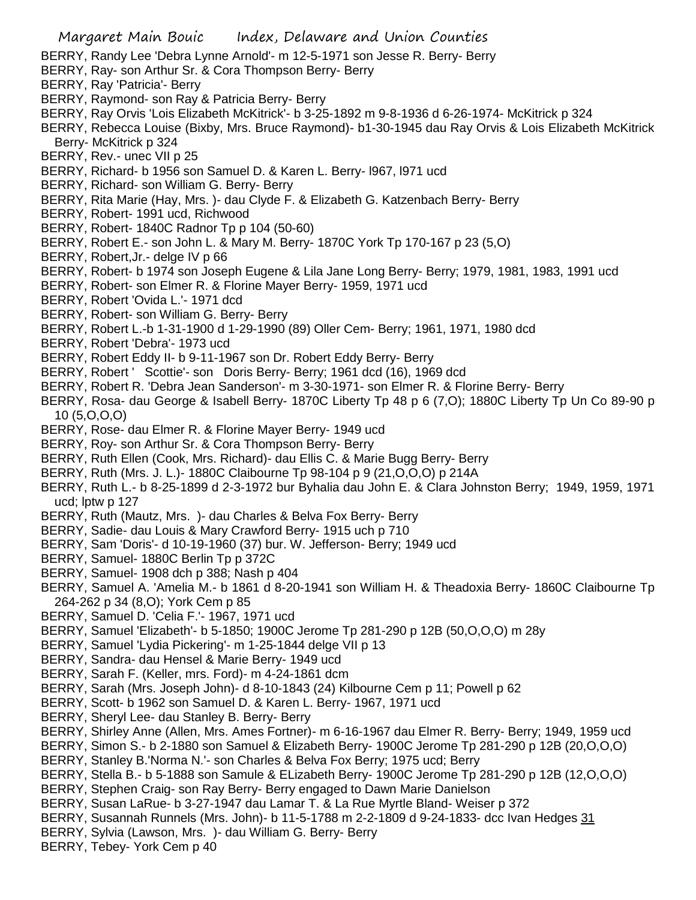- BERRY, Randy Lee 'Debra Lynne Arnold'- m 12-5-1971 son Jesse R. Berry- Berry
- BERRY, Ray- son Arthur Sr. & Cora Thompson Berry- Berry
- BERRY, Ray 'Patricia'- Berry
- BERRY, Raymond- son Ray & Patricia Berry- Berry
- BERRY, Ray Orvis 'Lois Elizabeth McKitrick'- b 3-25-1892 m 9-8-1936 d 6-26-1974- McKitrick p 324
- BERRY, Rebecca Louise (Bixby, Mrs. Bruce Raymond)- b1-30-1945 dau Ray Orvis & Lois Elizabeth McKitrick Berry- McKitrick p 324
- BERRY, Rev.- unec VII p 25
- BERRY, Richard- b 1956 son Samuel D. & Karen L. Berry- l967, l971 ucd
- BERRY, Richard- son William G. Berry- Berry
- BERRY, Rita Marie (Hay, Mrs. )- dau Clyde F. & Elizabeth G. Katzenbach Berry- Berry
- BERRY, Robert- 1991 ucd, Richwood
- BERRY, Robert- 1840C Radnor Tp p 104 (50-60)
- BERRY, Robert E.- son John L. & Mary M. Berry- 1870C York Tp 170-167 p 23 (5,O)
- BERRY, Robert,Jr.- delge IV p 66
- BERRY, Robert- b 1974 son Joseph Eugene & Lila Jane Long Berry- Berry; 1979, 1981, 1983, 1991 ucd
- BERRY, Robert- son Elmer R. & Florine Mayer Berry- 1959, 1971 ucd
- BERRY, Robert 'Ovida L.'- 1971 dcd
- BERRY, Robert- son William G. Berry- Berry
- BERRY, Robert L.-b 1-31-1900 d 1-29-1990 (89) Oller Cem- Berry; 1961, 1971, 1980 dcd
- BERRY, Robert 'Debra'- 1973 ucd
- BERRY, Robert Eddy II- b 9-11-1967 son Dr. Robert Eddy Berry- Berry
- BERRY, Robert ' Scottie'- son Doris Berry- Berry; 1961 dcd (16), 1969 dcd
- BERRY, Robert R. 'Debra Jean Sanderson'- m 3-30-1971- son Elmer R. & Florine Berry- Berry
- BERRY, Rosa- dau George & Isabell Berry- 1870C Liberty Tp 48 p 6 (7,O); 1880C Liberty Tp Un Co 89-90 p 10 (5,O,O,O)
- BERRY, Rose- dau Elmer R. & Florine Mayer Berry- 1949 ucd
- BERRY, Roy- son Arthur Sr. & Cora Thompson Berry- Berry
- BERRY, Ruth Ellen (Cook, Mrs. Richard)- dau Ellis C. & Marie Bugg Berry- Berry
- BERRY, Ruth (Mrs. J. L.)- 1880C Claibourne Tp 98-104 p 9 (21,O,O,O) p 214A
- BERRY, Ruth L.- b 8-25-1899 d 2-3-1972 bur Byhalia dau John E. & Clara Johnston Berry; 1949, 1959, 1971 ucd; lptw p 127
- BERRY, Ruth (Mautz, Mrs. )- dau Charles & Belva Fox Berry- Berry
- BERRY, Sadie- dau Louis & Mary Crawford Berry- 1915 uch p 710
- BERRY, Sam 'Doris'- d 10-19-1960 (37) bur. W. Jefferson- Berry; 1949 ucd
- BERRY, Samuel- 1880C Berlin Tp p 372C
- BERRY, Samuel- 1908 dch p 388; Nash p 404
- BERRY, Samuel A. 'Amelia M.- b 1861 d 8-20-1941 son William H. & Theadoxia Berry- 1860C Claibourne Tp 264-262 p 34 (8,O); York Cem p 85
- BERRY, Samuel D. 'Celia F.'- 1967, 1971 ucd
- BERRY, Samuel 'Elizabeth'- b 5-1850; 1900C Jerome Tp 281-290 p 12B (50,O,O,O) m 28y
- BERRY, Samuel 'Lydia Pickering'- m 1-25-1844 delge VII p 13
- BERRY, Sandra- dau Hensel & Marie Berry- 1949 ucd
- BERRY, Sarah F. (Keller, mrs. Ford)- m 4-24-1861 dcm
- BERRY, Sarah (Mrs. Joseph John)- d 8-10-1843 (24) Kilbourne Cem p 11; Powell p 62
- BERRY, Scott- b 1962 son Samuel D. & Karen L. Berry- 1967, 1971 ucd
- BERRY, Sheryl Lee- dau Stanley B. Berry- Berry
- BERRY, Shirley Anne (Allen, Mrs. Ames Fortner)- m 6-16-1967 dau Elmer R. Berry- Berry; 1949, 1959 ucd
- BERRY, Simon S.- b 2-1880 son Samuel & Elizabeth Berry- 1900C Jerome Tp 281-290 p 12B (20,O,O,O)
- BERRY, Stanley B.'Norma N.'- son Charles & Belva Fox Berry; 1975 ucd; Berry
- BERRY, Stella B.- b 5-1888 son Samule & ELizabeth Berry- 1900C Jerome Tp 281-290 p 12B (12,O,O,O)
- BERRY, Stephen Craig- son Ray Berry- Berry engaged to Dawn Marie Danielson
- BERRY, Susan LaRue- b 3-27-1947 dau Lamar T. & La Rue Myrtle Bland- Weiser p 372
- BERRY, Susannah Runnels (Mrs. John)- b 11-5-1788 m 2-2-1809 d 9-24-1833- dcc Ivan Hedges 31
- BERRY, Sylvia (Lawson, Mrs. )- dau William G. Berry- Berry
- BERRY, Tebey- York Cem p 40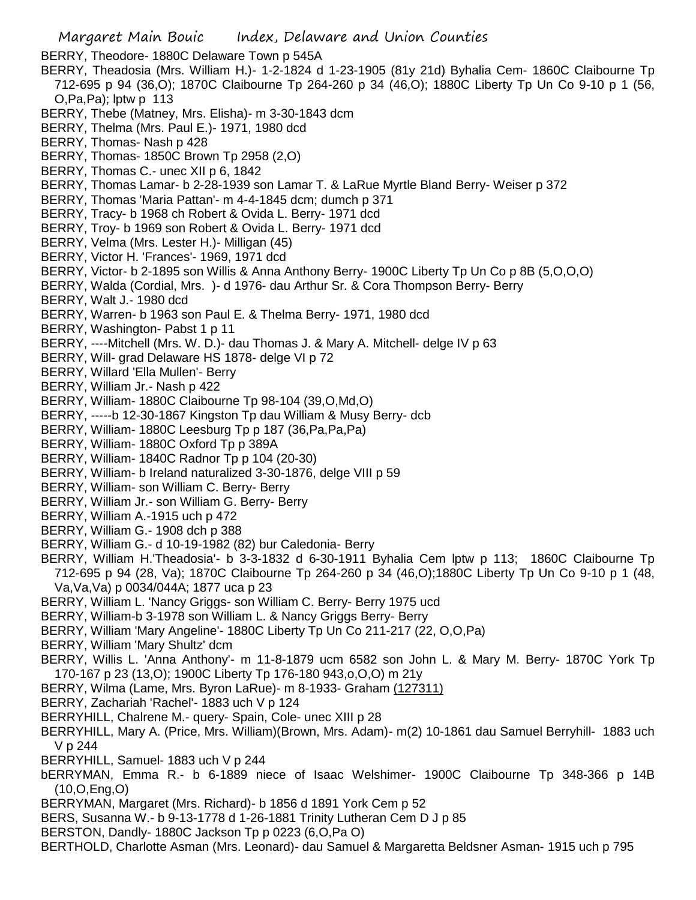Margaret Main Bouic Index, Delaware and Union Counties BERRY, Theodore- 1880C Delaware Town p 545A BERRY, Theadosia (Mrs. William H.)- 1-2-1824 d 1-23-1905 (81y 21d) Byhalia Cem- 1860C Claibourne Tp 712-695 p 94 (36,O); 1870C Claibourne Tp 264-260 p 34 (46,O); 1880C Liberty Tp Un Co 9-10 p 1 (56, O,Pa,Pa); lptw p 113 BERRY, Thebe (Matney, Mrs. Elisha)- m 3-30-1843 dcm BERRY, Thelma (Mrs. Paul E.)- 1971, 1980 dcd BERRY, Thomas- Nash p 428 BERRY, Thomas- 1850C Brown Tp 2958 (2,O) BERRY, Thomas C.- unec XII p 6, 1842 BERRY, Thomas Lamar- b 2-28-1939 son Lamar T. & LaRue Myrtle Bland Berry- Weiser p 372 BERRY, Thomas 'Maria Pattan'- m 4-4-1845 dcm; dumch p 371 BERRY, Tracy- b 1968 ch Robert & Ovida L. Berry- 1971 dcd BERRY, Troy- b 1969 son Robert & Ovida L. Berry- 1971 dcd BERRY, Velma (Mrs. Lester H.)- Milligan (45) BERRY, Victor H. 'Frances'- 1969, 1971 dcd BERRY, Victor- b 2-1895 son Willis & Anna Anthony Berry- 1900C Liberty Tp Un Co p 8B (5,O,O,O) BERRY, Walda (Cordial, Mrs. )- d 1976- dau Arthur Sr. & Cora Thompson Berry- Berry BERRY, Walt J.- 1980 dcd BERRY, Warren- b 1963 son Paul E. & Thelma Berry- 1971, 1980 dcd BERRY, Washington- Pabst 1 p 11 BERRY, ----Mitchell (Mrs. W. D.)- dau Thomas J. & Mary A. Mitchell- delge IV p 63 BERRY, Will- grad Delaware HS 1878- delge VI p 72 BERRY, Willard 'Ella Mullen'- Berry BERRY, William Jr.- Nash p 422 BERRY, William- 1880C Claibourne Tp 98-104 (39,O,Md,O) BERRY, -----b 12-30-1867 Kingston Tp dau William & Musy Berry- dcb BERRY, William- 1880C Leesburg Tp p 187 (36,Pa,Pa,Pa) BERRY, William- 1880C Oxford Tp p 389A BERRY, William- 1840C Radnor Tp p 104 (20-30) BERRY, William- b Ireland naturalized 3-30-1876, delge VIII p 59 BERRY, William- son William C. Berry- Berry BERRY, William Jr.- son William G. Berry- Berry BERRY, William A.-1915 uch p 472 BERRY, William G.- 1908 dch p 388 BERRY, William G.- d 10-19-1982 (82) bur Caledonia- Berry BERRY, William H.'Theadosia'- b 3-3-1832 d 6-30-1911 Byhalia Cem lptw p 113; 1860C Claibourne Tp 712-695 p 94 (28, Va); 1870C Claibourne Tp 264-260 p 34 (46,O);1880C Liberty Tp Un Co 9-10 p 1 (48, Va,Va,Va) p 0034/044A; 1877 uca p 23 BERRY, William L. 'Nancy Griggs- son William C. Berry- Berry 1975 ucd BERRY, William-b 3-1978 son William L. & Nancy Griggs Berry- Berry BERRY, William 'Mary Angeline'- 1880C Liberty Tp Un Co 211-217 (22, O,O,Pa) BERRY, William 'Mary Shultz' dcm BERRY, Willis L. 'Anna Anthony'- m 11-8-1879 ucm 6582 son John L. & Mary M. Berry- 1870C York Tp 170-167 p 23 (13,O); 1900C Liberty Tp 176-180 943,o,O,O) m 21y BERRY, Wilma (Lame, Mrs. Byron LaRue)- m 8-1933- Graham (127311) BERRY, Zachariah 'Rachel'- 1883 uch V p 124 BERRYHILL, Chalrene M.- query- Spain, Cole- unec XIII p 28 BERRYHILL, Mary A. (Price, Mrs. William)(Brown, Mrs. Adam)- m(2) 10-1861 dau Samuel Berryhill- 1883 uch V p 244 BERRYHILL, Samuel- 1883 uch V p 244 bERRYMAN, Emma R.- b 6-1889 niece of Isaac Welshimer- 1900C Claibourne Tp 348-366 p 14B (10,O,Eng,O) BERRYMAN, Margaret (Mrs. Richard)- b 1856 d 1891 York Cem p 52 BERS, Susanna W.- b 9-13-1778 d 1-26-1881 Trinity Lutheran Cem D J p 85 BERSTON, Dandly- 1880C Jackson Tp p 0223 (6,O,Pa O)

BERTHOLD, Charlotte Asman (Mrs. Leonard)- dau Samuel & Margaretta Beldsner Asman- 1915 uch p 795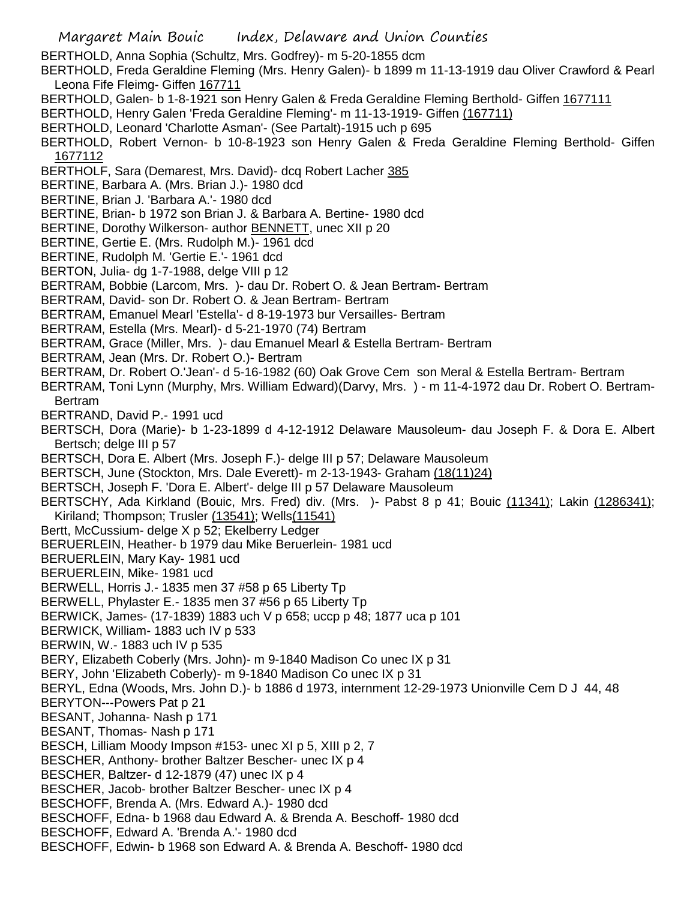BERTHOLD, Anna Sophia (Schultz, Mrs. Godfrey)- m 5-20-1855 dcm

BERTHOLD, Freda Geraldine Fleming (Mrs. Henry Galen)- b 1899 m 11-13-1919 dau Oliver Crawford & Pearl Leona Fife Fleimg- Giffen 167711

BERTHOLD, Galen- b 1-8-1921 son Henry Galen & Freda Geraldine Fleming Berthold- Giffen 1677111

BERTHOLD, Henry Galen 'Freda Geraldine Fleming'- m 11-13-1919- Giffen (167711)

BERTHOLD, Leonard 'Charlotte Asman'- (See Partalt)-1915 uch p 695

BERTHOLD, Robert Vernon- b 10-8-1923 son Henry Galen & Freda Geraldine Fleming Berthold- Giffen 1677112

BERTHOLF, Sara (Demarest, Mrs. David)- dcq Robert Lacher 385

BERTINE, Barbara A. (Mrs. Brian J.)- 1980 dcd

- BERTINE, Brian J. 'Barbara A.'- 1980 dcd
- BERTINE, Brian- b 1972 son Brian J. & Barbara A. Bertine- 1980 dcd
- BERTINE, Dorothy Wilkerson- author **BENNETT**, unec XII p 20
- BERTINE, Gertie E. (Mrs. Rudolph M.)- 1961 dcd
- BERTINE, Rudolph M. 'Gertie E.'- 1961 dcd
- BERTON, Julia- dg 1-7-1988, delge VIII p 12
- BERTRAM, Bobbie (Larcom, Mrs. )- dau Dr. Robert O. & Jean Bertram- Bertram
- BERTRAM, David- son Dr. Robert O. & Jean Bertram- Bertram
- BERTRAM, Emanuel Mearl 'Estella'- d 8-19-1973 bur Versailles- Bertram
- BERTRAM, Estella (Mrs. Mearl)- d 5-21-1970 (74) Bertram
- BERTRAM, Grace (Miller, Mrs. )- dau Emanuel Mearl & Estella Bertram- Bertram
- BERTRAM, Jean (Mrs. Dr. Robert O.)- Bertram
- BERTRAM, Dr. Robert O.'Jean'- d 5-16-1982 (60) Oak Grove Cem son Meral & Estella Bertram- Bertram
- BERTRAM, Toni Lynn (Murphy, Mrs. William Edward)(Darvy, Mrs. ) m 11-4-1972 dau Dr. Robert O. Bertram-Bertram
- BERTRAND, David P.- 1991 ucd
- BERTSCH, Dora (Marie)- b 1-23-1899 d 4-12-1912 Delaware Mausoleum- dau Joseph F. & Dora E. Albert Bertsch; delge III p 57
- BERTSCH, Dora E. Albert (Mrs. Joseph F.)- delge III p 57; Delaware Mausoleum
- BERTSCH, June (Stockton, Mrs. Dale Everett)- m 2-13-1943- Graham (18(11)24)
- BERTSCH, Joseph F. 'Dora E. Albert'- delge III p 57 Delaware Mausoleum
- BERTSCHY, Ada Kirkland (Bouic, Mrs. Fred) div. (Mrs. )- Pabst 8 p 41; Bouic (11341); Lakin (1286341); Kiriland; Thompson; Trusler (13541); Wells(11541)
- Bertt, McCussium- delge X p 52; Ekelberry Ledger
- BERUERLEIN, Heather- b 1979 dau Mike Beruerlein- 1981 ucd
- BERUERLEIN, Mary Kay- 1981 ucd
- BERUERLEIN, Mike- 1981 ucd
- BERWELL, Horris J.- 1835 men 37 #58 p 65 Liberty Tp
- BERWELL, Phylaster E.- 1835 men 37 #56 p 65 Liberty Tp
- BERWICK, James- (17-1839) 1883 uch V p 658; uccp p 48; 1877 uca p 101
- BERWICK, William- 1883 uch IV p 533
- BERWIN, W.- 1883 uch IV p 535
- BERY, Elizabeth Coberly (Mrs. John)- m 9-1840 Madison Co unec IX p 31
- BERY, John 'Elizabeth Coberly)- m 9-1840 Madison Co unec IX p 31
- BERYL, Edna (Woods, Mrs. John D.)- b 1886 d 1973, internment 12-29-1973 Unionville Cem D J 44, 48
- BERYTON---Powers Pat p 21
- BESANT, Johanna- Nash p 171
- BESANT, Thomas- Nash p 171
- BESCH, Lilliam Moody Impson #153- unec XI p 5, XIII p 2, 7
- BESCHER, Anthony- brother Baltzer Bescher- unec IX p 4
- BESCHER, Baltzer- d 12-1879 (47) unec IX p 4
- BESCHER, Jacob- brother Baltzer Bescher- unec IX p 4
- BESCHOFF, Brenda A. (Mrs. Edward A.)- 1980 dcd
- BESCHOFF, Edna- b 1968 dau Edward A. & Brenda A. Beschoff- 1980 dcd
- BESCHOFF, Edward A. 'Brenda A.'- 1980 dcd
- BESCHOFF, Edwin- b 1968 son Edward A. & Brenda A. Beschoff- 1980 dcd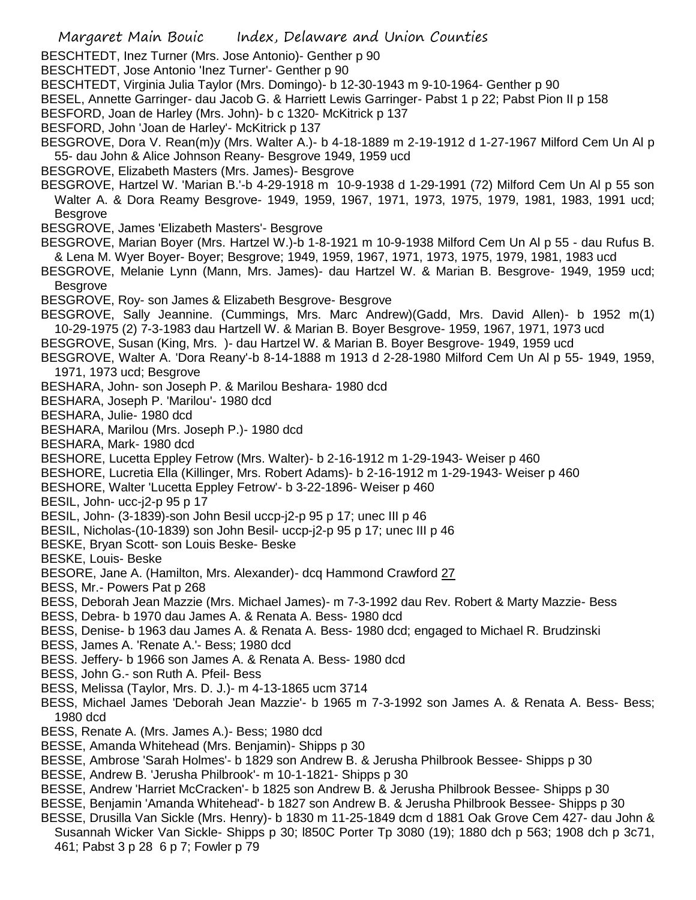Margaret Main Bouic Index, Delaware and Union Counties BESCHTEDT, Inez Turner (Mrs. Jose Antonio)- Genther p 90 BESCHTEDT, Jose Antonio 'Inez Turner'- Genther p 90 BESCHTEDT, Virginia Julia Taylor (Mrs. Domingo)- b 12-30-1943 m 9-10-1964- Genther p 90 BESEL, Annette Garringer- dau Jacob G. & Harriett Lewis Garringer- Pabst 1 p 22; Pabst Pion II p 158 BESFORD, Joan de Harley (Mrs. John)- b c 1320- McKitrick p 137 BESFORD, John 'Joan de Harley'- McKitrick p 137 BESGROVE, Dora V. Rean(m)y (Mrs. Walter A.)- b 4-18-1889 m 2-19-1912 d 1-27-1967 Milford Cem Un Al p 55- dau John & Alice Johnson Reany- Besgrove 1949, 1959 ucd BESGROVE, Elizabeth Masters (Mrs. James)- Besgrove BESGROVE, Hartzel W. 'Marian B.'-b 4-29-1918 m 10-9-1938 d 1-29-1991 (72) Milford Cem Un Al p 55 son Walter A. & Dora Reamy Besgrove- 1949, 1959, 1967, 1971, 1973, 1975, 1979, 1981, 1983, 1991 ucd; Besgrove BESGROVE, James 'Elizabeth Masters'- Besgrove BESGROVE, Marian Boyer (Mrs. Hartzel W.)-b 1-8-1921 m 10-9-1938 Milford Cem Un Al p 55 - dau Rufus B. & Lena M. Wyer Boyer- Boyer; Besgrove; 1949, 1959, 1967, 1971, 1973, 1975, 1979, 1981, 1983 ucd BESGROVE, Melanie Lynn (Mann, Mrs. James)- dau Hartzel W. & Marian B. Besgrove- 1949, 1959 ucd; Besgrove BESGROVE, Roy- son James & Elizabeth Besgrove- Besgrove BESGROVE, Sally Jeannine. (Cummings, Mrs. Marc Andrew)(Gadd, Mrs. David Allen)- b 1952 m(1) 10-29-1975 (2) 7-3-1983 dau Hartzell W. & Marian B. Boyer Besgrove- 1959, 1967, 1971, 1973 ucd BESGROVE, Susan (King, Mrs. )- dau Hartzel W. & Marian B. Boyer Besgrove- 1949, 1959 ucd BESGROVE, Walter A. 'Dora Reany'-b 8-14-1888 m 1913 d 2-28-1980 Milford Cem Un Al p 55- 1949, 1959, 1971, 1973 ucd; Besgrove BESHARA, John- son Joseph P. & Marilou Beshara- 1980 dcd BESHARA, Joseph P. 'Marilou'- 1980 dcd BESHARA, Julie- 1980 dcd BESHARA, Marilou (Mrs. Joseph P.)- 1980 dcd BESHARA, Mark- 1980 dcd BESHORE, Lucetta Eppley Fetrow (Mrs. Walter)- b 2-16-1912 m 1-29-1943- Weiser p 460 BESHORE, Lucretia Ella (Killinger, Mrs. Robert Adams)- b 2-16-1912 m 1-29-1943- Weiser p 460 BESHORE, Walter 'Lucetta Eppley Fetrow'- b 3-22-1896- Weiser p 460 BESIL, John- ucc-j2-p 95 p 17 BESIL, John- (3-1839)-son John Besil uccp-j2-p 95 p 17; unec III p 46 BESIL, Nicholas-(10-1839) son John Besil- uccp-j2-p 95 p 17; unec III p 46 BESKE, Bryan Scott- son Louis Beske- Beske BESKE, Louis- Beske BESORE, Jane A. (Hamilton, Mrs. Alexander)- dcq Hammond Crawford 27 BESS, Mr.- Powers Pat p 268 BESS, Deborah Jean Mazzie (Mrs. Michael James)- m 7-3-1992 dau Rev. Robert & Marty Mazzie- Bess BESS, Debra- b 1970 dau James A. & Renata A. Bess- 1980 dcd BESS, Denise- b 1963 dau James A. & Renata A. Bess- 1980 dcd; engaged to Michael R. Brudzinski BESS, James A. 'Renate A.'- Bess; 1980 dcd BESS. Jeffery- b 1966 son James A. & Renata A. Bess- 1980 dcd BESS, John G.- son Ruth A. Pfeil- Bess BESS, Melissa (Taylor, Mrs. D. J.)- m 4-13-1865 ucm 3714 BESS, Michael James 'Deborah Jean Mazzie'- b 1965 m 7-3-1992 son James A. & Renata A. Bess- Bess; 1980 dcd BESS, Renate A. (Mrs. James A.)- Bess; 1980 dcd BESSE, Amanda Whitehead (Mrs. Benjamin)- Shipps p 30 BESSE, Ambrose 'Sarah Holmes'- b 1829 son Andrew B. & Jerusha Philbrook Bessee- Shipps p 30 BESSE, Andrew B. 'Jerusha Philbrook'- m 10-1-1821- Shipps p 30 BESSE, Andrew 'Harriet McCracken'- b 1825 son Andrew B. & Jerusha Philbrook Bessee- Shipps p 30 BESSE, Benjamin 'Amanda Whitehead'- b 1827 son Andrew B. & Jerusha Philbrook Bessee- Shipps p 30 BESSE, Drusilla Van Sickle (Mrs. Henry)- b 1830 m 11-25-1849 dcm d 1881 Oak Grove Cem 427- dau John & Susannah Wicker Van Sickle- Shipps p 30; l850C Porter Tp 3080 (19); 1880 dch p 563; 1908 dch p 3c71,

461; Pabst 3 p 28 6 p 7; Fowler p 79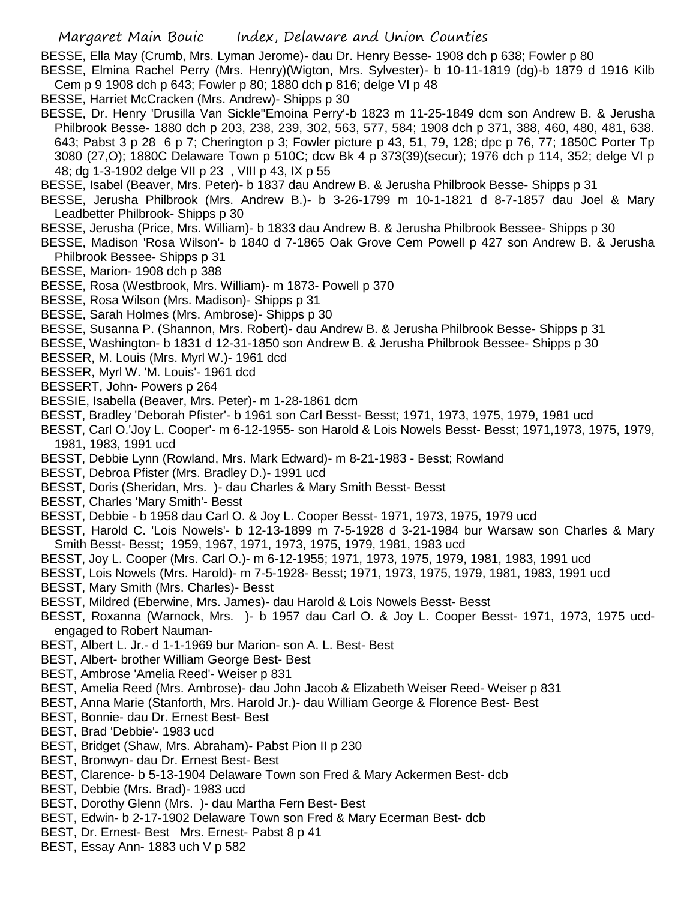BESSE, Ella May (Crumb, Mrs. Lyman Jerome)- dau Dr. Henry Besse- 1908 dch p 638; Fowler p 80

BESSE, Elmina Rachel Perry (Mrs. Henry)(Wigton, Mrs. Sylvester)- b 10-11-1819 (dg)-b 1879 d 1916 Kilb Cem p 9 1908 dch p 643; Fowler p 80; 1880 dch p 816; delge VI p 48

BESSE, Harriet McCracken (Mrs. Andrew)- Shipps p 30

BESSE, Dr. Henry 'Drusilla Van Sickle''Emoina Perry'-b 1823 m 11-25-1849 dcm son Andrew B. & Jerusha Philbrook Besse- 1880 dch p 203, 238, 239, 302, 563, 577, 584; 1908 dch p 371, 388, 460, 480, 481, 638. 643; Pabst 3 p 28 6 p 7; Cherington p 3; Fowler picture p 43, 51, 79, 128; dpc p 76, 77; 1850C Porter Tp 3080 (27,O); 1880C Delaware Town p 510C; dcw Bk 4 p 373(39)(secur); 1976 dch p 114, 352; delge VI p 48; dg 1-3-1902 delge VII p 23 , VIII p 43, IX p 55

BESSE, Isabel (Beaver, Mrs. Peter)- b 1837 dau Andrew B. & Jerusha Philbrook Besse- Shipps p 31

BESSE, Jerusha Philbrook (Mrs. Andrew B.)- b 3-26-1799 m 10-1-1821 d 8-7-1857 dau Joel & Mary Leadbetter Philbrook- Shipps p 30

BESSE, Jerusha (Price, Mrs. William)- b 1833 dau Andrew B. & Jerusha Philbrook Bessee- Shipps p 30

BESSE, Madison 'Rosa Wilson'- b 1840 d 7-1865 Oak Grove Cem Powell p 427 son Andrew B. & Jerusha Philbrook Bessee- Shipps p 31

- BESSE, Marion- 1908 dch p 388
- BESSE, Rosa (Westbrook, Mrs. William)- m 1873- Powell p 370
- BESSE, Rosa Wilson (Mrs. Madison)- Shipps p 31
- BESSE, Sarah Holmes (Mrs. Ambrose)- Shipps p 30
- BESSE, Susanna P. (Shannon, Mrs. Robert)- dau Andrew B. & Jerusha Philbrook Besse- Shipps p 31
- BESSE, Washington- b 1831 d 12-31-1850 son Andrew B. & Jerusha Philbrook Bessee- Shipps p 30
- BESSER, M. Louis (Mrs. Myrl W.)- 1961 dcd
- BESSER, Myrl W. 'M. Louis'- 1961 dcd
- BESSERT, John- Powers p 264
- BESSIE, Isabella (Beaver, Mrs. Peter)- m 1-28-1861 dcm
- BESST, Bradley 'Deborah Pfister'- b 1961 son Carl Besst- Besst; 1971, 1973, 1975, 1979, 1981 ucd
- BESST, Carl O.'Joy L. Cooper'- m 6-12-1955- son Harold & Lois Nowels Besst- Besst; 1971,1973, 1975, 1979, 1981, 1983, 1991 ucd
- BESST, Debbie Lynn (Rowland, Mrs. Mark Edward)- m 8-21-1983 Besst; Rowland
- BESST, Debroa Pfister (Mrs. Bradley D.)- 1991 ucd
- BESST, Doris (Sheridan, Mrs. )- dau Charles & Mary Smith Besst- Besst
- BESST, Charles 'Mary Smith'- Besst
- BESST, Debbie b 1958 dau Carl O. & Joy L. Cooper Besst- 1971, 1973, 1975, 1979 ucd
- BESST, Harold C. 'Lois Nowels'- b 12-13-1899 m 7-5-1928 d 3-21-1984 bur Warsaw son Charles & Mary Smith Besst- Besst; 1959, 1967, 1971, 1973, 1975, 1979, 1981, 1983 ucd
- BESST, Joy L. Cooper (Mrs. Carl O.)- m 6-12-1955; 1971, 1973, 1975, 1979, 1981, 1983, 1991 ucd
- BESST, Lois Nowels (Mrs. Harold)- m 7-5-1928- Besst; 1971, 1973, 1975, 1979, 1981, 1983, 1991 ucd
- BESST, Mary Smith (Mrs. Charles)- Besst
- BESST, Mildred (Eberwine, Mrs. James)- dau Harold & Lois Nowels Besst- Besst
- BESST, Roxanna (Warnock, Mrs. )- b 1957 dau Carl O. & Joy L. Cooper Besst- 1971, 1973, 1975 ucdengaged to Robert Nauman-
- BEST, Albert L. Jr.- d 1-1-1969 bur Marion- son A. L. Best- Best
- BEST, Albert- brother William George Best- Best
- BEST, Ambrose 'Amelia Reed'- Weiser p 831
- BEST, Amelia Reed (Mrs. Ambrose)- dau John Jacob & Elizabeth Weiser Reed- Weiser p 831
- BEST, Anna Marie (Stanforth, Mrs. Harold Jr.)- dau William George & Florence Best- Best
- BEST, Bonnie- dau Dr. Ernest Best- Best
- BEST, Brad 'Debbie'- 1983 ucd
- BEST, Bridget (Shaw, Mrs. Abraham)- Pabst Pion II p 230
- BEST, Bronwyn- dau Dr. Ernest Best- Best
- BEST, Clarence- b 5-13-1904 Delaware Town son Fred & Mary Ackermen Best- dcb
- BEST, Debbie (Mrs. Brad)- 1983 ucd
- BEST, Dorothy Glenn (Mrs. )- dau Martha Fern Best- Best
- BEST, Edwin- b 2-17-1902 Delaware Town son Fred & Mary Ecerman Best- dcb
- BEST, Dr. Ernest- Best Mrs. Ernest- Pabst 8 p 41
- BEST, Essay Ann- 1883 uch V p 582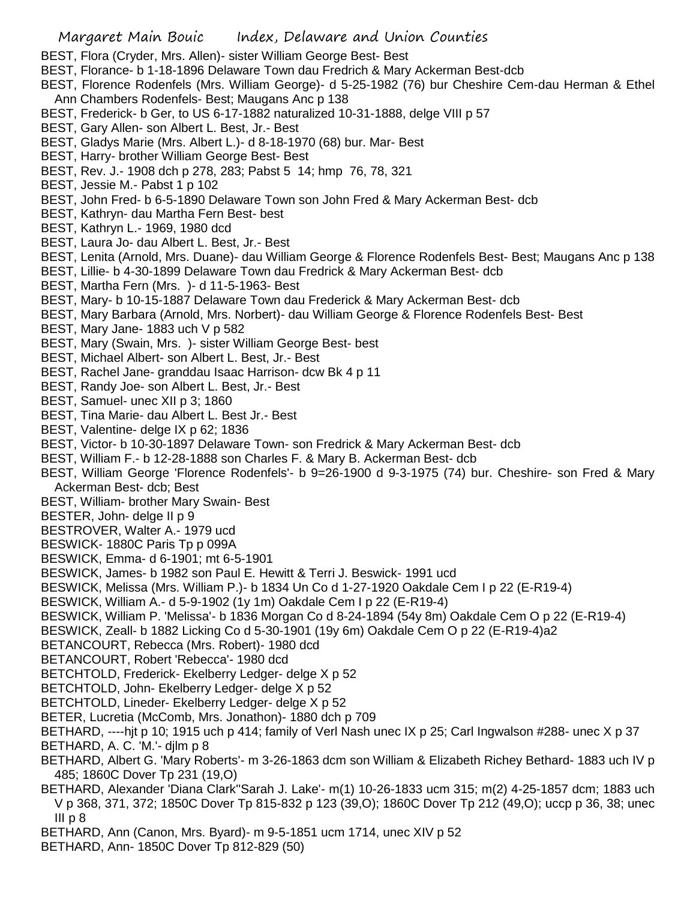- BEST, Flora (Cryder, Mrs. Allen)- sister William George Best- Best
- BEST, Florance- b 1-18-1896 Delaware Town dau Fredrich & Mary Ackerman Best-dcb
- BEST, Florence Rodenfels (Mrs. William George)- d 5-25-1982 (76) bur Cheshire Cem-dau Herman & Ethel Ann Chambers Rodenfels- Best; Maugans Anc p 138
- BEST, Frederick- b Ger, to US 6-17-1882 naturalized 10-31-1888, delge VIII p 57
- BEST, Gary Allen- son Albert L. Best, Jr.- Best
- BEST, Gladys Marie (Mrs. Albert L.)- d 8-18-1970 (68) bur. Mar- Best
- BEST, Harry- brother William George Best- Best
- BEST, Rev. J.- 1908 dch p 278, 283; Pabst 5 14; hmp 76, 78, 321
- BEST, Jessie M.- Pabst 1 p 102
- BEST, John Fred- b 6-5-1890 Delaware Town son John Fred & Mary Ackerman Best- dcb
- BEST, Kathryn- dau Martha Fern Best- best
- BEST, Kathryn L.- 1969, 1980 dcd
- BEST, Laura Jo- dau Albert L. Best, Jr.- Best
- BEST, Lenita (Arnold, Mrs. Duane)- dau William George & Florence Rodenfels Best- Best; Maugans Anc p 138
- BEST, Lillie- b 4-30-1899 Delaware Town dau Fredrick & Mary Ackerman Best- dcb
- BEST, Martha Fern (Mrs. )- d 11-5-1963- Best
- BEST, Mary- b 10-15-1887 Delaware Town dau Frederick & Mary Ackerman Best- dcb
- BEST, Mary Barbara (Arnold, Mrs. Norbert)- dau William George & Florence Rodenfels Best- Best
- BEST, Mary Jane- 1883 uch V p 582
- BEST, Mary (Swain, Mrs. )- sister William George Best- best
- BEST, Michael Albert- son Albert L. Best, Jr.- Best
- BEST, Rachel Jane- granddau Isaac Harrison- dcw Bk 4 p 11
- BEST, Randy Joe- son Albert L. Best, Jr.- Best
- BEST, Samuel- unec XII p 3; 1860
- BEST, Tina Marie- dau Albert L. Best Jr.- Best
- BEST, Valentine- delge IX p 62; 1836
- BEST, Victor- b 10-30-1897 Delaware Town- son Fredrick & Mary Ackerman Best- dcb
- BEST, William F.- b 12-28-1888 son Charles F. & Mary B. Ackerman Best- dcb
- BEST, William George 'Florence Rodenfels'- b 9=26-1900 d 9-3-1975 (74) bur. Cheshire- son Fred & Mary Ackerman Best- dcb; Best
- BEST, William- brother Mary Swain- Best
- BESTER, John- delge II p 9
- BESTROVER, Walter A.- 1979 ucd
- BESWICK- 1880C Paris Tp p 099A
- BESWICK, Emma- d 6-1901; mt 6-5-1901
- BESWICK, James- b 1982 son Paul E. Hewitt & Terri J. Beswick- 1991 ucd
- BESWICK, Melissa (Mrs. William P.)- b 1834 Un Co d 1-27-1920 Oakdale Cem I p 22 (E-R19-4)
- BESWICK, William A.- d 5-9-1902 (1y 1m) Oakdale Cem I p 22 (E-R19-4)
- BESWICK, William P. 'Melissa'- b 1836 Morgan Co d 8-24-1894 (54y 8m) Oakdale Cem O p 22 (E-R19-4)
- BESWICK, Zeall- b 1882 Licking Co d 5-30-1901 (19y 6m) Oakdale Cem O p 22 (E-R19-4)a2
- BETANCOURT, Rebecca (Mrs. Robert)- 1980 dcd
- BETANCOURT, Robert 'Rebecca'- 1980 dcd
- BETCHTOLD, Frederick- Ekelberry Ledger- delge X p 52
- BETCHTOLD, John- Ekelberry Ledger- delge X p 52
- BETCHTOLD, Lineder- Ekelberry Ledger- delge X p 52
- BETER, Lucretia (McComb, Mrs. Jonathon)- 1880 dch p 709
- BETHARD, ----hjt p 10; 1915 uch p 414; family of Verl Nash unec IX p 25; Carl Ingwalson #288- unec X p 37 BETHARD, A. C. 'M.'- djlm p 8
- BETHARD, Albert G. 'Mary Roberts'- m 3-26-1863 dcm son William & Elizabeth Richey Bethard- 1883 uch IV p 485; 1860C Dover Tp 231 (19,O)
- BETHARD, Alexander 'Diana Clark''Sarah J. Lake'- m(1) 10-26-1833 ucm 315; m(2) 4-25-1857 dcm; 1883 uch V p 368, 371, 372; 1850C Dover Tp 815-832 p 123 (39,O); 1860C Dover Tp 212 (49,O); uccp p 36, 38; unec III p 8
- BETHARD, Ann (Canon, Mrs. Byard)- m 9-5-1851 ucm 1714, unec XIV p 52
- BETHARD, Ann- 1850C Dover Tp 812-829 (50)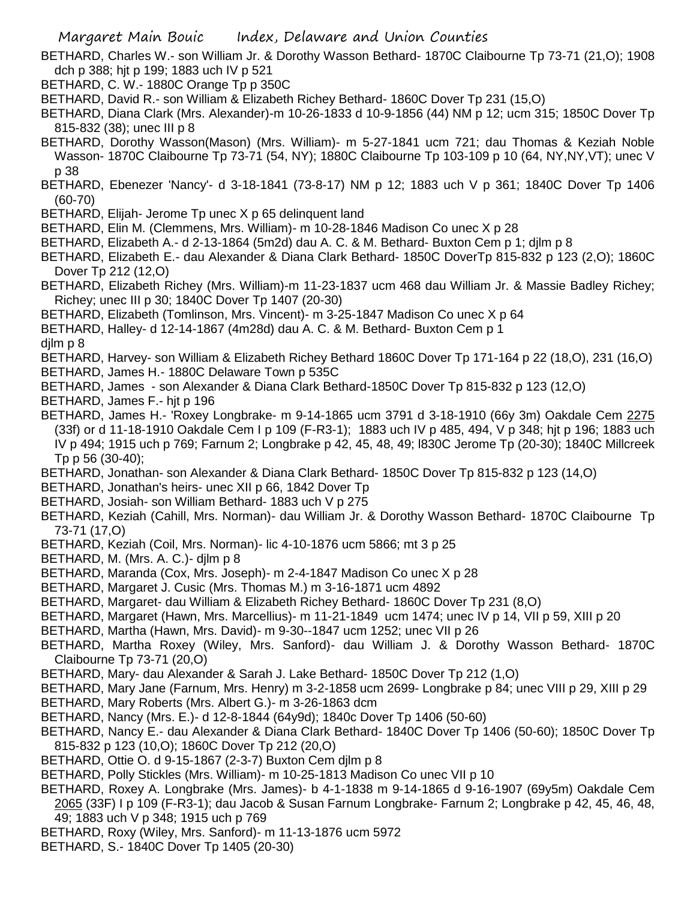BETHARD, Charles W.- son William Jr. & Dorothy Wasson Bethard- 1870C Claibourne Tp 73-71 (21,O); 1908 dch p 388; hjt p 199; 1883 uch IV p 521

- BETHARD, C. W.- 1880C Orange Tp p 350C
- BETHARD, David R.- son William & Elizabeth Richey Bethard- 1860C Dover Tp 231 (15,O)
- BETHARD, Diana Clark (Mrs. Alexander)-m 10-26-1833 d 10-9-1856 (44) NM p 12; ucm 315; 1850C Dover Tp 815-832 (38); unec III p 8
- BETHARD, Dorothy Wasson(Mason) (Mrs. William)- m 5-27-1841 ucm 721; dau Thomas & Keziah Noble Wasson- 1870C Claibourne Tp 73-71 (54, NY); 1880C Claibourne Tp 103-109 p 10 (64, NY,NY,VT); unec V p 38
- BETHARD, Ebenezer 'Nancy'- d 3-18-1841 (73-8-17) NM p 12; 1883 uch V p 361; 1840C Dover Tp 1406 (60-70)
- BETHARD, Elijah- Jerome Tp unec X p 65 delinquent land
- BETHARD, Elin M. (Clemmens, Mrs. William)- m 10-28-1846 Madison Co unec X p 28
- BETHARD, Elizabeth A.- d 2-13-1864 (5m2d) dau A. C. & M. Bethard- Buxton Cem p 1; djlm p 8
- BETHARD, Elizabeth E.- dau Alexander & Diana Clark Bethard- 1850C DoverTp 815-832 p 123 (2,O); 1860C Dover Tp 212 (12,O)
- BETHARD, Elizabeth Richey (Mrs. William)-m 11-23-1837 ucm 468 dau William Jr. & Massie Badley Richey; Richey; unec III p 30; 1840C Dover Tp 1407 (20-30)
- BETHARD, Elizabeth (Tomlinson, Mrs. Vincent)- m 3-25-1847 Madison Co unec X p 64
- BETHARD, Halley- d 12-14-1867 (4m28d) dau A. C. & M. Bethard- Buxton Cem p 1

djlm p 8

- BETHARD, Harvey- son William & Elizabeth Richey Bethard 1860C Dover Tp 171-164 p 22 (18,O), 231 (16,O)
- BETHARD, James H.- 1880C Delaware Town p 535C
- BETHARD, James son Alexander & Diana Clark Bethard-1850C Dover Tp 815-832 p 123 (12,O)
- BETHARD, James F.- hjt p 196
- BETHARD, James H.- 'Roxey Longbrake- m 9-14-1865 ucm 3791 d 3-18-1910 (66y 3m) Oakdale Cem 2275 (33f) or d 11-18-1910 Oakdale Cem I p 109 (F-R3-1); 1883 uch IV p 485, 494, V p 348; hjt p 196; 1883 uch IV p 494; 1915 uch p 769; Farnum 2; Longbrake p 42, 45, 48, 49; l830C Jerome Tp (20-30); 1840C Millcreek Tp p 56 (30-40);
- BETHARD, Jonathan- son Alexander & Diana Clark Bethard- 1850C Dover Tp 815-832 p 123 (14,O)
- BETHARD, Jonathan's heirs- unec XII p 66, 1842 Dover Tp
- BETHARD, Josiah- son William Bethard- 1883 uch V p 275
- BETHARD, Keziah (Cahill, Mrs. Norman)- dau William Jr. & Dorothy Wasson Bethard- 1870C Claibourne Tp 73-71 (17,O)
- BETHARD, Keziah (Coil, Mrs. Norman)- lic 4-10-1876 ucm 5866; mt 3 p 25
- BETHARD, M. (Mrs. A. C.)- djlm p 8
- BETHARD, Maranda (Cox, Mrs. Joseph)- m 2-4-1847 Madison Co unec X p 28
- BETHARD, Margaret J. Cusic (Mrs. Thomas M.) m 3-16-1871 ucm 4892
- BETHARD, Margaret- dau William & Elizabeth Richey Bethard- 1860C Dover Tp 231 (8,O)
- BETHARD, Margaret (Hawn, Mrs. Marcellius)- m 11-21-1849 ucm 1474; unec IV p 14, VII p 59, XIII p 20
- BETHARD, Martha (Hawn, Mrs. David)- m 9-30--1847 ucm 1252; unec VII p 26
- BETHARD, Martha Roxey (Wiley, Mrs. Sanford)- dau William J. & Dorothy Wasson Bethard- 1870C Claibourne Tp 73-71 (20,O)
- BETHARD, Mary- dau Alexander & Sarah J. Lake Bethard- 1850C Dover Tp 212 (1,O)
- BETHARD, Mary Jane (Farnum, Mrs. Henry) m 3-2-1858 ucm 2699- Longbrake p 84; unec VIII p 29, XIII p 29
- BETHARD, Mary Roberts (Mrs. Albert G.)- m 3-26-1863 dcm
- BETHARD, Nancy (Mrs. E.)- d 12-8-1844 (64y9d); 1840c Dover Tp 1406 (50-60)
- BETHARD, Nancy E.- dau Alexander & Diana Clark Bethard- 1840C Dover Tp 1406 (50-60); 1850C Dover Tp 815-832 p 123 (10,O); 1860C Dover Tp 212 (20,O)
- BETHARD, Ottie O. d 9-15-1867 (2-3-7) Buxton Cem djlm p 8
- BETHARD, Polly Stickles (Mrs. William)- m 10-25-1813 Madison Co unec VII p 10
- BETHARD, Roxey A. Longbrake (Mrs. James)- b 4-1-1838 m 9-14-1865 d 9-16-1907 (69y5m) Oakdale Cem 2065 (33F) I p 109 (F-R3-1); dau Jacob & Susan Farnum Longbrake- Farnum 2; Longbrake p 42, 45, 46, 48, 49; 1883 uch V p 348; 1915 uch p 769
- BETHARD, Roxy (Wiley, Mrs. Sanford)- m 11-13-1876 ucm 5972
- BETHARD, S.- 1840C Dover Tp 1405 (20-30)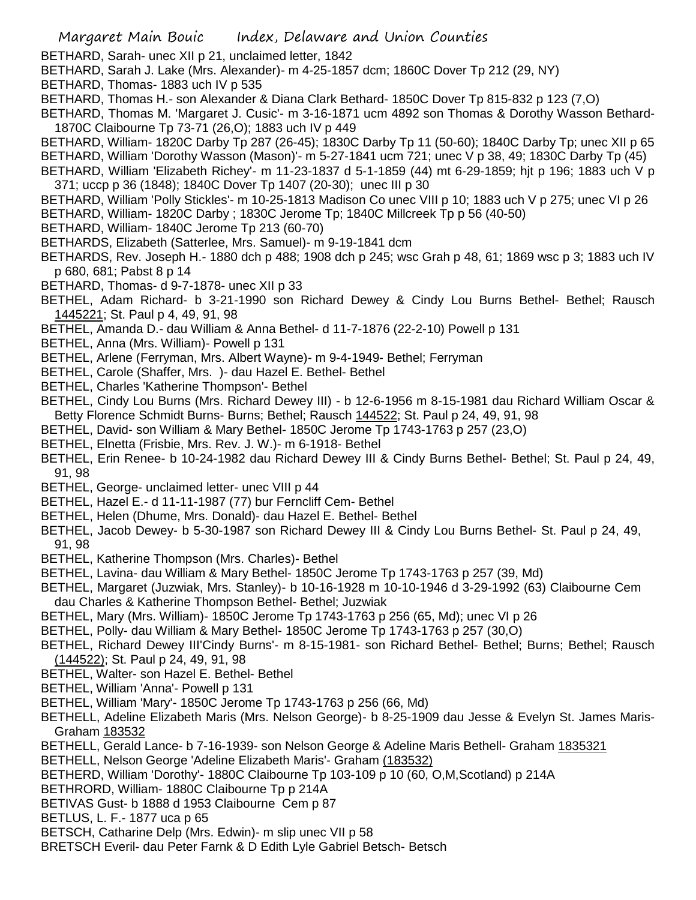BETHARD, Sarah- unec XII p 21, unclaimed letter, 1842

- BETHARD, Sarah J. Lake (Mrs. Alexander)- m 4-25-1857 dcm; 1860C Dover Tp 212 (29, NY)
- BETHARD, Thomas- 1883 uch IV p 535
- BETHARD, Thomas H.- son Alexander & Diana Clark Bethard- 1850C Dover Tp 815-832 p 123 (7,O)
- BETHARD, Thomas M. 'Margaret J. Cusic'- m 3-16-1871 ucm 4892 son Thomas & Dorothy Wasson Bethard-1870C Claibourne Tp 73-71 (26,O); 1883 uch IV p 449
- BETHARD, William- 1820C Darby Tp 287 (26-45); 1830C Darby Tp 11 (50-60); 1840C Darby Tp; unec XII p 65
- BETHARD, William 'Dorothy Wasson (Mason)'- m 5-27-1841 ucm 721; unec V p 38, 49; 1830C Darby Tp (45)
- BETHARD, William 'Elizabeth Richey'- m 11-23-1837 d 5-1-1859 (44) mt 6-29-1859; hjt p 196; 1883 uch V p 371; uccp p 36 (1848); 1840C Dover Tp 1407 (20-30); unec III p 30
- BETHARD, William 'Polly Stickles'- m 10-25-1813 Madison Co unec VIII p 10; 1883 uch V p 275; unec VI p 26 BETHARD, William- 1820C Darby ; 1830C Jerome Tp; 1840C Millcreek Tp p 56 (40-50)
- BETHARD, William- 1840C Jerome Tp 213 (60-70)
- BETHARDS, Elizabeth (Satterlee, Mrs. Samuel)- m 9-19-1841 dcm
- BETHARDS, Rev. Joseph H.- 1880 dch p 488; 1908 dch p 245; wsc Grah p 48, 61; 1869 wsc p 3; 1883 uch IV p 680, 681; Pabst 8 p 14
- BETHARD, Thomas- d 9-7-1878- unec XII p 33
- BETHEL, Adam Richard- b 3-21-1990 son Richard Dewey & Cindy Lou Burns Bethel- Bethel; Rausch 1445221; St. Paul p 4, 49, 91, 98
- BETHEL, Amanda D.- dau William & Anna Bethel- d 11-7-1876 (22-2-10) Powell p 131
- BETHEL, Anna (Mrs. William)- Powell p 131
- BETHEL, Arlene (Ferryman, Mrs. Albert Wayne)- m 9-4-1949- Bethel; Ferryman
- BETHEL, Carole (Shaffer, Mrs. )- dau Hazel E. Bethel- Bethel
- BETHEL, Charles 'Katherine Thompson'- Bethel
- BETHEL, Cindy Lou Burns (Mrs. Richard Dewey III) b 12-6-1956 m 8-15-1981 dau Richard William Oscar & Betty Florence Schmidt Burns- Burns; Bethel; Rausch 144522; St. Paul p 24, 49, 91, 98
- BETHEL, David- son William & Mary Bethel- 1850C Jerome Tp 1743-1763 p 257 (23,O)
- BETHEL, Elnetta (Frisbie, Mrs. Rev. J. W.)- m 6-1918- Bethel
- BETHEL, Erin Renee- b 10-24-1982 dau Richard Dewey III & Cindy Burns Bethel- Bethel; St. Paul p 24, 49, 91, 98
- BETHEL, George- unclaimed letter- unec VIII p 44
- BETHEL, Hazel E.- d 11-11-1987 (77) bur Ferncliff Cem- Bethel
- BETHEL, Helen (Dhume, Mrs. Donald)- dau Hazel E. Bethel- Bethel
- BETHEL, Jacob Dewey- b 5-30-1987 son Richard Dewey III & Cindy Lou Burns Bethel- St. Paul p 24, 49, 91, 98
- BETHEL, Katherine Thompson (Mrs. Charles)- Bethel
- BETHEL, Lavina- dau William & Mary Bethel- 1850C Jerome Tp 1743-1763 p 257 (39, Md)
- BETHEL, Margaret (Juzwiak, Mrs. Stanley)- b 10-16-1928 m 10-10-1946 d 3-29-1992 (63) Claibourne Cem dau Charles & Katherine Thompson Bethel- Bethel; Juzwiak
- BETHEL, Mary (Mrs. William)- 1850C Jerome Tp 1743-1763 p 256 (65, Md); unec VI p 26
- BETHEL, Polly- dau William & Mary Bethel- 1850C Jerome Tp 1743-1763 p 257 (30,O)
- BETHEL, Richard Dewey III'Cindy Burns'- m 8-15-1981- son Richard Bethel- Bethel; Burns; Bethel; Rausch (144522); St. Paul p 24, 49, 91, 98
- BETHEL, Walter- son Hazel E. Bethel- Bethel
- BETHEL, William 'Anna'- Powell p 131
- BETHEL, William 'Mary'- 1850C Jerome Tp 1743-1763 p 256 (66, Md)
- BETHELL, Adeline Elizabeth Maris (Mrs. Nelson George)- b 8-25-1909 dau Jesse & Evelyn St. James Maris-Graham 183532
- BETHELL, Gerald Lance- b 7-16-1939- son Nelson George & Adeline Maris Bethell- Graham 1835321
- BETHELL, Nelson George 'Adeline Elizabeth Maris'- Graham (183532)
- BETHERD, William 'Dorothy'- 1880C Claibourne Tp 103-109 p 10 (60, O,M,Scotland) p 214A
- BETHRORD, William- 1880C Claibourne Tp p 214A
- BETIVAS Gust- b 1888 d 1953 Claibourne Cem p 87
- BETLUS, L. F.- 1877 uca p 65
- BETSCH, Catharine Delp (Mrs. Edwin)- m slip unec VII p 58
- BRETSCH Everil- dau Peter Farnk & D Edith Lyle Gabriel Betsch- Betsch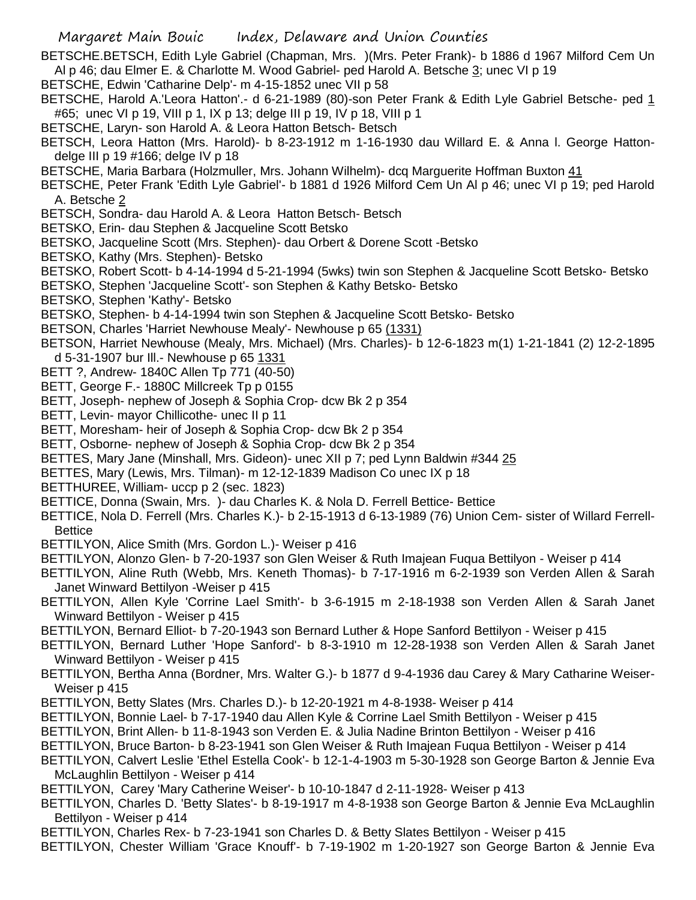- BETSCHE.BETSCH, Edith Lyle Gabriel (Chapman, Mrs. )(Mrs. Peter Frank)- b 1886 d 1967 Milford Cem Un Al p 46; dau Elmer E. & Charlotte M. Wood Gabriel- ped Harold A. Betsche 3; unec VI p 19
- BETSCHE, Edwin 'Catharine Delp'- m 4-15-1852 unec VII p 58
- BETSCHE, Harold A.'Leora Hatton'.- d 6-21-1989 (80)-son Peter Frank & Edith Lyle Gabriel Betsche- ped 1 #65; unec VI p 19, VIII p 1, IX p 13; delge III p 19, IV p 18, VIII p 1
- BETSCHE, Laryn- son Harold A. & Leora Hatton Betsch- Betsch
- BETSCH, Leora Hatton (Mrs. Harold)- b 8-23-1912 m 1-16-1930 dau Willard E. & Anna l. George Hattondelge III p 19 #166; delge IV p 18
- BETSCHE, Maria Barbara (Holzmuller, Mrs. Johann Wilhelm)- dcq Marguerite Hoffman Buxton 41
- BETSCHE, Peter Frank 'Edith Lyle Gabriel'- b 1881 d 1926 Milford Cem Un Al p 46; unec VI p 19; ped Harold A. Betsche 2
- BETSCH, Sondra- dau Harold A. & Leora Hatton Betsch- Betsch
- BETSKO, Erin- dau Stephen & Jacqueline Scott Betsko
- BETSKO, Jacqueline Scott (Mrs. Stephen)- dau Orbert & Dorene Scott -Betsko
- BETSKO, Kathy (Mrs. Stephen)- Betsko
- BETSKO, Robert Scott- b 4-14-1994 d 5-21-1994 (5wks) twin son Stephen & Jacqueline Scott Betsko- Betsko
- BETSKO, Stephen 'Jacqueline Scott'- son Stephen & Kathy Betsko- Betsko
- BETSKO, Stephen 'Kathy'- Betsko
- BETSKO, Stephen- b 4-14-1994 twin son Stephen & Jacqueline Scott Betsko- Betsko
- BETSON, Charles 'Harriet Newhouse Mealy'- Newhouse p 65 (1331)
- BETSON, Harriet Newhouse (Mealy, Mrs. Michael) (Mrs. Charles)- b 12-6-1823 m(1) 1-21-1841 (2) 12-2-1895 d 5-31-1907 bur Ill.- Newhouse p 65 1331
- BETT ?, Andrew- 1840C Allen Tp 771 (40-50)
- BETT, George F.- 1880C Millcreek Tp p 0155
- BETT, Joseph- nephew of Joseph & Sophia Crop- dcw Bk 2 p 354
- BETT, Levin- mayor Chillicothe- unec II p 11
- BETT, Moresham- heir of Joseph & Sophia Crop- dcw Bk 2 p 354
- BETT, Osborne- nephew of Joseph & Sophia Crop- dcw Bk 2 p 354
- BETTES, Mary Jane (Minshall, Mrs. Gideon)- unec XII p 7; ped Lynn Baldwin #344 25
- BETTES, Mary (Lewis, Mrs. Tilman)- m 12-12-1839 Madison Co unec IX p 18
- BETTHUREE, William- uccp p 2 (sec. 1823)
- BETTICE, Donna (Swain, Mrs. )- dau Charles K. & Nola D. Ferrell Bettice- Bettice
- BETTICE, Nola D. Ferrell (Mrs. Charles K.)- b 2-15-1913 d 6-13-1989 (76) Union Cem- sister of Willard Ferrell-**Bettice**
- BETTILYON, Alice Smith (Mrs. Gordon L.)- Weiser p 416
- BETTILYON, Alonzo Glen- b 7-20-1937 son Glen Weiser & Ruth Imajean Fuqua Bettilyon Weiser p 414
- BETTILYON, Aline Ruth (Webb, Mrs. Keneth Thomas)- b 7-17-1916 m 6-2-1939 son Verden Allen & Sarah Janet Winward Bettilyon -Weiser p 415
- BETTILYON, Allen Kyle 'Corrine Lael Smith'- b 3-6-1915 m 2-18-1938 son Verden Allen & Sarah Janet Winward Bettilyon - Weiser p 415
- BETTILYON, Bernard Elliot- b 7-20-1943 son Bernard Luther & Hope Sanford Bettilyon Weiser p 415
- BETTILYON, Bernard Luther 'Hope Sanford'- b 8-3-1910 m 12-28-1938 son Verden Allen & Sarah Janet Winward Bettilyon - Weiser p 415
- BETTILYON, Bertha Anna (Bordner, Mrs. Walter G.)- b 1877 d 9-4-1936 dau Carey & Mary Catharine Weiser-Weiser p 415
- BETTILYON, Betty Slates (Mrs. Charles D.)- b 12-20-1921 m 4-8-1938- Weiser p 414
- BETTILYON, Bonnie Lael- b 7-17-1940 dau Allen Kyle & Corrine Lael Smith Bettilyon Weiser p 415
- BETTILYON, Brint Allen- b 11-8-1943 son Verden E. & Julia Nadine Brinton Bettilyon Weiser p 416
- BETTILYON, Bruce Barton- b 8-23-1941 son Glen Weiser & Ruth Imajean Fuqua Bettilyon Weiser p 414
- BETTILYON, Calvert Leslie 'Ethel Estella Cook'- b 12-1-4-1903 m 5-30-1928 son George Barton & Jennie Eva McLaughlin Bettilyon - Weiser p 414
- BETTILYON, Carey 'Mary Catherine Weiser'- b 10-10-1847 d 2-11-1928- Weiser p 413
- BETTILYON, Charles D. 'Betty Slates'- b 8-19-1917 m 4-8-1938 son George Barton & Jennie Eva McLaughlin Bettilyon - Weiser p 414
- BETTILYON, Charles Rex- b 7-23-1941 son Charles D. & Betty Slates Bettilyon Weiser p 415
- BETTILYON, Chester William 'Grace Knouff'- b 7-19-1902 m 1-20-1927 son George Barton & Jennie Eva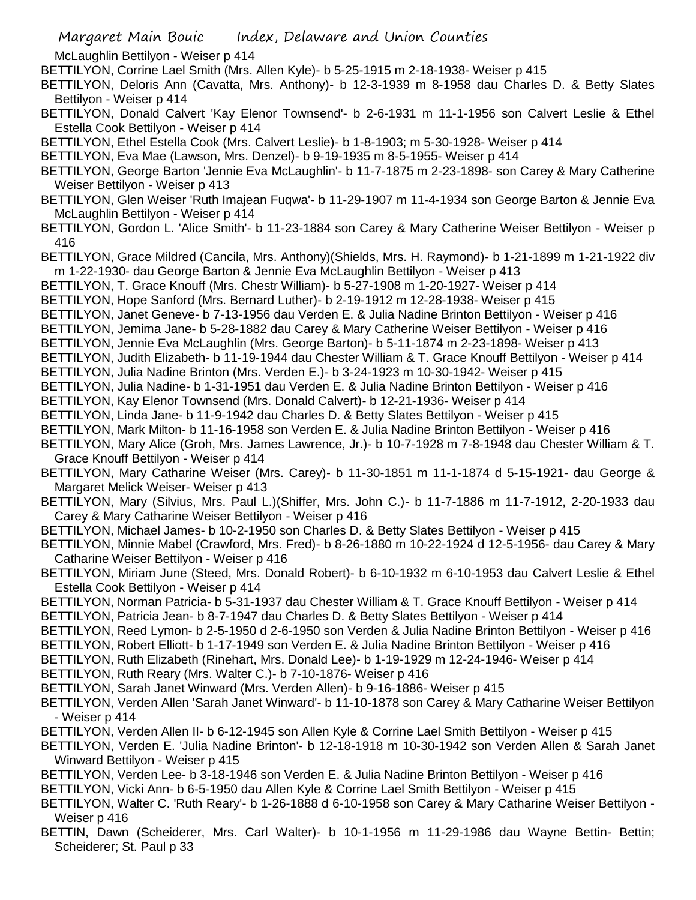McLaughlin Bettilyon - Weiser p 414

BETTILYON, Corrine Lael Smith (Mrs. Allen Kyle)- b 5-25-1915 m 2-18-1938- Weiser p 415

BETTILYON, Deloris Ann (Cavatta, Mrs. Anthony)- b 12-3-1939 m 8-1958 dau Charles D. & Betty Slates Bettilyon - Weiser p 414

BETTILYON, Donald Calvert 'Kay Elenor Townsend'- b 2-6-1931 m 11-1-1956 son Calvert Leslie & Ethel Estella Cook Bettilyon - Weiser p 414

BETTILYON, Ethel Estella Cook (Mrs. Calvert Leslie)- b 1-8-1903; m 5-30-1928- Weiser p 414

BETTILYON, Eva Mae (Lawson, Mrs. Denzel)- b 9-19-1935 m 8-5-1955- Weiser p 414

BETTILYON, George Barton 'Jennie Eva McLaughlin'- b 11-7-1875 m 2-23-1898- son Carey & Mary Catherine Weiser Bettilyon - Weiser p 413

BETTILYON, Glen Weiser 'Ruth Imajean Fuqwa'- b 11-29-1907 m 11-4-1934 son George Barton & Jennie Eva McLaughlin Bettilyon - Weiser p 414

BETTILYON, Gordon L. 'Alice Smith'- b 11-23-1884 son Carey & Mary Catherine Weiser Bettilyon - Weiser p 416

- BETTILYON, Grace Mildred (Cancila, Mrs. Anthony)(Shields, Mrs. H. Raymond)- b 1-21-1899 m 1-21-1922 div m 1-22-1930- dau George Barton & Jennie Eva McLaughlin Bettilyon - Weiser p 413
- BETTILYON, T. Grace Knouff (Mrs. Chestr William)- b 5-27-1908 m 1-20-1927- Weiser p 414
- BETTILYON, Hope Sanford (Mrs. Bernard Luther)- b 2-19-1912 m 12-28-1938- Weiser p 415
- BETTILYON, Janet Geneve- b 7-13-1956 dau Verden E. & Julia Nadine Brinton Bettilyon Weiser p 416
- BETTILYON, Jemima Jane- b 5-28-1882 dau Carey & Mary Catherine Weiser Bettilyon Weiser p 416

BETTILYON, Jennie Eva McLaughlin (Mrs. George Barton)- b 5-11-1874 m 2-23-1898- Weiser p 413

- BETTILYON, Judith Elizabeth- b 11-19-1944 dau Chester William & T. Grace Knouff Bettilyon Weiser p 414
- BETTILYON, Julia Nadine Brinton (Mrs. Verden E.)- b 3-24-1923 m 10-30-1942- Weiser p 415
- BETTILYON, Julia Nadine- b 1-31-1951 dau Verden E. & Julia Nadine Brinton Bettilyon Weiser p 416
- BETTILYON, Kay Elenor Townsend (Mrs. Donald Calvert)- b 12-21-1936- Weiser p 414
- BETTILYON, Linda Jane- b 11-9-1942 dau Charles D. & Betty Slates Bettilyon Weiser p 415
- BETTILYON, Mark Milton- b 11-16-1958 son Verden E. & Julia Nadine Brinton Bettilyon Weiser p 416
- BETTILYON, Mary Alice (Groh, Mrs. James Lawrence, Jr.)- b 10-7-1928 m 7-8-1948 dau Chester William & T. Grace Knouff Bettilyon - Weiser p 414
- BETTILYON, Mary Catharine Weiser (Mrs. Carey)- b 11-30-1851 m 11-1-1874 d 5-15-1921- dau George & Margaret Melick Weiser- Weiser p 413
- BETTILYON, Mary (Silvius, Mrs. Paul L.)(Shiffer, Mrs. John C.)- b 11-7-1886 m 11-7-1912, 2-20-1933 dau Carey & Mary Catharine Weiser Bettilyon - Weiser p 416
- BETTILYON, Michael James- b 10-2-1950 son Charles D. & Betty Slates Bettilyon Weiser p 415

BETTILYON, Minnie Mabel (Crawford, Mrs. Fred)- b 8-26-1880 m 10-22-1924 d 12-5-1956- dau Carey & Mary Catharine Weiser Bettilyon - Weiser p 416

BETTILYON, Miriam June (Steed, Mrs. Donald Robert)- b 6-10-1932 m 6-10-1953 dau Calvert Leslie & Ethel Estella Cook Bettilyon - Weiser p 414

- BETTILYON, Norman Patricia- b 5-31-1937 dau Chester William & T. Grace Knouff Bettilyon Weiser p 414 BETTILYON, Patricia Jean- b 8-7-1947 dau Charles D. & Betty Slates Bettilyon - Weiser p 414
- BETTILYON, Reed Lymon- b 2-5-1950 d 2-6-1950 son Verden & Julia Nadine Brinton Bettilyon Weiser p 416
- BETTILYON, Robert Elliott- b 1-17-1949 son Verden E. & Julia Nadine Brinton Bettilyon Weiser p 416
- BETTILYON, Ruth Elizabeth (Rinehart, Mrs. Donald Lee)- b 1-19-1929 m 12-24-1946- Weiser p 414

BETTILYON, Ruth Reary (Mrs. Walter C.)- b 7-10-1876- Weiser p 416

- BETTILYON, Sarah Janet Winward (Mrs. Verden Allen)- b 9-16-1886- Weiser p 415
- BETTILYON, Verden Allen 'Sarah Janet Winward'- b 11-10-1878 son Carey & Mary Catharine Weiser Bettilyon - Weiser p 414
- BETTILYON, Verden Allen II- b 6-12-1945 son Allen Kyle & Corrine Lael Smith Bettilyon Weiser p 415
- BETTILYON, Verden E. 'Julia Nadine Brinton'- b 12-18-1918 m 10-30-1942 son Verden Allen & Sarah Janet Winward Bettilyon - Weiser p 415
- BETTILYON, Verden Lee- b 3-18-1946 son Verden E. & Julia Nadine Brinton Bettilyon Weiser p 416

BETTILYON, Vicki Ann- b 6-5-1950 dau Allen Kyle & Corrine Lael Smith Bettilyon - Weiser p 415

- BETTILYON, Walter C. 'Ruth Reary'- b 1-26-1888 d 6-10-1958 son Carey & Mary Catharine Weiser Bettilyon Weiser p 416
- BETTIN, Dawn (Scheiderer, Mrs. Carl Walter)- b 10-1-1956 m 11-29-1986 dau Wayne Bettin- Bettin; Scheiderer; St. Paul p 33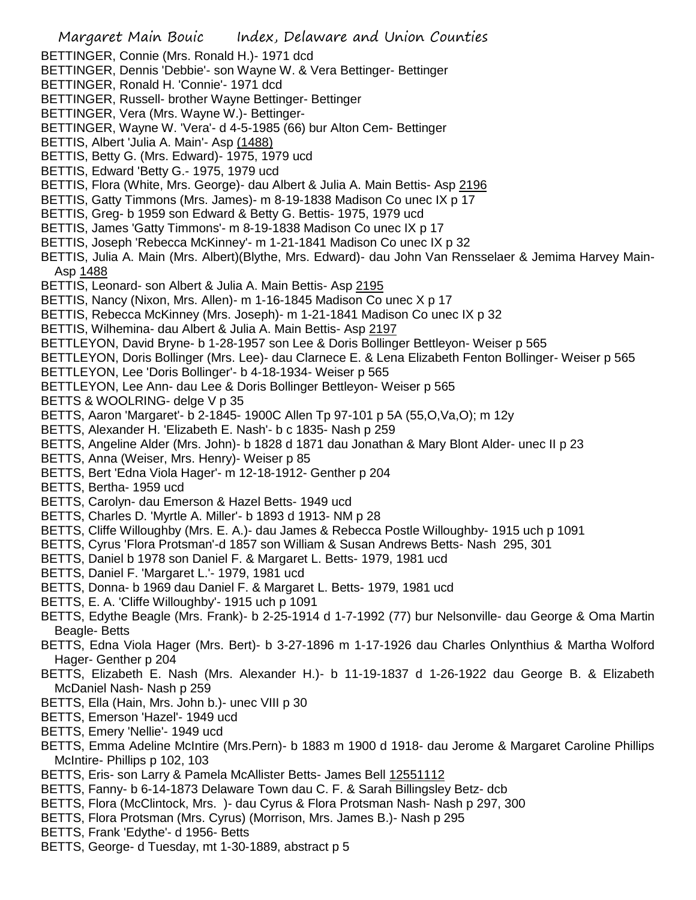- Margaret Main Bouic Index, Delaware and Union Counties
- BETTINGER, Connie (Mrs. Ronald H.)- 1971 dcd
- BETTINGER, Dennis 'Debbie'- son Wayne W. & Vera Bettinger- Bettinger
- BETTINGER, Ronald H. 'Connie'- 1971 dcd
- BETTINGER, Russell- brother Wayne Bettinger- Bettinger
- BETTINGER, Vera (Mrs. Wayne W.)- Bettinger-
- BETTINGER, Wayne W. 'Vera'- d 4-5-1985 (66) bur Alton Cem- Bettinger
- BETTIS, Albert 'Julia A. Main'- Asp (1488)
- BETTIS, Betty G. (Mrs. Edward)- 1975, 1979 ucd
- BETTIS, Edward 'Betty G.- 1975, 1979 ucd
- BETTIS, Flora (White, Mrs. George)- dau Albert & Julia A. Main Bettis- Asp 2196
- BETTIS, Gatty Timmons (Mrs. James)- m 8-19-1838 Madison Co unec IX p 17
- BETTIS, Greg- b 1959 son Edward & Betty G. Bettis- 1975, 1979 ucd
- BETTIS, James 'Gatty Timmons'- m 8-19-1838 Madison Co unec IX p 17
- BETTIS, Joseph 'Rebecca McKinney'- m 1-21-1841 Madison Co unec IX p 32
- BETTIS, Julia A. Main (Mrs. Albert)(Blythe, Mrs. Edward)- dau John Van Rensselaer & Jemima Harvey Main-Asp 1488
- BETTIS, Leonard- son Albert & Julia A. Main Bettis- Asp 2195
- BETTIS, Nancy (Nixon, Mrs. Allen)- m 1-16-1845 Madison Co unec X p 17
- BETTIS, Rebecca McKinney (Mrs. Joseph)- m 1-21-1841 Madison Co unec IX p 32
- BETTIS, Wilhemina- dau Albert & Julia A. Main Bettis- Asp 2197
- BETTLEYON, David Bryne- b 1-28-1957 son Lee & Doris Bollinger Bettleyon- Weiser p 565
- BETTLEYON, Doris Bollinger (Mrs. Lee)- dau Clarnece E. & Lena Elizabeth Fenton Bollinger- Weiser p 565
- BETTLEYON, Lee 'Doris Bollinger'- b 4-18-1934- Weiser p 565
- BETTLEYON, Lee Ann- dau Lee & Doris Bollinger Bettleyon- Weiser p 565
- BETTS & WOOLRING- delge V p 35
- BETTS, Aaron 'Margaret'- b 2-1845- 1900C Allen Tp 97-101 p 5A (55,O,Va,O); m 12y
- BETTS, Alexander H. 'Elizabeth E. Nash'- b c 1835- Nash p 259
- BETTS, Angeline Alder (Mrs. John)- b 1828 d 1871 dau Jonathan & Mary Blont Alder- unec II p 23
- BETTS, Anna (Weiser, Mrs. Henry)- Weiser p 85
- BETTS, Bert 'Edna Viola Hager'- m 12-18-1912- Genther p 204
- BETTS, Bertha- 1959 ucd
- BETTS, Carolyn- dau Emerson & Hazel Betts- 1949 ucd
- BETTS, Charles D. 'Myrtle A. Miller'- b 1893 d 1913- NM p 28
- BETTS, Cliffe Willoughby (Mrs. E. A.)- dau James & Rebecca Postle Willoughby- 1915 uch p 1091
- BETTS, Cyrus 'Flora Protsman'-d 1857 son William & Susan Andrews Betts- Nash 295, 301
- BETTS, Daniel b 1978 son Daniel F. & Margaret L. Betts- 1979, 1981 ucd
- BETTS, Daniel F. 'Margaret L.'- 1979, 1981 ucd
- BETTS, Donna- b 1969 dau Daniel F. & Margaret L. Betts- 1979, 1981 ucd
- BETTS, E. A. 'Cliffe Willoughby'- 1915 uch p 1091
- BETTS, Edythe Beagle (Mrs. Frank)- b 2-25-1914 d 1-7-1992 (77) bur Nelsonville- dau George & Oma Martin Beagle- Betts
- BETTS, Edna Viola Hager (Mrs. Bert)- b 3-27-1896 m 1-17-1926 dau Charles Onlynthius & Martha Wolford Hager- Genther p 204
- BETTS, Elizabeth E. Nash (Mrs. Alexander H.)- b 11-19-1837 d 1-26-1922 dau George B. & Elizabeth McDaniel Nash- Nash p 259
- BETTS, Ella (Hain, Mrs. John b.)- unec VIII p 30
- BETTS, Emerson 'Hazel'- 1949 ucd
- BETTS, Emery 'Nellie'- 1949 ucd
- BETTS, Emma Adeline McIntire (Mrs.Pern)- b 1883 m 1900 d 1918- dau Jerome & Margaret Caroline Phillips McIntire- Phillips p 102, 103
- BETTS, Eris- son Larry & Pamela McAllister Betts- James Bell 12551112
- BETTS, Fanny- b 6-14-1873 Delaware Town dau C. F. & Sarah Billingsley Betz- dcb
- BETTS, Flora (McClintock, Mrs. )- dau Cyrus & Flora Protsman Nash- Nash p 297, 300
- BETTS, Flora Protsman (Mrs. Cyrus) (Morrison, Mrs. James B.)- Nash p 295
- BETTS, Frank 'Edythe'- d 1956- Betts
- BETTS, George- d Tuesday, mt 1-30-1889, abstract p 5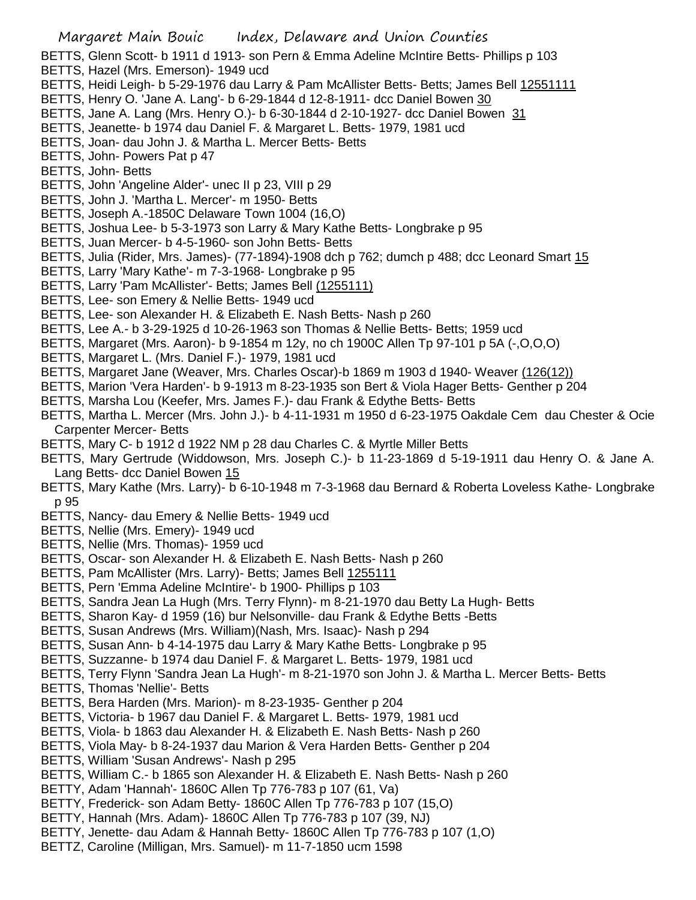BETTS, Glenn Scott- b 1911 d 1913- son Pern & Emma Adeline McIntire Betts- Phillips p 103

- BETTS, Hazel (Mrs. Emerson)- 1949 ucd
- BETTS, Heidi Leigh- b 5-29-1976 dau Larry & Pam McAllister Betts- Betts; James Bell 12551111
- BETTS, Henry O. 'Jane A. Lang'- b 6-29-1844 d 12-8-1911- dcc Daniel Bowen 30
- BETTS, Jane A. Lang (Mrs. Henry O.)- b 6-30-1844 d 2-10-1927- dcc Daniel Bowen 31
- BETTS, Jeanette- b 1974 dau Daniel F. & Margaret L. Betts- 1979, 1981 ucd
- BETTS, Joan- dau John J. & Martha L. Mercer Betts- Betts
- BETTS, John- Powers Pat p 47
- BETTS, John- Betts
- BETTS, John 'Angeline Alder'- unec II p 23, VIII p 29
- BETTS, John J. 'Martha L. Mercer'- m 1950- Betts
- BETTS, Joseph A.-1850C Delaware Town 1004 (16,O)
- BETTS, Joshua Lee- b 5-3-1973 son Larry & Mary Kathe Betts- Longbrake p 95
- BETTS, Juan Mercer- b 4-5-1960- son John Betts- Betts
- BETTS, Julia (Rider, Mrs. James)- (77-1894)-1908 dch p 762; dumch p 488; dcc Leonard Smart 15
- BETTS, Larry 'Mary Kathe'- m 7-3-1968- Longbrake p 95
- BETTS, Larry 'Pam McAllister'- Betts; James Bell (1255111)
- BETTS, Lee- son Emery & Nellie Betts- 1949 ucd
- BETTS, Lee- son Alexander H. & Elizabeth E. Nash Betts- Nash p 260
- BETTS, Lee A.- b 3-29-1925 d 10-26-1963 son Thomas & Nellie Betts- Betts; 1959 ucd
- BETTS, Margaret (Mrs. Aaron)- b 9-1854 m 12y, no ch 1900C Allen Tp 97-101 p 5A (-,O,O,O)
- BETTS, Margaret L. (Mrs. Daniel F.)- 1979, 1981 ucd
- BETTS, Margaret Jane (Weaver, Mrs. Charles Oscar)-b 1869 m 1903 d 1940- Weaver (126(12))
- BETTS, Marion 'Vera Harden'- b 9-1913 m 8-23-1935 son Bert & Viola Hager Betts- Genther p 204
- BETTS, Marsha Lou (Keefer, Mrs. James F.)- dau Frank & Edythe Betts- Betts
- BETTS, Martha L. Mercer (Mrs. John J.)- b 4-11-1931 m 1950 d 6-23-1975 Oakdale Cem dau Chester & Ocie Carpenter Mercer- Betts
- BETTS, Mary C- b 1912 d 1922 NM p 28 dau Charles C. & Myrtle Miller Betts
- BETTS, Mary Gertrude (Widdowson, Mrs. Joseph C.)- b 11-23-1869 d 5-19-1911 dau Henry O. & Jane A. Lang Betts- dcc Daniel Bowen 15
- BETTS, Mary Kathe (Mrs. Larry)- b 6-10-1948 m 7-3-1968 dau Bernard & Roberta Loveless Kathe- Longbrake p 95
- BETTS, Nancy- dau Emery & Nellie Betts- 1949 ucd
- BETTS, Nellie (Mrs. Emery)- 1949 ucd
- BETTS, Nellie (Mrs. Thomas)- 1959 ucd
- BETTS, Oscar- son Alexander H. & Elizabeth E. Nash Betts- Nash p 260
- BETTS, Pam McAllister (Mrs. Larry)- Betts; James Bell 1255111
- BETTS, Pern 'Emma Adeline McIntire'- b 1900- Phillips p 103
- BETTS, Sandra Jean La Hugh (Mrs. Terry Flynn)- m 8-21-1970 dau Betty La Hugh- Betts
- BETTS, Sharon Kay- d 1959 (16) bur Nelsonville- dau Frank & Edythe Betts -Betts
- BETTS, Susan Andrews (Mrs. William)(Nash, Mrs. Isaac)- Nash p 294
- BETTS, Susan Ann- b 4-14-1975 dau Larry & Mary Kathe Betts- Longbrake p 95
- BETTS, Suzzanne- b 1974 dau Daniel F. & Margaret L. Betts- 1979, 1981 ucd
- BETTS, Terry Flynn 'Sandra Jean La Hugh'- m 8-21-1970 son John J. & Martha L. Mercer Betts- Betts
- BETTS, Thomas 'Nellie'- Betts
- BETTS, Bera Harden (Mrs. Marion)- m 8-23-1935- Genther p 204
- BETTS, Victoria- b 1967 dau Daniel F. & Margaret L. Betts- 1979, 1981 ucd
- BETTS, Viola- b 1863 dau Alexander H. & Elizabeth E. Nash Betts- Nash p 260
- BETTS, Viola May- b 8-24-1937 dau Marion & Vera Harden Betts- Genther p 204
- BETTS, William 'Susan Andrews'- Nash p 295
- BETTS, William C.- b 1865 son Alexander H. & Elizabeth E. Nash Betts- Nash p 260
- BETTY, Adam 'Hannah'- 1860C Allen Tp 776-783 p 107 (61, Va)
- BETTY, Frederick- son Adam Betty- 1860C Allen Tp 776-783 p 107 (15,O)
- BETTY, Hannah (Mrs. Adam)- 1860C Allen Tp 776-783 p 107 (39, NJ)
- BETTY, Jenette- dau Adam & Hannah Betty- 1860C Allen Tp 776-783 p 107 (1,O)
- BETTZ, Caroline (Milligan, Mrs. Samuel)- m 11-7-1850 ucm 1598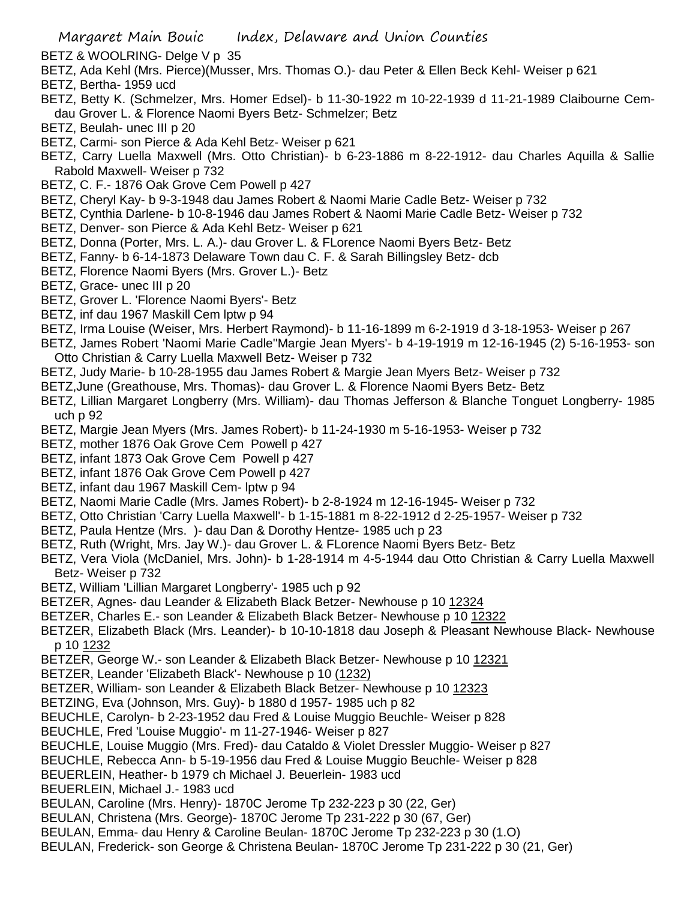BETZ & WOOLRING- Delge V p 35

- BETZ, Ada Kehl (Mrs. Pierce)(Musser, Mrs. Thomas O.)- dau Peter & Ellen Beck Kehl- Weiser p 621
- BETZ, Bertha- 1959 ucd
- BETZ, Betty K. (Schmelzer, Mrs. Homer Edsel)- b 11-30-1922 m 10-22-1939 d 11-21-1989 Claibourne Cemdau Grover L. & Florence Naomi Byers Betz- Schmelzer; Betz
- BETZ, Beulah- unec III p 20
- BETZ, Carmi- son Pierce & Ada Kehl Betz- Weiser p 621
- BETZ, Carry Luella Maxwell (Mrs. Otto Christian)- b 6-23-1886 m 8-22-1912- dau Charles Aquilla & Sallie Rabold Maxwell- Weiser p 732
- BETZ, C. F.- 1876 Oak Grove Cem Powell p 427
- BETZ, Cheryl Kay- b 9-3-1948 dau James Robert & Naomi Marie Cadle Betz- Weiser p 732
- BETZ, Cynthia Darlene- b 10-8-1946 dau James Robert & Naomi Marie Cadle Betz- Weiser p 732
- BETZ, Denver- son Pierce & Ada Kehl Betz- Weiser p 621
- BETZ, Donna (Porter, Mrs. L. A.)- dau Grover L. & FLorence Naomi Byers Betz- Betz
- BETZ, Fanny- b 6-14-1873 Delaware Town dau C. F. & Sarah Billingsley Betz- dcb
- BETZ, Florence Naomi Byers (Mrs. Grover L.)- Betz
- BETZ, Grace- unec III p 20
- BETZ, Grover L. 'Florence Naomi Byers'- Betz
- BETZ, inf dau 1967 Maskill Cem lptw p 94
- BETZ, Irma Louise (Weiser, Mrs. Herbert Raymond)- b 11-16-1899 m 6-2-1919 d 3-18-1953- Weiser p 267
- BETZ, James Robert 'Naomi Marie Cadle''Margie Jean Myers'- b 4-19-1919 m 12-16-1945 (2) 5-16-1953- son Otto Christian & Carry Luella Maxwell Betz- Weiser p 732
- BETZ, Judy Marie- b 10-28-1955 dau James Robert & Margie Jean Myers Betz- Weiser p 732
- BETZ,June (Greathouse, Mrs. Thomas)- dau Grover L. & Florence Naomi Byers Betz- Betz
- BETZ, Lillian Margaret Longberry (Mrs. William)- dau Thomas Jefferson & Blanche Tonguet Longberry- 1985 uch p 92
- BETZ, Margie Jean Myers (Mrs. James Robert)- b 11-24-1930 m 5-16-1953- Weiser p 732
- BETZ, mother 1876 Oak Grove Cem Powell p 427
- BETZ, infant 1873 Oak Grove Cem Powell p 427
- BETZ, infant 1876 Oak Grove Cem Powell p 427
- BETZ, infant dau 1967 Maskill Cem- lptw p 94
- BETZ, Naomi Marie Cadle (Mrs. James Robert)- b 2-8-1924 m 12-16-1945- Weiser p 732
- BETZ, Otto Christian 'Carry Luella Maxwell'- b 1-15-1881 m 8-22-1912 d 2-25-1957- Weiser p 732
- BETZ, Paula Hentze (Mrs. )- dau Dan & Dorothy Hentze- 1985 uch p 23
- BETZ, Ruth (Wright, Mrs. Jay W.)- dau Grover L. & FLorence Naomi Byers Betz- Betz
- BETZ, Vera Viola (McDaniel, Mrs. John)- b 1-28-1914 m 4-5-1944 dau Otto Christian & Carry Luella Maxwell Betz- Weiser p 732
- BETZ, William 'Lillian Margaret Longberry'- 1985 uch p 92
- BETZER, Agnes- dau Leander & Elizabeth Black Betzer- Newhouse p 10 12324
- BETZER, Charles E.- son Leander & Elizabeth Black Betzer- Newhouse p 10 12322
- BETZER, Elizabeth Black (Mrs. Leander)- b 10-10-1818 dau Joseph & Pleasant Newhouse Black- Newhouse p 10 1232
- BETZER, George W.- son Leander & Elizabeth Black Betzer- Newhouse p 10 12321
- BETZER, Leander 'Elizabeth Black'- Newhouse p 10 (1232)
- BETZER, William- son Leander & Elizabeth Black Betzer- Newhouse p 10 12323
- BETZING, Eva (Johnson, Mrs. Guy)- b 1880 d 1957- 1985 uch p 82
- BEUCHLE, Carolyn- b 2-23-1952 dau Fred & Louise Muggio Beuchle- Weiser p 828
- BEUCHLE, Fred 'Louise Muggio'- m 11-27-1946- Weiser p 827
- BEUCHLE, Louise Muggio (Mrs. Fred)- dau Cataldo & Violet Dressler Muggio- Weiser p 827
- BEUCHLE, Rebecca Ann- b 5-19-1956 dau Fred & Louise Muggio Beuchle- Weiser p 828
- BEUERLEIN, Heather- b 1979 ch Michael J. Beuerlein- 1983 ucd
- BEUERLEIN, Michael J.- 1983 ucd
- BEULAN, Caroline (Mrs. Henry)- 1870C Jerome Tp 232-223 p 30 (22, Ger)
- BEULAN, Christena (Mrs. George)- 1870C Jerome Tp 231-222 p 30 (67, Ger)
- BEULAN, Emma- dau Henry & Caroline Beulan- 1870C Jerome Tp 232-223 p 30 (1.O)
- BEULAN, Frederick- son George & Christena Beulan- 1870C Jerome Tp 231-222 p 30 (21, Ger)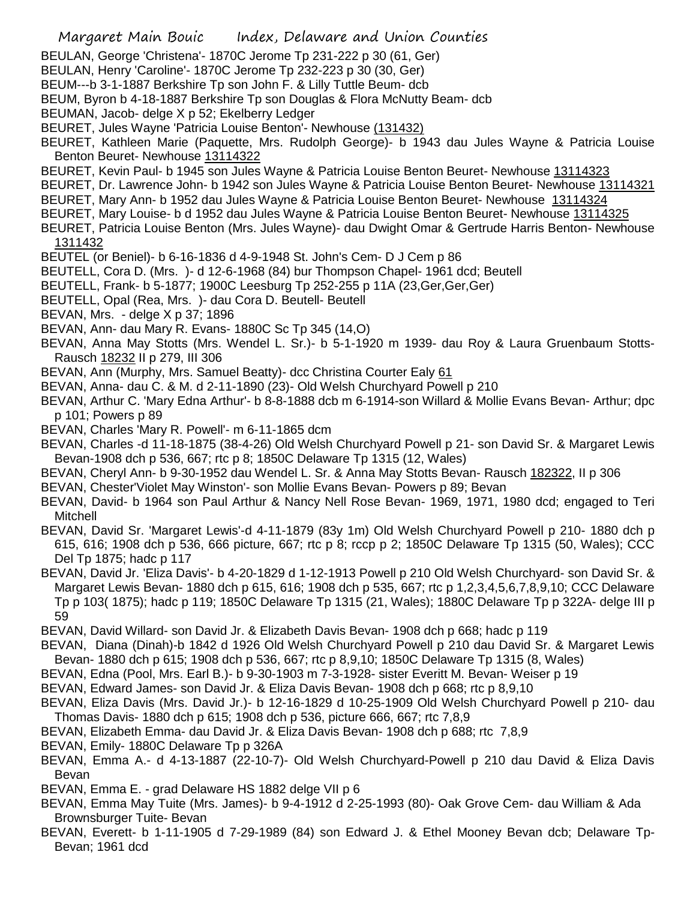- BEULAN, George 'Christena'- 1870C Jerome Tp 231-222 p 30 (61, Ger)
- BEULAN, Henry 'Caroline'- 1870C Jerome Tp 232-223 p 30 (30, Ger)
- BEUM---b 3-1-1887 Berkshire Tp son John F. & Lilly Tuttle Beum- dcb
- BEUM, Byron b 4-18-1887 Berkshire Tp son Douglas & Flora McNutty Beam- dcb
- BEUMAN, Jacob- delge X p 52; Ekelberry Ledger
- BEURET, Jules Wayne 'Patricia Louise Benton'- Newhouse (131432)
- BEURET, Kathleen Marie (Paquette, Mrs. Rudolph George)- b 1943 dau Jules Wayne & Patricia Louise Benton Beuret- Newhouse 13114322
- BEURET, Kevin Paul- b 1945 son Jules Wayne & Patricia Louise Benton Beuret- Newhouse 13114323
- BEURET, Dr. Lawrence John- b 1942 son Jules Wayne & Patricia Louise Benton Beuret- Newhouse 13114321
- BEURET, Mary Ann- b 1952 dau Jules Wayne & Patricia Louise Benton Beuret- Newhouse 13114324
- BEURET, Mary Louise- b d 1952 dau Jules Wayne & Patricia Louise Benton Beuret- Newhouse 13114325
- BEURET, Patricia Louise Benton (Mrs. Jules Wayne)- dau Dwight Omar & Gertrude Harris Benton- Newhouse 1311432
- BEUTEL (or Beniel)- b 6-16-1836 d 4-9-1948 St. John's Cem- D J Cem p 86
- BEUTELL, Cora D. (Mrs. )- d 12-6-1968 (84) bur Thompson Chapel- 1961 dcd; Beutell
- BEUTELL, Frank- b 5-1877; 1900C Leesburg Tp 252-255 p 11A (23,Ger,Ger,Ger)
- BEUTELL, Opal (Rea, Mrs. )- dau Cora D. Beutell- Beutell
- BEVAN, Mrs. delge X p 37; 1896
- BEVAN, Ann- dau Mary R. Evans- 1880C Sc Tp 345 (14,O)
- BEVAN, Anna May Stotts (Mrs. Wendel L. Sr.)- b 5-1-1920 m 1939- dau Roy & Laura Gruenbaum Stotts-Rausch 18232 II p 279, III 306
- BEVAN, Ann (Murphy, Mrs. Samuel Beatty)- dcc Christina Courter Ealy 61
- BEVAN, Anna- dau C. & M. d 2-11-1890 (23)- Old Welsh Churchyard Powell p 210
- BEVAN, Arthur C. 'Mary Edna Arthur'- b 8-8-1888 dcb m 6-1914-son Willard & Mollie Evans Bevan- Arthur; dpc p 101; Powers p 89
- BEVAN, Charles 'Mary R. Powell'- m 6-11-1865 dcm
- BEVAN, Charles -d 11-18-1875 (38-4-26) Old Welsh Churchyard Powell p 21- son David Sr. & Margaret Lewis Bevan-1908 dch p 536, 667; rtc p 8; 1850C Delaware Tp 1315 (12, Wales)
- BEVAN, Cheryl Ann- b 9-30-1952 dau Wendel L. Sr. & Anna May Stotts Bevan- Rausch 182322, II p 306
- BEVAN, Chester'Violet May Winston'- son Mollie Evans Bevan- Powers p 89; Bevan
- BEVAN, David- b 1964 son Paul Arthur & Nancy Nell Rose Bevan- 1969, 1971, 1980 dcd; engaged to Teri Mitchell
- BEVAN, David Sr. 'Margaret Lewis'-d 4-11-1879 (83y 1m) Old Welsh Churchyard Powell p 210- 1880 dch p 615, 616; 1908 dch p 536, 666 picture, 667; rtc p 8; rccp p 2; 1850C Delaware Tp 1315 (50, Wales); CCC Del Tp 1875; hadc p 117
- BEVAN, David Jr. 'Eliza Davis'- b 4-20-1829 d 1-12-1913 Powell p 210 Old Welsh Churchyard- son David Sr. & Margaret Lewis Bevan- 1880 dch p 615, 616; 1908 dch p 535, 667; rtc p 1,2,3,4,5,6,7,8,9,10; CCC Delaware Tp p 103( 1875); hadc p 119; 1850C Delaware Tp 1315 (21, Wales); 1880C Delaware Tp p 322A- delge III p 59
- BEVAN, David Willard- son David Jr. & Elizabeth Davis Bevan- 1908 dch p 668; hadc p 119
- BEVAN, Diana (Dinah)-b 1842 d 1926 Old Welsh Churchyard Powell p 210 dau David Sr. & Margaret Lewis Bevan- 1880 dch p 615; 1908 dch p 536, 667; rtc p 8,9,10; 1850C Delaware Tp 1315 (8, Wales)
- BEVAN, Edna (Pool, Mrs. Earl B.)- b 9-30-1903 m 7-3-1928- sister Everitt M. Bevan- Weiser p 19
- BEVAN, Edward James- son David Jr. & Eliza Davis Bevan- 1908 dch p 668; rtc p 8,9,10
- BEVAN, Eliza Davis (Mrs. David Jr.)- b 12-16-1829 d 10-25-1909 Old Welsh Churchyard Powell p 210- dau Thomas Davis- 1880 dch p 615; 1908 dch p 536, picture 666, 667; rtc 7,8,9
- BEVAN, Elizabeth Emma- dau David Jr. & Eliza Davis Bevan- 1908 dch p 688; rtc 7,8,9
- BEVAN, Emily- 1880C Delaware Tp p 326A
- BEVAN, Emma A.- d 4-13-1887 (22-10-7)- Old Welsh Churchyard-Powell p 210 dau David & Eliza Davis Bevan
- BEVAN, Emma E. grad Delaware HS 1882 delge VII p 6
- BEVAN, Emma May Tuite (Mrs. James)- b 9-4-1912 d 2-25-1993 (80)- Oak Grove Cem- dau William & Ada Brownsburger Tuite- Bevan
- BEVAN, Everett- b 1-11-1905 d 7-29-1989 (84) son Edward J. & Ethel Mooney Bevan dcb; Delaware Tp-Bevan; 1961 dcd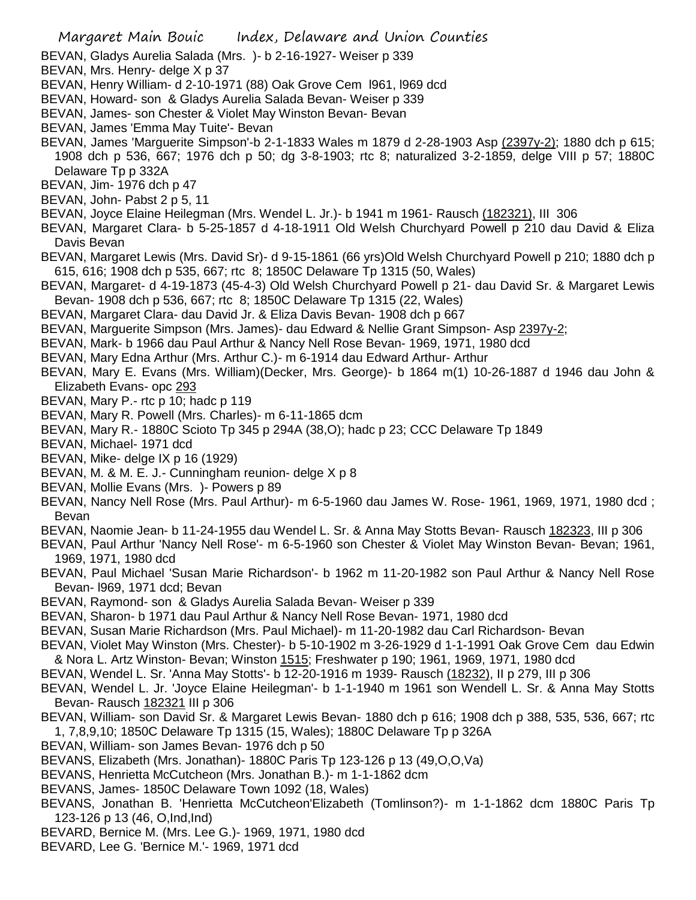- BEVAN, Gladys Aurelia Salada (Mrs. )- b 2-16-1927- Weiser p 339
- BEVAN, Mrs. Henry- delge X p 37
- BEVAN, Henry William- d 2-10-1971 (88) Oak Grove Cem l961, l969 dcd
- BEVAN, Howard- son & Gladys Aurelia Salada Bevan- Weiser p 339
- BEVAN, James- son Chester & Violet May Winston Bevan- Bevan
- BEVAN, James 'Emma May Tuite'- Bevan
- BEVAN, James 'Marguerite Simpson'-b 2-1-1833 Wales m 1879 d 2-28-1903 Asp (2397y-2); 1880 dch p 615; 1908 dch p 536, 667; 1976 dch p 50; dg 3-8-1903; rtc 8; naturalized 3-2-1859, delge VIII p 57; 1880C Delaware Tp p 332A
- BEVAN, Jim- 1976 dch p 47
- BEVAN, John- Pabst 2 p 5, 11
- BEVAN, Joyce Elaine Heilegman (Mrs. Wendel L. Jr.)- b 1941 m 1961- Rausch (182321), III 306
- BEVAN, Margaret Clara- b 5-25-1857 d 4-18-1911 Old Welsh Churchyard Powell p 210 dau David & Eliza Davis Bevan
- BEVAN, Margaret Lewis (Mrs. David Sr)- d 9-15-1861 (66 yrs)Old Welsh Churchyard Powell p 210; 1880 dch p 615, 616; 1908 dch p 535, 667; rtc 8; 1850C Delaware Tp 1315 (50, Wales)
- BEVAN, Margaret- d 4-19-1873 (45-4-3) Old Welsh Churchyard Powell p 21- dau David Sr. & Margaret Lewis Bevan- 1908 dch p 536, 667; rtc 8; 1850C Delaware Tp 1315 (22, Wales)
- BEVAN, Margaret Clara- dau David Jr. & Eliza Davis Bevan- 1908 dch p 667
- BEVAN, Marguerite Simpson (Mrs. James)- dau Edward & Nellie Grant Simpson- Asp 2397y-2;
- BEVAN, Mark- b 1966 dau Paul Arthur & Nancy Nell Rose Bevan- 1969, 1971, 1980 dcd
- BEVAN, Mary Edna Arthur (Mrs. Arthur C.)- m 6-1914 dau Edward Arthur- Arthur
- BEVAN, Mary E. Evans (Mrs. William)(Decker, Mrs. George)- b 1864 m(1) 10-26-1887 d 1946 dau John & Elizabeth Evans- opc 293
- BEVAN, Mary P.- rtc p 10; hadc p 119
- BEVAN, Mary R. Powell (Mrs. Charles)- m 6-11-1865 dcm
- BEVAN, Mary R.- 1880C Scioto Tp 345 p 294A (38,O); hadc p 23; CCC Delaware Tp 1849
- BEVAN, Michael- 1971 dcd
- BEVAN, Mike- delge IX p 16 (1929)
- BEVAN, M. & M. E. J.- Cunningham reunion- delge X p 8
- BEVAN, Mollie Evans (Mrs. )- Powers p 89
- BEVAN, Nancy Nell Rose (Mrs. Paul Arthur)- m 6-5-1960 dau James W. Rose- 1961, 1969, 1971, 1980 dcd ; Bevan
- BEVAN, Naomie Jean- b 11-24-1955 dau Wendel L. Sr. & Anna May Stotts Bevan- Rausch 182323, III p 306
- BEVAN, Paul Arthur 'Nancy Nell Rose'- m 6-5-1960 son Chester & Violet May Winston Bevan- Bevan; 1961, 1969, 1971, 1980 dcd
- BEVAN, Paul Michael 'Susan Marie Richardson'- b 1962 m 11-20-1982 son Paul Arthur & Nancy Nell Rose Bevan- l969, 1971 dcd; Bevan
- BEVAN, Raymond- son & Gladys Aurelia Salada Bevan- Weiser p 339
- BEVAN, Sharon- b 1971 dau Paul Arthur & Nancy Nell Rose Bevan- 1971, 1980 dcd
- BEVAN, Susan Marie Richardson (Mrs. Paul Michael)- m 11-20-1982 dau Carl Richardson- Bevan
- BEVAN, Violet May Winston (Mrs. Chester)- b 5-10-1902 m 3-26-1929 d 1-1-1991 Oak Grove Cem dau Edwin & Nora L. Artz Winston- Bevan; Winston 1515; Freshwater p 190; 1961, 1969, 1971, 1980 dcd
- BEVAN, Wendel L. Sr. 'Anna May Stotts'- b 12-20-1916 m 1939- Rausch (18232), II p 279, III p 306
- BEVAN, Wendel L. Jr. 'Joyce Elaine Heilegman'- b 1-1-1940 m 1961 son Wendell L. Sr. & Anna May Stotts Bevan- Rausch 182321 III p 306
- BEVAN, William- son David Sr. & Margaret Lewis Bevan- 1880 dch p 616; 1908 dch p 388, 535, 536, 667; rtc 1, 7,8,9,10; 1850C Delaware Tp 1315 (15, Wales); 1880C Delaware Tp p 326A
- BEVAN, William- son James Bevan- 1976 dch p 50
- BEVANS, Elizabeth (Mrs. Jonathan)- 1880C Paris Tp 123-126 p 13 (49,O,O,Va)
- BEVANS, Henrietta McCutcheon (Mrs. Jonathan B.)- m 1-1-1862 dcm
- BEVANS, James- 1850C Delaware Town 1092 (18, Wales)
- BEVANS, Jonathan B. 'Henrietta McCutcheon'Elizabeth (Tomlinson?)- m 1-1-1862 dcm 1880C Paris Tp 123-126 p 13 (46, O,Ind,Ind)
- BEVARD, Bernice M. (Mrs. Lee G.)- 1969, 1971, 1980 dcd
- BEVARD, Lee G. 'Bernice M.'- 1969, 1971 dcd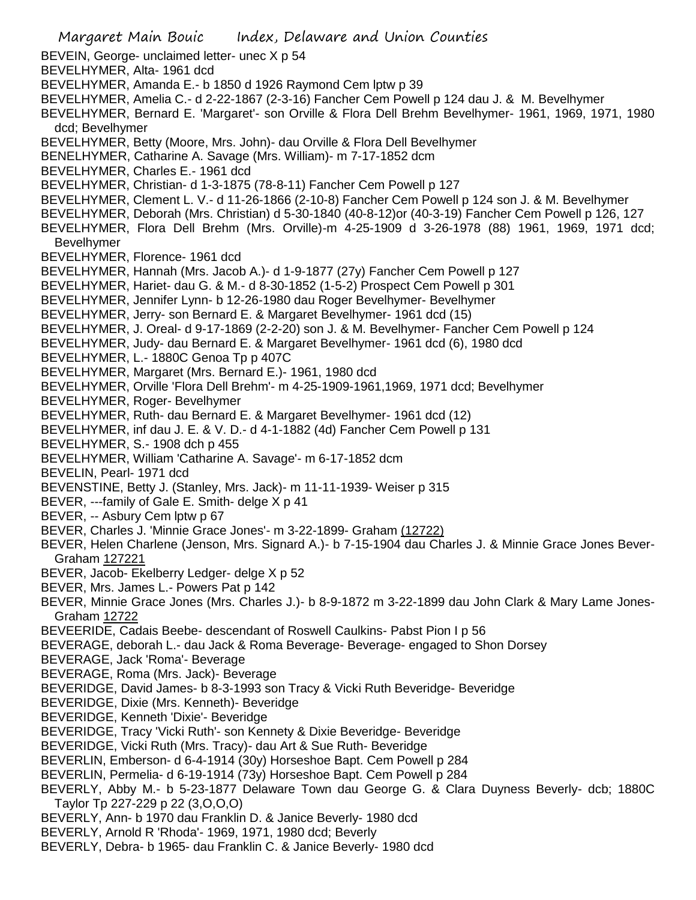Margaret Main Bouic Index, Delaware and Union Counties BEVEIN, George- unclaimed letter- unec X p 54 BEVELHYMER, Alta- 1961 dcd BEVELHYMER, Amanda E.- b 1850 d 1926 Raymond Cem lptw p 39 BEVELHYMER, Amelia C.- d 2-22-1867 (2-3-16) Fancher Cem Powell p 124 dau J. & M. Bevelhymer BEVELHYMER, Bernard E. 'Margaret'- son Orville & Flora Dell Brehm Bevelhymer- 1961, 1969, 1971, 1980 dcd; Bevelhymer BEVELHYMER, Betty (Moore, Mrs. John)- dau Orville & Flora Dell Bevelhymer BENELHYMER, Catharine A. Savage (Mrs. William)- m 7-17-1852 dcm BEVELHYMER, Charles E.- 1961 dcd BEVELHYMER, Christian- d 1-3-1875 (78-8-11) Fancher Cem Powell p 127 BEVELHYMER, Clement L. V.- d 11-26-1866 (2-10-8) Fancher Cem Powell p 124 son J. & M. Bevelhymer BEVELHYMER, Deborah (Mrs. Christian) d 5-30-1840 (40-8-12)or (40-3-19) Fancher Cem Powell p 126, 127 BEVELHYMER, Flora Dell Brehm (Mrs. Orville)-m 4-25-1909 d 3-26-1978 (88) 1961, 1969, 1971 dcd; Bevelhymer BEVELHYMER, Florence- 1961 dcd BEVELHYMER, Hannah (Mrs. Jacob A.)- d 1-9-1877 (27y) Fancher Cem Powell p 127 BEVELHYMER, Hariet- dau G. & M.- d 8-30-1852 (1-5-2) Prospect Cem Powell p 301 BEVELHYMER, Jennifer Lynn- b 12-26-1980 dau Roger Bevelhymer- Bevelhymer BEVELHYMER, Jerry- son Bernard E. & Margaret Bevelhymer- 1961 dcd (15) BEVELHYMER, J. Oreal- d 9-17-1869 (2-2-20) son J. & M. Bevelhymer- Fancher Cem Powell p 124 BEVELHYMER, Judy- dau Bernard E. & Margaret Bevelhymer- 1961 dcd (6), 1980 dcd BEVELHYMER, L.- 1880C Genoa Tp p 407C BEVELHYMER, Margaret (Mrs. Bernard E.)- 1961, 1980 dcd BEVELHYMER, Orville 'Flora Dell Brehm'- m 4-25-1909-1961,1969, 1971 dcd; Bevelhymer BEVELHYMER, Roger- Bevelhymer BEVELHYMER, Ruth- dau Bernard E. & Margaret Bevelhymer- 1961 dcd (12) BEVELHYMER, inf dau J. E. & V. D.- d 4-1-1882 (4d) Fancher Cem Powell p 131 BEVELHYMER, S.- 1908 dch p 455 BEVELHYMER, William 'Catharine A. Savage'- m 6-17-1852 dcm BEVELIN, Pearl- 1971 dcd BEVENSTINE, Betty J. (Stanley, Mrs. Jack)- m 11-11-1939- Weiser p 315 BEVER, ---family of Gale E. Smith- delge X p 41 BEVER, -- Asbury Cem lptw p 67 BEVER, Charles J. 'Minnie Grace Jones'- m 3-22-1899- Graham (12722) BEVER, Helen Charlene (Jenson, Mrs. Signard A.)- b 7-15-1904 dau Charles J. & Minnie Grace Jones Bever-Graham 127221 BEVER, Jacob- Ekelberry Ledger- delge X p 52 BEVER, Mrs. James L.- Powers Pat p 142 BEVER, Minnie Grace Jones (Mrs. Charles J.)- b 8-9-1872 m 3-22-1899 dau John Clark & Mary Lame Jones-Graham 12722 BEVEERIDE, Cadais Beebe- descendant of Roswell Caulkins- Pabst Pion I p 56 BEVERAGE, deborah L.- dau Jack & Roma Beverage- Beverage- engaged to Shon Dorsey BEVERAGE, Jack 'Roma'- Beverage BEVERAGE, Roma (Mrs. Jack)- Beverage BEVERIDGE, David James- b 8-3-1993 son Tracy & Vicki Ruth Beveridge- Beveridge BEVERIDGE, Dixie (Mrs. Kenneth)- Beveridge BEVERIDGE, Kenneth 'Dixie'- Beveridge BEVERIDGE, Tracy 'Vicki Ruth'- son Kennety & Dixie Beveridge- Beveridge BEVERIDGE, Vicki Ruth (Mrs. Tracy)- dau Art & Sue Ruth- Beveridge BEVERLIN, Emberson- d 6-4-1914 (30y) Horseshoe Bapt. Cem Powell p 284 BEVERLIN, Permelia- d 6-19-1914 (73y) Horseshoe Bapt. Cem Powell p 284 BEVERLY, Abby M.- b 5-23-1877 Delaware Town dau George G. & Clara Duyness Beverly- dcb; 1880C Taylor Tp 227-229 p 22 (3,O,O,O) BEVERLY, Ann- b 1970 dau Franklin D. & Janice Beverly- 1980 dcd BEVERLY, Arnold R 'Rhoda'- 1969, 1971, 1980 dcd; Beverly BEVERLY, Debra- b 1965- dau Franklin C. & Janice Beverly- 1980 dcd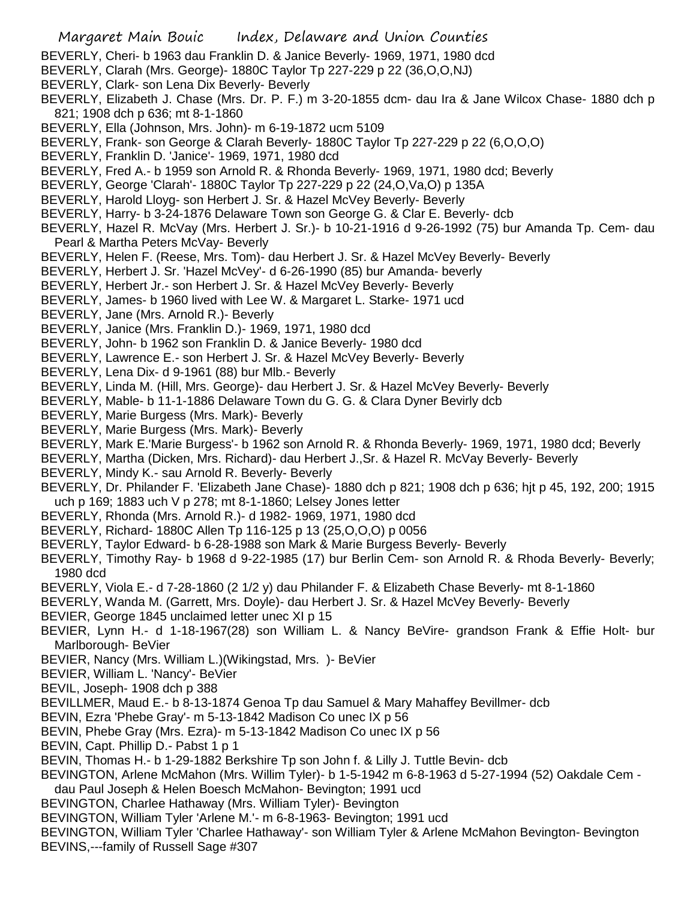- BEVERLY, Cheri- b 1963 dau Franklin D. & Janice Beverly- 1969, 1971, 1980 dcd
- BEVERLY, Clarah (Mrs. George)- 1880C Taylor Tp 227-229 p 22 (36,O,O,NJ)
- BEVERLY, Clark- son Lena Dix Beverly- Beverly
- BEVERLY, Elizabeth J. Chase (Mrs. Dr. P. F.) m 3-20-1855 dcm- dau Ira & Jane Wilcox Chase- 1880 dch p 821; 1908 dch p 636; mt 8-1-1860
- BEVERLY, Ella (Johnson, Mrs. John)- m 6-19-1872 ucm 5109
- BEVERLY, Frank- son George & Clarah Beverly- 1880C Taylor Tp 227-229 p 22 (6,O,O,O)
- BEVERLY, Franklin D. 'Janice'- 1969, 1971, 1980 dcd
- BEVERLY, Fred A.- b 1959 son Arnold R. & Rhonda Beverly- 1969, 1971, 1980 dcd; Beverly
- BEVERLY, George 'Clarah'- 1880C Taylor Tp 227-229 p 22 (24,O,Va,O) p 135A
- BEVERLY, Harold Lloyg- son Herbert J. Sr. & Hazel McVey Beverly- Beverly
- BEVERLY, Harry- b 3-24-1876 Delaware Town son George G. & Clar E. Beverly- dcb
- BEVERLY, Hazel R. McVay (Mrs. Herbert J. Sr.)- b 10-21-1916 d 9-26-1992 (75) bur Amanda Tp. Cem- dau Pearl & Martha Peters McVay- Beverly
- BEVERLY, Helen F. (Reese, Mrs. Tom)- dau Herbert J. Sr. & Hazel McVey Beverly- Beverly
- BEVERLY, Herbert J. Sr. 'Hazel McVey'- d 6-26-1990 (85) bur Amanda- beverly
- BEVERLY, Herbert Jr.- son Herbert J. Sr. & Hazel McVey Beverly- Beverly
- BEVERLY, James- b 1960 lived with Lee W. & Margaret L. Starke- 1971 ucd
- BEVERLY, Jane (Mrs. Arnold R.)- Beverly
- BEVERLY, Janice (Mrs. Franklin D.)- 1969, 1971, 1980 dcd
- BEVERLY, John- b 1962 son Franklin D. & Janice Beverly- 1980 dcd
- BEVERLY, Lawrence E.- son Herbert J. Sr. & Hazel McVey Beverly- Beverly
- BEVERLY, Lena Dix- d 9-1961 (88) bur Mlb.- Beverly
- BEVERLY, Linda M. (Hill, Mrs. George)- dau Herbert J. Sr. & Hazel McVey Beverly- Beverly
- BEVERLY, Mable- b 11-1-1886 Delaware Town du G. G. & Clara Dyner Bevirly dcb
- BEVERLY, Marie Burgess (Mrs. Mark)- Beverly
- BEVERLY, Marie Burgess (Mrs. Mark)- Beverly
- BEVERLY, Mark E.'Marie Burgess'- b 1962 son Arnold R. & Rhonda Beverly- 1969, 1971, 1980 dcd; Beverly
- BEVERLY, Martha (Dicken, Mrs. Richard)- dau Herbert J.,Sr. & Hazel R. McVay Beverly- Beverly
- BEVERLY, Mindy K.- sau Arnold R. Beverly- Beverly
- BEVERLY, Dr. Philander F. 'Elizabeth Jane Chase)- 1880 dch p 821; 1908 dch p 636; hjt p 45, 192, 200; 1915 uch p 169; 1883 uch V p 278; mt 8-1-1860; Lelsey Jones letter
- BEVERLY, Rhonda (Mrs. Arnold R.)- d 1982- 1969, 1971, 1980 dcd
- BEVERLY, Richard- 1880C Allen Tp 116-125 p 13 (25,O,O,O) p 0056
- BEVERLY, Taylor Edward- b 6-28-1988 son Mark & Marie Burgess Beverly- Beverly
- BEVERLY, Timothy Ray- b 1968 d 9-22-1985 (17) bur Berlin Cem- son Arnold R. & Rhoda Beverly- Beverly; 1980 dcd
- BEVERLY, Viola E.- d 7-28-1860 (2 1/2 y) dau Philander F. & Elizabeth Chase Beverly- mt 8-1-1860
- BEVERLY, Wanda M. (Garrett, Mrs. Doyle)- dau Herbert J. Sr. & Hazel McVey Beverly- Beverly
- BEVIER, George 1845 unclaimed letter unec XI p 15
- BEVIER, Lynn H.- d 1-18-1967(28) son William L. & Nancy BeVire- grandson Frank & Effie Holt- bur Marlborough- BeVier
- BEVIER, Nancy (Mrs. William L.)(Wikingstad, Mrs. )- BeVier
- BEVIER, William L. 'Nancy'- BeVier
- BEVIL, Joseph- 1908 dch p 388
- BEVILLMER, Maud E.- b 8-13-1874 Genoa Tp dau Samuel & Mary Mahaffey Bevillmer- dcb
- BEVIN, Ezra 'Phebe Gray'- m 5-13-1842 Madison Co unec IX p 56
- BEVIN, Phebe Gray (Mrs. Ezra)- m 5-13-1842 Madison Co unec IX p 56
- BEVIN, Capt. Phillip D.- Pabst 1 p 1
- BEVIN, Thomas H.- b 1-29-1882 Berkshire Tp son John f. & Lilly J. Tuttle Bevin- dcb
- BEVINGTON, Arlene McMahon (Mrs. Willim Tyler)- b 1-5-1942 m 6-8-1963 d 5-27-1994 (52) Oakdale Cem -
- dau Paul Joseph & Helen Boesch McMahon- Bevington; 1991 ucd
- BEVINGTON, Charlee Hathaway (Mrs. William Tyler)- Bevington
- BEVINGTON, William Tyler 'Arlene M.'- m 6-8-1963- Bevington; 1991 ucd
- BEVINGTON, William Tyler 'Charlee Hathaway'- son William Tyler & Arlene McMahon Bevington- Bevington BEVINS,---family of Russell Sage #307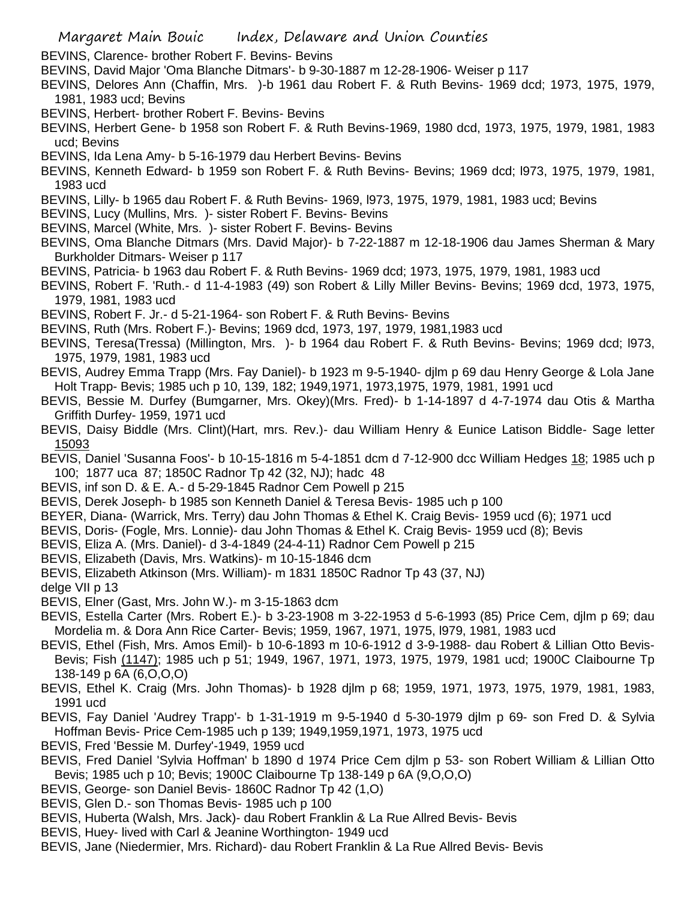BEVINS, Clarence- brother Robert F. Bevins- Bevins

- BEVINS, David Major 'Oma Blanche Ditmars'- b 9-30-1887 m 12-28-1906- Weiser p 117
- BEVINS, Delores Ann (Chaffin, Mrs. )-b 1961 dau Robert F. & Ruth Bevins- 1969 dcd; 1973, 1975, 1979, 1981, 1983 ucd; Bevins
- BEVINS, Herbert- brother Robert F. Bevins- Bevins
- BEVINS, Herbert Gene- b 1958 son Robert F. & Ruth Bevins-1969, 1980 dcd, 1973, 1975, 1979, 1981, 1983 ucd; Bevins
- BEVINS, Ida Lena Amy- b 5-16-1979 dau Herbert Bevins- Bevins
- BEVINS, Kenneth Edward- b 1959 son Robert F. & Ruth Bevins- Bevins; 1969 dcd; l973, 1975, 1979, 1981, 1983 ucd
- BEVINS, Lilly- b 1965 dau Robert F. & Ruth Bevins- 1969, l973, 1975, 1979, 1981, 1983 ucd; Bevins
- BEVINS, Lucy (Mullins, Mrs. )- sister Robert F. Bevins- Bevins
- BEVINS, Marcel (White, Mrs. )- sister Robert F. Bevins- Bevins
- BEVINS, Oma Blanche Ditmars (Mrs. David Major)- b 7-22-1887 m 12-18-1906 dau James Sherman & Mary Burkholder Ditmars- Weiser p 117
- BEVINS, Patricia- b 1963 dau Robert F. & Ruth Bevins- 1969 dcd; 1973, 1975, 1979, 1981, 1983 ucd
- BEVINS, Robert F. 'Ruth.- d 11-4-1983 (49) son Robert & Lilly Miller Bevins- Bevins; 1969 dcd, 1973, 1975, 1979, 1981, 1983 ucd
- BEVINS, Robert F. Jr.- d 5-21-1964- son Robert F. & Ruth Bevins- Bevins
- BEVINS, Ruth (Mrs. Robert F.)- Bevins; 1969 dcd, 1973, 197, 1979, 1981,1983 ucd
- BEVINS, Teresa(Tressa) (Millington, Mrs. )- b 1964 dau Robert F. & Ruth Bevins- Bevins; 1969 dcd; l973, 1975, 1979, 1981, 1983 ucd
- BEVIS, Audrey Emma Trapp (Mrs. Fay Daniel)- b 1923 m 9-5-1940- djlm p 69 dau Henry George & Lola Jane Holt Trapp- Bevis; 1985 uch p 10, 139, 182; 1949,1971, 1973,1975, 1979, 1981, 1991 ucd
- BEVIS, Bessie M. Durfey (Bumgarner, Mrs. Okey)(Mrs. Fred)- b 1-14-1897 d 4-7-1974 dau Otis & Martha Griffith Durfey- 1959, 1971 ucd
- BEVIS, Daisy Biddle (Mrs. Clint)(Hart, mrs. Rev.)- dau William Henry & Eunice Latison Biddle- Sage letter 15093
- BEVIS, Daniel 'Susanna Foos'- b 10-15-1816 m 5-4-1851 dcm d 7-12-900 dcc William Hedges 18; 1985 uch p 100; 1877 uca 87; 1850C Radnor Tp 42 (32, NJ); hadc 48
- BEVIS, inf son D. & E. A.- d 5-29-1845 Radnor Cem Powell p 215
- BEVIS, Derek Joseph- b 1985 son Kenneth Daniel & Teresa Bevis- 1985 uch p 100
- BEYER, Diana- (Warrick, Mrs. Terry) dau John Thomas & Ethel K. Craig Bevis- 1959 ucd (6); 1971 ucd
- BEVIS, Doris- (Fogle, Mrs. Lonnie)- dau John Thomas & Ethel K. Craig Bevis- 1959 ucd (8); Bevis
- BEVIS, Eliza A. (Mrs. Daniel)- d 3-4-1849 (24-4-11) Radnor Cem Powell p 215
- BEVIS, Elizabeth (Davis, Mrs. Watkins)- m 10-15-1846 dcm
- BEVIS, Elizabeth Atkinson (Mrs. William)- m 1831 1850C Radnor Tp 43 (37, NJ)

delge VII p 13

- BEVIS, Elner (Gast, Mrs. John W.)- m 3-15-1863 dcm
- BEVIS, Estella Carter (Mrs. Robert E.)- b 3-23-1908 m 3-22-1953 d 5-6-1993 (85) Price Cem, djlm p 69; dau Mordelia m. & Dora Ann Rice Carter- Bevis; 1959, 1967, 1971, 1975, l979, 1981, 1983 ucd
- BEVIS, Ethel (Fish, Mrs. Amos Emil)- b 10-6-1893 m 10-6-1912 d 3-9-1988- dau Robert & Lillian Otto Bevis-Bevis; Fish (1147); 1985 uch p 51; 1949, 1967, 1971, 1973, 1975, 1979, 1981 ucd; 1900C Claibourne Tp 138-149 p 6A (6,O,O,O)
- BEVIS, Ethel K. Craig (Mrs. John Thomas)- b 1928 djlm p 68; 1959, 1971, 1973, 1975, 1979, 1981, 1983, 1991 ucd
- BEVIS, Fay Daniel 'Audrey Trapp'- b 1-31-1919 m 9-5-1940 d 5-30-1979 djlm p 69- son Fred D. & Sylvia Hoffman Bevis- Price Cem-1985 uch p 139; 1949,1959,1971, 1973, 1975 ucd
- BEVIS, Fred 'Bessie M. Durfey'-1949, 1959 ucd
- BEVIS, Fred Daniel 'Sylvia Hoffman' b 1890 d 1974 Price Cem djlm p 53- son Robert William & Lillian Otto Bevis; 1985 uch p 10; Bevis; 1900C Claibourne Tp 138-149 p 6A (9,O,O,O)
- BEVIS, George- son Daniel Bevis- 1860C Radnor Tp 42 (1,O)
- BEVIS, Glen D.- son Thomas Bevis- 1985 uch p 100
- BEVIS, Huberta (Walsh, Mrs. Jack)- dau Robert Franklin & La Rue Allred Bevis- Bevis
- BEVIS, Huey- lived with Carl & Jeanine Worthington- 1949 ucd
- BEVIS, Jane (Niedermier, Mrs. Richard)- dau Robert Franklin & La Rue Allred Bevis- Bevis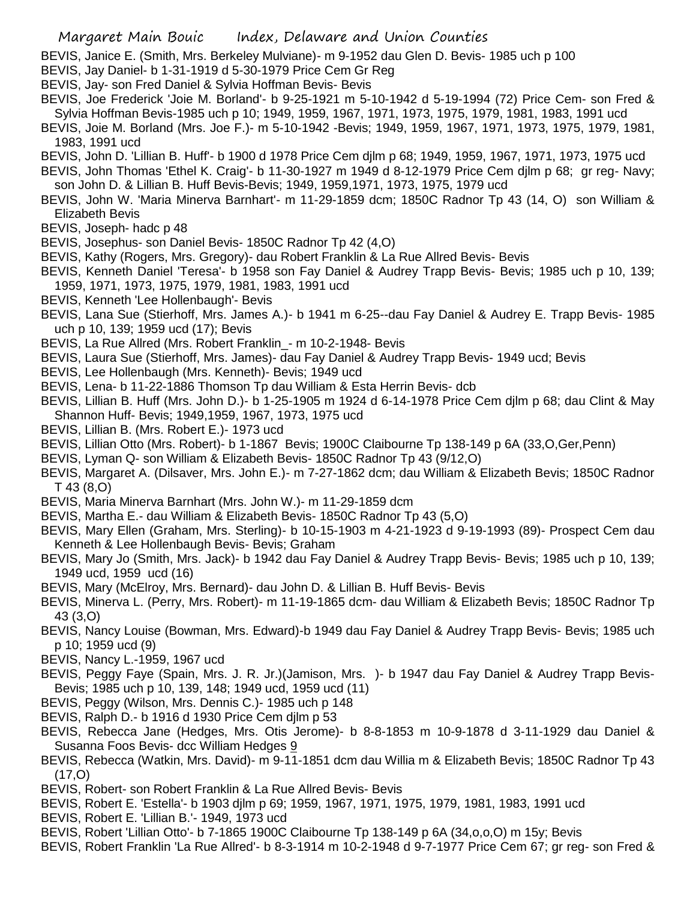BEVIS, Janice E. (Smith, Mrs. Berkeley Mulviane)- m 9-1952 dau Glen D. Bevis- 1985 uch p 100

- BEVIS, Jay Daniel- b 1-31-1919 d 5-30-1979 Price Cem Gr Reg
- BEVIS, Jay- son Fred Daniel & Sylvia Hoffman Bevis- Bevis
- BEVIS, Joe Frederick 'Joie M. Borland'- b 9-25-1921 m 5-10-1942 d 5-19-1994 (72) Price Cem- son Fred & Sylvia Hoffman Bevis-1985 uch p 10; 1949, 1959, 1967, 1971, 1973, 1975, 1979, 1981, 1983, 1991 ucd
- BEVIS, Joie M. Borland (Mrs. Joe F.)- m 5-10-1942 -Bevis; 1949, 1959, 1967, 1971, 1973, 1975, 1979, 1981, 1983, 1991 ucd
- BEVIS, John D. 'Lillian B. Huff'- b 1900 d 1978 Price Cem djlm p 68; 1949, 1959, 1967, 1971, 1973, 1975 ucd
- BEVIS, John Thomas 'Ethel K. Craig'- b 11-30-1927 m 1949 d 8-12-1979 Price Cem djlm p 68; gr reg- Navy; son John D. & Lillian B. Huff Bevis-Bevis; 1949, 1959,1971, 1973, 1975, 1979 ucd
- BEVIS, John W. 'Maria Minerva Barnhart'- m 11-29-1859 dcm; 1850C Radnor Tp 43 (14, O) son William & Elizabeth Bevis
- BEVIS, Joseph- hadc p 48
- BEVIS, Josephus- son Daniel Bevis- 1850C Radnor Tp 42 (4,O)
- BEVIS, Kathy (Rogers, Mrs. Gregory)- dau Robert Franklin & La Rue Allred Bevis- Bevis
- BEVIS, Kenneth Daniel 'Teresa'- b 1958 son Fay Daniel & Audrey Trapp Bevis- Bevis; 1985 uch p 10, 139; 1959, 1971, 1973, 1975, 1979, 1981, 1983, 1991 ucd
- BEVIS, Kenneth 'Lee Hollenbaugh'- Bevis
- BEVIS, Lana Sue (Stierhoff, Mrs. James A.)- b 1941 m 6-25--dau Fay Daniel & Audrey E. Trapp Bevis- 1985 uch p 10, 139; 1959 ucd (17); Bevis
- BEVIS, La Rue Allred (Mrs. Robert Franklin\_- m 10-2-1948- Bevis
- BEVIS, Laura Sue (Stierhoff, Mrs. James)- dau Fay Daniel & Audrey Trapp Bevis- 1949 ucd; Bevis
- BEVIS, Lee Hollenbaugh (Mrs. Kenneth)- Bevis; 1949 ucd
- BEVIS, Lena- b 11-22-1886 Thomson Tp dau William & Esta Herrin Bevis- dcb
- BEVIS, Lillian B. Huff (Mrs. John D.)- b 1-25-1905 m 1924 d 6-14-1978 Price Cem djlm p 68; dau Clint & May Shannon Huff- Bevis; 1949,1959, 1967, 1973, 1975 ucd
- BEVIS, Lillian B. (Mrs. Robert E.)- 1973 ucd
- BEVIS, Lillian Otto (Mrs. Robert)- b 1-1867 Bevis; 1900C Claibourne Tp 138-149 p 6A (33,O,Ger,Penn)
- BEVIS, Lyman Q- son William & Elizabeth Bevis- 1850C Radnor Tp 43 (9/12,O)
- BEVIS, Margaret A. (Dilsaver, Mrs. John E.)- m 7-27-1862 dcm; dau William & Elizabeth Bevis; 1850C Radnor T 43 (8,O)
- BEVIS, Maria Minerva Barnhart (Mrs. John W.)- m 11-29-1859 dcm
- BEVIS, Martha E.- dau William & Elizabeth Bevis- 1850C Radnor Tp 43 (5,O)
- BEVIS, Mary Ellen (Graham, Mrs. Sterling)- b 10-15-1903 m 4-21-1923 d 9-19-1993 (89)- Prospect Cem dau Kenneth & Lee Hollenbaugh Bevis- Bevis; Graham
- BEVIS, Mary Jo (Smith, Mrs. Jack)- b 1942 dau Fay Daniel & Audrey Trapp Bevis- Bevis; 1985 uch p 10, 139; 1949 ucd, 1959 ucd (16)
- BEVIS, Mary (McElroy, Mrs. Bernard)- dau John D. & Lillian B. Huff Bevis- Bevis
- BEVIS, Minerva L. (Perry, Mrs. Robert)- m 11-19-1865 dcm- dau William & Elizabeth Bevis; 1850C Radnor Tp 43 (3,O)
- BEVIS, Nancy Louise (Bowman, Mrs. Edward)-b 1949 dau Fay Daniel & Audrey Trapp Bevis- Bevis; 1985 uch p 10; 1959 ucd (9)
- BEVIS, Nancy L.-1959, 1967 ucd
- BEVIS, Peggy Faye (Spain, Mrs. J. R. Jr.)(Jamison, Mrs. )- b 1947 dau Fay Daniel & Audrey Trapp Bevis-Bevis; 1985 uch p 10, 139, 148; 1949 ucd, 1959 ucd (11)
- BEVIS, Peggy (Wilson, Mrs. Dennis C.)- 1985 uch p 148
- BEVIS, Ralph D.- b 1916 d 1930 Price Cem djlm p 53
- BEVIS, Rebecca Jane (Hedges, Mrs. Otis Jerome)- b 8-8-1853 m 10-9-1878 d 3-11-1929 dau Daniel & Susanna Foos Bevis- dcc William Hedges 9
- BEVIS, Rebecca (Watkin, Mrs. David)- m 9-11-1851 dcm dau Willia m & Elizabeth Bevis; 1850C Radnor Tp 43  $(17, 0)$
- BEVIS, Robert- son Robert Franklin & La Rue Allred Bevis- Bevis
- BEVIS, Robert E. 'Estella'- b 1903 djlm p 69; 1959, 1967, 1971, 1975, 1979, 1981, 1983, 1991 ucd
- BEVIS, Robert E. 'Lillian B.'- 1949, 1973 ucd
- BEVIS, Robert 'Lillian Otto'- b 7-1865 1900C Claibourne Tp 138-149 p 6A (34,o,o,O) m 15y; Bevis
- BEVIS, Robert Franklin 'La Rue Allred'- b 8-3-1914 m 10-2-1948 d 9-7-1977 Price Cem 67; gr reg- son Fred &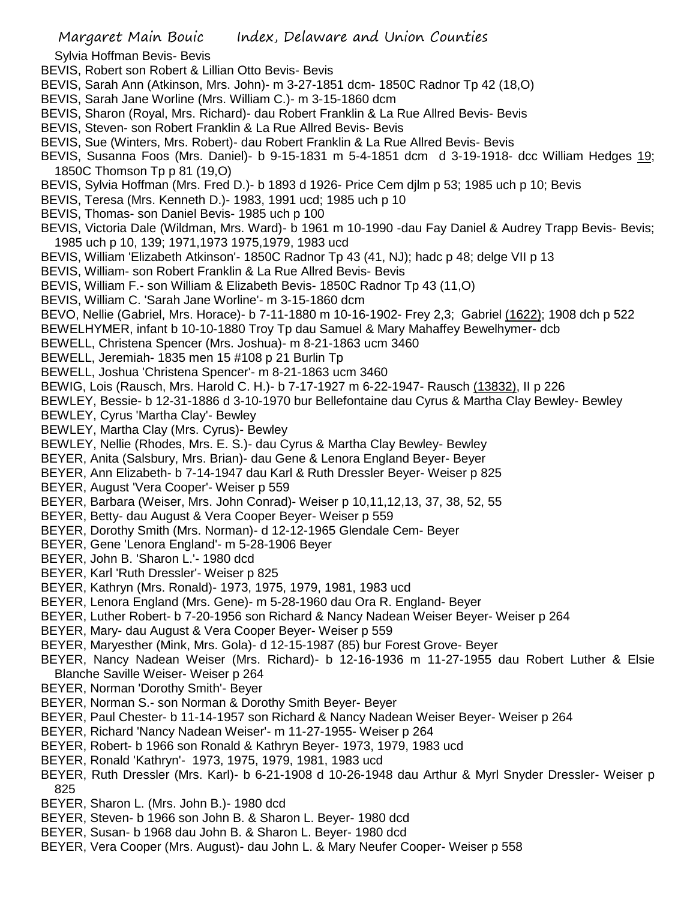## Sylvia Hoffman Bevis- Bevis

- BEVIS, Robert son Robert & Lillian Otto Bevis- Bevis
- BEVIS, Sarah Ann (Atkinson, Mrs. John)- m 3-27-1851 dcm- 1850C Radnor Tp 42 (18,O)
- BEVIS, Sarah Jane Worline (Mrs. William C.)- m 3-15-1860 dcm
- BEVIS, Sharon (Royal, Mrs. Richard)- dau Robert Franklin & La Rue Allred Bevis- Bevis
- BEVIS, Steven- son Robert Franklin & La Rue Allred Bevis- Bevis
- BEVIS, Sue (Winters, Mrs. Robert)- dau Robert Franklin & La Rue Allred Bevis- Bevis
- BEVIS, Susanna Foos (Mrs. Daniel)- b 9-15-1831 m 5-4-1851 dcm d 3-19-1918- dcc William Hedges 19; 1850C Thomson Tp p 81 (19,O)
- BEVIS, Sylvia Hoffman (Mrs. Fred D.)- b 1893 d 1926- Price Cem djlm p 53; 1985 uch p 10; Bevis
- BEVIS, Teresa (Mrs. Kenneth D.)- 1983, 1991 ucd; 1985 uch p 10
- BEVIS, Thomas- son Daniel Bevis- 1985 uch p 100
- BEVIS, Victoria Dale (Wildman, Mrs. Ward)- b 1961 m 10-1990 -dau Fay Daniel & Audrey Trapp Bevis- Bevis; 1985 uch p 10, 139; 1971,1973 1975,1979, 1983 ucd
- BEVIS, William 'Elizabeth Atkinson'- 1850C Radnor Tp 43 (41, NJ); hadc p 48; delge VII p 13
- BEVIS, William- son Robert Franklin & La Rue Allred Bevis- Bevis
- BEVIS, William F.- son William & Elizabeth Bevis- 1850C Radnor Tp 43 (11,O)
- BEVIS, William C. 'Sarah Jane Worline'- m 3-15-1860 dcm
- BEVO, Nellie (Gabriel, Mrs. Horace)- b 7-11-1880 m 10-16-1902- Frey 2,3; Gabriel (1622); 1908 dch p 522
- BEWELHYMER, infant b 10-10-1880 Troy Tp dau Samuel & Mary Mahaffey Bewelhymer- dcb
- BEWELL, Christena Spencer (Mrs. Joshua)- m 8-21-1863 ucm 3460
- BEWELL, Jeremiah- 1835 men 15 #108 p 21 Burlin Tp
- BEWELL, Joshua 'Christena Spencer'- m 8-21-1863 ucm 3460
- BEWIG, Lois (Rausch, Mrs. Harold C. H.)- b 7-17-1927 m 6-22-1947- Rausch (13832), II p 226
- BEWLEY, Bessie- b 12-31-1886 d 3-10-1970 bur Bellefontaine dau Cyrus & Martha Clay Bewley- Bewley
- BEWLEY, Cyrus 'Martha Clay'- Bewley
- BEWLEY, Martha Clay (Mrs. Cyrus)- Bewley
- BEWLEY, Nellie (Rhodes, Mrs. E. S.)- dau Cyrus & Martha Clay Bewley- Bewley
- BEYER, Anita (Salsbury, Mrs. Brian)- dau Gene & Lenora England Beyer- Beyer
- BEYER, Ann Elizabeth- b 7-14-1947 dau Karl & Ruth Dressler Beyer- Weiser p 825
- BEYER, August 'Vera Cooper'- Weiser p 559
- BEYER, Barbara (Weiser, Mrs. John Conrad)- Weiser p 10,11,12,13, 37, 38, 52, 55
- BEYER, Betty- dau August & Vera Cooper Beyer- Weiser p 559
- BEYER, Dorothy Smith (Mrs. Norman)- d 12-12-1965 Glendale Cem- Beyer
- BEYER, Gene 'Lenora England'- m 5-28-1906 Beyer
- BEYER, John B. 'Sharon L.'- 1980 dcd
- BEYER, Karl 'Ruth Dressler'- Weiser p 825
- BEYER, Kathryn (Mrs. Ronald)- 1973, 1975, 1979, 1981, 1983 ucd
- BEYER, Lenora England (Mrs. Gene)- m 5-28-1960 dau Ora R. England- Beyer
- BEYER, Luther Robert- b 7-20-1956 son Richard & Nancy Nadean Weiser Beyer- Weiser p 264
- BEYER, Mary- dau August & Vera Cooper Beyer- Weiser p 559
- BEYER, Maryesther (Mink, Mrs. Gola)- d 12-15-1987 (85) bur Forest Grove- Beyer
- BEYER, Nancy Nadean Weiser (Mrs. Richard)- b 12-16-1936 m 11-27-1955 dau Robert Luther & Elsie Blanche Saville Weiser- Weiser p 264
- BEYER, Norman 'Dorothy Smith'- Beyer
- BEYER, Norman S.- son Norman & Dorothy Smith Beyer- Beyer
- BEYER, Paul Chester- b 11-14-1957 son Richard & Nancy Nadean Weiser Beyer- Weiser p 264
- BEYER, Richard 'Nancy Nadean Weiser'- m 11-27-1955- Weiser p 264
- BEYER, Robert- b 1966 son Ronald & Kathryn Beyer- 1973, 1979, 1983 ucd
- BEYER, Ronald 'Kathryn'- 1973, 1975, 1979, 1981, 1983 ucd
- BEYER, Ruth Dressler (Mrs. Karl)- b 6-21-1908 d 10-26-1948 dau Arthur & Myrl Snyder Dressler- Weiser p 825
- BEYER, Sharon L. (Mrs. John B.)- 1980 dcd
- BEYER, Steven- b 1966 son John B. & Sharon L. Beyer- 1980 dcd
- BEYER, Susan- b 1968 dau John B. & Sharon L. Beyer- 1980 dcd
- BEYER, Vera Cooper (Mrs. August)- dau John L. & Mary Neufer Cooper- Weiser p 558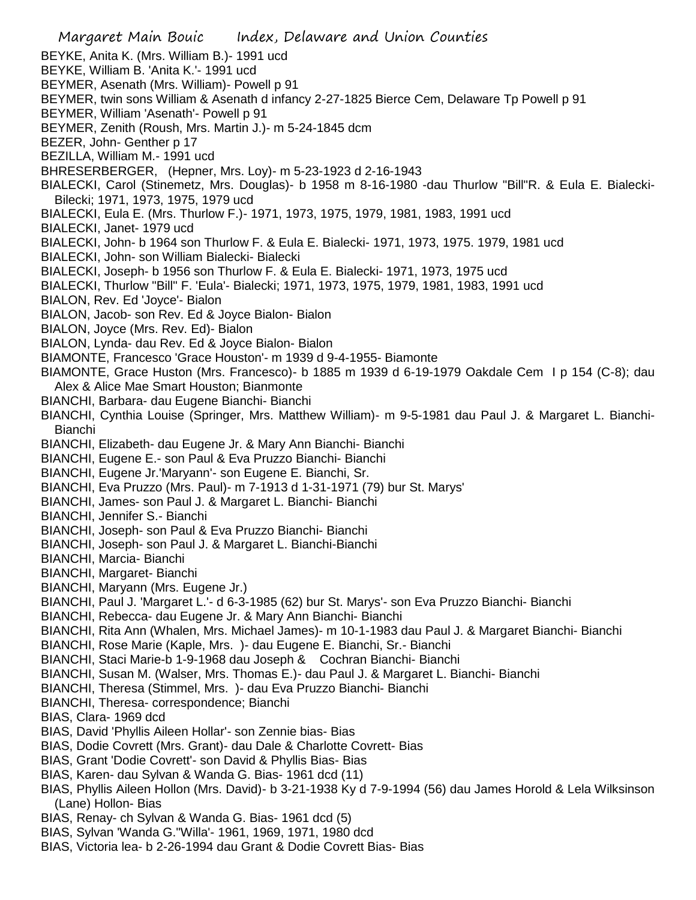Margaret Main Bouic Index, Delaware and Union Counties BEYKE, Anita K. (Mrs. William B.)- 1991 ucd BEYKE, William B. 'Anita K.'- 1991 ucd BEYMER, Asenath (Mrs. William)- Powell p 91 BEYMER, twin sons William & Asenath d infancy 2-27-1825 Bierce Cem, Delaware Tp Powell p 91 BEYMER, William 'Asenath'- Powell p 91 BEYMER, Zenith (Roush, Mrs. Martin J.)- m 5-24-1845 dcm BEZER, John- Genther p 17 BEZILLA, William M.- 1991 ucd BHRESERBERGER, (Hepner, Mrs. Loy)- m 5-23-1923 d 2-16-1943 BIALECKI, Carol (Stinemetz, Mrs. Douglas)- b 1958 m 8-16-1980 -dau Thurlow "Bill"R. & Eula E. Bialecki-Bilecki; 1971, 1973, 1975, 1979 ucd BIALECKI, Eula E. (Mrs. Thurlow F.)- 1971, 1973, 1975, 1979, 1981, 1983, 1991 ucd BIALECKI, Janet- 1979 ucd BIALECKI, John- b 1964 son Thurlow F. & Eula E. Bialecki- 1971, 1973, 1975. 1979, 1981 ucd BIALECKI, John- son William Bialecki- Bialecki BIALECKI, Joseph- b 1956 son Thurlow F. & Eula E. Bialecki- 1971, 1973, 1975 ucd BIALECKI, Thurlow "Bill" F. 'Eula'- Bialecki; 1971, 1973, 1975, 1979, 1981, 1983, 1991 ucd BIALON, Rev. Ed 'Joyce'- Bialon BIALON, Jacob- son Rev. Ed & Joyce Bialon- Bialon BIALON, Joyce (Mrs. Rev. Ed)- Bialon BIALON, Lynda- dau Rev. Ed & Joyce Bialon- Bialon BIAMONTE, Francesco 'Grace Houston'- m 1939 d 9-4-1955- Biamonte BIAMONTE, Grace Huston (Mrs. Francesco)- b 1885 m 1939 d 6-19-1979 Oakdale Cem I p 154 (C-8); dau Alex & Alice Mae Smart Houston; Bianmonte BIANCHI, Barbara- dau Eugene Bianchi- Bianchi BIANCHI, Cynthia Louise (Springer, Mrs. Matthew William)- m 9-5-1981 dau Paul J. & Margaret L. Bianchi-Bianchi BIANCHI, Elizabeth- dau Eugene Jr. & Mary Ann Bianchi- Bianchi BIANCHI, Eugene E.- son Paul & Eva Pruzzo Bianchi- Bianchi BIANCHI, Eugene Jr.'Maryann'- son Eugene E. Bianchi, Sr. BIANCHI, Eva Pruzzo (Mrs. Paul)- m 7-1913 d 1-31-1971 (79) bur St. Marys' BIANCHI, James- son Paul J. & Margaret L. Bianchi- Bianchi BIANCHI, Jennifer S.- Bianchi BIANCHI, Joseph- son Paul & Eva Pruzzo Bianchi- Bianchi BIANCHI, Joseph- son Paul J. & Margaret L. Bianchi-Bianchi BIANCHI, Marcia- Bianchi BIANCHI, Margaret- Bianchi BIANCHI, Maryann (Mrs. Eugene Jr.) BIANCHI, Paul J. 'Margaret L.'- d 6-3-1985 (62) bur St. Marys'- son Eva Pruzzo Bianchi- Bianchi BIANCHI, Rebecca- dau Eugene Jr. & Mary Ann Bianchi- Bianchi BIANCHI, Rita Ann (Whalen, Mrs. Michael James)- m 10-1-1983 dau Paul J. & Margaret Bianchi- Bianchi BIANCHI, Rose Marie (Kaple, Mrs. )- dau Eugene E. Bianchi, Sr.- Bianchi BIANCHI, Staci Marie-b 1-9-1968 dau Joseph & Cochran Bianchi- Bianchi BIANCHI, Susan M. (Walser, Mrs. Thomas E.)- dau Paul J. & Margaret L. Bianchi- Bianchi BIANCHI, Theresa (Stimmel, Mrs. )- dau Eva Pruzzo Bianchi- Bianchi BIANCHI, Theresa- correspondence; Bianchi BIAS, Clara- 1969 dcd BIAS, David 'Phyllis Aileen Hollar'- son Zennie bias- Bias BIAS, Dodie Covrett (Mrs. Grant)- dau Dale & Charlotte Covrett- Bias BIAS, Grant 'Dodie Covrett'- son David & Phyllis Bias- Bias BIAS, Karen- dau Sylvan & Wanda G. Bias- 1961 dcd (11) BIAS, Phyllis Aileen Hollon (Mrs. David)- b 3-21-1938 Ky d 7-9-1994 (56) dau James Horold & Lela Wilksinson (Lane) Hollon- Bias BIAS, Renay- ch Sylvan & Wanda G. Bias- 1961 dcd (5) BIAS, Sylvan 'Wanda G.''Willa'- 1961, 1969, 1971, 1980 dcd

BIAS, Victoria lea- b 2-26-1994 dau Grant & Dodie Covrett Bias- Bias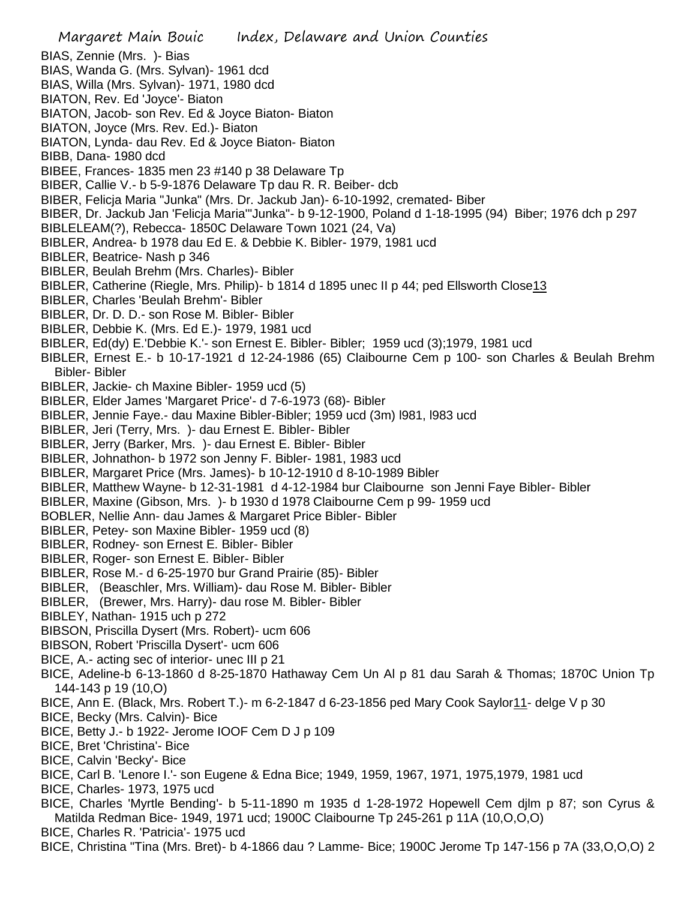Margaret Main Bouic Index, Delaware and Union Counties BIAS, Zennie (Mrs. )- Bias BIAS, Wanda G. (Mrs. Sylvan)- 1961 dcd BIAS, Willa (Mrs. Sylvan)- 1971, 1980 dcd BIATON, Rev. Ed 'Joyce'- Biaton BIATON, Jacob- son Rev. Ed & Joyce Biaton- Biaton BIATON, Joyce (Mrs. Rev. Ed.)- Biaton BIATON, Lynda- dau Rev. Ed & Joyce Biaton- Biaton BIBB, Dana- 1980 dcd BIBEE, Frances- 1835 men 23 #140 p 38 Delaware Tp BIBER, Callie V.- b 5-9-1876 Delaware Tp dau R. R. Beiber- dcb BIBER, Felicja Maria "Junka" (Mrs. Dr. Jackub Jan)- 6-10-1992, cremated- Biber BIBER, Dr. Jackub Jan 'Felicja Maria'"Junka"- b 9-12-1900, Poland d 1-18-1995 (94) Biber; 1976 dch p 297 BIBLELEAM(?), Rebecca- 1850C Delaware Town 1021 (24, Va) BIBLER, Andrea- b 1978 dau Ed E. & Debbie K. Bibler- 1979, 1981 ucd BIBLER, Beatrice- Nash p 346 BIBLER, Beulah Brehm (Mrs. Charles)- Bibler BIBLER, Catherine (Riegle, Mrs. Philip)- b 1814 d 1895 unec II p 44; ped Ellsworth Close13 BIBLER, Charles 'Beulah Brehm'- Bibler BIBLER, Dr. D. D.- son Rose M. Bibler- Bibler BIBLER, Debbie K. (Mrs. Ed E.)- 1979, 1981 ucd BIBLER, Ed(dy) E.'Debbie K.'- son Ernest E. Bibler- Bibler; 1959 ucd (3);1979, 1981 ucd BIBLER, Ernest E.- b 10-17-1921 d 12-24-1986 (65) Claibourne Cem p 100- son Charles & Beulah Brehm Bibler- Bibler BIBLER, Jackie- ch Maxine Bibler- 1959 ucd (5) BIBLER, Elder James 'Margaret Price'- d 7-6-1973 (68)- Bibler BIBLER, Jennie Faye.- dau Maxine Bibler-Bibler; 1959 ucd (3m) l981, l983 ucd BIBLER, Jeri (Terry, Mrs. )- dau Ernest E. Bibler- Bibler BIBLER, Jerry (Barker, Mrs. )- dau Ernest E. Bibler- Bibler BIBLER, Johnathon- b 1972 son Jenny F. Bibler- 1981, 1983 ucd BIBLER, Margaret Price (Mrs. James)- b 10-12-1910 d 8-10-1989 Bibler BIBLER, Matthew Wayne- b 12-31-1981 d 4-12-1984 bur Claibourne son Jenni Faye Bibler- Bibler BIBLER, Maxine (Gibson, Mrs. )- b 1930 d 1978 Claibourne Cem p 99- 1959 ucd BOBLER, Nellie Ann- dau James & Margaret Price Bibler- Bibler BIBLER, Petey- son Maxine Bibler- 1959 ucd (8) BIBLER, Rodney- son Ernest E. Bibler- Bibler BIBLER, Roger- son Ernest E. Bibler- Bibler BIBLER, Rose M.- d 6-25-1970 bur Grand Prairie (85)- Bibler BIBLER, (Beaschler, Mrs. William)- dau Rose M. Bibler- Bibler BIBLER, (Brewer, Mrs. Harry)- dau rose M. Bibler- Bibler BIBLEY, Nathan- 1915 uch p 272 BIBSON, Priscilla Dysert (Mrs. Robert)- ucm 606 BIBSON, Robert 'Priscilla Dysert'- ucm 606 BICE, A.- acting sec of interior- unec III p 21 BICE, Adeline-b 6-13-1860 d 8-25-1870 Hathaway Cem Un Al p 81 dau Sarah & Thomas; 1870C Union Tp 144-143 p 19 (10,O) BICE, Ann E. (Black, Mrs. Robert T.)- m 6-2-1847 d 6-23-1856 ped Mary Cook Saylor 11- delge V p 30 BICE, Becky (Mrs. Calvin)- Bice BICE, Betty J.- b 1922- Jerome IOOF Cem D J p 109 BICE, Bret 'Christina'- Bice BICE, Calvin 'Becky'- Bice BICE, Carl B. 'Lenore I.'- son Eugene & Edna Bice; 1949, 1959, 1967, 1971, 1975,1979, 1981 ucd BICE, Charles- 1973, 1975 ucd BICE, Charles 'Myrtle Bending'- b 5-11-1890 m 1935 d 1-28-1972 Hopewell Cem djlm p 87; son Cyrus & Matilda Redman Bice- 1949, 1971 ucd; 1900C Claibourne Tp 245-261 p 11A (10,O,O,O)

BICE, Charles R. 'Patricia'- 1975 ucd

BICE, Christina "Tina (Mrs. Bret)- b 4-1866 dau ? Lamme- Bice; 1900C Jerome Tp 147-156 p 7A (33,O,O,O) 2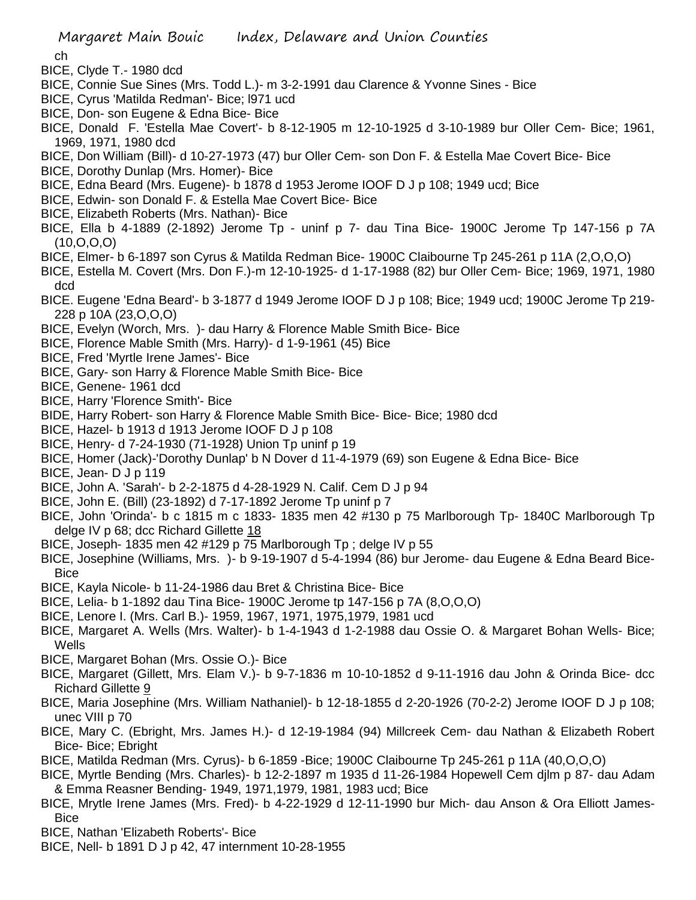ch

BICE, Clyde T.- 1980 dcd

- BICE, Connie Sue Sines (Mrs. Todd L.)- m 3-2-1991 dau Clarence & Yvonne Sines Bice
- BICE, Cyrus 'Matilda Redman'- Bice; l971 ucd
- BICE, Don- son Eugene & Edna Bice- Bice
- BICE, Donald F. 'Estella Mae Covert'- b 8-12-1905 m 12-10-1925 d 3-10-1989 bur Oller Cem- Bice; 1961, 1969, 1971, 1980 dcd
- BICE, Don William (Bill)- d 10-27-1973 (47) bur Oller Cem- son Don F. & Estella Mae Covert Bice- Bice
- BICE, Dorothy Dunlap (Mrs. Homer)- Bice
- BICE, Edna Beard (Mrs. Eugene)- b 1878 d 1953 Jerome IOOF D J p 108; 1949 ucd; Bice
- BICE, Edwin- son Donald F. & Estella Mae Covert Bice- Bice
- BICE, Elizabeth Roberts (Mrs. Nathan)- Bice
- BICE, Ella b 4-1889 (2-1892) Jerome Tp uninf p 7- dau Tina Bice- 1900C Jerome Tp 147-156 p 7A (10,O,O,O)
- BICE, Elmer- b 6-1897 son Cyrus & Matilda Redman Bice- 1900C Claibourne Tp 245-261 p 11A (2,O,O,O)
- BICE, Estella M. Covert (Mrs. Don F.)-m 12-10-1925- d 1-17-1988 (82) bur Oller Cem- Bice; 1969, 1971, 1980 dcd
- BICE. Eugene 'Edna Beard'- b 3-1877 d 1949 Jerome IOOF D J p 108; Bice; 1949 ucd; 1900C Jerome Tp 219- 228 p 10A (23,O,O,O)
- BICE, Evelyn (Worch, Mrs. )- dau Harry & Florence Mable Smith Bice- Bice
- BICE, Florence Mable Smith (Mrs. Harry)- d 1-9-1961 (45) Bice
- BICE, Fred 'Myrtle Irene James'- Bice
- BICE, Gary- son Harry & Florence Mable Smith Bice- Bice
- BICE, Genene- 1961 dcd
- BICE, Harry 'Florence Smith'- Bice
- BIDE, Harry Robert- son Harry & Florence Mable Smith Bice- Bice- Bice; 1980 dcd
- BICE, Hazel- b 1913 d 1913 Jerome IOOF D J p 108
- BICE, Henry- d 7-24-1930 (71-1928) Union Tp uninf p 19
- BICE, Homer (Jack)-'Dorothy Dunlap' b N Dover d 11-4-1979 (69) son Eugene & Edna Bice- Bice
- BICE, Jean- D J p 119
- BICE, John A. 'Sarah'- b 2-2-1875 d 4-28-1929 N. Calif. Cem D J p 94
- BICE, John E. (Bill) (23-1892) d 7-17-1892 Jerome Tp uninf p 7
- BICE, John 'Orinda'- b c 1815 m c 1833- 1835 men 42 #130 p 75 Marlborough Tp- 1840C Marlborough Tp delge IV p 68; dcc Richard Gillette 18
- BICE, Joseph- 1835 men 42 #129 p 75 Marlborough Tp ; delge IV p 55
- BICE, Josephine (Williams, Mrs. )- b 9-19-1907 d 5-4-1994 (86) bur Jerome- dau Eugene & Edna Beard Bice-**Bice**
- BICE, Kayla Nicole- b 11-24-1986 dau Bret & Christina Bice- Bice
- BICE, Lelia- b 1-1892 dau Tina Bice- 1900C Jerome tp 147-156 p 7A (8,O,O,O)
- BICE, Lenore I. (Mrs. Carl B.)- 1959, 1967, 1971, 1975,1979, 1981 ucd
- BICE, Margaret A. Wells (Mrs. Walter)- b 1-4-1943 d 1-2-1988 dau Ossie O. & Margaret Bohan Wells- Bice; **Wells**
- BICE, Margaret Bohan (Mrs. Ossie O.)- Bice
- BICE, Margaret (Gillett, Mrs. Elam V.)- b 9-7-1836 m 10-10-1852 d 9-11-1916 dau John & Orinda Bice- dcc Richard Gillette 9
- BICE, Maria Josephine (Mrs. William Nathaniel)- b 12-18-1855 d 2-20-1926 (70-2-2) Jerome IOOF D J p 108; unec VIII p 70
- BICE, Mary C. (Ebright, Mrs. James H.)- d 12-19-1984 (94) Millcreek Cem- dau Nathan & Elizabeth Robert Bice- Bice; Ebright
- BICE, Matilda Redman (Mrs. Cyrus)- b 6-1859 -Bice; 1900C Claibourne Tp 245-261 p 11A (40,O,O,O)
- BICE, Myrtle Bending (Mrs. Charles)- b 12-2-1897 m 1935 d 11-26-1984 Hopewell Cem djlm p 87- dau Adam & Emma Reasner Bending- 1949, 1971,1979, 1981, 1983 ucd; Bice
- BICE, Mrytle Irene James (Mrs. Fred)- b 4-22-1929 d 12-11-1990 bur Mich- dau Anson & Ora Elliott James-Bice
- BICE, Nathan 'Elizabeth Roberts'- Bice
- BICE, Nell- b 1891 D J p 42, 47 internment 10-28-1955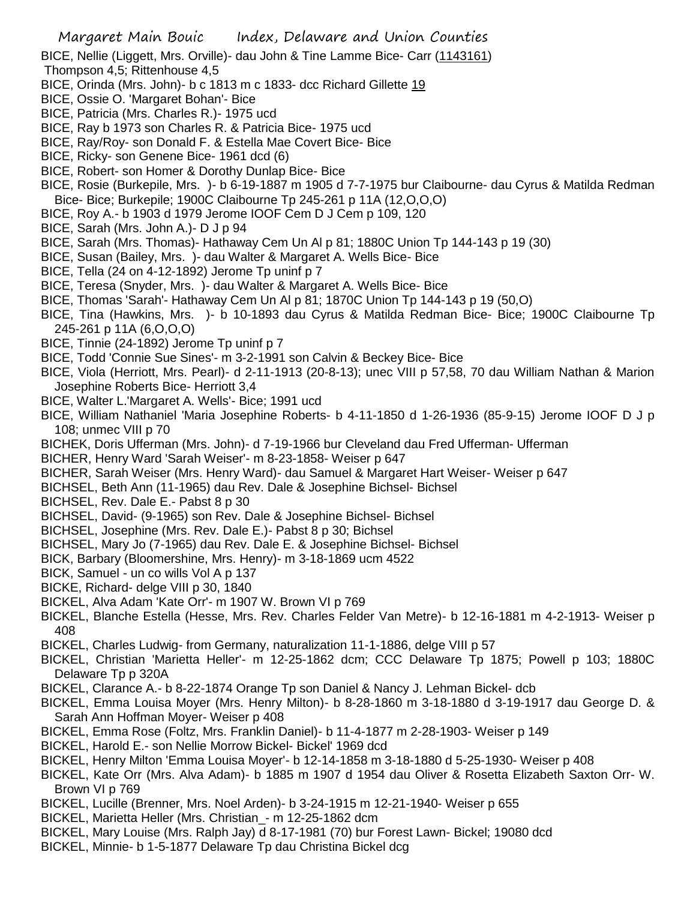- BICE, Nellie (Liggett, Mrs. Orville)- dau John & Tine Lamme Bice- Carr (1143161)
- Thompson 4,5; Rittenhouse 4,5
- BICE, Orinda (Mrs. John)- b c 1813 m c 1833- dcc Richard Gillette 19
- BICE, Ossie O. 'Margaret Bohan'- Bice
- BICE, Patricia (Mrs. Charles R.)- 1975 ucd
- BICE, Ray b 1973 son Charles R. & Patricia Bice- 1975 ucd
- BICE, Ray/Roy- son Donald F. & Estella Mae Covert Bice- Bice
- BICE, Ricky- son Genene Bice- 1961 dcd (6)
- BICE, Robert- son Homer & Dorothy Dunlap Bice- Bice
- BICE, Rosie (Burkepile, Mrs. )- b 6-19-1887 m 1905 d 7-7-1975 bur Claibourne- dau Cyrus & Matilda Redman Bice- Bice; Burkepile; 1900C Claibourne Tp 245-261 p 11A (12,O,O,O)
- BICE, Roy A.- b 1903 d 1979 Jerome IOOF Cem D J Cem p 109, 120
- BICE, Sarah (Mrs. John A.)- D J p 94
- BICE, Sarah (Mrs. Thomas)- Hathaway Cem Un Al p 81; 1880C Union Tp 144-143 p 19 (30)
- BICE, Susan (Bailey, Mrs. )- dau Walter & Margaret A. Wells Bice- Bice
- BICE, Tella (24 on 4-12-1892) Jerome Tp uninf p 7
- BICE, Teresa (Snyder, Mrs. )- dau Walter & Margaret A. Wells Bice- Bice
- BICE, Thomas 'Sarah'- Hathaway Cem Un Al p 81; 1870C Union Tp 144-143 p 19 (50,O)
- BICE, Tina (Hawkins, Mrs. )- b 10-1893 dau Cyrus & Matilda Redman Bice- Bice; 1900C Claibourne Tp 245-261 p 11A (6,O,O,O)
- BICE, Tinnie (24-1892) Jerome Tp uninf p 7
- BICE, Todd 'Connie Sue Sines'- m 3-2-1991 son Calvin & Beckey Bice- Bice
- BICE, Viola (Herriott, Mrs. Pearl)- d 2-11-1913 (20-8-13); unec VIII p 57,58, 70 dau William Nathan & Marion Josephine Roberts Bice- Herriott 3,4
- BICE, Walter L.'Margaret A. Wells'- Bice; 1991 ucd
- BICE, William Nathaniel 'Maria Josephine Roberts- b 4-11-1850 d 1-26-1936 (85-9-15) Jerome IOOF D J p 108; unmec VIII p 70
- BICHEK, Doris Ufferman (Mrs. John)- d 7-19-1966 bur Cleveland dau Fred Ufferman- Ufferman
- BICHER, Henry Ward 'Sarah Weiser'- m 8-23-1858- Weiser p 647
- BICHER, Sarah Weiser (Mrs. Henry Ward)- dau Samuel & Margaret Hart Weiser- Weiser p 647
- BICHSEL, Beth Ann (11-1965) dau Rev. Dale & Josephine Bichsel- Bichsel
- BICHSEL, Rev. Dale E.- Pabst 8 p 30
- BICHSEL, David- (9-1965) son Rev. Dale & Josephine Bichsel- Bichsel
- BICHSEL, Josephine (Mrs. Rev. Dale E.)- Pabst 8 p 30; Bichsel
- BICHSEL, Mary Jo (7-1965) dau Rev. Dale E. & Josephine Bichsel- Bichsel
- BICK, Barbary (Bloomershine, Mrs. Henry)- m 3-18-1869 ucm 4522
- BICK, Samuel un co wills Vol A p 137
- BICKE, Richard- delge VIII p 30, 1840
- BICKEL, Alva Adam 'Kate Orr'- m 1907 W. Brown VI p 769
- BICKEL, Blanche Estella (Hesse, Mrs. Rev. Charles Felder Van Metre)- b 12-16-1881 m 4-2-1913- Weiser p 408
- BICKEL, Charles Ludwig- from Germany, naturalization 11-1-1886, delge VIII p 57
- BICKEL, Christian 'Marietta Heller'- m 12-25-1862 dcm; CCC Delaware Tp 1875; Powell p 103; 1880C Delaware Tp p 320A
- BICKEL, Clarance A.- b 8-22-1874 Orange Tp son Daniel & Nancy J. Lehman Bickel- dcb
- BICKEL, Emma Louisa Moyer (Mrs. Henry Milton)- b 8-28-1860 m 3-18-1880 d 3-19-1917 dau George D. & Sarah Ann Hoffman Moyer- Weiser p 408
- BICKEL, Emma Rose (Foltz, Mrs. Franklin Daniel)- b 11-4-1877 m 2-28-1903- Weiser p 149
- BICKEL, Harold E.- son Nellie Morrow Bickel- Bickel' 1969 dcd
- BICKEL, Henry Milton 'Emma Louisa Moyer'- b 12-14-1858 m 3-18-1880 d 5-25-1930- Weiser p 408
- BICKEL, Kate Orr (Mrs. Alva Adam)- b 1885 m 1907 d 1954 dau Oliver & Rosetta Elizabeth Saxton Orr- W. Brown VI p 769
- BICKEL, Lucille (Brenner, Mrs. Noel Arden)- b 3-24-1915 m 12-21-1940- Weiser p 655
- BICKEL, Marietta Heller (Mrs. Christian\_- m 12-25-1862 dcm
- BICKEL, Mary Louise (Mrs. Ralph Jay) d 8-17-1981 (70) bur Forest Lawn- Bickel; 19080 dcd
- BICKEL, Minnie- b 1-5-1877 Delaware Tp dau Christina Bickel dcg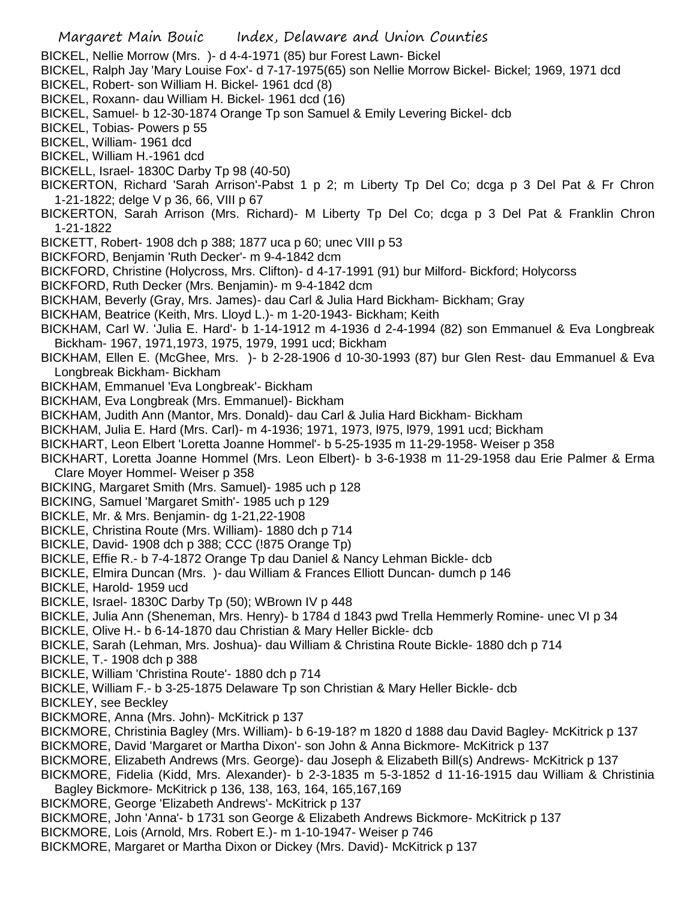- BICKEL, Nellie Morrow (Mrs. )- d 4-4-1971 (85) bur Forest Lawn- Bickel
- BICKEL, Ralph Jay 'Mary Louise Fox'- d 7-17-1975(65) son Nellie Morrow Bickel- Bickel; 1969, 1971 dcd
- BICKEL, Robert- son William H. Bickel- 1961 dcd (8)
- BICKEL, Roxann- dau William H. Bickel- 1961 dcd (16)
- BICKEL, Samuel- b 12-30-1874 Orange Tp son Samuel & Emily Levering Bickel- dcb
- BICKEL, Tobias- Powers p 55
- BICKEL, William- 1961 dcd
- BICKEL, William H.-1961 dcd
- BICKELL, Israel- 1830C Darby Tp 98 (40-50)
- BICKERTON, Richard 'Sarah Arrison'-Pabst 1 p 2; m Liberty Tp Del Co; dcga p 3 Del Pat & Fr Chron 1-21-1822; delge V p 36, 66, VIII p 67
- BICKERTON, Sarah Arrison (Mrs. Richard)- M Liberty Tp Del Co; dcga p 3 Del Pat & Franklin Chron 1-21-1822
- BICKETT, Robert- 1908 dch p 388; 1877 uca p 60; unec VIII p 53
- BICKFORD, Benjamin 'Ruth Decker'- m 9-4-1842 dcm
- BICKFORD, Christine (Holycross, Mrs. Clifton)- d 4-17-1991 (91) bur Milford- Bickford; Holycorss
- BICKFORD, Ruth Decker (Mrs. Benjamin)- m 9-4-1842 dcm
- BICKHAM, Beverly (Gray, Mrs. James)- dau Carl & Julia Hard Bickham- Bickham; Gray
- BICKHAM, Beatrice (Keith, Mrs. Lloyd L.)- m 1-20-1943- Bickham; Keith
- BICKHAM, Carl W. 'Julia E. Hard'- b 1-14-1912 m 4-1936 d 2-4-1994 (82) son Emmanuel & Eva Longbreak Bickham- 1967, 1971,1973, 1975, 1979, 1991 ucd; Bickham
- BICKHAM, Ellen E. (McGhee, Mrs. )- b 2-28-1906 d 10-30-1993 (87) bur Glen Rest- dau Emmanuel & Eva Longbreak Bickham- Bickham
- BICKHAM, Emmanuel 'Eva Longbreak'- Bickham
- BICKHAM, Eva Longbreak (Mrs. Emmanuel)- Bickham
- BICKHAM, Judith Ann (Mantor, Mrs. Donald)- dau Carl & Julia Hard Bickham- Bickham
- BICKHAM, Julia E. Hard (Mrs. Carl)- m 4-1936; 1971, 1973, l975, l979, 1991 ucd; Bickham
- BICKHART, Leon Elbert 'Loretta Joanne Hommel'- b 5-25-1935 m 11-29-1958- Weiser p 358
- BICKHART, Loretta Joanne Hommel (Mrs. Leon Elbert)- b 3-6-1938 m 11-29-1958 dau Erie Palmer & Erma Clare Moyer Hommel- Weiser p 358
- BICKING, Margaret Smith (Mrs. Samuel)- 1985 uch p 128
- BICKING, Samuel 'Margaret Smith'- 1985 uch p 129
- BICKLE, Mr. & Mrs. Benjamin- dg 1-21,22-1908
- BICKLE, Christina Route (Mrs. William)- 1880 dch p 714
- BICKLE, David- 1908 dch p 388; CCC (!875 Orange Tp)
- BICKLE, Effie R.- b 7-4-1872 Orange Tp dau Daniel & Nancy Lehman Bickle- dcb
- BICKLE, Elmira Duncan (Mrs. )- dau William & Frances Elliott Duncan- dumch p 146
- BICKLE, Harold- 1959 ucd
- BICKLE, Israel- 1830C Darby Tp (50); WBrown IV p 448
- BICKLE, Julia Ann (Sheneman, Mrs. Henry)- b 1784 d 1843 pwd Trella Hemmerly Romine- unec VI p 34
- BICKLE, Olive H.- b 6-14-1870 dau Christian & Mary Heller Bickle- dcb
- BICKLE, Sarah (Lehman, Mrs. Joshua)- dau William & Christina Route Bickle- 1880 dch p 714
- BICKLE, T.- 1908 dch p 388
- BICKLE, William 'Christina Route'- 1880 dch p 714
- BICKLE, William F.- b 3-25-1875 Delaware Tp son Christian & Mary Heller Bickle- dcb
- BICKLEY, see Beckley
- BICKMORE, Anna (Mrs. John)- McKitrick p 137
- BICKMORE, Christinia Bagley (Mrs. William)- b 6-19-18? m 1820 d 1888 dau David Bagley- McKitrick p 137
- BICKMORE, David 'Margaret or Martha Dixon'- son John & Anna Bickmore- McKitrick p 137
- BICKMORE, Elizabeth Andrews (Mrs. George)- dau Joseph & Elizabeth Bill(s) Andrews- McKitrick p 137
- BICKMORE, Fidelia (Kidd, Mrs. Alexander)- b 2-3-1835 m 5-3-1852 d 11-16-1915 dau William & Christinia Bagley Bickmore- McKitrick p 136, 138, 163, 164, 165,167,169
- BICKMORE, George 'Elizabeth Andrews'- McKitrick p 137
- BICKMORE, John 'Anna'- b 1731 son George & Elizabeth Andrews Bickmore- McKitrick p 137
- BICKMORE, Lois (Arnold, Mrs. Robert E.)- m 1-10-1947- Weiser p 746
- BICKMORE, Margaret or Martha Dixon or Dickey (Mrs. David)- McKitrick p 137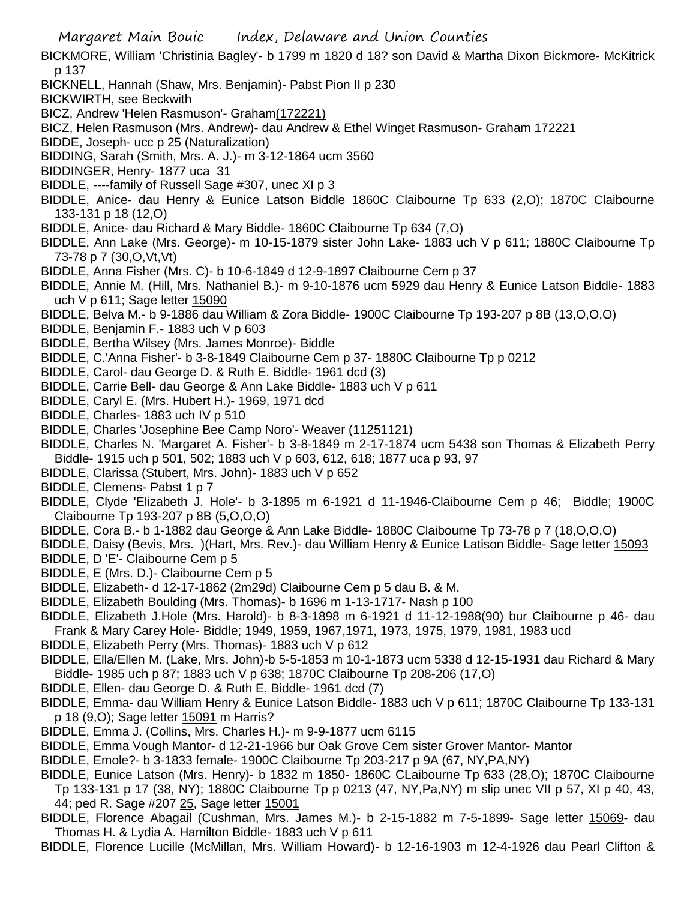BICKMORE, William 'Christinia Bagley'- b 1799 m 1820 d 18? son David & Martha Dixon Bickmore- McKitrick p 137

BICKNELL, Hannah (Shaw, Mrs. Benjamin)- Pabst Pion II p 230

BICKWIRTH, see Beckwith

BICZ, Andrew 'Helen Rasmuson'- Graham(172221)

BICZ, Helen Rasmuson (Mrs. Andrew)- dau Andrew & Ethel Winget Rasmuson- Graham 172221

BIDDE, Joseph- ucc p 25 (Naturalization)

BIDDING, Sarah (Smith, Mrs. A. J.)- m 3-12-1864 ucm 3560

BIDDINGER, Henry- 1877 uca 31

BIDDLE, ----family of Russell Sage #307, unec XI p 3

- BIDDLE, Anice- dau Henry & Eunice Latson Biddle 1860C Claibourne Tp 633 (2,O); 1870C Claibourne 133-131 p 18 (12,O)
- BIDDLE, Anice- dau Richard & Mary Biddle- 1860C Claibourne Tp 634 (7,O)

BIDDLE, Ann Lake (Mrs. George)- m 10-15-1879 sister John Lake- 1883 uch V p 611; 1880C Claibourne Tp 73-78 p 7 (30,O,Vt,Vt)

BIDDLE, Anna Fisher (Mrs. C)- b 10-6-1849 d 12-9-1897 Claibourne Cem p 37

BIDDLE, Annie M. (Hill, Mrs. Nathaniel B.)- m 9-10-1876 ucm 5929 dau Henry & Eunice Latson Biddle- 1883 uch V p 611; Sage letter 15090

BIDDLE, Belva M.- b 9-1886 dau William & Zora Biddle- 1900C Claibourne Tp 193-207 p 8B (13,O,O,O)

- BIDDLE, Benjamin F.- 1883 uch V p 603
- BIDDLE, Bertha Wilsey (Mrs. James Monroe)- Biddle
- BIDDLE, C.'Anna Fisher'- b 3-8-1849 Claibourne Cem p 37- 1880C Claibourne Tp p 0212
- BIDDLE, Carol- dau George D. & Ruth E. Biddle- 1961 dcd (3)
- BIDDLE, Carrie Bell- dau George & Ann Lake Biddle- 1883 uch V p 611
- BIDDLE, Caryl E. (Mrs. Hubert H.)- 1969, 1971 dcd
- BIDDLE, Charles- 1883 uch IV p 510
- BIDDLE, Charles 'Josephine Bee Camp Noro'- Weaver (11251121)

BIDDLE, Charles N. 'Margaret A. Fisher'- b 3-8-1849 m 2-17-1874 ucm 5438 son Thomas & Elizabeth Perry Biddle- 1915 uch p 501, 502; 1883 uch V p 603, 612, 618; 1877 uca p 93, 97

BIDDLE, Clarissa (Stubert, Mrs. John)- 1883 uch V p 652

BIDDLE, Clemens- Pabst 1 p 7

BIDDLE, Clyde 'Elizabeth J. Hole'- b 3-1895 m 6-1921 d 11-1946-Claibourne Cem p 46; Biddle; 1900C Claibourne Tp 193-207 p 8B (5,O,O,O)

BIDDLE, Cora B.- b 1-1882 dau George & Ann Lake Biddle- 1880C Claibourne Tp 73-78 p 7 (18,O,O,O)

BIDDLE, Daisy (Bevis, Mrs. )(Hart, Mrs. Rev.)- dau William Henry & Eunice Latison Biddle- Sage letter 15093 BIDDLE, D 'E'- Claibourne Cem p 5

- BIDDLE, E (Mrs. D.)- Claibourne Cem p 5
- BIDDLE, Elizabeth- d 12-17-1862 (2m29d) Claibourne Cem p 5 dau B. & M.
- BIDDLE, Elizabeth Boulding (Mrs. Thomas)- b 1696 m 1-13-1717- Nash p 100
- BIDDLE, Elizabeth J.Hole (Mrs. Harold)- b 8-3-1898 m 6-1921 d 11-12-1988(90) bur Claibourne p 46- dau Frank & Mary Carey Hole- Biddle; 1949, 1959, 1967,1971, 1973, 1975, 1979, 1981, 1983 ucd
- BIDDLE, Elizabeth Perry (Mrs. Thomas)- 1883 uch V p 612

BIDDLE, Ella/Ellen M. (Lake, Mrs. John)-b 5-5-1853 m 10-1-1873 ucm 5338 d 12-15-1931 dau Richard & Mary Biddle- 1985 uch p 87; 1883 uch V p 638; 1870C Claibourne Tp 208-206 (17,O)

- BIDDLE, Ellen- dau George D. & Ruth E. Biddle- 1961 dcd (7)
- BIDDLE, Emma- dau William Henry & Eunice Latson Biddle- 1883 uch V p 611; 1870C Claibourne Tp 133-131 p 18 (9,O); Sage letter 15091 m Harris?
- BIDDLE, Emma J. (Collins, Mrs. Charles H.)- m 9-9-1877 ucm 6115
- BIDDLE, Emma Vough Mantor- d 12-21-1966 bur Oak Grove Cem sister Grover Mantor- Mantor
- BIDDLE, Emole?- b 3-1833 female- 1900C Claibourne Tp 203-217 p 9A (67, NY,PA,NY)

BIDDLE, Eunice Latson (Mrs. Henry)- b 1832 m 1850- 1860C CLaibourne Tp 633 (28,O); 1870C Claibourne Tp 133-131 p 17 (38, NY); 1880C Claibourne Tp p 0213 (47, NY,Pa,NY) m slip unec VII p 57, XI p 40, 43, 44; ped R. Sage #207 25, Sage letter 15001

BIDDLE, Florence Abagail (Cushman, Mrs. James M.)- b 2-15-1882 m 7-5-1899- Sage letter 15069- dau Thomas H. & Lydia A. Hamilton Biddle- 1883 uch V p 611

BIDDLE, Florence Lucille (McMillan, Mrs. William Howard)- b 12-16-1903 m 12-4-1926 dau Pearl Clifton &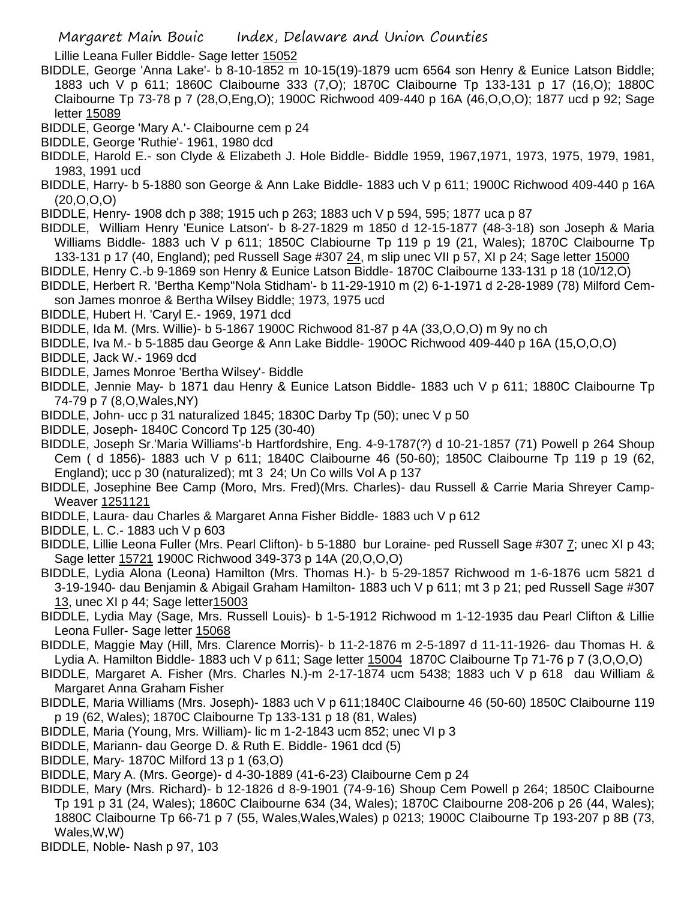Lillie Leana Fuller Biddle- Sage letter 15052

- BIDDLE, George 'Anna Lake'- b 8-10-1852 m 10-15(19)-1879 ucm 6564 son Henry & Eunice Latson Biddle; 1883 uch V p 611; 1860C Claibourne 333 (7,O); 1870C Claibourne Tp 133-131 p 17 (16,O); 1880C Claibourne Tp 73-78 p 7 (28,O,Eng,O); 1900C Richwood 409-440 p 16A (46,O,O,O); 1877 ucd p 92; Sage letter 15089
- BIDDLE, George 'Mary A.'- Claibourne cem p 24
- BIDDLE, George 'Ruthie'- 1961, 1980 dcd
- BIDDLE, Harold E.- son Clyde & Elizabeth J. Hole Biddle- Biddle 1959, 1967,1971, 1973, 1975, 1979, 1981, 1983, 1991 ucd
- BIDDLE, Harry- b 5-1880 son George & Ann Lake Biddle- 1883 uch V p 611; 1900C Richwood 409-440 p 16A (20,O,O,O)
- BIDDLE, Henry- 1908 dch p 388; 1915 uch p 263; 1883 uch V p 594, 595; 1877 uca p 87
- BIDDLE, William Henry 'Eunice Latson'- b 8-27-1829 m 1850 d 12-15-1877 (48-3-18) son Joseph & Maria Williams Biddle- 1883 uch V p 611; 1850C Clabiourne Tp 119 p 19 (21, Wales); 1870C Claibourne Tp 133-131 p 17 (40, England); ped Russell Sage #307 24, m slip unec VII p 57, XI p 24; Sage letter 15000
- BIDDLE, Henry C.-b 9-1869 son Henry & Eunice Latson Biddle- 1870C Claibourne 133-131 p 18 (10/12,O)
- BIDDLE, Herbert R. 'Bertha Kemp''Nola Stidham'- b 11-29-1910 m (2) 6-1-1971 d 2-28-1989 (78) Milford Cemson James monroe & Bertha Wilsey Biddle; 1973, 1975 ucd
- BIDDLE, Hubert H. 'Caryl E.- 1969, 1971 dcd
- BIDDLE, Ida M. (Mrs. Willie)- b 5-1867 1900C Richwood 81-87 p 4A (33,O,O,O) m 9y no ch
- BIDDLE, Iva M.- b 5-1885 dau George & Ann Lake Biddle- 190OC Richwood 409-440 p 16A (15,O,O,O)
- BIDDLE, Jack W.- 1969 dcd
- BIDDLE, James Monroe 'Bertha Wilsey'- Biddle
- BIDDLE, Jennie May- b 1871 dau Henry & Eunice Latson Biddle- 1883 uch V p 611; 1880C Claibourne Tp 74-79 p 7 (8,O,Wales,NY)
- BIDDLE, John- ucc p 31 naturalized 1845; 1830C Darby Tp (50); unec V p 50
- BIDDLE, Joseph- 1840C Concord Tp 125 (30-40)
- BIDDLE, Joseph Sr.'Maria Williams'-b Hartfordshire, Eng. 4-9-1787(?) d 10-21-1857 (71) Powell p 264 Shoup Cem ( d 1856)- 1883 uch V p 611; 1840C Claibourne 46 (50-60); 1850C Claibourne Tp 119 p 19 (62, England); ucc p 30 (naturalized); mt 3 24; Un Co wills Vol A p 137
- BIDDLE, Josephine Bee Camp (Moro, Mrs. Fred)(Mrs. Charles)- dau Russell & Carrie Maria Shreyer Camp-Weaver 1251121
- BIDDLE, Laura- dau Charles & Margaret Anna Fisher Biddle- 1883 uch V p 612
- BIDDLE, L. C.- 1883 uch V p 603
- BIDDLE, Lillie Leona Fuller (Mrs. Pearl Clifton)- b 5-1880 bur Loraine- ped Russell Sage #307 7; unec XI p 43; Sage letter 15721 1900C Richwood 349-373 p 14A (20,O,O,O)
- BIDDLE, Lydia Alona (Leona) Hamilton (Mrs. Thomas H.)- b 5-29-1857 Richwood m 1-6-1876 ucm 5821 d 3-19-1940- dau Benjamin & Abigail Graham Hamilton- 1883 uch V p 611; mt 3 p 21; ped Russell Sage #307 13, unec XI p 44; Sage letter15003
- BIDDLE, Lydia May (Sage, Mrs. Russell Louis)- b 1-5-1912 Richwood m 1-12-1935 dau Pearl Clifton & Lillie Leona Fuller- Sage letter 15068
- BIDDLE, Maggie May (Hill, Mrs. Clarence Morris)- b 11-2-1876 m 2-5-1897 d 11-11-1926- dau Thomas H. & Lydia A. Hamilton Biddle- 1883 uch V p 611; Sage letter 15004 1870C Claibourne Tp 71-76 p 7 (3,O,O,O)
- BIDDLE, Margaret A. Fisher (Mrs. Charles N.)-m 2-17-1874 ucm 5438; 1883 uch V p 618 dau William & Margaret Anna Graham Fisher
- BIDDLE, Maria Williams (Mrs. Joseph)- 1883 uch V p 611;1840C Claibourne 46 (50-60) 1850C Claibourne 119 p 19 (62, Wales); 1870C Claibourne Tp 133-131 p 18 (81, Wales)
- BIDDLE, Maria (Young, Mrs. William)- lic m 1-2-1843 ucm 852; unec VI p 3
- BIDDLE, Mariann- dau George D. & Ruth E. Biddle- 1961 dcd (5)
- BIDDLE, Mary- 1870C Milford 13 p 1 (63,O)
- BIDDLE, Mary A. (Mrs. George)- d 4-30-1889 (41-6-23) Claibourne Cem p 24
- BIDDLE, Mary (Mrs. Richard)- b 12-1826 d 8-9-1901 (74-9-16) Shoup Cem Powell p 264; 1850C Claibourne Tp 191 p 31 (24, Wales); 1860C Claibourne 634 (34, Wales); 1870C Claibourne 208-206 p 26 (44, Wales); 1880C Claibourne Tp 66-71 p 7 (55, Wales,Wales,Wales) p 0213; 1900C Claibourne Tp 193-207 p 8B (73, Wales,W,W)
- BIDDLE, Noble- Nash p 97, 103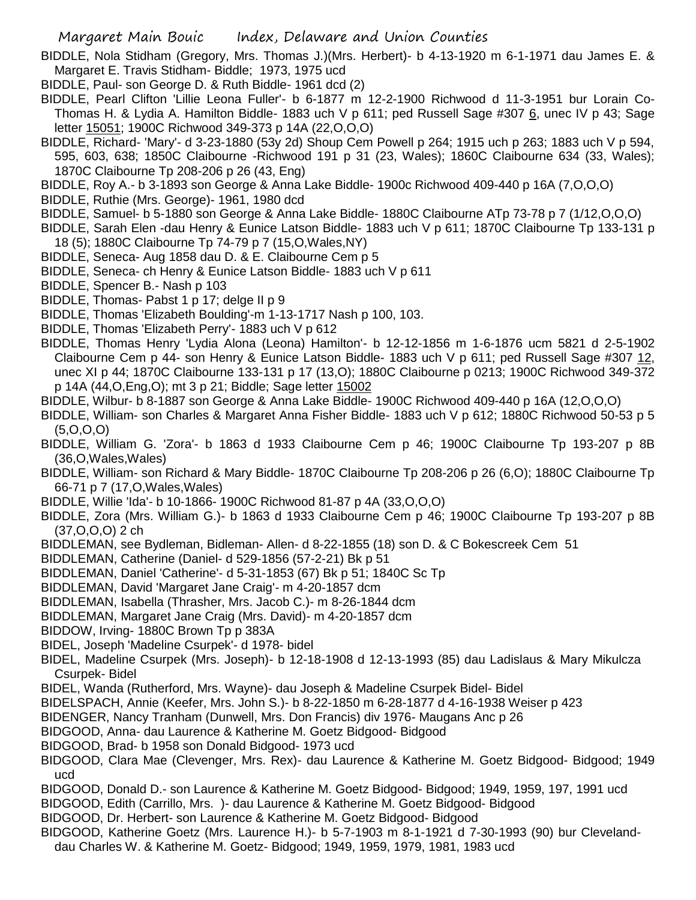- BIDDLE, Nola Stidham (Gregory, Mrs. Thomas J.)(Mrs. Herbert)- b 4-13-1920 m 6-1-1971 dau James E. & Margaret E. Travis Stidham- Biddle; 1973, 1975 ucd
- BIDDLE, Paul- son George D. & Ruth Biddle- 1961 dcd (2)
- BIDDLE, Pearl Clifton 'Lillie Leona Fuller'- b 6-1877 m 12-2-1900 Richwood d 11-3-1951 bur Lorain Co-Thomas H. & Lydia A. Hamilton Biddle- 1883 uch V p 611; ped Russell Sage #307 6, unec IV p 43; Sage letter 15051; 1900C Richwood 349-373 p 14A (22,O,O,O)
- BIDDLE, Richard- 'Mary'- d 3-23-1880 (53y 2d) Shoup Cem Powell p 264; 1915 uch p 263; 1883 uch V p 594, 595, 603, 638; 1850C Claibourne -Richwood 191 p 31 (23, Wales); 1860C Claibourne 634 (33, Wales); 1870C Claibourne Tp 208-206 p 26 (43, Eng)
- BIDDLE, Roy A.- b 3-1893 son George & Anna Lake Biddle- 1900c Richwood 409-440 p 16A (7,O,O,O)
- BIDDLE, Ruthie (Mrs. George)- 1961, 1980 dcd
- BIDDLE, Samuel- b 5-1880 son George & Anna Lake Biddle- 1880C Claibourne ATp 73-78 p 7 (1/12,O,O,O)
- BIDDLE, Sarah Elen -dau Henry & Eunice Latson Biddle- 1883 uch V p 611; 1870C Claibourne Tp 133-131 p 18 (5); 1880C Claibourne Tp 74-79 p 7 (15,O,Wales,NY)
- BIDDLE, Seneca- Aug 1858 dau D. & E. Claibourne Cem p 5
- BIDDLE, Seneca- ch Henry & Eunice Latson Biddle- 1883 uch V p 611
- BIDDLE, Spencer B.- Nash p 103
- BIDDLE, Thomas- Pabst 1 p 17; delge II p 9
- BIDDLE, Thomas 'Elizabeth Boulding'-m 1-13-1717 Nash p 100, 103.
- BIDDLE, Thomas 'Elizabeth Perry'- 1883 uch V p 612
- BIDDLE, Thomas Henry 'Lydia Alona (Leona) Hamilton'- b 12-12-1856 m 1-6-1876 ucm 5821 d 2-5-1902 Claibourne Cem p 44- son Henry & Eunice Latson Biddle- 1883 uch V p 611; ped Russell Sage #307 12, unec XI p 44; 1870C Claibourne 133-131 p 17 (13,O); 1880C Claibourne p 0213; 1900C Richwood 349-372 p 14A (44,O,Eng,O); mt 3 p 21; Biddle; Sage letter 15002
- BIDDLE, Wilbur- b 8-1887 son George & Anna Lake Biddle- 1900C Richwood 409-440 p 16A (12,O,O,O)
- BIDDLE, William- son Charles & Margaret Anna Fisher Biddle- 1883 uch V p 612; 1880C Richwood 50-53 p 5 (5,O,O,O)
- BIDDLE, William G. 'Zora'- b 1863 d 1933 Claibourne Cem p 46; 1900C Claibourne Tp 193-207 p 8B (36,O,Wales,Wales)
- BIDDLE, William- son Richard & Mary Biddle- 1870C Claibourne Tp 208-206 p 26 (6,O); 1880C Claibourne Tp 66-71 p 7 (17,O,Wales,Wales)
- BIDDLE, Willie 'Ida'- b 10-1866- 1900C Richwood 81-87 p 4A (33,O,O,O)
- BIDDLE, Zora (Mrs. William G.)- b 1863 d 1933 Claibourne Cem p 46; 1900C Claibourne Tp 193-207 p 8B (37,O,O,O) 2 ch
- BIDDLEMAN, see Bydleman, Bidleman- Allen- d 8-22-1855 (18) son D. & C Bokescreek Cem 51
- BIDDLEMAN, Catherine (Daniel- d 529-1856 (57-2-21) Bk p 51
- BIDDLEMAN, Daniel 'Catherine'- d 5-31-1853 (67) Bk p 51; 1840C Sc Tp
- BIDDLEMAN, David 'Margaret Jane Craig'- m 4-20-1857 dcm
- BIDDLEMAN, Isabella (Thrasher, Mrs. Jacob C.)- m 8-26-1844 dcm
- BIDDLEMAN, Margaret Jane Craig (Mrs. David)- m 4-20-1857 dcm
- BIDDOW, Irving- 1880C Brown Tp p 383A
- BIDEL, Joseph 'Madeline Csurpek'- d 1978- bidel
- BIDEL, Madeline Csurpek (Mrs. Joseph)- b 12-18-1908 d 12-13-1993 (85) dau Ladislaus & Mary Mikulcza Csurpek- Bidel
- BIDEL, Wanda (Rutherford, Mrs. Wayne)- dau Joseph & Madeline Csurpek Bidel- Bidel
- BIDELSPACH, Annie (Keefer, Mrs. John S.)- b 8-22-1850 m 6-28-1877 d 4-16-1938 Weiser p 423
- BIDENGER, Nancy Tranham (Dunwell, Mrs. Don Francis) div 1976- Maugans Anc p 26
- BIDGOOD, Anna- dau Laurence & Katherine M. Goetz Bidgood- Bidgood
- BIDGOOD, Brad- b 1958 son Donald Bidgood- 1973 ucd
- BIDGOOD, Clara Mae (Clevenger, Mrs. Rex)- dau Laurence & Katherine M. Goetz Bidgood- Bidgood; 1949 ucd
- BIDGOOD, Donald D.- son Laurence & Katherine M. Goetz Bidgood- Bidgood; 1949, 1959, 197, 1991 ucd
- BIDGOOD, Edith (Carrillo, Mrs. )- dau Laurence & Katherine M. Goetz Bidgood- Bidgood
- BIDGOOD, Dr. Herbert- son Laurence & Katherine M. Goetz Bidgood- Bidgood
- BIDGOOD, Katherine Goetz (Mrs. Laurence H.)- b 5-7-1903 m 8-1-1921 d 7-30-1993 (90) bur Clevelanddau Charles W. & Katherine M. Goetz- Bidgood; 1949, 1959, 1979, 1981, 1983 ucd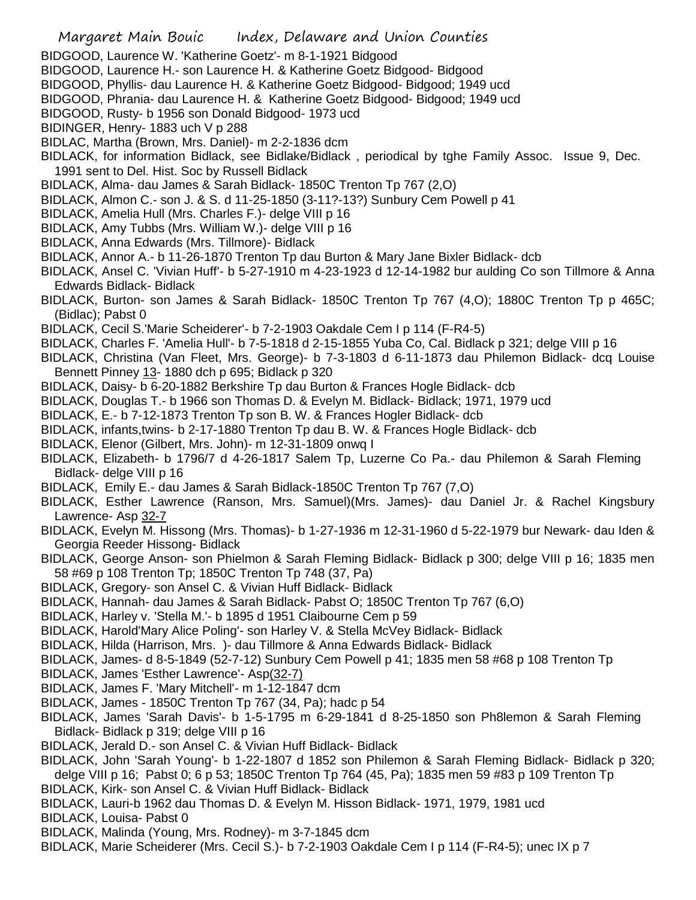- BIDGOOD, Laurence W. 'Katherine Goetz'- m 8-1-1921 Bidgood
- BIDGOOD, Laurence H.- son Laurence H. & Katherine Goetz Bidgood- Bidgood
- BIDGOOD, Phyllis- dau Laurence H. & Katherine Goetz Bidgood- Bidgood; 1949 ucd
- BIDGOOD, Phrania- dau Laurence H. & Katherine Goetz Bidgood- Bidgood; 1949 ucd
- BIDGOOD, Rusty- b 1956 son Donald Bidgood- 1973 ucd
- BIDINGER, Henry- 1883 uch V p 288
- BIDLAC, Martha (Brown, Mrs. Daniel)- m 2-2-1836 dcm
- BIDLACK, for information Bidlack, see Bidlake/Bidlack , periodical by tghe Family Assoc. Issue 9, Dec. 1991 sent to Del. Hist. Soc by Russell Bidlack
- BIDLACK, Alma- dau James & Sarah Bidlack- 1850C Trenton Tp 767 (2,O)
- BIDLACK, Almon C.- son J. & S. d 11-25-1850 (3-11?-13?) Sunbury Cem Powell p 41
- BIDLACK, Amelia Hull (Mrs. Charles F.)- delge VIII p 16
- BIDLACK, Amy Tubbs (Mrs. William W.)- delge VIII p 16
- BIDLACK, Anna Edwards (Mrs. Tillmore)- Bidlack
- BIDLACK, Annor A.- b 11-26-1870 Trenton Tp dau Burton & Mary Jane Bixler Bidlack- dcb
- BIDLACK, Ansel C. 'Vivian Huff'- b 5-27-1910 m 4-23-1923 d 12-14-1982 bur aulding Co son Tillmore & Anna Edwards Bidlack- Bidlack
- BIDLACK, Burton- son James & Sarah Bidlack- 1850C Trenton Tp 767 (4,O); 1880C Trenton Tp p 465C; (Bidlac); Pabst 0
- BIDLACK, Cecil S.'Marie Scheiderer'- b 7-2-1903 Oakdale Cem I p 114 (F-R4-5)
- BIDLACK, Charles F. 'Amelia Hull'- b 7-5-1818 d 2-15-1855 Yuba Co, Cal. Bidlack p 321; delge VIII p 16
- BIDLACK, Christina (Van Fleet, Mrs. George)- b 7-3-1803 d 6-11-1873 dau Philemon Bidlack- dcq Louise Bennett Pinney 13- 1880 dch p 695; Bidlack p 320
- BIDLACK, Daisy- b 6-20-1882 Berkshire Tp dau Burton & Frances Hogle Bidlack- dcb
- BIDLACK, Douglas T.- b 1966 son Thomas D. & Evelyn M. Bidlack- Bidlack; 1971, 1979 ucd
- BIDLACK, E.- b 7-12-1873 Trenton Tp son B. W. & Frances Hogler Bidlack- dcb
- BIDLACK, infants,twins- b 2-17-1880 Trenton Tp dau B. W. & Frances Hogle Bidlack- dcb
- BIDLACK, Elenor (Gilbert, Mrs. John)- m 12-31-1809 onwq I
- BIDLACK, Elizabeth- b 1796/7 d 4-26-1817 Salem Tp, Luzerne Co Pa.- dau Philemon & Sarah Fleming Bidlack- delge VIII p 16
- BIDLACK, Emily E.- dau James & Sarah Bidlack-1850C Trenton Tp 767 (7,O)
- BIDLACK, Esther Lawrence (Ranson, Mrs. Samuel)(Mrs. James)- dau Daniel Jr. & Rachel Kingsbury Lawrence- Asp 32-7
- BIDLACK, Evelyn M. Hissong (Mrs. Thomas)- b 1-27-1936 m 12-31-1960 d 5-22-1979 bur Newark- dau Iden & Georgia Reeder Hissong- Bidlack
- BIDLACK, George Anson- son Phielmon & Sarah Fleming Bidlack- Bidlack p 300; delge VIII p 16; 1835 men 58 #69 p 108 Trenton Tp; 1850C Trenton Tp 748 (37, Pa)
- BIDLACK, Gregory- son Ansel C. & Vivian Huff Bidlack- Bidlack
- BIDLACK, Hannah- dau James & Sarah Bidlack- Pabst O; 1850C Trenton Tp 767 (6,O)
- BIDLACK, Harley v. 'Stella M.'- b 1895 d 1951 Claibourne Cem p 59
- BIDLACK, Harold'Mary Alice Poling'- son Harley V. & Stella McVey Bidlack- Bidlack
- BIDLACK, Hilda (Harrison, Mrs. )- dau Tillmore & Anna Edwards Bidlack- Bidlack
- BIDLACK, James- d 8-5-1849 (52-7-12) Sunbury Cem Powell p 41; 1835 men 58 #68 p 108 Trenton Tp
- BIDLACK, James 'Esther Lawrence'- Asp(32-7)
- BIDLACK, James F. 'Mary Mitchell'- m 1-12-1847 dcm
- BIDLACK, James 1850C Trenton Tp 767 (34, Pa); hadc p 54
- BIDLACK, James 'Sarah Davis'- b 1-5-1795 m 6-29-1841 d 8-25-1850 son Ph8lemon & Sarah Fleming Bidlack- Bidlack p 319; delge VIII p 16
- BIDLACK, Jerald D.- son Ansel C. & Vivian Huff Bidlack- Bidlack
- BIDLACK, John 'Sarah Young'- b 1-22-1807 d 1852 son Philemon & Sarah Fleming Bidlack- Bidlack p 320; delge VIII p 16; Pabst 0; 6 p 53; 1850C Trenton Tp 764 (45, Pa); 1835 men 59 #83 p 109 Trenton Tp
- BIDLACK, Kirk- son Ansel C. & Vivian Huff Bidlack- Bidlack
- BIDLACK, Lauri-b 1962 dau Thomas D. & Evelyn M. Hisson Bidlack- 1971, 1979, 1981 ucd
- BIDLACK, Louisa- Pabst 0
- BIDLACK, Malinda (Young, Mrs. Rodney)- m 3-7-1845 dcm
- BIDLACK, Marie Scheiderer (Mrs. Cecil S.)- b 7-2-1903 Oakdale Cem I p 114 (F-R4-5); unec IX p 7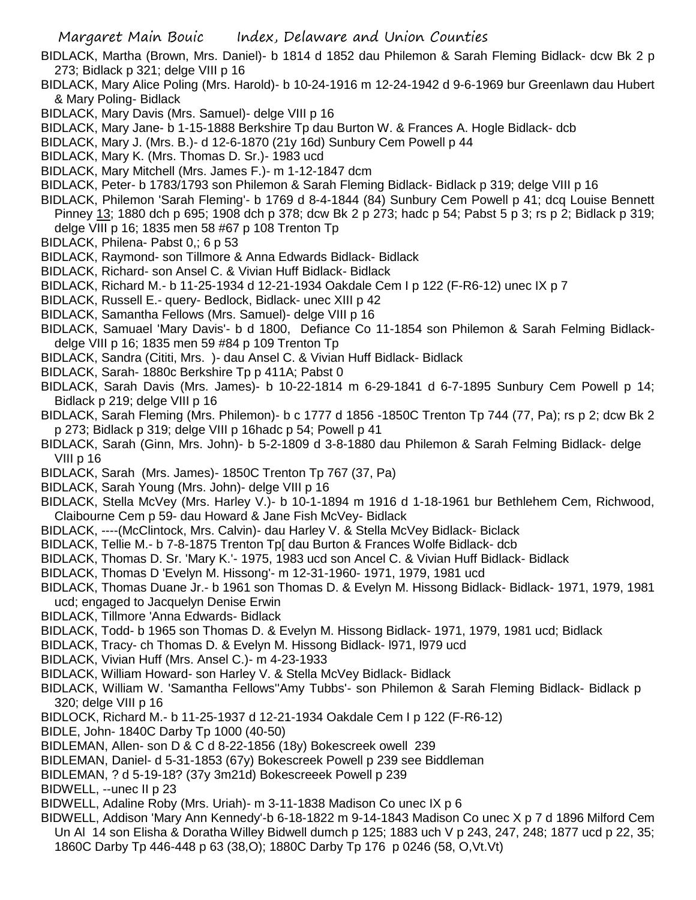BIDLACK, Martha (Brown, Mrs. Daniel)- b 1814 d 1852 dau Philemon & Sarah Fleming Bidlack- dcw Bk 2 p 273; Bidlack p 321; delge VIII p 16

BIDLACK, Mary Alice Poling (Mrs. Harold)- b 10-24-1916 m 12-24-1942 d 9-6-1969 bur Greenlawn dau Hubert & Mary Poling- Bidlack

- BIDLACK, Mary Davis (Mrs. Samuel)- delge VIII p 16
- BIDLACK, Mary Jane- b 1-15-1888 Berkshire Tp dau Burton W. & Frances A. Hogle Bidlack- dcb
- BIDLACK, Mary J. (Mrs. B.)- d 12-6-1870 (21y 16d) Sunbury Cem Powell p 44
- BIDLACK, Mary K. (Mrs. Thomas D. Sr.)- 1983 ucd
- BIDLACK, Mary Mitchell (Mrs. James F.)- m 1-12-1847 dcm
- BIDLACK, Peter- b 1783/1793 son Philemon & Sarah Fleming Bidlack- Bidlack p 319; delge VIII p 16
- BIDLACK, Philemon 'Sarah Fleming'- b 1769 d 8-4-1844 (84) Sunbury Cem Powell p 41; dcq Louise Bennett Pinney 13; 1880 dch p 695; 1908 dch p 378; dcw Bk 2 p 273; hadc p 54; Pabst 5 p 3; rs p 2; Bidlack p 319; delge VIII p 16; 1835 men 58 #67 p 108 Trenton Tp
- BIDLACK, Philena- Pabst 0,; 6 p 53
- BIDLACK, Raymond- son Tillmore & Anna Edwards Bidlack- Bidlack
- BIDLACK, Richard- son Ansel C. & Vivian Huff Bidlack- Bidlack
- BIDLACK, Richard M.- b 11-25-1934 d 12-21-1934 Oakdale Cem I p 122 (F-R6-12) unec IX p 7
- BIDLACK, Russell E.- query- Bedlock, Bidlack- unec XIII p 42
- BIDLACK, Samantha Fellows (Mrs. Samuel)- delge VIII p 16
- BIDLACK, Samuael 'Mary Davis'- b d 1800, Defiance Co 11-1854 son Philemon & Sarah Felming Bidlackdelge VIII p 16; 1835 men 59 #84 p 109 Trenton Tp
- BIDLACK, Sandra (Cititi, Mrs. )- dau Ansel C. & Vivian Huff Bidlack- Bidlack
- BIDLACK, Sarah- 1880c Berkshire Tp p 411A; Pabst 0
- BIDLACK, Sarah Davis (Mrs. James)- b 10-22-1814 m 6-29-1841 d 6-7-1895 Sunbury Cem Powell p 14; Bidlack p 219; delge VIII p 16
- BIDLACK, Sarah Fleming (Mrs. Philemon)- b c 1777 d 1856 -1850C Trenton Tp 744 (77, Pa); rs p 2; dcw Bk 2 p 273; Bidlack p 319; delge VIII p 16hadc p 54; Powell p 41
- BIDLACK, Sarah (Ginn, Mrs. John)- b 5-2-1809 d 3-8-1880 dau Philemon & Sarah Felming Bidlack- delge VIII p 16
- BIDLACK, Sarah (Mrs. James)- 1850C Trenton Tp 767 (37, Pa)
- BIDLACK, Sarah Young (Mrs. John)- delge VIII p 16
- BIDLACK, Stella McVey (Mrs. Harley V.)- b 10-1-1894 m 1916 d 1-18-1961 bur Bethlehem Cem, Richwood, Claibourne Cem p 59- dau Howard & Jane Fish McVey- Bidlack
- BIDLACK, ----(McClintock, Mrs. Calvin)- dau Harley V. & Stella McVey Bidlack- Biclack
- BIDLACK, Tellie M.- b 7-8-1875 Trenton Tp[ dau Burton & Frances Wolfe Bidlack- dcb
- BIDLACK, Thomas D. Sr. 'Mary K.'- 1975, 1983 ucd son Ancel C. & Vivian Huff Bidlack- Bidlack
- BIDLACK, Thomas D 'Evelyn M. Hissong'- m 12-31-1960- 1971, 1979, 1981 ucd
- BIDLACK, Thomas Duane Jr.- b 1961 son Thomas D. & Evelyn M. Hissong Bidlack- Bidlack- 1971, 1979, 1981 ucd; engaged to Jacquelyn Denise Erwin
- BIDLACK, Tillmore 'Anna Edwards- Bidlack
- BIDLACK, Todd- b 1965 son Thomas D. & Evelyn M. Hissong Bidlack- 1971, 1979, 1981 ucd; Bidlack
- BIDLACK, Tracy- ch Thomas D. & Evelyn M. Hissong Bidlack- l971, l979 ucd
- BIDLACK, Vivian Huff (Mrs. Ansel C.)- m 4-23-1933
- BIDLACK, William Howard- son Harley V. & Stella McVey Bidlack- Bidlack
- BIDLACK, William W. 'Samantha Fellows''Amy Tubbs'- son Philemon & Sarah Fleming Bidlack- Bidlack p 320; delge VIII p 16
- BIDLOCK, Richard M.- b 11-25-1937 d 12-21-1934 Oakdale Cem I p 122 (F-R6-12)
- BIDLE, John- 1840C Darby Tp 1000 (40-50)
- BIDLEMAN, Allen- son D & C d 8-22-1856 (18y) Bokescreek owell 239
- BIDLEMAN, Daniel- d 5-31-1853 (67y) Bokescreek Powell p 239 see Biddleman
- BIDLEMAN, ? d 5-19-18? (37y 3m21d) Bokescreeek Powell p 239
- BIDWELL, --unec II p 23
- BIDWELL, Adaline Roby (Mrs. Uriah)- m 3-11-1838 Madison Co unec IX p 6
- BIDWELL, Addison 'Mary Ann Kennedy'-b 6-18-1822 m 9-14-1843 Madison Co unec X p 7 d 1896 Milford Cem Un Al 14 son Elisha & Doratha Willey Bidwell dumch p 125; 1883 uch V p 243, 247, 248; 1877 ucd p 22, 35; 1860C Darby Tp 446-448 p 63 (38,O); 1880C Darby Tp 176 p 0246 (58, O,Vt.Vt)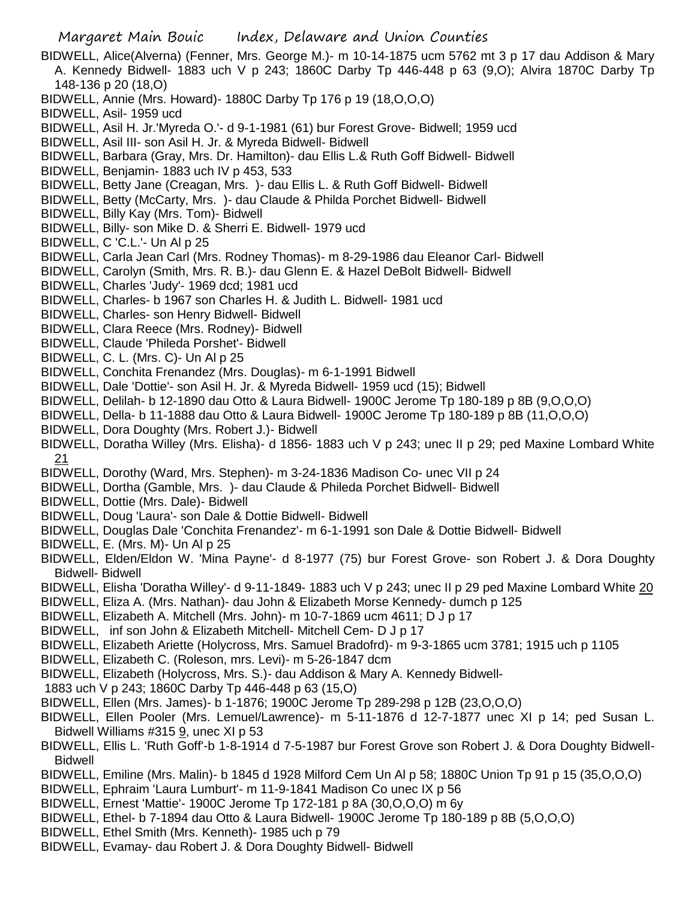- BIDWELL, Alice(Alverna) (Fenner, Mrs. George M.)- m 10-14-1875 ucm 5762 mt 3 p 17 dau Addison & Mary A. Kennedy Bidwell- 1883 uch V p 243; 1860C Darby Tp 446-448 p 63 (9,O); Alvira 1870C Darby Tp 148-136 p 20 (18,O)
- BIDWELL, Annie (Mrs. Howard)- 1880C Darby Tp 176 p 19 (18,O,O,O)
- BIDWELL, Asil- 1959 ucd
- BIDWELL, Asil H. Jr.'Myreda O.'- d 9-1-1981 (61) bur Forest Grove- Bidwell; 1959 ucd
- BIDWELL, Asil III- son Asil H. Jr. & Myreda Bidwell- Bidwell
- BIDWELL, Barbara (Gray, Mrs. Dr. Hamilton)- dau Ellis L.& Ruth Goff Bidwell- Bidwell
- BIDWELL, Benjamin- 1883 uch IV p 453, 533
- BIDWELL, Betty Jane (Creagan, Mrs. )- dau Ellis L. & Ruth Goff Bidwell- Bidwell
- BIDWELL, Betty (McCarty, Mrs. )- dau Claude & Philda Porchet Bidwell- Bidwell
- BIDWELL, Billy Kay (Mrs. Tom)- Bidwell
- BIDWELL, Billy- son Mike D. & Sherri E. Bidwell- 1979 ucd
- BIDWELL, C 'C.L.'- Un Al p 25
- BIDWELL, Carla Jean Carl (Mrs. Rodney Thomas)- m 8-29-1986 dau Eleanor Carl- Bidwell
- BIDWELL, Carolyn (Smith, Mrs. R. B.)- dau Glenn E. & Hazel DeBolt Bidwell- Bidwell
- BIDWELL, Charles 'Judy'- 1969 dcd; 1981 ucd
- BIDWELL, Charles- b 1967 son Charles H. & Judith L. Bidwell- 1981 ucd
- BIDWELL, Charles- son Henry Bidwell- Bidwell
- BIDWELL, Clara Reece (Mrs. Rodney)- Bidwell
- BIDWELL, Claude 'Phileda Porshet'- Bidwell
- BIDWELL, C. L. (Mrs. C)- Un Al p 25
- BIDWELL, Conchita Frenandez (Mrs. Douglas)- m 6-1-1991 Bidwell
- BIDWELL, Dale 'Dottie'- son Asil H. Jr. & Myreda Bidwell- 1959 ucd (15); Bidwell
- BIDWELL, Delilah- b 12-1890 dau Otto & Laura Bidwell- 1900C Jerome Tp 180-189 p 8B (9,O,O,O)
- BIDWELL, Della- b 11-1888 dau Otto & Laura Bidwell- 1900C Jerome Tp 180-189 p 8B (11,O,O,O)
- BIDWELL, Dora Doughty (Mrs. Robert J.)- Bidwell
- BIDWELL, Doratha Willey (Mrs. Elisha)- d 1856- 1883 uch V p 243; unec II p 29; ped Maxine Lombard White 21
- BIDWELL, Dorothy (Ward, Mrs. Stephen)- m 3-24-1836 Madison Co- unec VII p 24
- BIDWELL, Dortha (Gamble, Mrs. )- dau Claude & Phileda Porchet Bidwell- Bidwell
- BIDWELL, Dottie (Mrs. Dale)- Bidwell
- BIDWELL, Doug 'Laura'- son Dale & Dottie Bidwell- Bidwell
- BIDWELL, Douglas Dale 'Conchita Frenandez'- m 6-1-1991 son Dale & Dottie Bidwell- Bidwell
- BIDWELL, E. (Mrs. M)- Un Al p 25
- BIDWELL, Elden/Eldon W. 'Mina Payne'- d 8-1977 (75) bur Forest Grove- son Robert J. & Dora Doughty Bidwell- Bidwell
- BIDWELL, Elisha 'Doratha Willey'- d 9-11-1849- 1883 uch V p 243; unec II p 29 ped Maxine Lombard White 20
- BIDWELL, Eliza A. (Mrs. Nathan)- dau John & Elizabeth Morse Kennedy- dumch p 125
- BIDWELL, Elizabeth A. Mitchell (Mrs. John)- m 10-7-1869 ucm 4611; D J p 17
- BIDWELL, inf son John & Elizabeth Mitchell- Mitchell Cem- D J p 17
- BIDWELL, Elizabeth Ariette (Holycross, Mrs. Samuel Bradofrd)- m 9-3-1865 ucm 3781; 1915 uch p 1105
- BIDWELL, Elizabeth C. (Roleson, mrs. Levi)- m 5-26-1847 dcm
- BIDWELL, Elizabeth (Holycross, Mrs. S.)- dau Addison & Mary A. Kennedy Bidwell-
- 1883 uch V p 243; 1860C Darby Tp 446-448 p 63 (15,O)
- BIDWELL, Ellen (Mrs. James)- b 1-1876; 1900C Jerome Tp 289-298 p 12B (23,O,O,O)
- BIDWELL, Ellen Pooler (Mrs. Lemuel/Lawrence)- m 5-11-1876 d 12-7-1877 unec XI p 14; ped Susan L. Bidwell Williams #315 9, unec XI p 53
- BIDWELL, Ellis L. 'Ruth Goff'-b 1-8-1914 d 7-5-1987 bur Forest Grove son Robert J. & Dora Doughty Bidwell-Bidwell
- BIDWELL, Emiline (Mrs. Malin)- b 1845 d 1928 Milford Cem Un Al p 58; 1880C Union Tp 91 p 15 (35,O,O,O)
- BIDWELL, Ephraim 'Laura Lumburt'- m 11-9-1841 Madison Co unec IX p 56
- BIDWELL, Ernest 'Mattie'- 1900C Jerome Tp 172-181 p 8A (30,O,O,O) m 6y
- BIDWELL, Ethel- b 7-1894 dau Otto & Laura Bidwell- 1900C Jerome Tp 180-189 p 8B (5,O,O,O)
- BIDWELL, Ethel Smith (Mrs. Kenneth)- 1985 uch p 79
- BIDWELL, Evamay- dau Robert J. & Dora Doughty Bidwell- Bidwell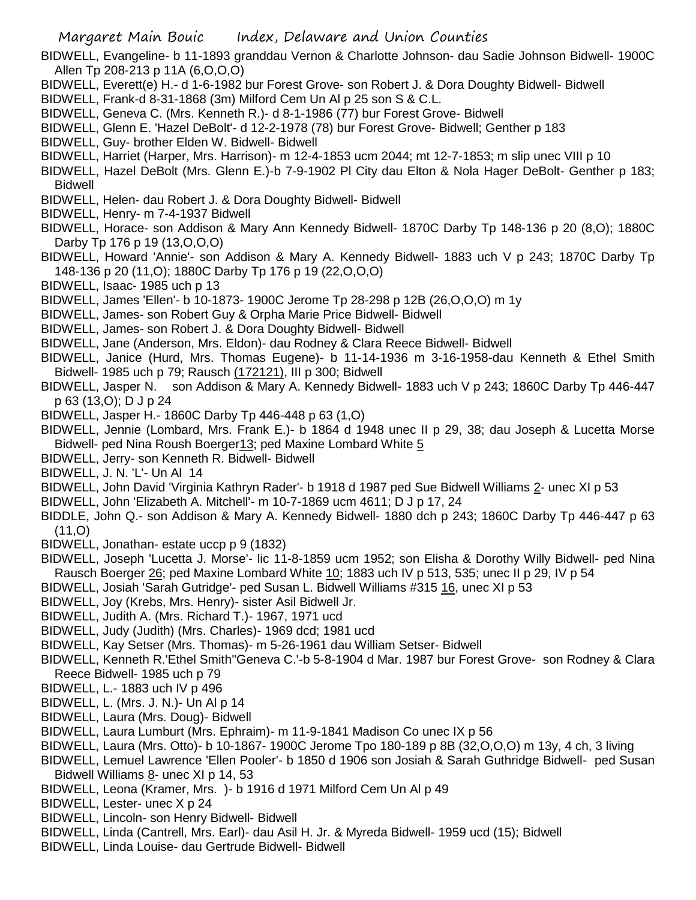BIDWELL, Evangeline- b 11-1893 granddau Vernon & Charlotte Johnson- dau Sadie Johnson Bidwell- 1900C Allen Tp 208-213 p 11A (6,O,O,O)

- BIDWELL, Everett(e) H.- d 1-6-1982 bur Forest Grove- son Robert J. & Dora Doughty Bidwell- Bidwell
- BIDWELL, Frank-d 8-31-1868 (3m) Milford Cem Un Al p 25 son S & C.L.
- BIDWELL, Geneva C. (Mrs. Kenneth R.)- d 8-1-1986 (77) bur Forest Grove- Bidwell
- BIDWELL, Glenn E. 'Hazel DeBolt'- d 12-2-1978 (78) bur Forest Grove- Bidwell; Genther p 183
- BIDWELL, Guy- brother Elden W. Bidwell- Bidwell
- BIDWELL, Harriet (Harper, Mrs. Harrison)- m 12-4-1853 ucm 2044; mt 12-7-1853; m slip unec VIII p 10
- BIDWELL, Hazel DeBolt (Mrs. Glenn E.)-b 7-9-1902 Pl City dau Elton & Nola Hager DeBolt- Genther p 183; Bidwell
- BIDWELL, Helen- dau Robert J. & Dora Doughty Bidwell- Bidwell
- BIDWELL, Henry- m 7-4-1937 Bidwell
- BIDWELL, Horace- son Addison & Mary Ann Kennedy Bidwell- 1870C Darby Tp 148-136 p 20 (8,O); 1880C Darby Tp 176 p 19 (13,O,O,O)
- BIDWELL, Howard 'Annie'- son Addison & Mary A. Kennedy Bidwell- 1883 uch V p 243; 1870C Darby Tp 148-136 p 20 (11,O); 1880C Darby Tp 176 p 19 (22,O,O,O)
- BIDWELL, Isaac- 1985 uch p 13
- BIDWELL, James 'Ellen'- b 10-1873- 1900C Jerome Tp 28-298 p 12B (26,O,O,O) m 1y
- BIDWELL, James- son Robert Guy & Orpha Marie Price Bidwell- Bidwell
- BIDWELL, James- son Robert J. & Dora Doughty Bidwell- Bidwell
- BIDWELL, Jane (Anderson, Mrs. Eldon)- dau Rodney & Clara Reece Bidwell- Bidwell
- BIDWELL, Janice (Hurd, Mrs. Thomas Eugene)- b 11-14-1936 m 3-16-1958-dau Kenneth & Ethel Smith Bidwell- 1985 uch p 79; Rausch (172121), III p 300; Bidwell
- BIDWELL, Jasper N. son Addison & Mary A. Kennedy Bidwell- 1883 uch V p 243; 1860C Darby Tp 446-447 p 63 (13,O); D J p 24
- BIDWELL, Jasper H.- 1860C Darby Tp 446-448 p 63 (1,O)
- BIDWELL, Jennie (Lombard, Mrs. Frank E.)- b 1864 d 1948 unec II p 29, 38; dau Joseph & Lucetta Morse Bidwell- ped Nina Roush Boerger13; ped Maxine Lombard White 5
- BIDWELL, Jerry- son Kenneth R. Bidwell- Bidwell
- BIDWELL, J. N. 'L'- Un Al 14
- BIDWELL, John David 'Virginia Kathryn Rader'- b 1918 d 1987 ped Sue Bidwell Williams 2- unec XI p 53
- BIDWELL, John 'Elizabeth A. Mitchell'- m 10-7-1869 ucm 4611; D J p 17, 24
- BIDDLE, John Q.- son Addison & Mary A. Kennedy Bidwell- 1880 dch p 243; 1860C Darby Tp 446-447 p 63 (11,O)
- BIDWELL, Jonathan- estate uccp p 9 (1832)
- BIDWELL, Joseph 'Lucetta J. Morse'- lic 11-8-1859 ucm 1952; son Elisha & Dorothy Willy Bidwell- ped Nina Rausch Boerger 26; ped Maxine Lombard White 10; 1883 uch IV p 513, 535; unec II p 29, IV p 54
- BIDWELL, Josiah 'Sarah Gutridge'- ped Susan L. Bidwell Williams #315 16, unec XI p 53
- BIDWELL, Joy (Krebs, Mrs. Henry)- sister Asil Bidwell Jr.
- BIDWELL, Judith A. (Mrs. Richard T.)- 1967, 1971 ucd
- BIDWELL, Judy (Judith) (Mrs. Charles)- 1969 dcd; 1981 ucd
- BIDWELL, Kay Setser (Mrs. Thomas)- m 5-26-1961 dau William Setser- Bidwell
- BIDWELL, Kenneth R.'Ethel Smith''Geneva C.'-b 5-8-1904 d Mar. 1987 bur Forest Grove- son Rodney & Clara Reece Bidwell- 1985 uch p 79
- BIDWELL, L.- 1883 uch IV p 496
- BIDWELL, L. (Mrs. J. N.)- Un Al p 14
- BIDWELL, Laura (Mrs. Doug)- Bidwell
- BIDWELL, Laura Lumburt (Mrs. Ephraim)- m 11-9-1841 Madison Co unec IX p 56
- BIDWELL, Laura (Mrs. Otto)- b 10-1867- 1900C Jerome Tpo 180-189 p 8B (32,O,O,O) m 13y, 4 ch, 3 living
- BIDWELL, Lemuel Lawrence 'Ellen Pooler'- b 1850 d 1906 son Josiah & Sarah Guthridge Bidwell- ped Susan Bidwell Williams  $8$ - unec XI p 14, 53
- BIDWELL, Leona (Kramer, Mrs. )- b 1916 d 1971 Milford Cem Un Al p 49
- BIDWELL, Lester- unec X p 24
- BIDWELL, Lincoln- son Henry Bidwell- Bidwell
- BIDWELL, Linda (Cantrell, Mrs. Earl)- dau Asil H. Jr. & Myreda Bidwell- 1959 ucd (15); Bidwell
- BIDWELL, Linda Louise- dau Gertrude Bidwell- Bidwell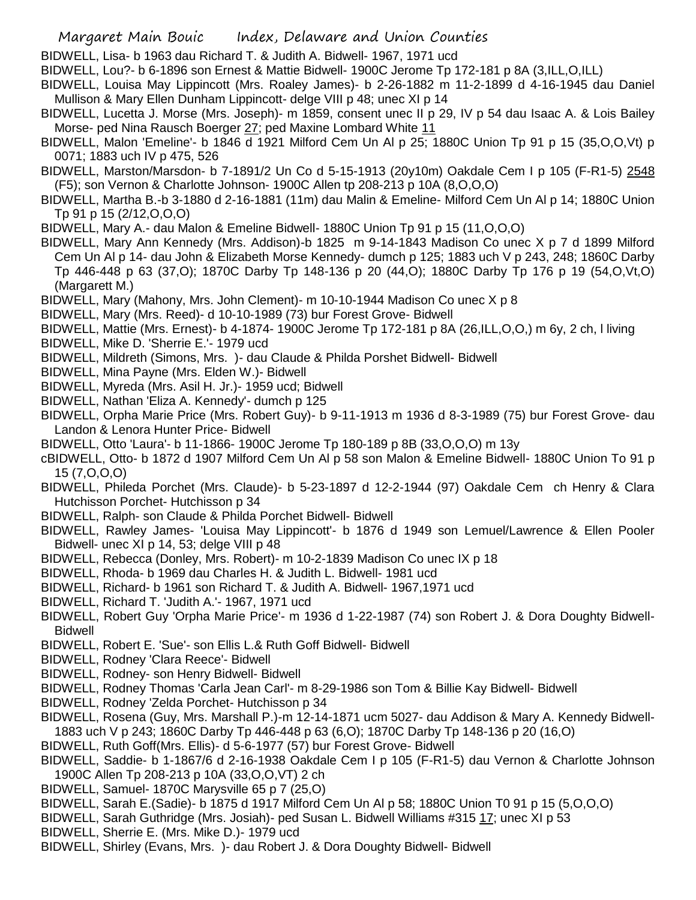- Margaret Main Bouic Index, Delaware and Union Counties
- BIDWELL, Lisa- b 1963 dau Richard T. & Judith A. Bidwell- 1967, 1971 ucd
- BIDWELL, Lou?- b 6-1896 son Ernest & Mattie Bidwell- 1900C Jerome Tp 172-181 p 8A (3,ILL,O,ILL)
- BIDWELL, Louisa May Lippincott (Mrs. Roaley James)- b 2-26-1882 m 11-2-1899 d 4-16-1945 dau Daniel Mullison & Mary Ellen Dunham Lippincott- delge VIII p 48; unec XI p 14
- BIDWELL, Lucetta J. Morse (Mrs. Joseph)- m 1859, consent unec II p 29, IV p 54 dau Isaac A. & Lois Bailey Morse- ped Nina Rausch Boerger 27; ped Maxine Lombard White 11
- BIDWELL, Malon 'Emeline'- b 1846 d 1921 Milford Cem Un Al p 25; 1880C Union Tp 91 p 15 (35,O,O,Vt) p 0071; 1883 uch IV p 475, 526
- BIDWELL, Marston/Marsdon- b 7-1891/2 Un Co d 5-15-1913 (20y10m) Oakdale Cem I p 105 (F-R1-5) 2548 (F5); son Vernon & Charlotte Johnson- 1900C Allen tp 208-213 p 10A (8,O,O,O)
- BIDWELL, Martha B.-b 3-1880 d 2-16-1881 (11m) dau Malin & Emeline- Milford Cem Un Al p 14; 1880C Union Tp 91 p 15 (2/12,O,O,O)
- BIDWELL, Mary A.- dau Malon & Emeline Bidwell- 1880C Union Tp 91 p 15 (11,O,O,O)
- BIDWELL, Mary Ann Kennedy (Mrs. Addison)-b 1825 m 9-14-1843 Madison Co unec X p 7 d 1899 Milford Cem Un Al p 14- dau John & Elizabeth Morse Kennedy- dumch p 125; 1883 uch V p 243, 248; 1860C Darby Tp 446-448 p 63 (37,O); 1870C Darby Tp 148-136 p 20 (44,O); 1880C Darby Tp 176 p 19 (54,O,Vt,O) (Margarett M.)
- BIDWELL, Mary (Mahony, Mrs. John Clement)- m 10-10-1944 Madison Co unec X p 8
- BIDWELL, Mary (Mrs. Reed)- d 10-10-1989 (73) bur Forest Grove- Bidwell
- BIDWELL, Mattie (Mrs. Ernest)- b 4-1874- 1900C Jerome Tp 172-181 p 8A (26,ILL,O,O,) m 6y, 2 ch, l living
- BIDWELL, Mike D. 'Sherrie E.'- 1979 ucd
- BIDWELL, Mildreth (Simons, Mrs. )- dau Claude & Philda Porshet Bidwell- Bidwell
- BIDWELL, Mina Payne (Mrs. Elden W.)- Bidwell
- BIDWELL, Myreda (Mrs. Asil H. Jr.)- 1959 ucd; Bidwell
- BIDWELL, Nathan 'Eliza A. Kennedy'- dumch p 125
- BIDWELL, Orpha Marie Price (Mrs. Robert Guy)- b 9-11-1913 m 1936 d 8-3-1989 (75) bur Forest Grove- dau Landon & Lenora Hunter Price- Bidwell
- BIDWELL, Otto 'Laura'- b 11-1866- 1900C Jerome Tp 180-189 p 8B (33,O,O,O) m 13y
- cBIDWELL, Otto- b 1872 d 1907 Milford Cem Un Al p 58 son Malon & Emeline Bidwell- 1880C Union To 91 p 15 (7,O,O,O)
- BIDWELL, Phileda Porchet (Mrs. Claude)- b 5-23-1897 d 12-2-1944 (97) Oakdale Cem ch Henry & Clara Hutchisson Porchet- Hutchisson p 34
- BIDWELL, Ralph- son Claude & Philda Porchet Bidwell- Bidwell
- BIDWELL, Rawley James- 'Louisa May Lippincott'- b 1876 d 1949 son Lemuel/Lawrence & Ellen Pooler Bidwell- unec XI p 14, 53; delge VIII p 48
- BIDWELL, Rebecca (Donley, Mrs. Robert)- m 10-2-1839 Madison Co unec IX p 18
- BIDWELL, Rhoda- b 1969 dau Charles H. & Judith L. Bidwell- 1981 ucd
- BIDWELL, Richard- b 1961 son Richard T. & Judith A. Bidwell- 1967,1971 ucd
- BIDWELL, Richard T. 'Judith A.'- 1967, 1971 ucd
- BIDWELL, Robert Guy 'Orpha Marie Price'- m 1936 d 1-22-1987 (74) son Robert J. & Dora Doughty Bidwell-Bidwell
- BIDWELL, Robert E. 'Sue'- son Ellis L.& Ruth Goff Bidwell- Bidwell
- BIDWELL, Rodney 'Clara Reece'- Bidwell
- BIDWELL, Rodney- son Henry Bidwell- Bidwell
- BIDWELL, Rodney Thomas 'Carla Jean Carl'- m 8-29-1986 son Tom & Billie Kay Bidwell- Bidwell
- BIDWELL, Rodney 'Zelda Porchet- Hutchisson p 34
- BIDWELL, Rosena (Guy, Mrs. Marshall P.)-m 12-14-1871 ucm 5027- dau Addison & Mary A. Kennedy Bidwell-1883 uch V p 243; 1860C Darby Tp 446-448 p 63 (6,O); 1870C Darby Tp 148-136 p 20 (16,O)
- BIDWELL, Ruth Goff(Mrs. Ellis)- d 5-6-1977 (57) bur Forest Grove- Bidwell
- BIDWELL, Saddie- b 1-1867/6 d 2-16-1938 Oakdale Cem I p 105 (F-R1-5) dau Vernon & Charlotte Johnson 1900C Allen Tp 208-213 p 10A (33,O,O,VT) 2 ch
- BIDWELL, Samuel- 1870C Marysville 65 p 7 (25,O)
- BIDWELL, Sarah E.(Sadie)- b 1875 d 1917 Milford Cem Un Al p 58; 1880C Union T0 91 p 15 (5,O,O,O)
- BIDWELL, Sarah Guthridge (Mrs. Josiah)- ped Susan L. Bidwell Williams #315 17; unec XI p 53
- BIDWELL, Sherrie E. (Mrs. Mike D.)- 1979 ucd
- BIDWELL, Shirley (Evans, Mrs. )- dau Robert J. & Dora Doughty Bidwell- Bidwell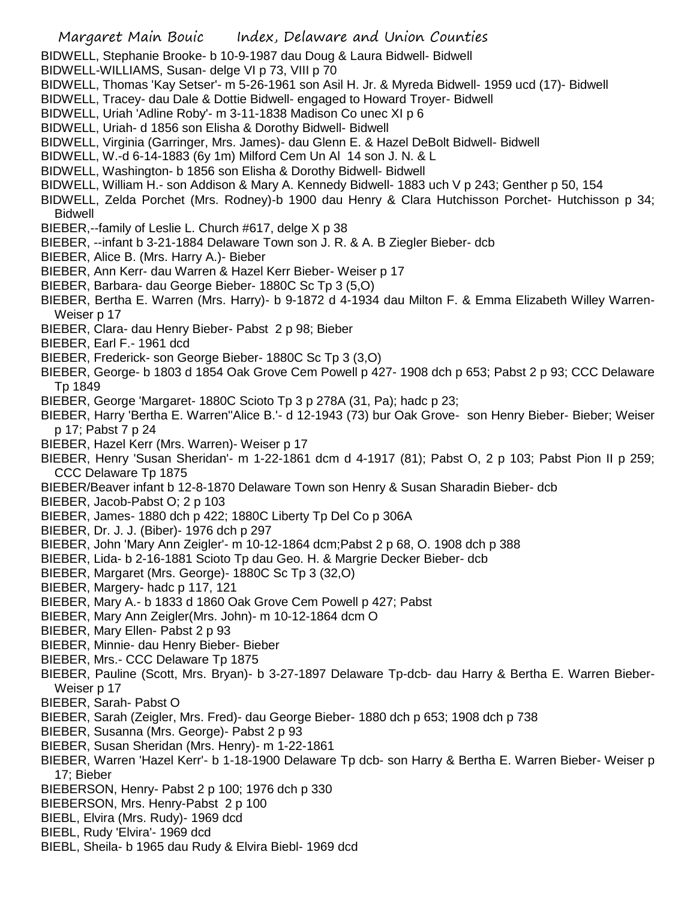BIDWELL, Stephanie Brooke- b 10-9-1987 dau Doug & Laura Bidwell- Bidwell

- BIDWELL-WILLIAMS, Susan- delge VI p 73, VIII p 70
- BIDWELL, Thomas 'Kay Setser'- m 5-26-1961 son Asil H. Jr. & Myreda Bidwell- 1959 ucd (17)- Bidwell
- BIDWELL, Tracey- dau Dale & Dottie Bidwell- engaged to Howard Troyer- Bidwell
- BIDWELL, Uriah 'Adline Roby'- m 3-11-1838 Madison Co unec XI p 6
- BIDWELL, Uriah- d 1856 son Elisha & Dorothy Bidwell- Bidwell
- BIDWELL, Virginia (Garringer, Mrs. James)- dau Glenn E. & Hazel DeBolt Bidwell- Bidwell
- BIDWELL, W.-d 6-14-1883 (6y 1m) Milford Cem Un Al 14 son J. N. & L
- BIDWELL, Washington- b 1856 son Elisha & Dorothy Bidwell- Bidwell
- BIDWELL, William H.- son Addison & Mary A. Kennedy Bidwell- 1883 uch V p 243; Genther p 50, 154
- BIDWELL, Zelda Porchet (Mrs. Rodney)-b 1900 dau Henry & Clara Hutchisson Porchet- Hutchisson p 34; Bidwell
- BIEBER,--family of Leslie L. Church #617, delge X p 38
- BIEBER, --infant b 3-21-1884 Delaware Town son J. R. & A. B Ziegler Bieber- dcb
- BIEBER, Alice B. (Mrs. Harry A.)- Bieber
- BIEBER, Ann Kerr- dau Warren & Hazel Kerr Bieber- Weiser p 17
- BIEBER, Barbara- dau George Bieber- 1880C Sc Tp 3 (5,O)
- BIEBER, Bertha E. Warren (Mrs. Harry)- b 9-1872 d 4-1934 dau Milton F. & Emma Elizabeth Willey Warren-Weiser p 17
- BIEBER, Clara- dau Henry Bieber- Pabst 2 p 98; Bieber
- BIEBER, Earl F.- 1961 dcd
- BIEBER, Frederick- son George Bieber- 1880C Sc Tp 3 (3,O)
- BIEBER, George- b 1803 d 1854 Oak Grove Cem Powell p 427- 1908 dch p 653; Pabst 2 p 93; CCC Delaware Tp 1849
- BIEBER, George 'Margaret- 1880C Scioto Tp 3 p 278A (31, Pa); hadc p 23;
- BIEBER, Harry 'Bertha E. Warren''Alice B.'- d 12-1943 (73) bur Oak Grove- son Henry Bieber- Bieber; Weiser p 17; Pabst 7 p 24
- BIEBER, Hazel Kerr (Mrs. Warren)- Weiser p 17
- BIEBER, Henry 'Susan Sheridan'- m 1-22-1861 dcm d 4-1917 (81); Pabst O, 2 p 103; Pabst Pion II p 259; CCC Delaware Tp 1875
- BIEBER/Beaver infant b 12-8-1870 Delaware Town son Henry & Susan Sharadin Bieber- dcb
- BIEBER, Jacob-Pabst O; 2 p 103
- BIEBER, James- 1880 dch p 422; 1880C Liberty Tp Del Co p 306A
- BIEBER, Dr. J. J. (Biber)- 1976 dch p 297
- BIEBER, John 'Mary Ann Zeigler'- m 10-12-1864 dcm;Pabst 2 p 68, O. 1908 dch p 388
- BIEBER, Lida- b 2-16-1881 Scioto Tp dau Geo. H. & Margrie Decker Bieber- dcb
- BIEBER, Margaret (Mrs. George)- 1880C Sc Tp 3 (32,O)
- BIEBER, Margery- hadc p 117, 121
- BIEBER, Mary A.- b 1833 d 1860 Oak Grove Cem Powell p 427; Pabst
- BIEBER, Mary Ann Zeigler(Mrs. John)- m 10-12-1864 dcm O
- BIEBER, Mary Ellen- Pabst 2 p 93
- BIEBER, Minnie- dau Henry Bieber- Bieber
- BIEBER, Mrs.- CCC Delaware Tp 1875
- BIEBER, Pauline (Scott, Mrs. Bryan)- b 3-27-1897 Delaware Tp-dcb- dau Harry & Bertha E. Warren Bieber-Weiser p 17
- BIEBER, Sarah- Pabst O
- BIEBER, Sarah (Zeigler, Mrs. Fred)- dau George Bieber- 1880 dch p 653; 1908 dch p 738
- BIEBER, Susanna (Mrs. George)- Pabst 2 p 93
- BIEBER, Susan Sheridan (Mrs. Henry)- m 1-22-1861
- BIEBER, Warren 'Hazel Kerr'- b 1-18-1900 Delaware Tp dcb- son Harry & Bertha E. Warren Bieber- Weiser p 17; Bieber
- BIEBERSON, Henry- Pabst 2 p 100; 1976 dch p 330
- BIEBERSON, Mrs. Henry-Pabst 2 p 100
- BIEBL, Elvira (Mrs. Rudy)- 1969 dcd
- BIEBL, Rudy 'Elvira'- 1969 dcd
- BIEBL, Sheila- b 1965 dau Rudy & Elvira Biebl- 1969 dcd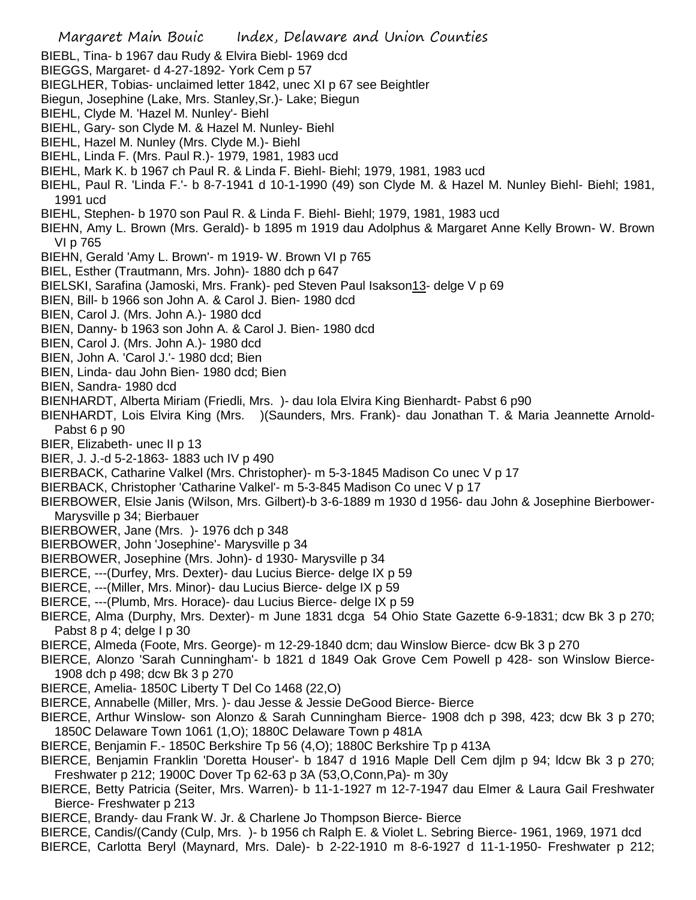BIEBL, Tina- b 1967 dau Rudy & Elvira Biebl- 1969 dcd BIEGGS, Margaret- d 4-27-1892- York Cem p 57 BIEGLHER, Tobias- unclaimed letter 1842, unec XI p 67 see Beightler Biegun, Josephine (Lake, Mrs. Stanley,Sr.)- Lake; Biegun BIEHL, Clyde M. 'Hazel M. Nunley'- Biehl BIEHL, Gary- son Clyde M. & Hazel M. Nunley- Biehl BIEHL, Hazel M. Nunley (Mrs. Clyde M.)- Biehl BIEHL, Linda F. (Mrs. Paul R.)- 1979, 1981, 1983 ucd BIEHL, Mark K. b 1967 ch Paul R. & Linda F. Biehl- Biehl; 1979, 1981, 1983 ucd BIEHL, Paul R. 'Linda F.'- b 8-7-1941 d 10-1-1990 (49) son Clyde M. & Hazel M. Nunley Biehl- Biehl; 1981, 1991 ucd BIEHL, Stephen- b 1970 son Paul R. & Linda F. Biehl- Biehl; 1979, 1981, 1983 ucd BIEHN, Amy L. Brown (Mrs. Gerald)- b 1895 m 1919 dau Adolphus & Margaret Anne Kelly Brown- W. Brown VI p 765 BIEHN, Gerald 'Amy L. Brown'- m 1919- W. Brown VI p 765 BIEL, Esther (Trautmann, Mrs. John)- 1880 dch p 647 BIELSKI, Sarafina (Jamoski, Mrs. Frank)- ped Steven Paul Isakson13- delge V p 69 BIEN, Bill- b 1966 son John A. & Carol J. Bien- 1980 dcd BIEN, Carol J. (Mrs. John A.)- 1980 dcd BIEN, Danny- b 1963 son John A. & Carol J. Bien- 1980 dcd BIEN, Carol J. (Mrs. John A.)- 1980 dcd BIEN, John A. 'Carol J.'- 1980 dcd; Bien BIEN, Linda- dau John Bien- 1980 dcd; Bien BIEN, Sandra- 1980 dcd BIENHARDT, Alberta Miriam (Friedli, Mrs. )- dau Iola Elvira King Bienhardt- Pabst 6 p90 BIENHARDT, Lois Elvira King (Mrs. )(Saunders, Mrs. Frank)- dau Jonathan T. & Maria Jeannette Arnold-Pabst 6 p 90 BIER, Elizabeth- unec II p 13 BIER, J. J.-d 5-2-1863- 1883 uch IV p 490 BIERBACK, Catharine Valkel (Mrs. Christopher)- m 5-3-1845 Madison Co unec V p 17 BIERBACK, Christopher 'Catharine Valkel'- m 5-3-845 Madison Co unec V p 17 BIERBOWER, Elsie Janis (Wilson, Mrs. Gilbert)-b 3-6-1889 m 1930 d 1956- dau John & Josephine Bierbower-Marysville p 34; Bierbauer BIERBOWER, Jane (Mrs. )- 1976 dch p 348 BIERBOWER, John 'Josephine'- Marysville p 34 BIERBOWER, Josephine (Mrs. John)- d 1930- Marysville p 34 BIERCE, ---(Durfey, Mrs. Dexter)- dau Lucius Bierce- delge IX p 59 BIERCE, ---(Miller, Mrs. Minor)- dau Lucius Bierce- delge IX p 59 BIERCE, ---(Plumb, Mrs. Horace)- dau Lucius Bierce- delge IX p 59 BIERCE, Alma (Durphy, Mrs. Dexter)- m June 1831 dcga 54 Ohio State Gazette 6-9-1831; dcw Bk 3 p 270; Pabst 8 p 4; delge I p 30 BIERCE, Almeda (Foote, Mrs. George)- m 12-29-1840 dcm; dau Winslow Bierce- dcw Bk 3 p 270 BIERCE, Alonzo 'Sarah Cunningham'- b 1821 d 1849 Oak Grove Cem Powell p 428- son Winslow Bierce-1908 dch p 498; dcw Bk 3 p 270 BIERCE, Amelia- 1850C Liberty T Del Co 1468 (22,O) BIERCE, Annabelle (Miller, Mrs. )- dau Jesse & Jessie DeGood Bierce- Bierce BIERCE, Arthur Winslow- son Alonzo & Sarah Cunningham Bierce- 1908 dch p 398, 423; dcw Bk 3 p 270; 1850C Delaware Town 1061 (1,O); 1880C Delaware Town p 481A BIERCE, Benjamin F.- 1850C Berkshire Tp 56 (4,O); 1880C Berkshire Tp p 413A BIERCE, Benjamin Franklin 'Doretta Houser'- b 1847 d 1916 Maple Dell Cem djlm p 94; ldcw Bk 3 p 270; Freshwater p 212; 1900C Dover Tp 62-63 p 3A (53,O,Conn,Pa)- m 30y BIERCE, Betty Patricia (Seiter, Mrs. Warren)- b 11-1-1927 m 12-7-1947 dau Elmer & Laura Gail Freshwater Bierce- Freshwater p 213 BIERCE, Brandy- dau Frank W. Jr. & Charlene Jo Thompson Bierce- Bierce BIERCE, Candis/(Candy (Culp, Mrs. )- b 1956 ch Ralph E. & Violet L. Sebring Bierce- 1961, 1969, 1971 dcd BIERCE, Carlotta Beryl (Maynard, Mrs. Dale)- b 2-22-1910 m 8-6-1927 d 11-1-1950- Freshwater p 212;

Margaret Main Bouic Index, Delaware and Union Counties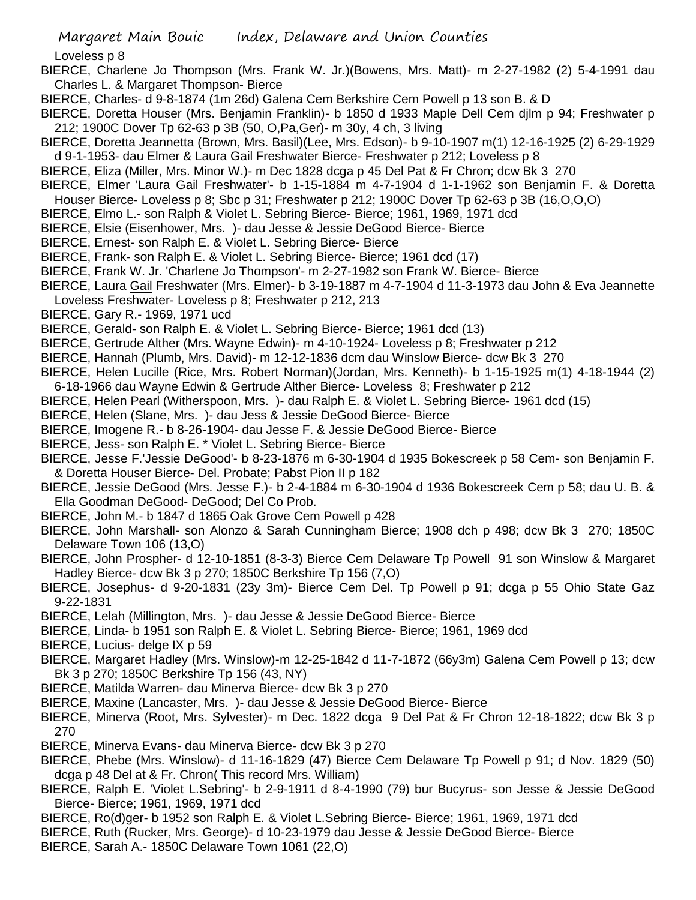Loveless p 8

- BIERCE, Charlene Jo Thompson (Mrs. Frank W. Jr.)(Bowens, Mrs. Matt)- m 2-27-1982 (2) 5-4-1991 dau Charles L. & Margaret Thompson- Bierce
- BIERCE, Charles- d 9-8-1874 (1m 26d) Galena Cem Berkshire Cem Powell p 13 son B. & D
- BIERCE, Doretta Houser (Mrs. Benjamin Franklin)- b 1850 d 1933 Maple Dell Cem djlm p 94; Freshwater p 212; 1900C Dover Tp 62-63 p 3B (50, O,Pa,Ger)- m 30y, 4 ch, 3 living
- BIERCE, Doretta Jeannetta (Brown, Mrs. Basil)(Lee, Mrs. Edson)- b 9-10-1907 m(1) 12-16-1925 (2) 6-29-1929 d 9-1-1953- dau Elmer & Laura Gail Freshwater Bierce- Freshwater p 212; Loveless p 8
- BIERCE, Eliza (Miller, Mrs. Minor W.)- m Dec 1828 dcga p 45 Del Pat & Fr Chron; dcw Bk 3 270
- BIERCE, Elmer 'Laura Gail Freshwater'- b 1-15-1884 m 4-7-1904 d 1-1-1962 son Benjamin F. & Doretta
- Houser Bierce- Loveless p 8; Sbc p 31; Freshwater p 212; 1900C Dover Tp 62-63 p 3B (16,O,O,O)
- BIERCE, Elmo L.- son Ralph & Violet L. Sebring Bierce- Bierce; 1961, 1969, 1971 dcd
- BIERCE, Elsie (Eisenhower, Mrs. )- dau Jesse & Jessie DeGood Bierce- Bierce
- BIERCE, Ernest- son Ralph E. & Violet L. Sebring Bierce- Bierce
- BIERCE, Frank- son Ralph E. & Violet L. Sebring Bierce- Bierce; 1961 dcd (17)
- BIERCE, Frank W. Jr. 'Charlene Jo Thompson'- m 2-27-1982 son Frank W. Bierce- Bierce
- BIERCE, Laura Gail Freshwater (Mrs. Elmer)- b 3-19-1887 m 4-7-1904 d 11-3-1973 dau John & Eva Jeannette Loveless Freshwater- Loveless p 8; Freshwater p 212, 213
- BIERCE, Gary R.- 1969, 1971 ucd
- BIERCE, Gerald- son Ralph E. & Violet L. Sebring Bierce- Bierce; 1961 dcd (13)
- BIERCE, Gertrude Alther (Mrs. Wayne Edwin)- m 4-10-1924- Loveless p 8; Freshwater p 212
- BIERCE, Hannah (Plumb, Mrs. David)- m 12-12-1836 dcm dau Winslow Bierce- dcw Bk 3 270
- BIERCE, Helen Lucille (Rice, Mrs. Robert Norman)(Jordan, Mrs. Kenneth)- b 1-15-1925 m(1) 4-18-1944 (2)
- 6-18-1966 dau Wayne Edwin & Gertrude Alther Bierce- Loveless 8; Freshwater p 212
- BIERCE, Helen Pearl (Witherspoon, Mrs. )- dau Ralph E. & Violet L. Sebring Bierce- 1961 dcd (15)
- BIERCE, Helen (Slane, Mrs. )- dau Jess & Jessie DeGood Bierce- Bierce
- BIERCE, Imogene R.- b 8-26-1904- dau Jesse F. & Jessie DeGood Bierce- Bierce
- BIERCE, Jess- son Ralph E. \* Violet L. Sebring Bierce- Bierce
- BIERCE, Jesse F.'Jessie DeGood'- b 8-23-1876 m 6-30-1904 d 1935 Bokescreek p 58 Cem- son Benjamin F. & Doretta Houser Bierce- Del. Probate; Pabst Pion II p 182
- BIERCE, Jessie DeGood (Mrs. Jesse F.)- b 2-4-1884 m 6-30-1904 d 1936 Bokescreek Cem p 58; dau U. B. & Ella Goodman DeGood- DeGood; Del Co Prob.
- BIERCE, John M.- b 1847 d 1865 Oak Grove Cem Powell p 428
- BIERCE, John Marshall- son Alonzo & Sarah Cunningham Bierce; 1908 dch p 498; dcw Bk 3 270; 1850C Delaware Town 106 (13,O)
- BIERCE, John Prospher- d 12-10-1851 (8-3-3) Bierce Cem Delaware Tp Powell 91 son Winslow & Margaret Hadley Bierce- dcw Bk 3 p 270; 1850C Berkshire Tp 156 (7,O)
- BIERCE, Josephus- d 9-20-1831 (23y 3m)- Bierce Cem Del. Tp Powell p 91; dcga p 55 Ohio State Gaz 9-22-1831
- BIERCE, Lelah (Millington, Mrs. )- dau Jesse & Jessie DeGood Bierce- Bierce
- BIERCE, Linda- b 1951 son Ralph E. & Violet L. Sebring Bierce- Bierce; 1961, 1969 dcd
- BIERCE, Lucius- delge IX p 59
- BIERCE, Margaret Hadley (Mrs. Winslow)-m 12-25-1842 d 11-7-1872 (66y3m) Galena Cem Powell p 13; dcw Bk 3 p 270; 1850C Berkshire Tp 156 (43, NY)
- BIERCE, Matilda Warren- dau Minerva Bierce- dcw Bk 3 p 270
- BIERCE, Maxine (Lancaster, Mrs. )- dau Jesse & Jessie DeGood Bierce- Bierce
- BIERCE, Minerva (Root, Mrs. Sylvester)- m Dec. 1822 dcga 9 Del Pat & Fr Chron 12-18-1822; dcw Bk 3 p 270
- BIERCE, Minerva Evans- dau Minerva Bierce- dcw Bk 3 p 270
- BIERCE, Phebe (Mrs. Winslow)- d 11-16-1829 (47) Bierce Cem Delaware Tp Powell p 91; d Nov. 1829 (50) dcga p 48 Del at & Fr. Chron( This record Mrs. William)
- BIERCE, Ralph E. 'Violet L.Sebring'- b 2-9-1911 d 8-4-1990 (79) bur Bucyrus- son Jesse & Jessie DeGood Bierce- Bierce; 1961, 1969, 1971 dcd
- BIERCE, Ro(d)ger- b 1952 son Ralph E. & Violet L.Sebring Bierce- Bierce; 1961, 1969, 1971 dcd
- BIERCE, Ruth (Rucker, Mrs. George)- d 10-23-1979 dau Jesse & Jessie DeGood Bierce- Bierce
- BIERCE, Sarah A.- 1850C Delaware Town 1061 (22,O)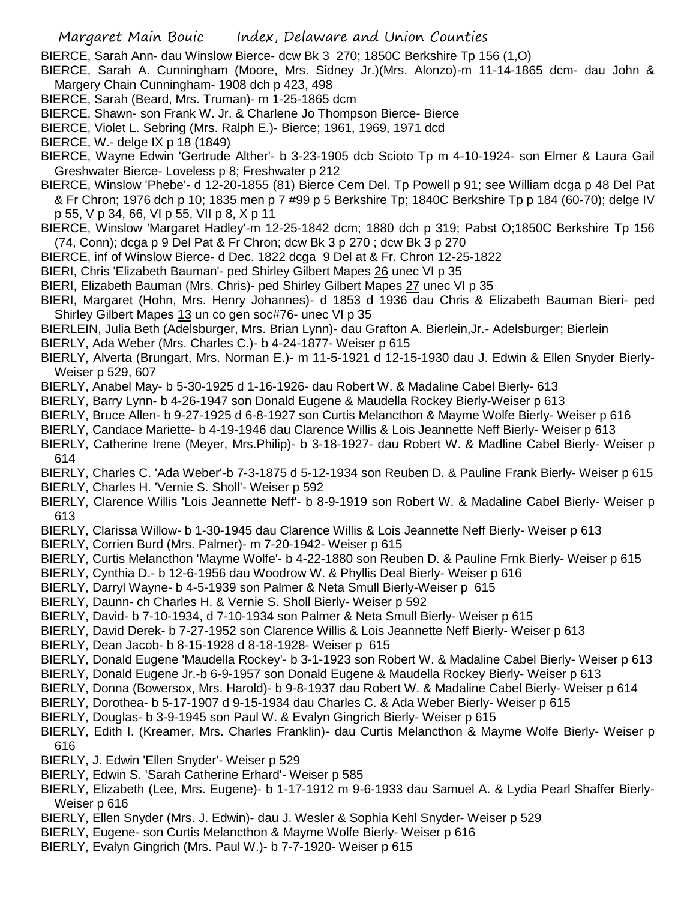BIERCE, Sarah Ann- dau Winslow Bierce- dcw Bk 3 270; 1850C Berkshire Tp 156 (1,O)

- BIERCE, Sarah A. Cunningham (Moore, Mrs. Sidney Jr.)(Mrs. Alonzo)-m 11-14-1865 dcm- dau John & Margery Chain Cunningham- 1908 dch p 423, 498
- BIERCE, Sarah (Beard, Mrs. Truman)- m 1-25-1865 dcm
- BIERCE, Shawn- son Frank W. Jr. & Charlene Jo Thompson Bierce- Bierce
- BIERCE, Violet L. Sebring (Mrs. Ralph E.)- Bierce; 1961, 1969, 1971 dcd
- BIERCE, W.- delge IX p 18 (1849)
- BIERCE, Wayne Edwin 'Gertrude Alther'- b 3-23-1905 dcb Scioto Tp m 4-10-1924- son Elmer & Laura Gail Greshwater Bierce- Loveless p 8; Freshwater p 212
- BIERCE, Winslow 'Phebe'- d 12-20-1855 (81) Bierce Cem Del. Tp Powell p 91; see William dcga p 48 Del Pat & Fr Chron; 1976 dch p 10; 1835 men p 7 #99 p 5 Berkshire Tp; 1840C Berkshire Tp p 184 (60-70); delge IV p 55, V p 34, 66, VI p 55, VII p 8, X p 11
- BIERCE, Winslow 'Margaret Hadley'-m 12-25-1842 dcm; 1880 dch p 319; Pabst O;1850C Berkshire Tp 156 (74, Conn); dcga p 9 Del Pat & Fr Chron; dcw Bk 3 p 270 ; dcw Bk 3 p 270
- BIERCE, inf of Winslow Bierce- d Dec. 1822 dcga 9 Del at & Fr. Chron 12-25-1822
- BIERI, Chris 'Elizabeth Bauman'- ped Shirley Gilbert Mapes 26 unec VI p 35
- BIERI, Elizabeth Bauman (Mrs. Chris)- ped Shirley Gilbert Mapes 27 unec VI p 35
- BIERI, Margaret (Hohn, Mrs. Henry Johannes)- d 1853 d 1936 dau Chris & Elizabeth Bauman Bieri- ped Shirley Gilbert Mapes 13 un co gen soc#76- unec VI p 35
- BIERLEIN, Julia Beth (Adelsburger, Mrs. Brian Lynn)- dau Grafton A. Bierlein,Jr.- Adelsburger; Bierlein
- BIERLY, Ada Weber (Mrs. Charles C.)- b 4-24-1877- Weiser p 615
- BIERLY, Alverta (Brungart, Mrs. Norman E.)- m 11-5-1921 d 12-15-1930 dau J. Edwin & Ellen Snyder Bierly-Weiser p 529, 607
- BIERLY, Anabel May- b 5-30-1925 d 1-16-1926- dau Robert W. & Madaline Cabel Bierly- 613
- BIERLY, Barry Lynn- b 4-26-1947 son Donald Eugene & Maudella Rockey Bierly-Weiser p 613
- BIERLY, Bruce Allen- b 9-27-1925 d 6-8-1927 son Curtis Melancthon & Mayme Wolfe Bierly- Weiser p 616
- BIERLY, Candace Mariette- b 4-19-1946 dau Clarence Willis & Lois Jeannette Neff Bierly- Weiser p 613
- BIERLY, Catherine Irene (Meyer, Mrs.Philip)- b 3-18-1927- dau Robert W. & Madline Cabel Bierly- Weiser p 614
- BIERLY, Charles C. 'Ada Weber'-b 7-3-1875 d 5-12-1934 son Reuben D. & Pauline Frank Bierly- Weiser p 615 BIERLY, Charles H. 'Vernie S. Sholl'- Weiser p 592
- BIERLY, Clarence Willis 'Lois Jeannette Neff'- b 8-9-1919 son Robert W. & Madaline Cabel Bierly- Weiser p 613
- BIERLY, Clarissa Willow- b 1-30-1945 dau Clarence Willis & Lois Jeannette Neff Bierly- Weiser p 613
- BIERLY, Corrien Burd (Mrs. Palmer)- m 7-20-1942- Weiser p 615
- BIERLY, Curtis Melancthon 'Mayme Wolfe'- b 4-22-1880 son Reuben D. & Pauline Frnk Bierly- Weiser p 615
- BIERLY, Cynthia D.- b 12-6-1956 dau Woodrow W. & Phyllis Deal Bierly- Weiser p 616
- BIERLY, Darryl Wayne- b 4-5-1939 son Palmer & Neta Smull Bierly-Weiser p 615
- BIERLY, Daunn- ch Charles H. & Vernie S. Sholl Bierly- Weiser p 592
- BIERLY, David- b 7-10-1934, d 7-10-1934 son Palmer & Neta Smull Bierly- Weiser p 615
- BIERLY, David Derek- b 7-27-1952 son Clarence Willis & Lois Jeannette Neff Bierly- Weiser p 613
- BIERLY, Dean Jacob- b 8-15-1928 d 8-18-1928- Weiser p 615
- BIERLY, Donald Eugene 'Maudella Rockey'- b 3-1-1923 son Robert W. & Madaline Cabel Bierly- Weiser p 613
- BIERLY, Donald Eugene Jr.-b 6-9-1957 son Donald Eugene & Maudella Rockey Bierly- Weiser p 613
- BIERLY, Donna (Bowersox, Mrs. Harold)- b 9-8-1937 dau Robert W. & Madaline Cabel Bierly- Weiser p 614
- BIERLY, Dorothea- b 5-17-1907 d 9-15-1934 dau Charles C. & Ada Weber Bierly- Weiser p 615
- BIERLY, Douglas- b 3-9-1945 son Paul W. & Evalyn Gingrich Bierly- Weiser p 615
- BIERLY, Edith I. (Kreamer, Mrs. Charles Franklin)- dau Curtis Melancthon & Mayme Wolfe Bierly- Weiser p 616
- BIERLY, J. Edwin 'Ellen Snyder'- Weiser p 529
- BIERLY, Edwin S. 'Sarah Catherine Erhard'- Weiser p 585
- BIERLY, Elizabeth (Lee, Mrs. Eugene)- b 1-17-1912 m 9-6-1933 dau Samuel A. & Lydia Pearl Shaffer Bierly-Weiser p 616
- BIERLY, Ellen Snyder (Mrs. J. Edwin)- dau J. Wesler & Sophia Kehl Snyder- Weiser p 529
- BIERLY, Eugene- son Curtis Melancthon & Mayme Wolfe Bierly- Weiser p 616
- BIERLY, Evalyn Gingrich (Mrs. Paul W.)- b 7-7-1920- Weiser p 615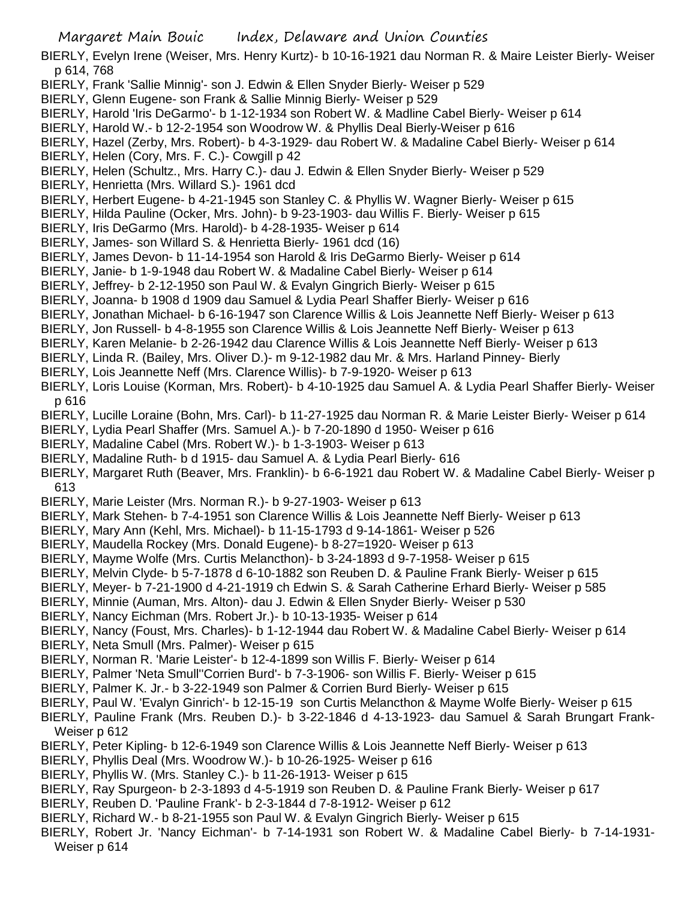BIERLY, Evelyn Irene (Weiser, Mrs. Henry Kurtz)- b 10-16-1921 dau Norman R. & Maire Leister Bierly- Weiser p 614, 768

- BIERLY, Frank 'Sallie Minnig'- son J. Edwin & Ellen Snyder Bierly- Weiser p 529
- BIERLY, Glenn Eugene- son Frank & Sallie Minnig Bierly- Weiser p 529
- BIERLY, Harold 'Iris DeGarmo'- b 1-12-1934 son Robert W. & Madline Cabel Bierly- Weiser p 614
- BIERLY, Harold W.- b 12-2-1954 son Woodrow W. & Phyllis Deal Bierly-Weiser p 616
- BIERLY, Hazel (Zerby, Mrs. Robert)- b 4-3-1929- dau Robert W. & Madaline Cabel Bierly- Weiser p 614
- BIERLY, Helen (Cory, Mrs. F. C.)- Cowgill p 42
- BIERLY, Helen (Schultz., Mrs. Harry C.)- dau J. Edwin & Ellen Snyder Bierly- Weiser p 529
- BIERLY, Henrietta (Mrs. Willard S.)- 1961 dcd
- BIERLY, Herbert Eugene- b 4-21-1945 son Stanley C. & Phyllis W. Wagner Bierly- Weiser p 615
- BIERLY, Hilda Pauline (Ocker, Mrs. John)- b 9-23-1903- dau Willis F. Bierly- Weiser p 615
- BIERLY, Iris DeGarmo (Mrs. Harold)- b 4-28-1935- Weiser p 614
- BIERLY, James- son Willard S. & Henrietta Bierly- 1961 dcd (16)
- BIERLY, James Devon- b 11-14-1954 son Harold & Iris DeGarmo Bierly- Weiser p 614
- BIERLY, Janie- b 1-9-1948 dau Robert W. & Madaline Cabel Bierly- Weiser p 614
- BIERLY, Jeffrey- b 2-12-1950 son Paul W. & Evalyn Gingrich Bierly- Weiser p 615
- BIERLY, Joanna- b 1908 d 1909 dau Samuel & Lydia Pearl Shaffer Bierly- Weiser p 616
- BIERLY, Jonathan Michael- b 6-16-1947 son Clarence Willis & Lois Jeannette Neff Bierly- Weiser p 613
- BIERLY, Jon Russell- b 4-8-1955 son Clarence Willis & Lois Jeannette Neff Bierly- Weiser p 613
- BIERLY, Karen Melanie- b 2-26-1942 dau Clarence Willis & Lois Jeannette Neff Bierly- Weiser p 613
- BIERLY, Linda R. (Bailey, Mrs. Oliver D.)- m 9-12-1982 dau Mr. & Mrs. Harland Pinney- Bierly
- BIERLY, Lois Jeannette Neff (Mrs. Clarence Willis)- b 7-9-1920- Weiser p 613
- BIERLY, Loris Louise (Korman, Mrs. Robert)- b 4-10-1925 dau Samuel A. & Lydia Pearl Shaffer Bierly- Weiser p 616
- BIERLY, Lucille Loraine (Bohn, Mrs. Carl)- b 11-27-1925 dau Norman R. & Marie Leister Bierly- Weiser p 614
- BIERLY, Lydia Pearl Shaffer (Mrs. Samuel A.)- b 7-20-1890 d 1950- Weiser p 616
- BIERLY, Madaline Cabel (Mrs. Robert W.)- b 1-3-1903- Weiser p 613
- BIERLY, Madaline Ruth- b d 1915- dau Samuel A. & Lydia Pearl Bierly- 616
- BIERLY, Margaret Ruth (Beaver, Mrs. Franklin)- b 6-6-1921 dau Robert W. & Madaline Cabel Bierly- Weiser p 613
- BIERLY, Marie Leister (Mrs. Norman R.)- b 9-27-1903- Weiser p 613
- BIERLY, Mark Stehen- b 7-4-1951 son Clarence Willis & Lois Jeannette Neff Bierly- Weiser p 613
- BIERLY, Mary Ann (Kehl, Mrs. Michael)- b 11-15-1793 d 9-14-1861- Weiser p 526
- BIERLY, Maudella Rockey (Mrs. Donald Eugene)- b 8-27=1920- Weiser p 613
- BIERLY, Mayme Wolfe (Mrs. Curtis Melancthon)- b 3-24-1893 d 9-7-1958- Weiser p 615
- BIERLY, Melvin Clyde- b 5-7-1878 d 6-10-1882 son Reuben D. & Pauline Frank Bierly- Weiser p 615
- BIERLY, Meyer- b 7-21-1900 d 4-21-1919 ch Edwin S. & Sarah Catherine Erhard Bierly- Weiser p 585
- BIERLY, Minnie (Auman, Mrs. Alton)- dau J. Edwin & Ellen Snyder Bierly- Weiser p 530
- BIERLY, Nancy Eichman (Mrs. Robert Jr.)- b 10-13-1935- Weiser p 614
- BIERLY, Nancy (Foust, Mrs. Charles)- b 1-12-1944 dau Robert W. & Madaline Cabel Bierly- Weiser p 614
- BIERLY, Neta Smull (Mrs. Palmer)- Weiser p 615
- BIERLY, Norman R. 'Marie Leister'- b 12-4-1899 son Willis F. Bierly- Weiser p 614
- BIERLY, Palmer 'Neta Smull''Corrien Burd'- b 7-3-1906- son Willis F. Bierly- Weiser p 615
- BIERLY, Palmer K. Jr.- b 3-22-1949 son Palmer & Corrien Burd Bierly- Weiser p 615
- BIERLY, Paul W. 'Evalyn Ginrich'- b 12-15-19 son Curtis Melancthon & Mayme Wolfe Bierly- Weiser p 615
- BIERLY, Pauline Frank (Mrs. Reuben D.)- b 3-22-1846 d 4-13-1923- dau Samuel & Sarah Brungart Frank-Weiser p 612
- BIERLY, Peter Kipling- b 12-6-1949 son Clarence Willis & Lois Jeannette Neff Bierly- Weiser p 613
- BIERLY, Phyllis Deal (Mrs. Woodrow W.)- b 10-26-1925- Weiser p 616
- BIERLY, Phyllis W. (Mrs. Stanley C.)- b 11-26-1913- Weiser p 615
- BIERLY, Ray Spurgeon- b 2-3-1893 d 4-5-1919 son Reuben D. & Pauline Frank Bierly- Weiser p 617
- BIERLY, Reuben D. 'Pauline Frank'- b 2-3-1844 d 7-8-1912- Weiser p 612
- BIERLY, Richard W.- b 8-21-1955 son Paul W. & Evalyn Gingrich Bierly- Weiser p 615
- BIERLY, Robert Jr. 'Nancy Eichman'- b 7-14-1931 son Robert W. & Madaline Cabel Bierly- b 7-14-1931- Weiser p 614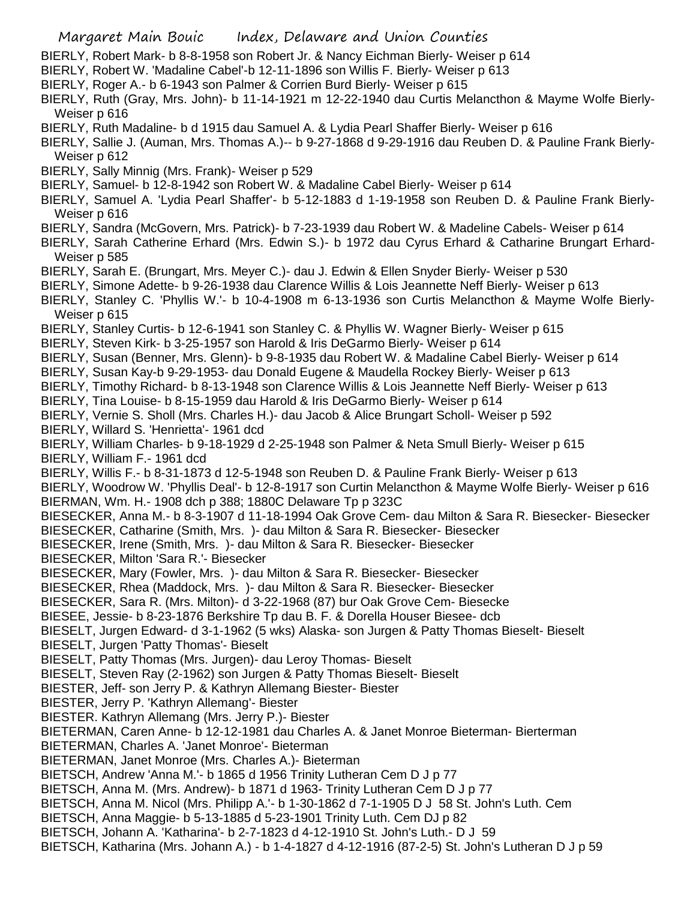- BIERLY, Robert Mark- b 8-8-1958 son Robert Jr. & Nancy Eichman Bierly- Weiser p 614
- BIERLY, Robert W. 'Madaline Cabel'-b 12-11-1896 son Willis F. Bierly- Weiser p 613
- BIERLY, Roger A.- b 6-1943 son Palmer & Corrien Burd Bierly- Weiser p 615
- BIERLY, Ruth (Gray, Mrs. John)- b 11-14-1921 m 12-22-1940 dau Curtis Melancthon & Mayme Wolfe Bierly-Weiser p 616
- BIERLY, Ruth Madaline- b d 1915 dau Samuel A. & Lydia Pearl Shaffer Bierly- Weiser p 616
- BIERLY, Sallie J. (Auman, Mrs. Thomas A.)-- b 9-27-1868 d 9-29-1916 dau Reuben D. & Pauline Frank Bierly-Weiser p 612
- BIERLY, Sally Minnig (Mrs. Frank)- Weiser p 529
- BIERLY, Samuel- b 12-8-1942 son Robert W. & Madaline Cabel Bierly- Weiser p 614
- BIERLY, Samuel A. 'Lydia Pearl Shaffer'- b 5-12-1883 d 1-19-1958 son Reuben D. & Pauline Frank Bierly-Weiser p 616
- BIERLY, Sandra (McGovern, Mrs. Patrick)- b 7-23-1939 dau Robert W. & Madeline Cabels- Weiser p 614
- BIERLY, Sarah Catherine Erhard (Mrs. Edwin S.)- b 1972 dau Cyrus Erhard & Catharine Brungart Erhard-Weiser p 585
- BIERLY, Sarah E. (Brungart, Mrs. Meyer C.)- dau J. Edwin & Ellen Snyder Bierly- Weiser p 530
- BIERLY, Simone Adette- b 9-26-1938 dau Clarence Willis & Lois Jeannette Neff Bierly- Weiser p 613
- BIERLY, Stanley C. 'Phyllis W.'- b 10-4-1908 m 6-13-1936 son Curtis Melancthon & Mayme Wolfe Bierly-Weiser p 615
- BIERLY, Stanley Curtis- b 12-6-1941 son Stanley C. & Phyllis W. Wagner Bierly- Weiser p 615
- BIERLY, Steven Kirk- b 3-25-1957 son Harold & Iris DeGarmo Bierly- Weiser p 614
- BIERLY, Susan (Benner, Mrs. Glenn)- b 9-8-1935 dau Robert W. & Madaline Cabel Bierly- Weiser p 614
- BIERLY, Susan Kay-b 9-29-1953- dau Donald Eugene & Maudella Rockey Bierly- Weiser p 613
- BIERLY, Timothy Richard- b 8-13-1948 son Clarence Willis & Lois Jeannette Neff Bierly- Weiser p 613
- BIERLY, Tina Louise- b 8-15-1959 dau Harold & Iris DeGarmo Bierly- Weiser p 614
- BIERLY, Vernie S. Sholl (Mrs. Charles H.)- dau Jacob & Alice Brungart Scholl- Weiser p 592
- BIERLY, Willard S. 'Henrietta'- 1961 dcd
- BIERLY, William Charles- b 9-18-1929 d 2-25-1948 son Palmer & Neta Smull Bierly- Weiser p 615
- BIERLY, William F.- 1961 dcd
- BIERLY, Willis F.- b 8-31-1873 d 12-5-1948 son Reuben D. & Pauline Frank Bierly- Weiser p 613
- BIERLY, Woodrow W. 'Phyllis Deal'- b 12-8-1917 son Curtin Melancthon & Mayme Wolfe Bierly- Weiser p 616 BIERMAN, Wm. H.- 1908 dch p 388; 1880C Delaware Tp p 323C
- BIESECKER, Anna M.- b 8-3-1907 d 11-18-1994 Oak Grove Cem- dau Milton & Sara R. Biesecker- Biesecker BIESECKER, Catharine (Smith, Mrs. )- dau Milton & Sara R. Biesecker- Biesecker
- BIESECKER, Irene (Smith, Mrs. )- dau Milton & Sara R. Biesecker- Biesecker
- BIESECKER, Milton 'Sara R.'- Biesecker
- BIESECKER, Mary (Fowler, Mrs. )- dau Milton & Sara R. Biesecker- Biesecker
- BIESECKER, Rhea (Maddock, Mrs. )- dau Milton & Sara R. Biesecker- Biesecker
- BIESECKER, Sara R. (Mrs. Milton)- d 3-22-1968 (87) bur Oak Grove Cem- Biesecke
- BIESEE, Jessie- b 8-23-1876 Berkshire Tp dau B. F. & Dorella Houser Biesee- dcb
- BIESELT, Jurgen Edward- d 3-1-1962 (5 wks) Alaska- son Jurgen & Patty Thomas Bieselt- Bieselt
- BIESELT, Jurgen 'Patty Thomas'- Bieselt
- BIESELT, Patty Thomas (Mrs. Jurgen)- dau Leroy Thomas- Bieselt
- BIESELT, Steven Ray (2-1962) son Jurgen & Patty Thomas Bieselt- Bieselt
- BIESTER, Jeff- son Jerry P. & Kathryn Allemang Biester- Biester
- BIESTER, Jerry P. 'Kathryn Allemang'- Biester
- BIESTER. Kathryn Allemang (Mrs. Jerry P.)- Biester
- BIETERMAN, Caren Anne- b 12-12-1981 dau Charles A. & Janet Monroe Bieterman- Bierterman
- BIETERMAN, Charles A. 'Janet Monroe'- Bieterman
- BIETERMAN, Janet Monroe (Mrs. Charles A.)- Bieterman
- BIETSCH, Andrew 'Anna M.'- b 1865 d 1956 Trinity Lutheran Cem D J p 77
- BIETSCH, Anna M. (Mrs. Andrew)- b 1871 d 1963- Trinity Lutheran Cem D J p 77
- BIETSCH, Anna M. Nicol (Mrs. Philipp A.'- b 1-30-1862 d 7-1-1905 D J 58 St. John's Luth. Cem
- BIETSCH, Anna Maggie- b 5-13-1885 d 5-23-1901 Trinity Luth. Cem DJ p 82
- BIETSCH, Johann A. 'Katharina'- b 2-7-1823 d 4-12-1910 St. John's Luth.- D J 59
- BIETSCH, Katharina (Mrs. Johann A.) b 1-4-1827 d 4-12-1916 (87-2-5) St. John's Lutheran D J p 59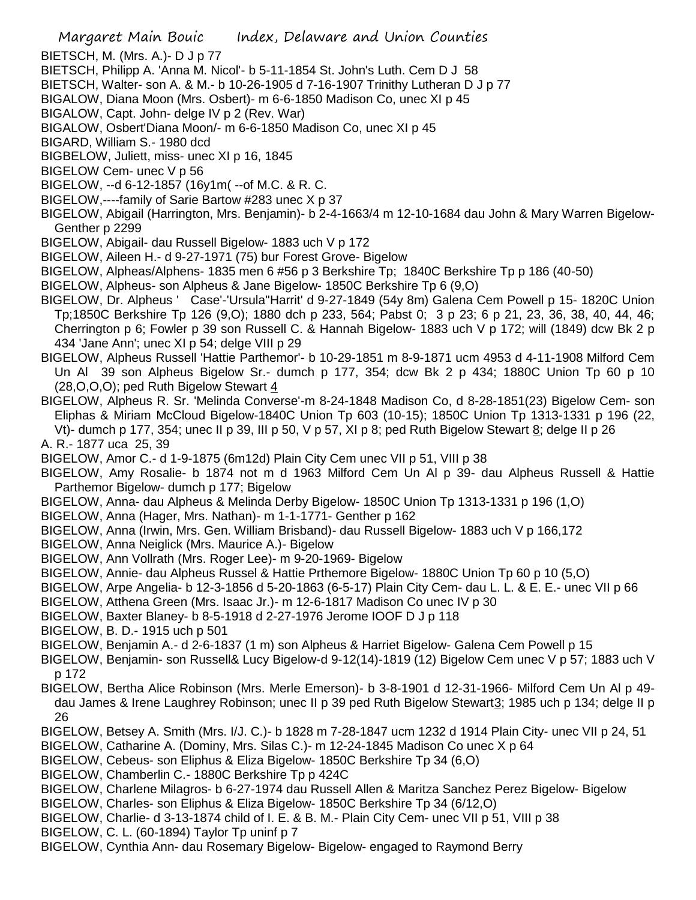- BIETSCH, M. (Mrs. A.)- D J p 77
- BIETSCH, Philipp A. 'Anna M. Nicol'- b 5-11-1854 St. John's Luth. Cem D J 58
- BIETSCH, Walter- son A. & M.- b 10-26-1905 d 7-16-1907 Trinithy Lutheran D J p 77
- BIGALOW, Diana Moon (Mrs. Osbert)- m 6-6-1850 Madison Co, unec XI p 45
- BIGALOW, Capt. John- delge IV p 2 (Rev. War)
- BIGALOW, Osbert'Diana Moon/- m 6-6-1850 Madison Co, unec XI p 45
- BIGARD, William S.- 1980 dcd
- BIGBELOW, Juliett, miss- unec XI p 16, 1845
- BIGELOW Cem- unec V p 56
- BIGELOW, --d 6-12-1857 (16y1m( --of M.C. & R. C.
- BIGELOW,----family of Sarie Bartow #283 unec X p 37
- BIGELOW, Abigail (Harrington, Mrs. Benjamin)- b 2-4-1663/4 m 12-10-1684 dau John & Mary Warren Bigelow-Genther p 2299
- BIGELOW, Abigail- dau Russell Bigelow- 1883 uch V p 172
- BIGELOW, Aileen H.- d 9-27-1971 (75) bur Forest Grove- Bigelow
- BIGELOW, Alpheas/Alphens- 1835 men 6 #56 p 3 Berkshire Tp; 1840C Berkshire Tp p 186 (40-50)
- BIGELOW, Alpheus- son Alpheus & Jane Bigelow- 1850C Berkshire Tp 6 (9,O)
- BIGELOW, Dr. Alpheus ' Case'-'Ursula''Harrit' d 9-27-1849 (54y 8m) Galena Cem Powell p 15- 1820C Union Tp;1850C Berkshire Tp 126 (9,O); 1880 dch p 233, 564; Pabst 0; 3 p 23; 6 p 21, 23, 36, 38, 40, 44, 46; Cherrington p 6; Fowler p 39 son Russell C. & Hannah Bigelow- 1883 uch V p 172; will (1849) dcw Bk 2 p 434 'Jane Ann'; unec XI p 54; delge VIII p 29
- BIGELOW, Alpheus Russell 'Hattie Parthemor'- b 10-29-1851 m 8-9-1871 ucm 4953 d 4-11-1908 Milford Cem Un Al 39 son Alpheus Bigelow Sr.- dumch p 177, 354; dcw Bk 2 p 434; 1880C Union Tp 60 p 10 (28,O,O,O); ped Ruth Bigelow Stewart 4
- BIGELOW, Alpheus R. Sr. 'Melinda Converse'-m 8-24-1848 Madison Co, d 8-28-1851(23) Bigelow Cem- son Eliphas & Miriam McCloud Bigelow-1840C Union Tp 603 (10-15); 1850C Union Tp 1313-1331 p 196 (22, Vt)- dumch p 177, 354; unec II p 39, III p 50, V p 57, XI p 8; ped Ruth Bigelow Stewart 8; delge II p 26
- A. R.- 1877 uca 25, 39
- BIGELOW, Amor C.- d 1-9-1875 (6m12d) Plain City Cem unec VII p 51, VIII p 38
- BIGELOW, Amy Rosalie- b 1874 not m d 1963 Milford Cem Un Al p 39- dau Alpheus Russell & Hattie Parthemor Bigelow- dumch p 177; Bigelow
- BIGELOW, Anna- dau Alpheus & Melinda Derby Bigelow- 1850C Union Tp 1313-1331 p 196 (1,O)
- BIGELOW, Anna (Hager, Mrs. Nathan)- m 1-1-1771- Genther p 162
- BIGELOW, Anna (Irwin, Mrs. Gen. William Brisband)- dau Russell Bigelow- 1883 uch V p 166,172
- BIGELOW, Anna Neiglick (Mrs. Maurice A.)- Bigelow
- BIGELOW, Ann Vollrath (Mrs. Roger Lee)- m 9-20-1969- Bigelow
- BIGELOW, Annie- dau Alpheus Russel & Hattie Prthemore Bigelow- 1880C Union Tp 60 p 10 (5,O)
- BIGELOW, Arpe Angelia- b 12-3-1856 d 5-20-1863 (6-5-17) Plain City Cem- dau L. L. & E. E.- unec VII p 66
- BIGELOW, Atthena Green (Mrs. Isaac Jr.)- m 12-6-1817 Madison Co unec IV p 30
- BIGELOW, Baxter Blaney- b 8-5-1918 d 2-27-1976 Jerome IOOF D J p 118
- BIGELOW, B. D.- 1915 uch p 501
- BIGELOW, Benjamin A.- d 2-6-1837 (1 m) son Alpheus & Harriet Bigelow- Galena Cem Powell p 15
- BIGELOW, Benjamin- son Russell& Lucy Bigelow-d 9-12(14)-1819 (12) Bigelow Cem unec V p 57; 1883 uch V p 172
- BIGELOW, Bertha Alice Robinson (Mrs. Merle Emerson)- b 3-8-1901 d 12-31-1966- Milford Cem Un Al p 49 dau James & Irene Laughrey Robinson; unec II p 39 ped Ruth Bigelow Stewart 3; 1985 uch p 134; delge II p 26
- BIGELOW, Betsey A. Smith (Mrs. I/J. C.)- b 1828 m 7-28-1847 ucm 1232 d 1914 Plain City- unec VII p 24, 51
- BIGELOW, Catharine A. (Dominy, Mrs. Silas C.)- m 12-24-1845 Madison Co unec X p 64
- BIGELOW, Cebeus- son Eliphus & Eliza Bigelow- 1850C Berkshire Tp 34 (6,O)
- BIGELOW, Chamberlin C.- 1880C Berkshire Tp p 424C
- BIGELOW, Charlene Milagros- b 6-27-1974 dau Russell Allen & Maritza Sanchez Perez Bigelow- Bigelow
- BIGELOW, Charles- son Eliphus & Eliza Bigelow- 1850C Berkshire Tp 34 (6/12,O)
- BIGELOW, Charlie- d 3-13-1874 child of I. E. & B. M.- Plain City Cem- unec VII p 51, VIII p 38
- BIGELOW, C. L. (60-1894) Taylor Tp uninf p 7
- BIGELOW, Cynthia Ann- dau Rosemary Bigelow- Bigelow- engaged to Raymond Berry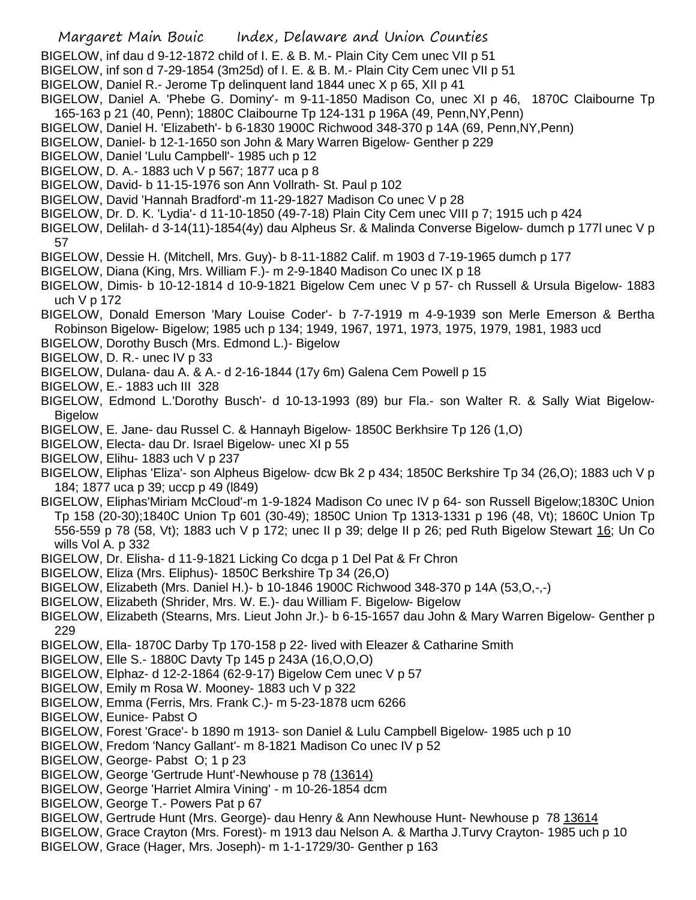- BIGELOW, inf dau d 9-12-1872 child of I. E. & B. M.- Plain City Cem unec VII p 51
- BIGELOW, inf son d 7-29-1854 (3m25d) of I. E. & B. M.- Plain City Cem unec VII p 51
- BIGELOW, Daniel R.- Jerome Tp delinquent land 1844 unec X p 65, XII p 41
- BIGELOW, Daniel A. 'Phebe G. Dominy'- m 9-11-1850 Madison Co, unec XI p 46, 1870C Claibourne Tp 165-163 p 21 (40, Penn); 1880C Claibourne Tp 124-131 p 196A (49, Penn,NY,Penn)
- BIGELOW, Daniel H. 'Elizabeth'- b 6-1830 1900C Richwood 348-370 p 14A (69, Penn,NY,Penn)
- BIGELOW, Daniel- b 12-1-1650 son John & Mary Warren Bigelow- Genther p 229
- BIGELOW, Daniel 'Lulu Campbell'- 1985 uch p 12
- BIGELOW, D. A.- 1883 uch V p 567; 1877 uca p 8
- BIGELOW, David- b 11-15-1976 son Ann Vollrath- St. Paul p 102
- BIGELOW, David 'Hannah Bradford'-m 11-29-1827 Madison Co unec V p 28
- BIGELOW, Dr. D. K. 'Lydia'- d 11-10-1850 (49-7-18) Plain City Cem unec VIII p 7; 1915 uch p 424
- BIGELOW, Delilah- d 3-14(11)-1854(4y) dau Alpheus Sr. & Malinda Converse Bigelow- dumch p 177l unec V p 57
- BIGELOW, Dessie H. (Mitchell, Mrs. Guy)- b 8-11-1882 Calif. m 1903 d 7-19-1965 dumch p 177
- BIGELOW, Diana (King, Mrs. William F.)- m 2-9-1840 Madison Co unec IX p 18
- BIGELOW, Dimis- b 10-12-1814 d 10-9-1821 Bigelow Cem unec V p 57- ch Russell & Ursula Bigelow- 1883 uch V p 172
- BIGELOW, Donald Emerson 'Mary Louise Coder'- b 7-7-1919 m 4-9-1939 son Merle Emerson & Bertha Robinson Bigelow- Bigelow; 1985 uch p 134; 1949, 1967, 1971, 1973, 1975, 1979, 1981, 1983 ucd
- BIGELOW, Dorothy Busch (Mrs. Edmond L.)- Bigelow
- BIGELOW, D. R.- unec IV p 33
- BIGELOW, Dulana- dau A. & A.- d 2-16-1844 (17y 6m) Galena Cem Powell p 15
- BIGELOW, E.- 1883 uch III 328
- BIGELOW, Edmond L.'Dorothy Busch'- d 10-13-1993 (89) bur Fla.- son Walter R. & Sally Wiat Bigelow-Bigelow
- BIGELOW, E. Jane- dau Russel C. & Hannayh Bigelow- 1850C Berkhsire Tp 126 (1,O)
- BIGELOW, Electa- dau Dr. Israel Bigelow- unec XI p 55
- BIGELOW, Elihu- 1883 uch V p 237
- BIGELOW, Eliphas 'Eliza'- son Alpheus Bigelow- dcw Bk 2 p 434; 1850C Berkshire Tp 34 (26,O); 1883 uch V p 184; 1877 uca p 39; uccp p 49 (l849)
- BIGELOW, Eliphas'Miriam McCloud'-m 1-9-1824 Madison Co unec IV p 64- son Russell Bigelow;1830C Union Tp 158 (20-30);1840C Union Tp 601 (30-49); 1850C Union Tp 1313-1331 p 196 (48, Vt); 1860C Union Tp 556-559 p 78 (58, Vt); 1883 uch V p 172; unec II p 39; delge II p 26; ped Ruth Bigelow Stewart 16; Un Co wills Vol A. p 332
- BIGELOW, Dr. Elisha- d 11-9-1821 Licking Co dcga p 1 Del Pat & Fr Chron
- BIGELOW, Eliza (Mrs. Eliphus)- 1850C Berkshire Tp 34 (26,O)
- BIGELOW, Elizabeth (Mrs. Daniel H.)- b 10-1846 1900C Richwood 348-370 p 14A (53,O,-,-)
- BIGELOW, Elizabeth (Shrider, Mrs. W. E.)- dau William F. Bigelow- Bigelow
- BIGELOW, Elizabeth (Stearns, Mrs. Lieut John Jr.)- b 6-15-1657 dau John & Mary Warren Bigelow- Genther p 229
- BIGELOW, Ella- 1870C Darby Tp 170-158 p 22- lived with Eleazer & Catharine Smith
- BIGELOW, Elle S.- 1880C Davty Tp 145 p 243A (16,O,O,O)
- BIGELOW, Elphaz- d 12-2-1864 (62-9-17) Bigelow Cem unec V p 57
- BIGELOW, Emily m Rosa W. Mooney- 1883 uch V p 322
- BIGELOW, Emma (Ferris, Mrs. Frank C.)- m 5-23-1878 ucm 6266
- BIGELOW, Eunice- Pabst O
- BIGELOW, Forest 'Grace'- b 1890 m 1913- son Daniel & Lulu Campbell Bigelow- 1985 uch p 10
- BIGELOW, Fredom 'Nancy Gallant'- m 8-1821 Madison Co unec IV p 52
- BIGELOW, George- Pabst O; 1 p 23
- BIGELOW, George 'Gertrude Hunt'-Newhouse p 78 (13614)
- BIGELOW, George 'Harriet Almira Vining' m 10-26-1854 dcm
- BIGELOW, George T.- Powers Pat p 67
- BIGELOW, Gertrude Hunt (Mrs. George)- dau Henry & Ann Newhouse Hunt- Newhouse p 78 13614
- BIGELOW, Grace Crayton (Mrs. Forest)- m 1913 dau Nelson A. & Martha J.Turvy Crayton- 1985 uch p 10
- BIGELOW, Grace (Hager, Mrs. Joseph)- m 1-1-1729/30- Genther p 163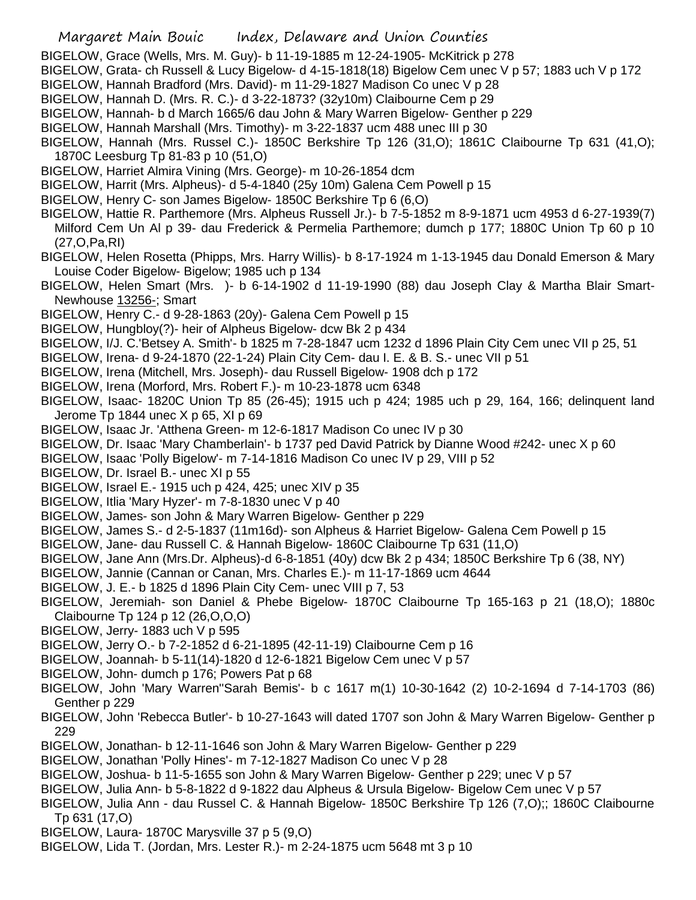- BIGELOW, Grace (Wells, Mrs. M. Guy)- b 11-19-1885 m 12-24-1905- McKitrick p 278
- BIGELOW, Grata- ch Russell & Lucy Bigelow- d 4-15-1818(18) Bigelow Cem unec V p 57; 1883 uch V p 172
- BIGELOW, Hannah Bradford (Mrs. David)- m 11-29-1827 Madison Co unec V p 28
- BIGELOW, Hannah D. (Mrs. R. C.)- d 3-22-1873? (32y10m) Claibourne Cem p 29
- BIGELOW, Hannah- b d March 1665/6 dau John & Mary Warren Bigelow- Genther p 229
- BIGELOW, Hannah Marshall (Mrs. Timothy)- m 3-22-1837 ucm 488 unec III p 30
- BIGELOW, Hannah (Mrs. Russel C.)- 1850C Berkshire Tp 126 (31,O); 1861C Claibourne Tp 631 (41,O); 1870C Leesburg Tp 81-83 p 10 (51,O)
- BIGELOW, Harriet Almira Vining (Mrs. George)- m 10-26-1854 dcm
- BIGELOW, Harrit (Mrs. Alpheus)- d 5-4-1840 (25y 10m) Galena Cem Powell p 15
- BIGELOW, Henry C- son James Bigelow- 1850C Berkshire Tp 6 (6,O)
- BIGELOW, Hattie R. Parthemore (Mrs. Alpheus Russell Jr.)- b 7-5-1852 m 8-9-1871 ucm 4953 d 6-27-1939(7) Milford Cem Un Al p 39- dau Frederick & Permelia Parthemore; dumch p 177; 1880C Union Tp 60 p 10 (27,O,Pa,RI)
- BIGELOW, Helen Rosetta (Phipps, Mrs. Harry Willis)- b 8-17-1924 m 1-13-1945 dau Donald Emerson & Mary Louise Coder Bigelow- Bigelow; 1985 uch p 134
- BIGELOW, Helen Smart (Mrs. )- b 6-14-1902 d 11-19-1990 (88) dau Joseph Clay & Martha Blair Smart-Newhouse 13256-; Smart
- BIGELOW, Henry C.- d 9-28-1863 (20y)- Galena Cem Powell p 15
- BIGELOW, Hungbloy(?)- heir of Alpheus Bigelow- dcw Bk 2 p 434
- BIGELOW, I/J. C.'Betsey A. Smith'- b 1825 m 7-28-1847 ucm 1232 d 1896 Plain City Cem unec VII p 25, 51
- BIGELOW, Irena- d 9-24-1870 (22-1-24) Plain City Cem- dau I. E. & B. S.- unec VII p 51
- BIGELOW, Irena (Mitchell, Mrs. Joseph)- dau Russell Bigelow- 1908 dch p 172
- BIGELOW, Irena (Morford, Mrs. Robert F.)- m 10-23-1878 ucm 6348
- BIGELOW, Isaac- 1820C Union Tp 85 (26-45); 1915 uch p 424; 1985 uch p 29, 164, 166; delinquent land Jerome Tp 1844 unec  $X$  p 65,  $XI$  p 69
- BIGELOW, Isaac Jr. 'Atthena Green- m 12-6-1817 Madison Co unec IV p 30
- BIGELOW, Dr. Isaac 'Mary Chamberlain'- b 1737 ped David Patrick by Dianne Wood #242- unec X p 60
- BIGELOW, Isaac 'Polly Bigelow'- m 7-14-1816 Madison Co unec IV p 29, VIII p 52
- BIGELOW, Dr. Israel B.- unec XI p 55
- BIGELOW, Israel E.- 1915 uch p 424, 425; unec XIV p 35
- BIGELOW, Itlia 'Mary Hyzer'- m 7-8-1830 unec V p 40
- BIGELOW, James- son John & Mary Warren Bigelow- Genther p 229
- BIGELOW, James S.- d 2-5-1837 (11m16d)- son Alpheus & Harriet Bigelow- Galena Cem Powell p 15
- BIGELOW, Jane- dau Russell C. & Hannah Bigelow- 1860C Claibourne Tp 631 (11,O)
- BIGELOW, Jane Ann (Mrs.Dr. Alpheus)-d 6-8-1851 (40y) dcw Bk 2 p 434; 1850C Berkshire Tp 6 (38, NY)
- BIGELOW, Jannie (Cannan or Canan, Mrs. Charles E.)- m 11-17-1869 ucm 4644
- BIGELOW, J. E.- b 1825 d 1896 Plain City Cem- unec VIII p 7, 53
- BIGELOW, Jeremiah- son Daniel & Phebe Bigelow- 1870C Claibourne Tp 165-163 p 21 (18,O); 1880c Claibourne Tp 124 p 12 (26,O,O,O)
- BIGELOW, Jerry- 1883 uch V p 595
- BIGELOW, Jerry O.- b 7-2-1852 d 6-21-1895 (42-11-19) Claibourne Cem p 16
- BIGELOW, Joannah- b 5-11(14)-1820 d 12-6-1821 Bigelow Cem unec V p 57
- BIGELOW, John- dumch p 176; Powers Pat p 68
- BIGELOW, John 'Mary Warren''Sarah Bemis'- b c 1617 m(1) 10-30-1642 (2) 10-2-1694 d 7-14-1703 (86) Genther p 229
- BIGELOW, John 'Rebecca Butler'- b 10-27-1643 will dated 1707 son John & Mary Warren Bigelow- Genther p 229
- BIGELOW, Jonathan- b 12-11-1646 son John & Mary Warren Bigelow- Genther p 229
- BIGELOW, Jonathan 'Polly Hines'- m 7-12-1827 Madison Co unec V p 28
- BIGELOW, Joshua- b 11-5-1655 son John & Mary Warren Bigelow- Genther p 229; unec V p 57
- BIGELOW, Julia Ann- b 5-8-1822 d 9-1822 dau Alpheus & Ursula Bigelow- Bigelow Cem unec V p 57
- BIGELOW, Julia Ann dau Russel C. & Hannah Bigelow- 1850C Berkshire Tp 126 (7,O);; 1860C Claibourne Tp 631 (17,O)
- BIGELOW, Laura- 1870C Marysville 37 p 5 (9,O)
- BIGELOW, Lida T. (Jordan, Mrs. Lester R.)- m 2-24-1875 ucm 5648 mt 3 p 10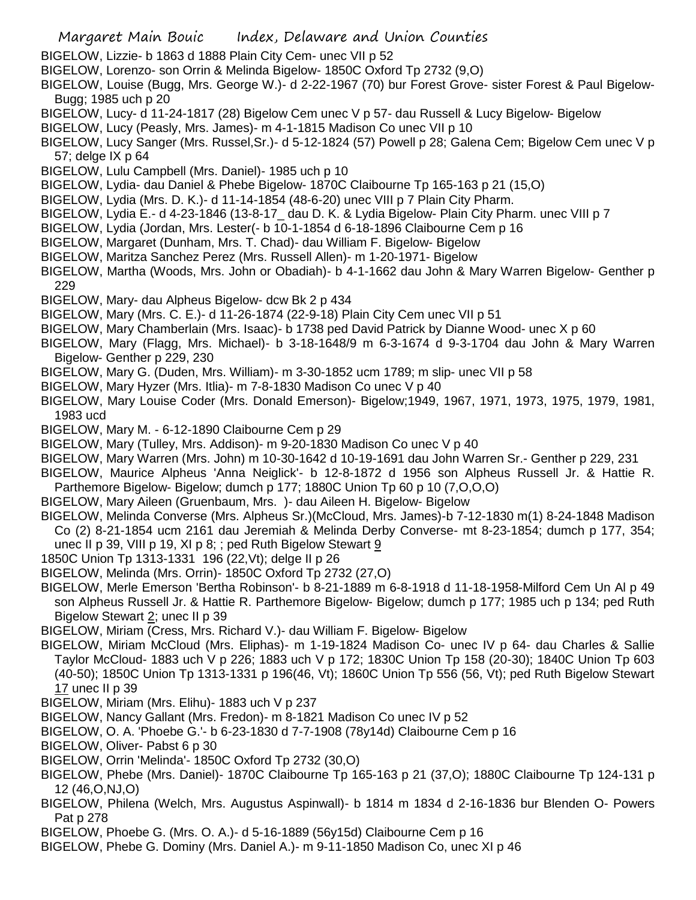- Margaret Main Bouic Index, Delaware and Union Counties
- BIGELOW, Lizzie- b 1863 d 1888 Plain City Cem- unec VII p 52
- BIGELOW, Lorenzo- son Orrin & Melinda Bigelow- 1850C Oxford Tp 2732 (9,O)
- BIGELOW, Louise (Bugg, Mrs. George W.)- d 2-22-1967 (70) bur Forest Grove- sister Forest & Paul Bigelow-Bugg; 1985 uch p 20
- BIGELOW, Lucy- d 11-24-1817 (28) Bigelow Cem unec V p 57- dau Russell & Lucy Bigelow- Bigelow
- BIGELOW, Lucy (Peasly, Mrs. James)- m 4-1-1815 Madison Co unec VII p 10
- BIGELOW, Lucy Sanger (Mrs. Russel,Sr.)- d 5-12-1824 (57) Powell p 28; Galena Cem; Bigelow Cem unec V p 57; delge IX p 64
- BIGELOW, Lulu Campbell (Mrs. Daniel)- 1985 uch p 10
- BIGELOW, Lydia- dau Daniel & Phebe Bigelow- 1870C Claibourne Tp 165-163 p 21 (15,O)
- BIGELOW, Lydia (Mrs. D. K.)- d 11-14-1854 (48-6-20) unec VIII p 7 Plain City Pharm.
- BIGELOW, Lydia E.- d 4-23-1846 (13-8-17 dau D. K. & Lydia Bigelow- Plain City Pharm. unec VIII p 7
- BIGELOW, Lydia (Jordan, Mrs. Lester(- b 10-1-1854 d 6-18-1896 Claibourne Cem p 16
- BIGELOW, Margaret (Dunham, Mrs. T. Chad)- dau William F. Bigelow- Bigelow
- BIGELOW, Maritza Sanchez Perez (Mrs. Russell Allen)- m 1-20-1971- Bigelow
- BIGELOW, Martha (Woods, Mrs. John or Obadiah)- b 4-1-1662 dau John & Mary Warren Bigelow- Genther p 229
- BIGELOW, Mary- dau Alpheus Bigelow- dcw Bk 2 p 434
- BIGELOW, Mary (Mrs. C. E.)- d 11-26-1874 (22-9-18) Plain City Cem unec VII p 51
- BIGELOW, Mary Chamberlain (Mrs. Isaac)- b 1738 ped David Patrick by Dianne Wood- unec X p 60
- BIGELOW, Mary (Flagg, Mrs. Michael)- b 3-18-1648/9 m 6-3-1674 d 9-3-1704 dau John & Mary Warren Bigelow- Genther p 229, 230
- BIGELOW, Mary G. (Duden, Mrs. William)- m 3-30-1852 ucm 1789; m slip- unec VII p 58
- BIGELOW, Mary Hyzer (Mrs. Itlia)- m 7-8-1830 Madison Co unec V p 40
- BIGELOW, Mary Louise Coder (Mrs. Donald Emerson)- Bigelow;1949, 1967, 1971, 1973, 1975, 1979, 1981, 1983 ucd
- BIGELOW, Mary M. 6-12-1890 Claibourne Cem p 29
- BIGELOW, Mary (Tulley, Mrs. Addison)- m 9-20-1830 Madison Co unec V p 40
- BIGELOW, Mary Warren (Mrs. John) m 10-30-1642 d 10-19-1691 dau John Warren Sr.- Genther p 229, 231
- BIGELOW, Maurice Alpheus 'Anna Neiglick'- b 12-8-1872 d 1956 son Alpheus Russell Jr. & Hattie R. Parthemore Bigelow- Bigelow; dumch p 177; 1880C Union Tp 60 p 10 (7,O,O,O)
- BIGELOW, Mary Aileen (Gruenbaum, Mrs. )- dau Aileen H. Bigelow- Bigelow
- BIGELOW, Melinda Converse (Mrs. Alpheus Sr.)(McCloud, Mrs. James)-b 7-12-1830 m(1) 8-24-1848 Madison Co (2) 8-21-1854 ucm 2161 dau Jeremiah & Melinda Derby Converse- mt 8-23-1854; dumch p 177, 354; unec II p 39, VIII p 19, XI p 8; ; ped Ruth Bigelow Stewart 9
- 1850C Union Tp 1313-1331 196 (22,Vt); delge II p 26
- BIGELOW, Melinda (Mrs. Orrin)- 1850C Oxford Tp 2732 (27,O)
- BIGELOW, Merle Emerson 'Bertha Robinson'- b 8-21-1889 m 6-8-1918 d 11-18-1958-Milford Cem Un Al p 49 son Alpheus Russell Jr. & Hattie R. Parthemore Bigelow- Bigelow; dumch p 177; 1985 uch p 134; ped Ruth Bigelow Stewart 2; unec II p 39
- BIGELOW, Miriam (Cress, Mrs. Richard V.)- dau William F. Bigelow- Bigelow
- BIGELOW, Miriam McCloud (Mrs. Eliphas)- m 1-19-1824 Madison Co- unec IV p 64- dau Charles & Sallie Taylor McCloud- 1883 uch V p 226; 1883 uch V p 172; 1830C Union Tp 158 (20-30); 1840C Union Tp 603 (40-50); 1850C Union Tp 1313-1331 p 196(46, Vt); 1860C Union Tp 556 (56, Vt); ped Ruth Bigelow Stewart 17 unec II p 39
- BIGELOW, Miriam (Mrs. Elihu)- 1883 uch V p 237
- BIGELOW, Nancy Gallant (Mrs. Fredon)- m 8-1821 Madison Co unec IV p 52
- BIGELOW, O. A. 'Phoebe G.'- b 6-23-1830 d 7-7-1908 (78y14d) Claibourne Cem p 16
- BIGELOW, Oliver- Pabst 6 p 30
- BIGELOW, Orrin 'Melinda'- 1850C Oxford Tp 2732 (30,O)
- BIGELOW, Phebe (Mrs. Daniel)- 1870C Claibourne Tp 165-163 p 21 (37,O); 1880C Claibourne Tp 124-131 p 12 (46,O,NJ,O)
- BIGELOW, Philena (Welch, Mrs. Augustus Aspinwall)- b 1814 m 1834 d 2-16-1836 bur Blenden O- Powers Pat p 278
- BIGELOW, Phoebe G. (Mrs. O. A.)- d 5-16-1889 (56y15d) Claibourne Cem p 16
- BIGELOW, Phebe G. Dominy (Mrs. Daniel A.)- m 9-11-1850 Madison Co, unec XI p 46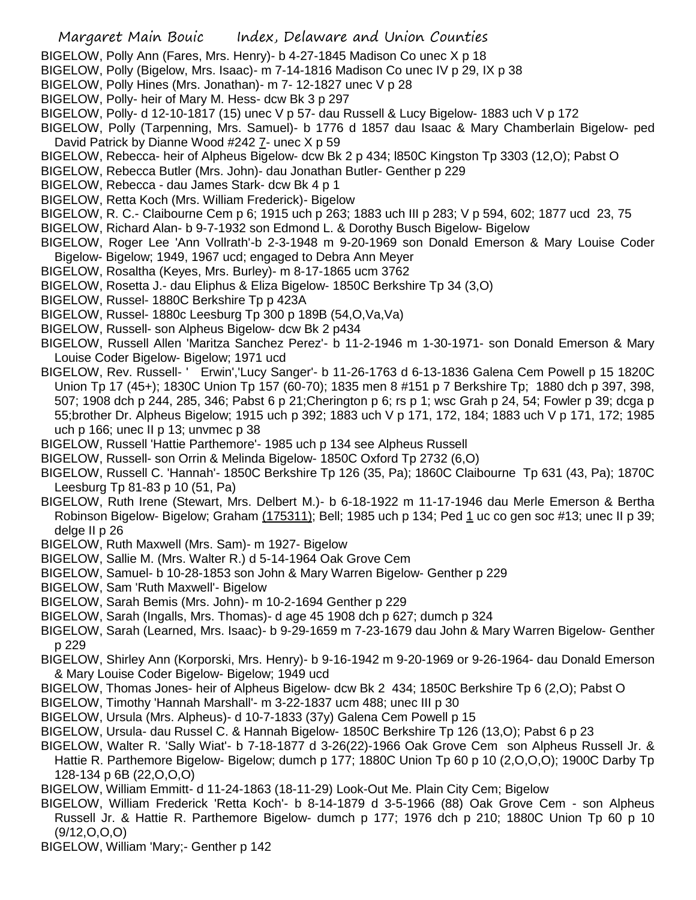BIGELOW, Polly Ann (Fares, Mrs. Henry)- b 4-27-1845 Madison Co unec X p 18

- BIGELOW, Polly (Bigelow, Mrs. Isaac)- m 7-14-1816 Madison Co unec IV p 29, IX p 38
- BIGELOW, Polly Hines (Mrs. Jonathan)- m 7- 12-1827 unec V p 28
- BIGELOW, Polly- heir of Mary M. Hess- dcw Bk 3 p 297
- BIGELOW, Polly- d 12-10-1817 (15) unec V p 57- dau Russell & Lucy Bigelow- 1883 uch V p 172

BIGELOW, Polly (Tarpenning, Mrs. Samuel)- b 1776 d 1857 dau Isaac & Mary Chamberlain Bigelow- ped David Patrick by Dianne Wood #242 7- unec X p 59

- BIGELOW, Rebecca- heir of Alpheus Bigelow- dcw Bk 2 p 434; l850C Kingston Tp 3303 (12,O); Pabst O
- BIGELOW, Rebecca Butler (Mrs. John)- dau Jonathan Butler- Genther p 229
- BIGELOW, Rebecca dau James Stark- dcw Bk 4 p 1
- BIGELOW, Retta Koch (Mrs. William Frederick)- Bigelow
- BIGELOW, R. C.- Claibourne Cem p 6; 1915 uch p 263; 1883 uch III p 283; V p 594, 602; 1877 ucd 23, 75
- BIGELOW, Richard Alan- b 9-7-1932 son Edmond L. & Dorothy Busch Bigelow- Bigelow
- BIGELOW, Roger Lee 'Ann Vollrath'-b 2-3-1948 m 9-20-1969 son Donald Emerson & Mary Louise Coder Bigelow- Bigelow; 1949, 1967 ucd; engaged to Debra Ann Meyer
- BIGELOW, Rosaltha (Keyes, Mrs. Burley)- m 8-17-1865 ucm 3762
- BIGELOW, Rosetta J.- dau Eliphus & Eliza Bigelow- 1850C Berkshire Tp 34 (3,O)
- BIGELOW, Russel- 1880C Berkshire Tp p 423A
- BIGELOW, Russel- 1880c Leesburg Tp 300 p 189B (54,O,Va,Va)
- BIGELOW, Russell- son Alpheus Bigelow- dcw Bk 2 p434
- BIGELOW, Russell Allen 'Maritza Sanchez Perez'- b 11-2-1946 m 1-30-1971- son Donald Emerson & Mary Louise Coder Bigelow- Bigelow; 1971 ucd
- BIGELOW, Rev. Russell- ' Erwin','Lucy Sanger'- b 11-26-1763 d 6-13-1836 Galena Cem Powell p 15 1820C Union Tp 17 (45+); 1830C Union Tp 157 (60-70); 1835 men 8 #151 p 7 Berkshire Tp; 1880 dch p 397, 398, 507; 1908 dch p 244, 285, 346; Pabst 6 p 21;Cherington p 6; rs p 1; wsc Grah p 24, 54; Fowler p 39; dcga p 55;brother Dr. Alpheus Bigelow; 1915 uch p 392; 1883 uch V p 171, 172, 184; 1883 uch V p 171, 172; 1985 uch p 166; unec II p 13; unvmec p 38
- BIGELOW, Russell 'Hattie Parthemore'- 1985 uch p 134 see Alpheus Russell
- BIGELOW, Russell- son Orrin & Melinda Bigelow- 1850C Oxford Tp 2732 (6,O)
- BIGELOW, Russell C. 'Hannah'- 1850C Berkshire Tp 126 (35, Pa); 1860C Claibourne Tp 631 (43, Pa); 1870C Leesburg Tp 81-83 p 10 (51, Pa)
- BIGELOW, Ruth Irene (Stewart, Mrs. Delbert M.)- b 6-18-1922 m 11-17-1946 dau Merle Emerson & Bertha Robinson Bigelow- Bigelow; Graham (175311); Bell; 1985 uch p 134; Ped 1 uc co gen soc #13; unec II p 39; delge II p 26
- BIGELOW, Ruth Maxwell (Mrs. Sam)- m 1927- Bigelow
- BIGELOW, Sallie M. (Mrs. Walter R.) d 5-14-1964 Oak Grove Cem
- BIGELOW, Samuel- b 10-28-1853 son John & Mary Warren Bigelow- Genther p 229
- BIGELOW, Sam 'Ruth Maxwell'- Bigelow
- BIGELOW, Sarah Bemis (Mrs. John)- m 10-2-1694 Genther p 229
- BIGELOW, Sarah (Ingalls, Mrs. Thomas)- d age 45 1908 dch p 627; dumch p 324
- BIGELOW, Sarah (Learned, Mrs. Isaac)- b 9-29-1659 m 7-23-1679 dau John & Mary Warren Bigelow- Genther p 229
- BIGELOW, Shirley Ann (Korporski, Mrs. Henry)- b 9-16-1942 m 9-20-1969 or 9-26-1964- dau Donald Emerson & Mary Louise Coder Bigelow- Bigelow; 1949 ucd
- BIGELOW, Thomas Jones- heir of Alpheus Bigelow- dcw Bk 2 434; 1850C Berkshire Tp 6 (2,O); Pabst O
- BIGELOW, Timothy 'Hannah Marshall'- m 3-22-1837 ucm 488; unec III p 30
- BIGELOW, Ursula (Mrs. Alpheus)- d 10-7-1833 (37y) Galena Cem Powell p 15
- BIGELOW, Ursula- dau Russel C. & Hannah Bigelow- 1850C Berkshire Tp 126 (13,O); Pabst 6 p 23
- BIGELOW, Walter R. 'Sally Wiat'- b 7-18-1877 d 3-26(22)-1966 Oak Grove Cem son Alpheus Russell Jr. &
- Hattie R. Parthemore Bigelow- Bigelow; dumch p 177; 1880C Union Tp 60 p 10 (2,O,O,O); 1900C Darby Tp 128-134 p 6B (22,O,O,O)
- BIGELOW, William Emmitt- d 11-24-1863 (18-11-29) Look-Out Me. Plain City Cem; Bigelow
- BIGELOW, William Frederick 'Retta Koch'- b 8-14-1879 d 3-5-1966 (88) Oak Grove Cem son Alpheus Russell Jr. & Hattie R. Parthemore Bigelow- dumch p 177; 1976 dch p 210; 1880C Union Tp 60 p 10 (9/12,O,O,O)
- BIGELOW, William 'Mary;- Genther p 142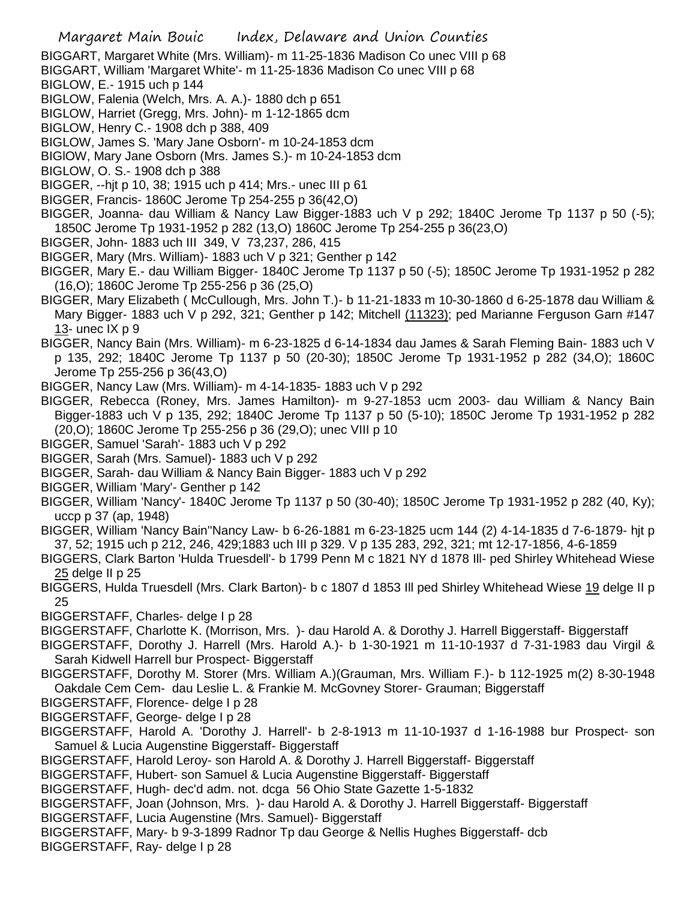BIGGART, Margaret White (Mrs. William)- m 11-25-1836 Madison Co unec VIII p 68

- BIGGART, William 'Margaret White'- m 11-25-1836 Madison Co unec VIII p 68
- BIGLOW, E.- 1915 uch p 144
- BIGLOW, Falenia (Welch, Mrs. A. A.)- 1880 dch p 651
- BIGLOW, Harriet (Gregg, Mrs. John)- m 1-12-1865 dcm
- BIGLOW, Henry C.- 1908 dch p 388, 409
- BIGLOW, James S. 'Mary Jane Osborn'- m 10-24-1853 dcm
- BIGlOW, Mary Jane Osborn (Mrs. James S.)- m 10-24-1853 dcm
- BIGLOW, O. S.- 1908 dch p 388
- BIGGER, --hjt p 10, 38; 1915 uch p 414; Mrs.- unec III p 61
- BIGGER, Francis- 1860C Jerome Tp 254-255 p 36(42,O)
- BIGGER, Joanna- dau William & Nancy Law Bigger-1883 uch V p 292; 1840C Jerome Tp 1137 p 50 (-5); 1850C Jerome Tp 1931-1952 p 282 (13,O) 1860C Jerome Tp 254-255 p 36(23,O)
- BIGGER, John- 1883 uch III 349, V 73,237, 286, 415
- BIGGER, Mary (Mrs. William)- 1883 uch V p 321; Genther p 142
- BIGGER, Mary E.- dau William Bigger- 1840C Jerome Tp 1137 p 50 (-5); 1850C Jerome Tp 1931-1952 p 282 (16,O); 1860C Jerome Tp 255-256 p 36 (25,O)
- BIGGER, Mary Elizabeth ( McCullough, Mrs. John T.)- b 11-21-1833 m 10-30-1860 d 6-25-1878 dau William & Mary Bigger- 1883 uch V p 292, 321; Genther p 142; Mitchell (11323); ped Marianne Ferguson Garn #147 13- unec IX p 9
- BIGGER, Nancy Bain (Mrs. William)- m 6-23-1825 d 6-14-1834 dau James & Sarah Fleming Bain- 1883 uch V p 135, 292; 1840C Jerome Tp 1137 p 50 (20-30); 1850C Jerome Tp 1931-1952 p 282 (34,O); 1860C Jerome Tp 255-256 p 36(43,O)
- BIGGER, Nancy Law (Mrs. William)- m 4-14-1835- 1883 uch V p 292
- BIGGER, Rebecca (Roney, Mrs. James Hamilton)- m 9-27-1853 ucm 2003- dau William & Nancy Bain Bigger-1883 uch V p 135, 292; 1840C Jerome Tp 1137 p 50 (5-10); 1850C Jerome Tp 1931-1952 p 282 (20,O); 1860C Jerome Tp 255-256 p 36 (29,O); unec VIII p 10
- BIGGER, Samuel 'Sarah'- 1883 uch V p 292
- BIGGER, Sarah (Mrs. Samuel)- 1883 uch V p 292
- BIGGER, Sarah- dau William & Nancy Bain Bigger- 1883 uch V p 292
- BIGGER, William 'Mary'- Genther p 142
- BIGGER, William 'Nancy'- 1840C Jerome Tp 1137 p 50 (30-40); 1850C Jerome Tp 1931-1952 p 282 (40, Ky); uccp p 37 (ap, 1948)
- BIGGER, William 'Nancy Bain''Nancy Law- b 6-26-1881 m 6-23-1825 ucm 144 (2) 4-14-1835 d 7-6-1879- hjt p 37, 52; 1915 uch p 212, 246, 429;1883 uch III p 329. V p 135 283, 292, 321; mt 12-17-1856, 4-6-1859
- BIGGERS, Clark Barton 'Hulda Truesdell'- b 1799 Penn M c 1821 NY d 1878 Ill- ped Shirley Whitehead Wiese 25 delge II p 25
- BIGGERS, Hulda Truesdell (Mrs. Clark Barton)- b c 1807 d 1853 Ill ped Shirley Whitehead Wiese 19 delge II p 25
- BIGGERSTAFF, Charles- delge I p 28
- BIGGERSTAFF, Charlotte K. (Morrison, Mrs. )- dau Harold A. & Dorothy J. Harrell Biggerstaff- Biggerstaff
- BIGGERSTAFF, Dorothy J. Harrell (Mrs. Harold A.)- b 1-30-1921 m 11-10-1937 d 7-31-1983 dau Virgil & Sarah Kidwell Harrell bur Prospect- Biggerstaff
- BIGGERSTAFF, Dorothy M. Storer (Mrs. William A.)(Grauman, Mrs. William F.)- b 112-1925 m(2) 8-30-1948 Oakdale Cem Cem- dau Leslie L. & Frankie M. McGovney Storer- Grauman; Biggerstaff
- BIGGERSTAFF, Florence- delge I p 28
- BIGGERSTAFF, George- delge I p 28
- BIGGERSTAFF, Harold A. 'Dorothy J. Harrell'- b 2-8-1913 m 11-10-1937 d 1-16-1988 bur Prospect- son Samuel & Lucia Augenstine Biggerstaff- Biggerstaff
- BIGGERSTAFF, Harold Leroy- son Harold A. & Dorothy J. Harrell Biggerstaff- Biggerstaff
- BIGGERSTAFF, Hubert- son Samuel & Lucia Augenstine Biggerstaff- Biggerstaff
- BIGGERSTAFF, Hugh- dec'd adm. not. dcga 56 Ohio State Gazette 1-5-1832
- BIGGERSTAFF, Joan (Johnson, Mrs. )- dau Harold A. & Dorothy J. Harrell Biggerstaff- Biggerstaff
- BIGGERSTAFF, Lucia Augenstine (Mrs. Samuel)- Biggerstaff
- BIGGERSTAFF, Mary- b 9-3-1899 Radnor Tp dau George & Nellis Hughes Biggerstaff- dcb
- BIGGERSTAFF, Ray- delge I p 28